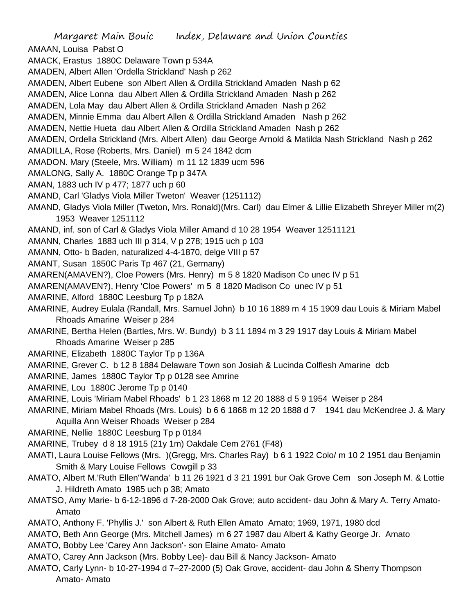Margaret Main Bouic Index, Delaware and Union Counties AMAAN, Louisa Pabst O AMACK, Erastus 1880C Delaware Town p 534A AMADEN, Albert Allen 'Ordella Strickland' Nash p 262 AMADEN, Albert Eubene son Albert Allen & Ordilla Strickland Amaden Nash p 62 AMADEN, Alice Lonna dau Albert Allen & Ordilla Strickland Amaden Nash p 262 AMADEN, Lola May dau Albert Allen & Ordilla Strickland Amaden Nash p 262 AMADEN, Minnie Emma dau Albert Allen & Ordilla Strickland Amaden Nash p 262 AMADEN, Nettie Hueta dau Albert Allen & Ordilla Strickland Amaden Nash p 262 AMADEN, Ordella Strickland (Mrs. Albert Allen) dau George Arnold & Matilda Nash Strickland Nash p 262 AMADILLA, Rose (Roberts, Mrs. Daniel) m 5 24 1842 dcm AMADON. Mary (Steele, Mrs. William) m 11 12 1839 ucm 596 AMALONG, Sally A. 1880C Orange Tp p 347A AMAN, 1883 uch IV p 477; 1877 uch p 60 AMAND, Carl 'Gladys Viola Miller Tweton' Weaver (1251112) AMAND, Gladys Viola Miller (Tweton, Mrs. Ronald)(Mrs. Carl) dau Elmer & Lillie Elizabeth Shreyer Miller m(2) 1953 Weaver 1251112 AMAND, inf. son of Carl & Gladys Viola Miller Amand d 10 28 1954 Weaver 12511121 AMANN, Charles 1883 uch III p 314, V p 278; 1915 uch p 103 AMANN, Otto- b Baden, naturalized 4-4-1870, delge VIII p 57 AMANT, Susan 1850C Paris Tp 467 (21, Germany) AMAREN(AMAVEN?), Cloe Powers (Mrs. Henry) m 5 8 1820 Madison Co unec IV p 51 AMAREN(AMAVEN?), Henry 'Cloe Powers' m 5 8 1820 Madison Co unec IV p 51 AMARINE, Alford 1880C Leesburg Tp p 182A AMARINE, Audrey Eulala (Randall, Mrs. Samuel John) b 10 16 1889 m 4 15 1909 dau Louis & Miriam Mabel Rhoads Amarine Weiser p 284 AMARINE, Bertha Helen (Bartles, Mrs. W. Bundy) b 3 11 1894 m 3 29 1917 day Louis & Miriam Mabel Rhoads Amarine Weiser p 285 AMARINE, Elizabeth 1880C Taylor Tp p 136A AMARINE, Grever C. b 12 8 1884 Delaware Town son Josiah & Lucinda Colflesh Amarine dcb AMARINE, James 1880C Taylor Tp p 0128 see Amrine AMARINE, Lou 1880C Jerome Tp p 0140 AMARINE, Louis 'Miriam Mabel Rhoads' b 1 23 1868 m 12 20 1888 d 5 9 1954 Weiser p 284 AMARINE, Miriam Mabel Rhoads (Mrs. Louis) b 6 6 1868 m 12 20 1888 d 7 1941 dau McKendree J. & Mary Aquilla Ann Weiser Rhoads Weiser p 284 AMARINE, Nellie 1880C Leesburg Tp p 0184 AMARINE, Trubey d 8 18 1915 (21y 1m) Oakdale Cem 2761 (F48) AMATI, Laura Louise Fellows (Mrs. )(Gregg, Mrs. Charles Ray) b 6 1 1922 Colo/ m 10 2 1951 dau Benjamin Smith & Mary Louise Fellows Cowgill p 33 AMATO, Albert M.'Ruth Ellen''Wanda' b 11 26 1921 d 3 21 1991 bur Oak Grove Cem son Joseph M. & Lottie J. Hildreth Amato 1985 uch p 38; Amato AMATSO, Amy Marie- b 6-12-1896 d 7-28-2000 Oak Grove; auto accident- dau John & Mary A. Terry Amato-Amato AMATO, Anthony F. 'Phyllis J.' son Albert & Ruth Ellen Amato Amato; 1969, 1971, 1980 dcd AMATO, Beth Ann George (Mrs. Mitchell James) m 6 27 1987 dau Albert & Kathy George Jr. Amato AMATO, Bobby Lee 'Carey Ann Jackson'- son Elaine Amato- Amato

- AMATO, Carey Ann Jackson (Mrs. Bobby Lee)- dau Bill & Nancy Jackson- Amato
- AMATO, Carly Lynn- b 10-27-1994 d 7–27-2000 (5) Oak Grove, accident- dau John & Sherry Thompson Amato- Amato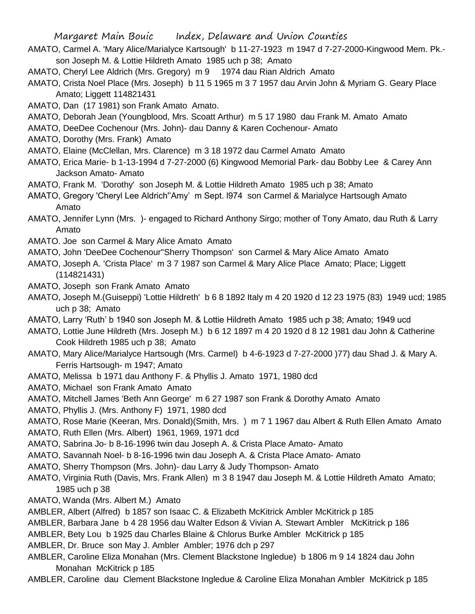- AMATO, Carmel A. 'Mary Alice/Marialyce Kartsough' b 11-27-1923 m 1947 d 7-27-2000-Kingwood Mem. Pk. son Joseph M. & Lottie Hildreth Amato 1985 uch p 38; Amato
- AMATO, Cheryl Lee Aldrich (Mrs. Gregory) m 9 1974 dau Rian Aldrich Amato
- AMATO, Crista Noel Place (Mrs. Joseph) b 11 5 1965 m 3 7 1957 dau Arvin John & Myriam G. Geary Place Amato; Liggett 114821431
- AMATO, Dan (17 1981) son Frank Amato Amato.
- AMATO, Deborah Jean (Youngblood, Mrs. Scoatt Arthur) m 5 17 1980 dau Frank M. Amato Amato
- AMATO, DeeDee Cochenour (Mrs. John)- dau Danny & Karen Cochenour- Amato
- AMATO, Dorothy (Mrs. Frank) Amato
- AMATO, Elaine (McClellan, Mrs. Clarence) m 3 18 1972 dau Carmel Amato Amato
- AMATO, Erica Marie- b 1-13-1994 d 7-27-2000 (6) Kingwood Memorial Park- dau Bobby Lee & Carey Ann Jackson Amato- Amato
- AMATO, Frank M. 'Dorothy' son Joseph M. & Lottie Hildreth Amato 1985 uch p 38; Amato
- AMATO, Gregory 'Cheryl Lee Aldrich''Amy' m Sept. l974 son Carmel & Marialyce Hartsough Amato Amato
- AMATO, Jennifer Lynn (Mrs. )- engaged to Richard Anthony Sirgo; mother of Tony Amato, dau Ruth & Larry Amato
- AMATO. Joe son Carmel & Mary Alice Amato Amato
- AMATO, John 'DeeDee Cochenour''Sherry Thompson' son Carmel & Mary Alice Amato Amato
- AMATO, Joseph A. 'Crista Place' m 3 7 1987 son Carmel & Mary Alice Place Amato; Place; Liggett (114821431)
- AMATO, Joseph son Frank Amato Amato
- AMATO, Joseph M.(Guiseppi) 'Lottie Hildreth' b 6 8 1892 Italy m 4 20 1920 d 12 23 1975 (83) 1949 ucd; 1985 uch p 38; Amato
- AMATO, Larry 'Ruth' b 1940 son Joseph M. & Lottie Hildreth Amato 1985 uch p 38; Amato; 1949 ucd
- AMATO, Lottie June Hildreth (Mrs. Joseph M.) b 6 12 1897 m 4 20 1920 d 8 12 1981 dau John & Catherine Cook Hildreth 1985 uch p 38; Amato
- AMATO, Mary Alice/Marialyce Hartsough (Mrs. Carmel) b 4-6-1923 d 7-27-2000 )77) dau Shad J. & Mary A. Ferris Hartsough- m 1947; Amato
- AMATO, Melissa b 1971 dau Anthony F. & Phyllis J. Amato 1971, 1980 dcd
- AMATO, Michael son Frank Amato Amato
- AMATO, Mitchell James 'Beth Ann George' m 6 27 1987 son Frank & Dorothy Amato Amato
- AMATO, Phyllis J. (Mrs. Anthony F) 1971, 1980 dcd
- AMATO, Rose Marie (Keeran, Mrs. Donald)(Smith, Mrs. ) m 7 1 1967 dau Albert & Ruth Ellen Amato Amato
- AMATO, Ruth Ellen (Mrs. Albert) 1961, 1969, 1971 dcd
- AMATO, Sabrina Jo- b 8-16-1996 twin dau Joseph A. & Crista Place Amato- Amato
- AMATO, Savannah Noel- b 8-16-1996 twin dau Joseph A. & Crista Place Amato- Amato
- AMATO, Sherry Thompson (Mrs. John)- dau Larry & Judy Thompson- Amato
- AMATO, Virginia Ruth (Davis, Mrs. Frank Allen) m 3 8 1947 dau Joseph M. & Lottie Hildreth Amato Amato; 1985 uch p 38
- AMATO, Wanda (Mrs. Albert M.) Amato
- AMBLER, Albert (Alfred) b 1857 son Isaac C. & Elizabeth McKitrick Ambler McKitrick p 185
- AMBLER, Barbara Jane b 4 28 1956 dau Walter Edson & Vivian A. Stewart Ambler McKitrick p 186
- AMBLER, Bety Lou b 1925 dau Charles Blaine & Chlorus Burke Ambler McKitrick p 185
- AMBLER, Dr. Bruce son May J. Ambler Ambler; 1976 dch p 297
- AMBLER, Caroline Eliza Monahan (Mrs. Clement Blackstone Ingledue) b 1806 m 9 14 1824 dau John Monahan McKitrick p 185
- AMBLER, Caroline dau Clement Blackstone Ingledue & Caroline Eliza Monahan Ambler McKitrick p 185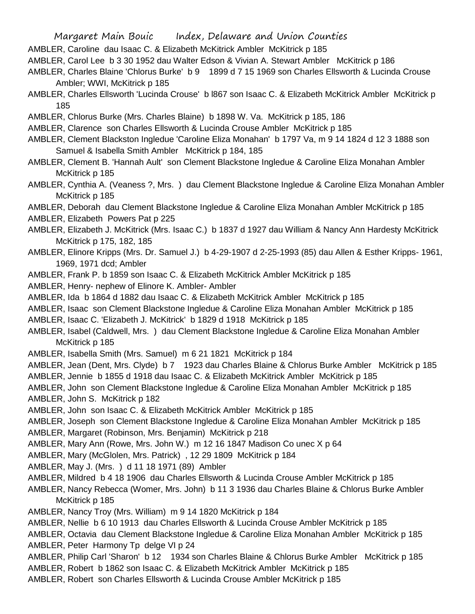- AMBLER, Caroline dau Isaac C. & Elizabeth McKitrick Ambler McKitrick p 185
- AMBLER, Carol Lee b 3 30 1952 dau Walter Edson & Vivian A. Stewart Ambler McKitrick p 186
- AMBLER, Charles Blaine 'Chlorus Burke' b 9 1899 d 7 15 1969 son Charles Ellsworth & Lucinda Crouse Ambler; WWI, McKitrick p 185
- AMBLER, Charles Ellsworth 'Lucinda Crouse' b l867 son Isaac C. & Elizabeth McKitrick Ambler McKitrick p 185
- AMBLER, Chlorus Burke (Mrs. Charles Blaine) b 1898 W. Va. McKitrick p 185, 186
- AMBLER, Clarence son Charles Ellsworth & Lucinda Crouse Ambler McKitrick p 185
- AMBLER, Clement Blackston Ingledue 'Caroline Eliza Monahan' b 1797 Va, m 9 14 1824 d 12 3 1888 son Samuel & Isabella Smith Ambler McKitrick p 184, 185
- AMBLER, Clement B. 'Hannah Ault' son Clement Blackstone Ingledue & Caroline Eliza Monahan Ambler McKitrick p 185
- AMBLER, Cynthia A. (Veaness ?, Mrs. ) dau Clement Blackstone Ingledue & Caroline Eliza Monahan Ambler McKitrick p 185
- AMBLER, Deborah dau Clement Blackstone Ingledue & Caroline Eliza Monahan Ambler McKitrick p 185
- AMBLER, Elizabeth Powers Pat p 225
- AMBLER, Elizabeth J. McKitrick (Mrs. Isaac C.) b 1837 d 1927 dau William & Nancy Ann Hardesty McKitrick McKitrick p 175, 182, 185
- AMBLER, Elinore Kripps (Mrs. Dr. Samuel J.) b 4-29-1907 d 2-25-1993 (85) dau Allen & Esther Kripps- 1961, 1969, 1971 dcd; Ambler
- AMBLER, Frank P. b 1859 son Isaac C. & Elizabeth McKitrick Ambler McKitrick p 185
- AMBLER, Henry- nephew of Elinore K. Ambler- Ambler
- AMBLER, Ida b 1864 d 1882 dau Isaac C. & Elizabeth McKitrick Ambler McKitrick p 185
- AMBLER, Isaac son Clement Blackstone Ingledue & Caroline Eliza Monahan Ambler McKitrick p 185
- AMBLER, Isaac C. 'Elizabeth J. McKitrick' b 1829 d 1918 McKitrick p 185
- AMBLER, Isabel (Caldwell, Mrs. ) dau Clement Blackstone Ingledue & Caroline Eliza Monahan Ambler McKitrick p 185
- AMBLER, Isabella Smith (Mrs. Samuel) m 6 21 1821 McKitrick p 184
- AMBLER, Jean (Dent, Mrs. Clyde) b 7 1923 dau Charles Blaine & Chlorus Burke Ambler McKitrick p 185
- AMBLER, Jennie b 1855 d 1918 dau Isaac C. & Elizabeth McKitrick Ambler McKitrick p 185
- AMBLER, John son Clement Blackstone Ingledue & Caroline Eliza Monahan Ambler McKitrick p 185
- AMBLER, John S. McKitrick p 182
- AMBLER, John son Isaac C. & Elizabeth McKitrick Ambler McKitrick p 185
- AMBLER, Joseph son Clement Blackstone Ingledue & Caroline Eliza Monahan Ambler McKitrick p 185
- AMBLER, Margaret (Robinson, Mrs. Benjamin) McKitrick p 218
- AMBLER, Mary Ann (Rowe, Mrs. John W.) m 12 16 1847 Madison Co unec X p 64
- AMBLER, Mary (McGlolen, Mrs. Patrick) , 12 29 1809 McKitrick p 184
- AMBLER, May J. (Mrs. ) d 11 18 1971 (89) Ambler
- AMBLER, Mildred b 4 18 1906 dau Charles Ellsworth & Lucinda Crouse Ambler McKitrick p 185
- AMBLER, Nancy Rebecca (Womer, Mrs. John) b 11 3 1936 dau Charles Blaine & Chlorus Burke Ambler McKitrick p 185
- AMBLER, Nancy Troy (Mrs. William) m 9 14 1820 McKitrick p 184
- AMBLER, Nellie b 6 10 1913 dau Charles Ellsworth & Lucinda Crouse Ambler McKitrick p 185
- AMBLER, Octavia dau Clement Blackstone Ingledue & Caroline Eliza Monahan Ambler McKitrick p 185 AMBLER, Peter Harmony Tp delge VI p 24
- AMBLER, Philip Carl 'Sharon' b 12 1934 son Charles Blaine & Chlorus Burke Ambler McKitrick p 185
- AMBLER, Robert b 1862 son Isaac C. & Elizabeth McKitrick Ambler McKitrick p 185
- AMBLER, Robert son Charles Ellsworth & Lucinda Crouse Ambler McKitrick p 185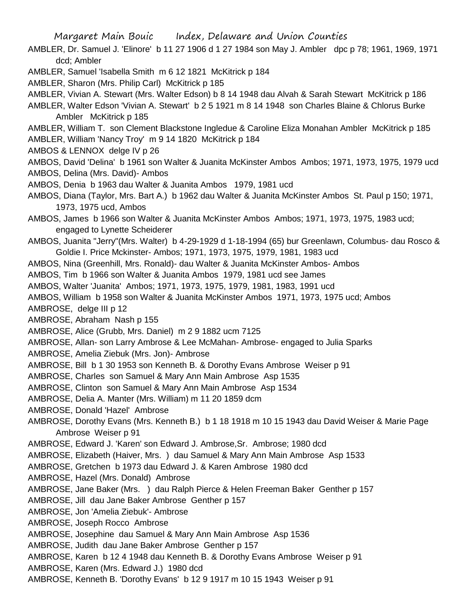AMBLER, Dr. Samuel J. 'Elinore' b 11 27 1906 d 1 27 1984 son May J. Ambler dpc p 78; 1961, 1969, 1971 dcd; Ambler

AMBLER, Samuel 'Isabella Smith m 6 12 1821 McKitrick p 184

AMBLER, Sharon (Mrs. Philip Carl) McKitrick p 185

AMBLER, Vivian A. Stewart (Mrs. Walter Edson) b 8 14 1948 dau Alvah & Sarah Stewart McKitrick p 186

AMBLER, Walter Edson 'Vivian A. Stewart' b 2 5 1921 m 8 14 1948 son Charles Blaine & Chlorus Burke Ambler McKitrick p 185

AMBLER, William T. son Clement Blackstone Ingledue & Caroline Eliza Monahan Ambler McKitrick p 185 AMBLER, William 'Nancy Troy' m 9 14 1820 McKitrick p 184

AMBOS & LENNOX delge IV p 26

AMBOS, David 'Delina' b 1961 son Walter & Juanita McKinster Ambos Ambos; 1971, 1973, 1975, 1979 ucd AMBOS, Delina (Mrs. David)- Ambos

AMBOS, Denia b 1963 dau Walter & Juanita Ambos 1979, 1981 ucd

AMBOS, Diana (Taylor, Mrs. Bart A.) b 1962 dau Walter & Juanita McKinster Ambos St. Paul p 150; 1971, 1973, 1975 ucd, Ambos

AMBOS, James b 1966 son Walter & Juanita McKinster Ambos Ambos; 1971, 1973, 1975, 1983 ucd; engaged to Lynette Scheiderer

AMBOS, Juanita "Jerry"(Mrs. Walter) b 4-29-1929 d 1-18-1994 (65) bur Greenlawn, Columbus- dau Rosco & Goldie I. Price Mckinster- Ambos; 1971, 1973, 1975, 1979, 1981, 1983 ucd

AMBOS, Nina (Greenhill, Mrs. Ronald)- dau Walter & Juanita McKinster Ambos- Ambos

AMBOS, Tim b 1966 son Walter & Juanita Ambos 1979, 1981 ucd see James

AMBOS, Walter 'Juanita' Ambos; 1971, 1973, 1975, 1979, 1981, 1983, 1991 ucd

AMBOS, William b 1958 son Walter & Juanita McKinster Ambos 1971, 1973, 1975 ucd; Ambos

AMBROSE, delge III p 12

AMBROSE, Abraham Nash p 155

AMBROSE, Alice (Grubb, Mrs. Daniel) m 2 9 1882 ucm 7125

AMBROSE, Allan- son Larry Ambrose & Lee McMahan- Ambrose- engaged to Julia Sparks

AMBROSE, Amelia Ziebuk (Mrs. Jon)- Ambrose

AMBROSE, Bill b 1 30 1953 son Kenneth B. & Dorothy Evans Ambrose Weiser p 91

AMBROSE, Charles son Samuel & Mary Ann Main Ambrose Asp 1535

AMBROSE, Clinton son Samuel & Mary Ann Main Ambrose Asp 1534

AMBROSE, Delia A. Manter (Mrs. William) m 11 20 1859 dcm

AMBROSE, Donald 'Hazel' Ambrose

AMBROSE, Dorothy Evans (Mrs. Kenneth B.) b 1 18 1918 m 10 15 1943 dau David Weiser & Marie Page Ambrose Weiser p 91

AMBROSE, Edward J. 'Karen' son Edward J. Ambrose,Sr. Ambrose; 1980 dcd

AMBROSE, Elizabeth (Haiver, Mrs. ) dau Samuel & Mary Ann Main Ambrose Asp 1533

AMBROSE, Gretchen b 1973 dau Edward J. & Karen Ambrose 1980 dcd

AMBROSE, Hazel (Mrs. Donald) Ambrose

AMBROSE, Jane Baker (Mrs. ) dau Ralph Pierce & Helen Freeman Baker Genther p 157

AMBROSE, Jill dau Jane Baker Ambrose Genther p 157

AMBROSE, Jon 'Amelia Ziebuk'- Ambrose

AMBROSE, Joseph Rocco Ambrose

AMBROSE, Josephine dau Samuel & Mary Ann Main Ambrose Asp 1536

AMBROSE, Judith dau Jane Baker Ambrose Genther p 157

AMBROSE, Karen b 12 4 1948 dau Kenneth B. & Dorothy Evans Ambrose Weiser p 91

AMBROSE, Karen (Mrs. Edward J.) 1980 dcd

AMBROSE, Kenneth B. 'Dorothy Evans' b 12 9 1917 m 10 15 1943 Weiser p 91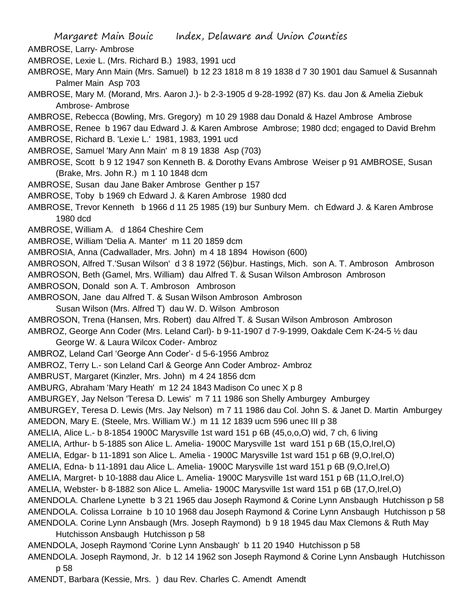AMBROSE, Larry- Ambrose

AMBROSE, Lexie L. (Mrs. Richard B.) 1983, 1991 ucd

- AMBROSE, Mary Ann Main (Mrs. Samuel) b 12 23 1818 m 8 19 1838 d 7 30 1901 dau Samuel & Susannah Palmer Main Asp 703
- AMBROSE, Mary M. (Morand, Mrs. Aaron J.)- b 2-3-1905 d 9-28-1992 (87) Ks. dau Jon & Amelia Ziebuk Ambrose- Ambrose
- AMBROSE, Rebecca (Bowling, Mrs. Gregory) m 10 29 1988 dau Donald & Hazel Ambrose Ambrose
- AMBROSE, Renee b 1967 dau Edward J. & Karen Ambrose Ambrose; 1980 dcd; engaged to David Brehm
- AMBROSE, Richard B. 'Lexie L.' 1981, 1983, 1991 ucd
- AMBROSE, Samuel 'Mary Ann Main' m 8 19 1838 Asp (703)
- AMBROSE, Scott b 9 12 1947 son Kenneth B. & Dorothy Evans Ambrose Weiser p 91 AMBROSE, Susan (Brake, Mrs. John R.) m 1 10 1848 dcm
- AMBROSE, Susan dau Jane Baker Ambrose Genther p 157
- AMBROSE, Toby b 1969 ch Edward J. & Karen Ambrose 1980 dcd
- AMBROSE, Trevor Kenneth b 1966 d 11 25 1985 (19) bur Sunbury Mem. ch Edward J. & Karen Ambrose 1980 dcd
- AMBROSE, William A. d 1864 Cheshire Cem
- AMBROSE, William 'Delia A. Manter' m 11 20 1859 dcm
- AMBROSIA, Anna (Cadwallader, Mrs. John) m 4 18 1894 Howison (600)
- AMBROSON, Alfred T.'Susan Wilson' d 3 8 1972 (56)bur. Hastings, Mich. son A. T. Ambroson Ambroson

AMBROSON, Beth (Gamel, Mrs. William) dau Alfred T. & Susan Wilson Ambroson Ambroson

- AMBROSON, Donald son A. T. Ambroson Ambroson
- AMBROSON, Jane dau Alfred T. & Susan Wilson Ambroson Ambroson
- Susan Wilson (Mrs. Alfred T) dau W. D. Wilson Ambroson
- AMBROSON, Trena (Hansen, Mrs. Robert) dau Alfred T. & Susan Wilson Ambroson Ambroson
- AMBROZ, George Ann Coder (Mrs. Leland Carl)- b 9-11-1907 d 7-9-1999, Oakdale Cem K-24-5 ½ dau George W. & Laura Wilcox Coder- Ambroz
- AMBROZ, Leland Carl 'George Ann Coder'- d 5-6-1956 Ambroz
- AMBROZ, Terry L.- son Leland Carl & George Ann Coder Ambroz- Ambroz
- AMBRUST, Margaret (Kinzler, Mrs. John) m 4 24 1856 dcm
- AMBURG, Abraham 'Mary Heath' m 12 24 1843 Madison Co unec X p 8
- AMBURGEY, Jay Nelson 'Teresa D. Lewis' m 7 11 1986 son Shelly Amburgey Amburgey
- AMBURGEY, Teresa D. Lewis (Mrs. Jay Nelson) m 7 11 1986 dau Col. John S. & Janet D. Martin Amburgey
- AMEDON, Mary E. (Steele, Mrs. William W.) m 11 12 1839 ucm 596 unec III p 38
- AMELIA, Alice L.- b 8-1854 1900C Marysville 1st ward 151 p 6B (45,o,o,O) wid, 7 ch, 6 living
- AMELIA, Arthur- b 5-1885 son Alice L. Amelia- 1900C Marysville 1st ward 151 p 6B (15,O,Irel,O)
- AMELIA, Edgar- b 11-1891 son Alice L. Amelia 1900C Marysville 1st ward 151 p 6B (9,O,Irel,O)
- AMELIA, Edna- b 11-1891 dau Alice L. Amelia- 1900C Marysville 1st ward 151 p 6B (9,O,Irel,O)
- AMELIA, Margret- b 10-1888 dau Alice L. Amelia- 1900C Marysville 1st ward 151 p 6B (11,O,Irel,O)
- AMELIA, Webster- b 8-1882 son Alice L. Amelia- 1900C Marysville 1st ward 151 p 6B (17,O,Irel,O)
- AMENDOLA. Charlene Lynette b 3 21 1965 dau Joseph Raymond & Corine Lynn Ansbaugh Hutchisson p 58 AMENDOLA. Colissa Lorraine b 10 10 1968 dau Joseph Raymond & Corine Lynn Ansbaugh Hutchisson p 58 AMENDOLA. Corine Lynn Ansbaugh (Mrs. Joseph Raymond) b 9 18 1945 dau Max Clemons & Ruth May
	- Hutchisson Ansbaugh Hutchisson p 58
- AMENDOLA, Joseph Raymond 'Corine Lynn Ansbaugh' b 11 20 1940 Hutchisson p 58
- AMENDOLA. Joseph Raymond, Jr. b 12 14 1962 son Joseph Raymond & Corine Lynn Ansbaugh Hutchisson p 58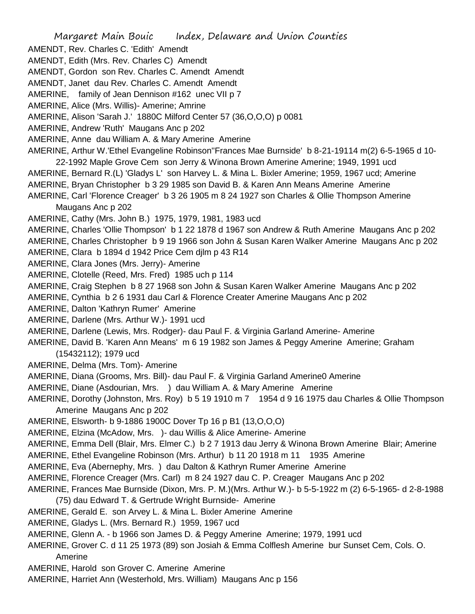- AMENDT, Rev. Charles C. 'Edith' Amendt
- AMENDT, Edith (Mrs. Rev. Charles C) Amendt
- AMENDT, Gordon son Rev. Charles C. Amendt Amendt
- AMENDT, Janet dau Rev. Charles C. Amendt Amendt
- AMERINE, family of Jean Dennison #162 unec VII p 7
- AMERINE, Alice (Mrs. Willis)- Amerine; Amrine
- AMERINE, Alison 'Sarah J.' 1880C Milford Center 57 (36,O,O,O) p 0081
- AMERINE, Andrew 'Ruth' Maugans Anc p 202
- AMERINE, Anne dau William A. & Mary Amerine Amerine
- AMERINE, Arthur W.'Ethel Evangeline Robinson''Frances Mae Burnside' b 8-21-19114 m(2) 6-5-1965 d 10- 22-1992 Maple Grove Cem son Jerry & Winona Brown Amerine Amerine; 1949, 1991 ucd
- AMERINE, Bernard R.(L) 'Gladys L' son Harvey L. & Mina L. Bixler Amerine; 1959, 1967 ucd; Amerine
- AMERINE, Bryan Christopher b 3 29 1985 son David B. & Karen Ann Means Amerine Amerine
- AMERINE, Carl 'Florence Creager' b 3 26 1905 m 8 24 1927 son Charles & Ollie Thompson Amerine Maugans Anc p 202
- AMERINE, Cathy (Mrs. John B.) 1975, 1979, 1981, 1983 ucd
- AMERINE, Charles 'Ollie Thompson' b 1 22 1878 d 1967 son Andrew & Ruth Amerine Maugans Anc p 202
- AMERINE, Charles Christopher b 9 19 1966 son John & Susan Karen Walker Amerine Maugans Anc p 202
- AMERINE, Clara b 1894 d 1942 Price Cem djlm p 43 R14
- AMERINE, Clara Jones (Mrs. Jerry)- Amerine
- AMERINE, Clotelle (Reed, Mrs. Fred) 1985 uch p 114
- AMERINE, Craig Stephen b 8 27 1968 son John & Susan Karen Walker Amerine Maugans Anc p 202
- AMERINE, Cynthia b 2 6 1931 dau Carl & Florence Creater Amerine Maugans Anc p 202
- AMERINE, Dalton 'Kathryn Rumer' Amerine
- AMERINE, Darlene (Mrs. Arthur W.)- 1991 ucd
- AMERINE, Darlene (Lewis, Mrs. Rodger)- dau Paul F. & Virginia Garland Amerine- Amerine
- AMERINE, David B. 'Karen Ann Means' m 6 19 1982 son James & Peggy Amerine Amerine; Graham (15432112); 1979 ucd
- AMERINE, Delma (Mrs. Tom)- Amerine
- AMERINE, Diana (Grooms, Mrs. Bill)- dau Paul F. & Virginia Garland Amerine0 Amerine
- AMERINE, Diane (Asdourian, Mrs. ) dau William A. & Mary Amerine Amerine
- AMERINE, Dorothy (Johnston, Mrs. Roy) b 5 19 1910 m 7 1954 d 9 16 1975 dau Charles & Ollie Thompson Amerine Maugans Anc p 202
- AMERINE, Elsworth- b 9-1886 1900C Dover Tp 16 p B1 (13,O,O,O)
- AMERINE, Elzina (McAdow, Mrs. )- dau Willis & Alice Amerine- Amerine
- AMERINE, Emma Dell (Blair, Mrs. Elmer C.) b 2 7 1913 dau Jerry & Winona Brown Amerine Blair; Amerine
- AMERINE, Ethel Evangeline Robinson (Mrs. Arthur) b 11 20 1918 m 11 1935 Amerine
- AMERINE, Eva (Abernephy, Mrs. ) dau Dalton & Kathryn Rumer Amerine Amerine
- AMERINE, Florence Creager (Mrs. Carl) m 8 24 1927 dau C. P. Creager Maugans Anc p 202
- AMERINE, Frances Mae Burnside (Dixon, Mrs. P. M.)(Mrs. Arthur W.)- b 5-5-1922 m (2) 6-5-1965- d 2-8-1988
	- (75) dau Edward T. & Gertrude Wright Burnside- Amerine
- AMERINE, Gerald E. son Arvey L. & Mina L. Bixler Amerine Amerine
- AMERINE, Gladys L. (Mrs. Bernard R.) 1959, 1967 ucd
- AMERINE, Glenn A. b 1966 son James D. & Peggy Amerine Amerine; 1979, 1991 ucd
- AMERINE, Grover C. d 11 25 1973 (89) son Josiah & Emma Colflesh Amerine bur Sunset Cem, Cols. O. Amerine
- AMERINE, Harold son Grover C. Amerine Amerine
- AMERINE, Harriet Ann (Westerhold, Mrs. William) Maugans Anc p 156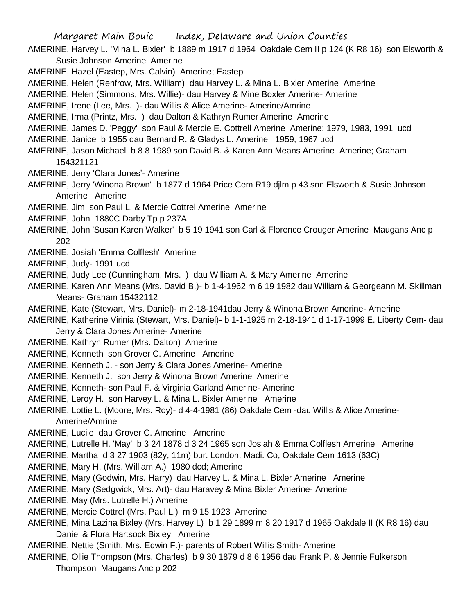- AMERINE, Harvey L. 'Mina L. Bixler' b 1889 m 1917 d 1964 Oakdale Cem II p 124 (K R8 16) son Elsworth & Susie Johnson Amerine Amerine
- AMERINE, Hazel (Eastep, Mrs. Calvin) Amerine; Eastep
- AMERINE, Helen (Renfrow, Mrs. William) dau Harvey L. & Mina L. Bixler Amerine Amerine
- AMERINE, Helen (Simmons, Mrs. Willie)- dau Harvey & Mine Boxler Amerine- Amerine
- AMERINE, Irene (Lee, Mrs. )- dau Willis & Alice Amerine- Amerine/Amrine
- AMERINE, Irma (Printz, Mrs. ) dau Dalton & Kathryn Rumer Amerine Amerine
- AMERINE, James D. 'Peggy' son Paul & Mercie E. Cottrell Amerine Amerine; 1979, 1983, 1991 ucd
- AMERINE, Janice b 1955 dau Bernard R. & Gladys L. Amerine 1959, 1967 ucd
- AMERINE, Jason Michael b 8 8 1989 son David B. & Karen Ann Means Amerine Amerine; Graham 154321121
- AMERINE, Jerry 'Clara Jones'- Amerine
- AMERINE, Jerry 'Winona Brown' b 1877 d 1964 Price Cem R19 djlm p 43 son Elsworth & Susie Johnson Amerine Amerine
- AMERINE, Jim son Paul L. & Mercie Cottrel Amerine Amerine
- AMERINE, John 1880C Darby Tp p 237A
- AMERINE, John 'Susan Karen Walker' b 5 19 1941 son Carl & Florence Crouger Amerine Maugans Anc p 202
- AMERINE, Josiah 'Emma Colflesh' Amerine
- AMERINE, Judy- 1991 ucd
- AMERINE, Judy Lee (Cunningham, Mrs. ) dau William A. & Mary Amerine Amerine
- AMERINE, Karen Ann Means (Mrs. David B.)- b 1-4-1962 m 6 19 1982 dau William & Georgeann M. Skillman Means- Graham 15432112
- AMERINE, Kate (Stewart, Mrs. Daniel)- m 2-18-1941dau Jerry & Winona Brown Amerine- Amerine
- AMERINE, Katherine Virinia (Stewart, Mrs. Daniel)- b 1-1-1925 m 2-18-1941 d 1-17-1999 E. Liberty Cem- dau Jerry & Clara Jones Amerine- Amerine
- AMERINE, Kathryn Rumer (Mrs. Dalton) Amerine
- AMERINE, Kenneth son Grover C. Amerine Amerine
- AMERINE, Kenneth J. son Jerry & Clara Jones Amerine- Amerine
- AMERINE, Kenneth J. son Jerry & Winona Brown Amerine Amerine
- AMERINE, Kenneth- son Paul F. & Virginia Garland Amerine- Amerine
- AMERINE, Leroy H. son Harvey L. & Mina L. Bixler Amerine Amerine
- AMERINE, Lottie L. (Moore, Mrs. Roy)- d 4-4-1981 (86) Oakdale Cem -dau Willis & Alice Amerine-Amerine/Amrine
- AMERINE, Lucile dau Grover C. Amerine Amerine
- AMERINE, Lutrelle H. 'May' b 3 24 1878 d 3 24 1965 son Josiah & Emma Colflesh Amerine Amerine
- AMERINE, Martha d 3 27 1903 (82y, 11m) bur. London, Madi. Co, Oakdale Cem 1613 (63C)
- AMERINE, Mary H. (Mrs. William A.) 1980 dcd; Amerine
- AMERINE, Mary (Godwin, Mrs. Harry) dau Harvey L. & Mina L. Bixler Amerine Amerine
- AMERINE, Mary (Sedgwick, Mrs. Art)- dau Haravey & Mina Bixler Amerine- Amerine
- AMERINE, May (Mrs. Lutrelle H.) Amerine
- AMERINE, Mercie Cottrel (Mrs. Paul L.) m 9 15 1923 Amerine
- AMERINE, Mina Lazina Bixley (Mrs. Harvey L) b 1 29 1899 m 8 20 1917 d 1965 Oakdale II (K R8 16) dau Daniel & Flora Hartsock Bixley Amerine
- AMERINE, Nettie (Smith, Mrs. Edwin F.)- parents of Robert Willis Smith- Amerine
- AMERINE, Ollie Thompson (Mrs. Charles) b 9 30 1879 d 8 6 1956 dau Frank P. & Jennie Fulkerson
	- Thompson Maugans Anc p 202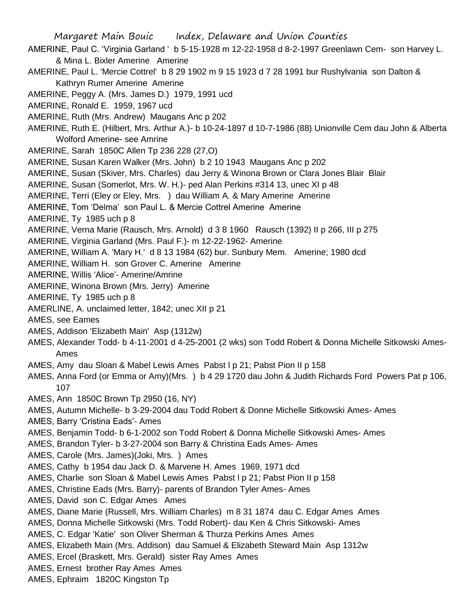AMERINE, Paul C. 'Virginia Garland ' b 5-15-1928 m 12-22-1958 d 8-2-1997 Greenlawn Cem- son Harvey L. & Mina L. Bixler Amerine Amerine

- AMERINE, Paul L. 'Mercie Cottrel' b 8 29 1902 m 9 15 1923 d 7 28 1991 bur Rushylvania son Dalton & Kathryn Rumer Amerine Amerine
- AMERINE, Peggy A. (Mrs. James D.) 1979, 1991 ucd
- AMERINE, Ronald E. 1959, 1967 ucd
- AMERINE, Ruth (Mrs. Andrew) Maugans Anc p 202
- AMERINE, Ruth E. (Hilbert, Mrs. Arthur A.)- b 10-24-1897 d 10-7-1986 (88) Unionville Cem dau John & Alberta Wolford Amerine- see Amrine
- AMERINE, Sarah 1850C Allen Tp 236 228 (27,O)
- AMERINE, Susan Karen Walker (Mrs. John) b 2 10 1943 Maugans Anc p 202
- AMERINE, Susan (Skiver, Mrs. Charles) dau Jerry & Winona Brown or Clara Jones Blair Blair
- AMERINE, Susan (Somerlot, Mrs. W. H.)- ped Alan Perkins #314 13, unec XI p 48
- AMERINE, Terri (Eley or Eley, Mrs. ) dau William A. & Mary Amerine Amerine
- AMERINE, Tom 'Delma' son Paul L. & Mercie Cottrel Amerine Amerine
- AMERINE, Ty 1985 uch p 8
- AMERINE, Verna Marie (Rausch, Mrs. Arnold) d 3 8 1960 Rausch (1392) II p 266, III p 275
- AMERINE, Virginia Garland (Mrs. Paul F.)- m 12-22-1962- Amerine
- AMERINE, William A. 'Mary H.' d 8 13 1984 (62) bur. Sunbury Mem. Amerine; 1980 dcd
- AMERINE, William H. son Grover C. Amerine Amerine
- AMERINE, Willis 'Alice'- Amerine/Amrine
- AMERINE, Winona Brown (Mrs. Jerry) Amerine
- AMERINE, Ty 1985 uch p 8
- AMERLINE, A. unclaimed letter, 1842; unec XII p 21
- AMES, see Eames
- AMES, Addison 'Elizabeth Main' Asp (1312w)
- AMES, Alexander Todd- b 4-11-2001 d 4-25-2001 (2 wks) son Todd Robert & Donna Michelle Sitkowski Ames-Ames
- AMES, Amy dau Sloan & Mabel Lewis Ames Pabst l p 21; Pabst Pion II p 158
- AMES, Anna Ford (or Emma or Amy)(Mrs. ) b 4 29 1720 dau John & Judith Richards Ford Powers Pat p 106, 107
- AMES, Ann 1850C Brown Tp 2950 (16, NY)
- AMES, Autumn Michelle- b 3-29-2004 dau Todd Robert & Donne Michelle Sitkowski Ames- Ames
- AMES, Barry 'Cristina Eads'- Ames
- AMES, Benjamin Todd- b 6-1-2002 son Todd Robert & Donna Michelle Sitkowski Ames- Ames
- AMES, Brandon Tyler- b 3-27-2004 son Barry & Christina Eads Ames- Ames
- AMES, Carole (Mrs. James)(Joki, Mrs. ) Ames
- AMES, Cathy b 1954 dau Jack D. & Marvene H. Ames 1969, 1971 dcd
- AMES, Charlie son Sloan & Mabel Lewis Ames Pabst l p 21; Pabst Pion II p 158
- AMES, Christine Eads (Mrs. Barry)- parents of Brandon Tyler Ames- Ames
- AMES, David son C. Edgar Ames Ames
- AMES, Diane Marie (Russell, Mrs. William Charles) m 8 31 1874 dau C. Edgar Ames Ames
- AMES, Donna Michelle Sitkowski (Mrs. Todd Robert)- dau Ken & Chris Sitkowski- Ames
- AMES, C. Edgar 'Katie' son Oliver Sherman & Thurza Perkins Ames Ames
- AMES, Elizabeth Main (Mrs. Addison) dau Samuel & Elizabeth Steward Main Asp 1312w
- AMES, Ercel (Braskett, Mrs. Gerald) sister Ray Ames Ames
- AMES, Ernest brother Ray Ames Ames
- AMES, Ephraim 1820C Kingston Tp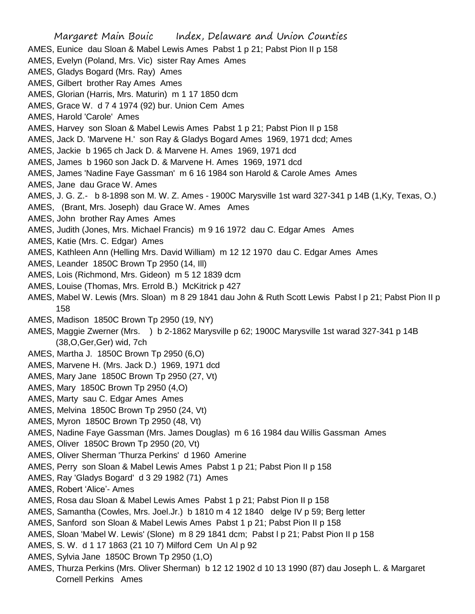Margaret Main Bouic Index, Delaware and Union Counties AMES, Eunice dau Sloan & Mabel Lewis Ames Pabst 1 p 21; Pabst Pion II p 158 AMES, Evelyn (Poland, Mrs. Vic) sister Ray Ames Ames AMES, Gladys Bogard (Mrs. Ray) Ames AMES, Gilbert brother Ray Ames Ames AMES, Glorian (Harris, Mrs. Maturin) m 1 17 1850 dcm AMES, Grace W. d 7 4 1974 (92) bur. Union Cem Ames AMES, Harold 'Carole' Ames AMES, Harvey son Sloan & Mabel Lewis Ames Pabst 1 p 21; Pabst Pion II p 158 AMES, Jack D. 'Marvene H.' son Ray & Gladys Bogard Ames 1969, 1971 dcd; Ames AMES, Jackie b 1965 ch Jack D. & Marvene H. Ames 1969, 1971 dcd AMES, James b 1960 son Jack D. & Marvene H. Ames 1969, 1971 dcd AMES, James 'Nadine Faye Gassman' m 6 16 1984 son Harold & Carole Ames Ames AMES, Jane dau Grace W. Ames AMES, J. G. Z.- b 8-1898 son M. W. Z. Ames - 1900C Marysville 1st ward 327-341 p 14B (1,Ky, Texas, O.) AMES, (Brant, Mrs. Joseph) dau Grace W. Ames Ames AMES, John brother Ray Ames Ames AMES, Judith (Jones, Mrs. Michael Francis) m 9 16 1972 dau C. Edgar Ames Ames AMES, Katie (Mrs. C. Edgar) Ames AMES, Kathleen Ann (Helling Mrs. David William) m 12 12 1970 dau C. Edgar Ames Ames AMES, Leander 1850C Brown Tp 2950 (14, Ill) AMES, Lois (Richmond, Mrs. Gideon) m 5 12 1839 dcm AMES, Louise (Thomas, Mrs. Errold B.) McKitrick p 427 AMES, Mabel W. Lewis (Mrs. Sloan) m 8 29 1841 dau John & Ruth Scott Lewis Pabst l p 21; Pabst Pion II p 158 AMES, Madison 1850C Brown Tp 2950 (19, NY) AMES, Maggie Zwerner (Mrs. ) b 2-1862 Marysville p 62; 1900C Marysville 1st warad 327-341 p 14B (38,O,Ger,Ger) wid, 7ch AMES, Martha J. 1850C Brown Tp 2950 (6,O) AMES, Marvene H. (Mrs. Jack D.) 1969, 1971 dcd AMES, Mary Jane 1850C Brown Tp 2950 (27, Vt) AMES, Mary 1850C Brown Tp 2950 (4,O) AMES, Marty sau C. Edgar Ames Ames AMES, Melvina 1850C Brown Tp 2950 (24, Vt) AMES, Myron 1850C Brown Tp 2950 (48, Vt) AMES, Nadine Faye Gassman (Mrs. James Douglas) m 6 16 1984 dau Willis Gassman Ames AMES, Oliver 1850C Brown Tp 2950 (20, Vt) AMES, Oliver Sherman 'Thurza Perkins' d 1960 Amerine AMES, Perry son Sloan & Mabel Lewis Ames Pabst 1 p 21; Pabst Pion II p 158 AMES, Ray 'Gladys Bogard' d 3 29 1982 (71) Ames AMES, Robert 'Alice'- Ames AMES, Rosa dau Sloan & Mabel Lewis Ames Pabst 1 p 21; Pabst Pion II p 158 AMES, Samantha (Cowles, Mrs. Joel.Jr.) b 1810 m 4 12 1840 delge IV p 59; Berg letter AMES, Sanford son Sloan & Mabel Lewis Ames Pabst 1 p 21; Pabst Pion II p 158 AMES, Sloan 'Mabel W. Lewis' (Slone) m 8 29 1841 dcm; Pabst l p 21; Pabst Pion II p 158 AMES, S. W. d 1 17 1863 (21 10 7) Milford Cem Un Al p 92 AMES, Sylvia Jane 1850C Brown Tp 2950 (1,O) AMES, Thurza Perkins (Mrs. Oliver Sherman) b 12 12 1902 d 10 13 1990 (87) dau Joseph L. & Margaret

Cornell Perkins Ames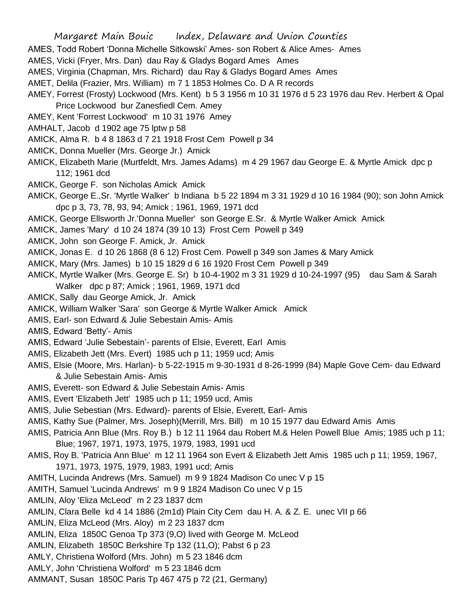AMES, Todd Robert 'Donna Michelle Sitkowski' Ames- son Robert & Alice Ames- Ames

- AMES, Vicki (Fryer, Mrs. Dan) dau Ray & Gladys Bogard Ames Ames
- AMES, Virginia (Chapman, Mrs. Richard) dau Ray & Gladys Bogard Ames Ames
- AMET, Delila (Frazier, Mrs. William) m 7 1 1853 Holmes Co. D A R records
- AMEY, Forrest (Frosty) Lockwood (Mrs. Kent) b 5 3 1956 m 10 31 1976 d 5 23 1976 dau Rev. Herbert & Opal Price Lockwood bur Zanesfiedl Cem. Amey
- AMEY, Kent 'Forrest Lockwood' m 10 31 1976 Amey
- AMHALT, Jacob d 1902 age 75 lptw p 58
- AMICK, Alma R. b 4 8 1863 d 7 21 1918 Frost Cem Powell p 34
- AMICK, Donna Mueller (Mrs. George Jr.) Amick
- AMICK, Elizabeth Marie (Murtfeldt, Mrs. James Adams) m 4 29 1967 dau George E. & Myrtle Amick dpc p 112; 1961 dcd
- AMICK, George F. son Nicholas Amick Amick
- AMICK, George E.,Sr. 'Myrtle Walker' b Indiana b 5 22 1894 m 3 31 1929 d 10 16 1984 (90); son John Amick dpc p 3, 73, 78, 93, 94; Amick ; 1961, 1969, 1971 dcd
- AMICK, George Ellsworth Jr.'Donna Mueller' son George E.Sr. & Myrtle Walker Amick Amick
- AMICK, James 'Mary' d 10 24 1874 (39 10 13) Frost Cem Powell p 349
- AMICK, John son George F. Amick, Jr. Amick
- AMICK, Jonas E. d 10 26 1868 (8 6 12) Frost Cem. Powell p 349 son James & Mary Amick
- AMICK, Mary (Mrs. James) b 10 15 1829 d 6 16 1920 Frost Cem Powell p 349
- AMICK, Myrtle Walker (Mrs. George E. Sr) b 10-4-1902 m 3 31 1929 d 10-24-1997 (95) dau Sam & Sarah
	- Walker dpc p 87; Amick ; 1961, 1969, 1971 dcd
- AMICK, Sally dau George Amick, Jr. Amick
- AMICK, William Walker 'Sara' son George & Myrtle Walker Amick Amick
- AMIS, Earl- son Edward & Julie Sebestain Amis- Amis
- AMIS, Edward 'Betty'- Amis
- AMIS, Edward 'Julie Sebestain'- parents of Elsie, Everett, Earl Amis
- AMIS, Elizabeth Jett (Mrs. Evert) 1985 uch p 11; 1959 ucd; Amis
- AMIS, Elsie (Moore, Mrs. Harlan)- b 5-22-1915 m 9-30-1931 d 8-26-1999 (84) Maple Gove Cem- dau Edward & Julie Sebestain Amis- Amis
- AMIS, Everett- son Edward & Julie Sebestain Amis- Amis
- AMIS, Evert 'Elizabeth Jett' 1985 uch p 11; 1959 ucd, Amis
- AMIS, Julie Sebestian (Mrs. Edward)- parents of Elsie, Everett, Earl- Amis
- AMIS, Kathy Sue (Palmer, Mrs. Joseph)(Merrill, Mrs. Bill) m 10 15 1977 dau Edward Amis Amis
- AMIS, Patricia Ann Blue (Mrs. Roy B.) b 12 11 1964 dau Robert M.& Helen Powell Blue Amis; 1985 uch p 11; Blue; 1967, 1971, 1973, 1975, 1979, 1983, 1991 ucd
- AMIS, Roy B. 'Patricia Ann Blue' m 12 11 1964 son Evert & Elizabeth Jett Amis 1985 uch p 11; 1959, 1967, 1971, 1973, 1975, 1979, 1983, 1991 ucd; Amis
- AMITH, Lucinda Andrews (Mrs. Samuel) m 9 9 1824 Madison Co unec V p 15
- AMITH, Samuel 'Lucinda Andrews' m 9 9 1824 Madison Co unec V p 15
- AMLIN, Aloy 'Eliza McLeod' m 2 23 1837 dcm
- AMLIN, Clara Belle kd 4 14 1886 (2m1d) Plain City Cem dau H. A. & Z. E. unec VII p 66
- AMLIN, Eliza McLeod (Mrs. Aloy) m 2 23 1837 dcm
- AMLIN, Eliza 1850C Genoa Tp 373 (9,O) lived with George M. McLeod
- AMLIN, Elizabeth 1850C Berkshire Tp 132 (11,O); Pabst 6 p 23
- AMLY, Christiena Wolford (Mrs. John) m 5 23 1846 dcm
- AMLY, John 'Christiena Wolford' m 5 23 1846 dcm
- AMMANT, Susan 1850C Paris Tp 467 475 p 72 (21, Germany)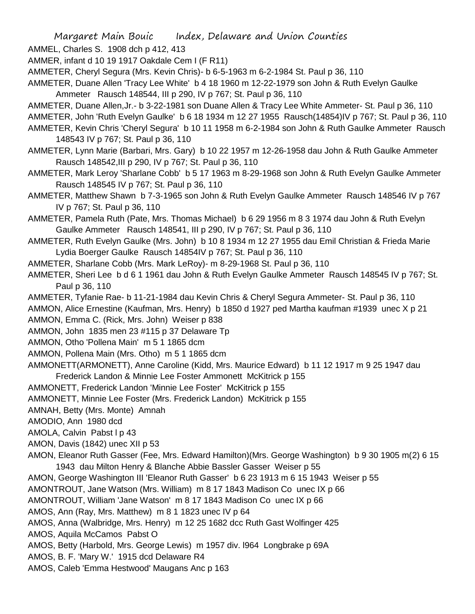AMMEL, Charles S. 1908 dch p 412, 413

- AMMER, infant d 10 19 1917 Oakdale Cem I (F R11)
- AMMETER, Cheryl Segura (Mrs. Kevin Chris)- b 6-5-1963 m 6-2-1984 St. Paul p 36, 110
- AMMETER, Duane Allen 'Tracy Lee White' b 4 18 1960 m 12-22-1979 son John & Ruth Evelyn Gaulke Ammeter Rausch 148544, III p 290, IV p 767; St. Paul p 36, 110
- AMMETER, Duane Allen,Jr.- b 3-22-1981 son Duane Allen & Tracy Lee White Ammeter- St. Paul p 36, 110
- AMMETER, John 'Ruth Evelyn Gaulke' b 6 18 1934 m 12 27 1955 Rausch(14854)IV p 767; St. Paul p 36, 110
- AMMETER, Kevin Chris 'Cheryl Segura' b 10 11 1958 m 6-2-1984 son John & Ruth Gaulke Ammeter Rausch 148543 IV p 767; St. Paul p 36, 110
- AMMETER, Lynn Marie (Barbari, Mrs. Gary) b 10 22 1957 m 12-26-1958 dau John & Ruth Gaulke Ammeter Rausch 148542,III p 290, IV p 767; St. Paul p 36, 110
- AMMETER, Mark Leroy 'Sharlane Cobb' b 5 17 1963 m 8-29-1968 son John & Ruth Evelyn Gaulke Ammeter Rausch 148545 IV p 767; St. Paul p 36, 110
- AMMETER, Matthew Shawn b 7-3-1965 son John & Ruth Evelyn Gaulke Ammeter Rausch 148546 IV p 767 IV p 767; St. Paul p 36, 110
- AMMETER, Pamela Ruth (Pate, Mrs. Thomas Michael) b 6 29 1956 m 8 3 1974 dau John & Ruth Evelyn Gaulke Ammeter Rausch 148541, III p 290, IV p 767; St. Paul p 36, 110
- AMMETER, Ruth Evelyn Gaulke (Mrs. John) b 10 8 1934 m 12 27 1955 dau Emil Christian & Frieda Marie Lydia Boerger Gaulke Rausch 14854IV p 767; St. Paul p 36, 110
- AMMETER, Sharlane Cobb (Mrs. Mark LeRoy)- m 8-29-1968 St. Paul p 36, 110
- AMMETER, Sheri Lee b d 6 1 1961 dau John & Ruth Evelyn Gaulke Ammeter Rausch 148545 IV p 767; St. Paul p 36, 110
- AMMETER, Tyfanie Rae- b 11-21-1984 dau Kevin Chris & Cheryl Segura Ammeter- St. Paul p 36, 110
- AMMON, Alice Ernestine (Kaufman, Mrs. Henry) b 1850 d 1927 ped Martha kaufman #1939 unec X p 21

AMMON, Emma C. (Rick, Mrs. John) Weiser p 838

AMMON, John 1835 men 23 #115 p 37 Delaware Tp

AMMON, Otho 'Pollena Main' m 5 1 1865 dcm

AMMON, Pollena Main (Mrs. Otho) m 5 1 1865 dcm

AMMONETT(ARMONETT), Anne Caroline (Kidd, Mrs. Maurice Edward) b 11 12 1917 m 9 25 1947 dau Frederick Landon & Minnie Lee Foster Ammonett McKitrick p 155

AMMONETT, Frederick Landon 'Minnie Lee Foster' McKitrick p 155

AMMONETT, Minnie Lee Foster (Mrs. Frederick Landon) McKitrick p 155

AMNAH, Betty (Mrs. Monte) Amnah

AMODIO, Ann 1980 dcd

AMOLA, Calvin Pabst I p 43

AMON, Davis (1842) unec XII p 53

AMON, Eleanor Ruth Gasser (Fee, Mrs. Edward Hamilton)(Mrs. George Washington) b 9 30 1905 m(2) 6 15 1943 dau Milton Henry & Blanche Abbie Bassler Gasser Weiser p 55

AMON, George Washington III 'Eleanor Ruth Gasser' b 6 23 1913 m 6 15 1943 Weiser p 55

AMONTROUT, Jane Watson (Mrs. William) m 8 17 1843 Madison Co unec IX p 66

AMONTROUT, William 'Jane Watson' m 8 17 1843 Madison Co unec IX p 66

AMOS, Ann (Ray, Mrs. Matthew) m 8 1 1823 unec IV p 64

AMOS, Anna (Walbridge, Mrs. Henry) m 12 25 1682 dcc Ruth Gast Wolfinger 425

AMOS, Aquila McCamos Pabst O

- AMOS, Betty (Harbold, Mrs. George Lewis) m 1957 div. l964 Longbrake p 69A
- AMOS, B. F. 'Mary W.' 1915 dcd Delaware R4
- AMOS, Caleb 'Emma Hestwood' Maugans Anc p 163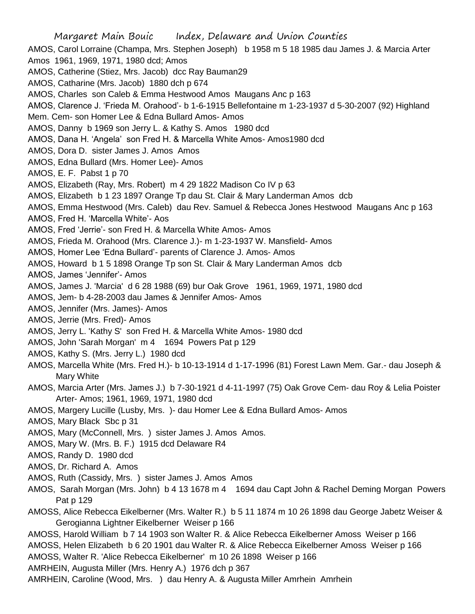Margaret Main Bouic Index, Delaware and Union Counties AMOS, Carol Lorraine (Champa, Mrs. Stephen Joseph) b 1958 m 5 18 1985 dau James J. & Marcia Arter Amos 1961, 1969, 1971, 1980 dcd; Amos AMOS, Catherine (Stiez, Mrs. Jacob) dcc Ray Bauman29 AMOS, Catharine (Mrs. Jacob) 1880 dch p 674 AMOS, Charles son Caleb & Emma Hestwood Amos Maugans Anc p 163 AMOS, Clarence J. 'Frieda M. Orahood'- b 1-6-1915 Bellefontaine m 1-23-1937 d 5-30-2007 (92) Highland Mem. Cem- son Homer Lee & Edna Bullard Amos- Amos AMOS, Danny b 1969 son Jerry L. & Kathy S. Amos 1980 dcd AMOS, Dana H. 'Angela' son Fred H. & Marcella White Amos- Amos1980 dcd AMOS, Dora D. sister James J. Amos Amos AMOS, Edna Bullard (Mrs. Homer Lee)- Amos AMOS, E. F. Pabst 1 p 70 AMOS, Elizabeth (Ray, Mrs. Robert) m 4 29 1822 Madison Co IV p 63 AMOS, Elizabeth b 1 23 1897 Orange Tp dau St. Clair & Mary Landerman Amos dcb AMOS, Emma Hestwood (Mrs. Caleb) dau Rev. Samuel & Rebecca Jones Hestwood Maugans Anc p 163 AMOS, Fred H. 'Marcella White'- Aos AMOS, Fred 'Jerrie'- son Fred H. & Marcella White Amos- Amos AMOS, Frieda M. Orahood (Mrs. Clarence J.)- m 1-23-1937 W. Mansfield- Amos AMOS, Homer Lee 'Edna Bullard'- parents of Clarence J. Amos- Amos AMOS, Howard b 1 5 1898 Orange Tp son St. Clair & Mary Landerman Amos dcb AMOS, James 'Jennifer'- Amos AMOS, James J. 'Marcia' d 6 28 1988 (69) bur Oak Grove 1961, 1969, 1971, 1980 dcd AMOS, Jem- b 4-28-2003 dau James & Jennifer Amos- Amos AMOS, Jennifer (Mrs. James)- Amos AMOS, Jerrie (Mrs. Fred)- Amos AMOS, Jerry L. 'Kathy S' son Fred H. & Marcella White Amos- 1980 dcd AMOS, John 'Sarah Morgan' m 4 1694 Powers Pat p 129 AMOS, Kathy S. (Mrs. Jerry L.) 1980 dcd AMOS, Marcella White (Mrs. Fred H.)- b 10-13-1914 d 1-17-1996 (81) Forest Lawn Mem. Gar.- dau Joseph & Mary White AMOS, Marcia Arter (Mrs. James J.) b 7-30-1921 d 4-11-1997 (75) Oak Grove Cem- dau Roy & Lelia Poister Arter- Amos; 1961, 1969, 1971, 1980 dcd AMOS, Margery Lucille (Lusby, Mrs. )- dau Homer Lee & Edna Bullard Amos- Amos AMOS, Mary Black Sbc p 31 AMOS, Mary (McConnell, Mrs. ) sister James J. Amos Amos. AMOS, Mary W. (Mrs. B. F.) 1915 dcd Delaware R4 AMOS, Randy D. 1980 dcd AMOS, Dr. Richard A. Amos AMOS, Ruth (Cassidy, Mrs. ) sister James J. Amos Amos AMOS, Sarah Morgan (Mrs. John) b 4 13 1678 m 4 1694 dau Capt John & Rachel Deming Morgan Powers Pat p 129 AMOSS, Alice Rebecca Eikelberner (Mrs. Walter R.) b 5 11 1874 m 10 26 1898 dau George Jabetz Weiser & Gerogianna Lightner Eikelberner Weiser p 166 AMOSS, Harold William b 7 14 1903 son Walter R. & Alice Rebecca Eikelberner Amoss Weiser p 166 AMOSS, Helen Elizabeth b 6 20 1901 dau Walter R. & Alice Rebecca Eikelberner Amoss Weiser p 166

AMOSS, Walter R. 'Alice Rebecca Eikelberner' m 10 26 1898 Weiser p 166

AMRHEIN, Augusta Miller (Mrs. Henry A.) 1976 dch p 367

AMRHEIN, Caroline (Wood, Mrs. ) dau Henry A. & Augusta Miller Amrhein Amrhein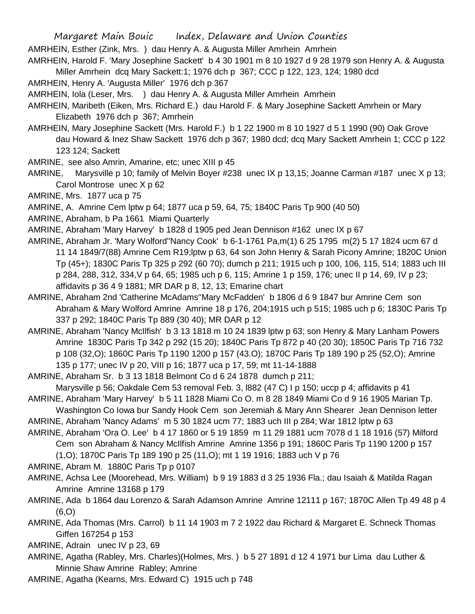AMRHEIN, Esther (Zink, Mrs. ) dau Henry A. & Augusta Miller Amrhein Amrhein

AMRHEIN, Harold F. 'Mary Josephine Sackett' b 4 30 1901 m 8 10 1927 d 9 28 1979 son Henry A. & Augusta Miller Amrhein dcq Mary Sackett:1; 1976 dch p 367; CCC p 122, 123, 124; 1980 dcd

AMRHEIN, Henry A. 'Augusta Miller' 1976 dch p 367

AMRHEIN, Iola (Leser, Mrs. ) dau Henry A. & Augusta Miller Amrhein Amrhein

AMRHEIN, Maribeth (Eiken, Mrs. Richard E.) dau Harold F. & Mary Josephine Sackett Amrhein or Mary Elizabeth 1976 dch p 367; Amrhein

AMRHEIN, Mary Josephine Sackett (Mrs. Harold F.) b 1 22 1900 m 8 10 1927 d 5 1 1990 (90) Oak Grove dau Howard & Inez Shaw Sackett 1976 dch p 367; 1980 dcd; dcq Mary Sackett Amrhein 1; CCC p 122 123 124; Sackett

AMRINE, see also Amrin, Amarine, etc; unec XIII p 45

AMRINE, Marysville p 10; family of Melvin Boyer #238 unec IX p 13,15; Joanne Carman #187 unec X p 13; Carol Montrose unec X p 62

AMRINE, Mrs. 1877 uca p 75

AMRINE, A. Amrine Cem lptw p 64; 1877 uca p 59, 64, 75; 1840C Paris Tp 900 (40 50)

AMRINE, Abraham, b Pa 1661 Miami Quarterly

AMRINE, Abraham 'Mary Harvey' b 1828 d 1905 ped Jean Dennison #162 unec IX p 67

AMRINE, Abraham Jr. 'Mary Wolford''Nancy Cook' b 6-1-1761 Pa,m(1) 6 25 1795 m(2) 5 17 1824 ucm 67 d 11 14 1849/7(88) Amrine Cem R19;lptw p 63, 64 son John Henry & Sarah Picony Amrine; 1820C Union Tp (45+); 1830C Paris Tp 325 p 292 (60 70); dumch p 211; 1915 uch p 100, 106, 115, 514; 1883 uch III p 284, 288, 312, 334,V p 64, 65; 1985 uch p 6, 115; Amrine 1 p 159, 176; unec II p 14, 69, IV p 23; affidavits p 36 4 9 1881; MR DAR p 8, 12, 13; Emarine chart

- AMRINE, Abraham 2nd 'Catherine McAdams''Mary McFadden' b 1806 d 6 9 1847 bur Amrine Cem son Abraham & Mary Wolford Amrine Amrine 18 p 176, 204;1915 uch p 515; 1985 uch p 6; 1830C Paris Tp 337 p 292; 1840C Paris Tp 889 (30 40); MR DAR p 12
- AMRINE, Abraham 'Nancy McIlfish' b 3 13 1818 m 10 24 1839 lptw p 63; son Henry & Mary Lanham Powers Amrine 1830C Paris Tp 342 p 292 (15 20); 1840C Paris Tp 872 p 40 (20 30); 1850C Paris Tp 716 732 p 108 (32,O); 1860C Paris Tp 1190 1200 p 157 (43.O); 1870C Paris Tp 189 190 p 25 (52,O); Amrine 135 p 177; unec IV p 20, VIII p 16; 1877 uca p 17, 59; mt 11-14-1888

AMRINE, Abraham Sr. b 3 13 1818 Belmont Co d 6 24 1878 dumch p 211;

Marysville p 56; Oakdale Cem 53 removal Feb. 3, l882 (47 C) I p 150; uccp p 4; affidavits p 41

AMRINE, Abraham 'Mary Harvey' b 5 11 1828 Miami Co O. m 8 28 1849 Miami Co d 9 16 1905 Marian Tp. Washington Co Iowa bur Sandy Hook Cem son Jeremiah & Mary Ann Shearer Jean Dennison letter

AMRINE, Abraham 'Nancy Adams' m 5 30 1824 ucm 77; 1883 uch III p 284; War 1812 lptw p 63

AMRINE, Abraham 'Ora O. Lee' b 4 17 1860 or 5 19 1859 m 11 29 1881 ucm 7078 d 1 18 1916 (57) Milford Cem son Abraham & Nancy McIlfish Amrine Amrine 1356 p 191; 1860C Paris Tp 1190 1200 p 157 (1,O); 1870C Paris Tp 189 190 p 25 (11,O); mt 1 19 1916; 1883 uch V p 76

AMRINE, Abram M. 1880C Paris Tp p 0107

- AMRINE, Achsa Lee (Moorehead, Mrs. William) b 9 19 1883 d 3 25 1936 Fla.; dau Isaiah & Matilda Ragan Amrine Amrine 13168 p 179
- AMRINE, Ada b 1864 dau Lorenzo & Sarah Adamson Amrine Amrine 12111 p 167; 1870C Allen Tp 49 48 p 4 (6,O)
- AMRINE, Ada Thomas (Mrs. Carrol) b 11 14 1903 m 7 2 1922 dau Richard & Margaret E. Schneck Thomas Giffen 167254 p 153

AMRINE, Adrain unec IV p 23, 69

- AMRINE, Agatha (Rabley, Mrs. Charles)(Holmes, Mrs. ) b 5 27 1891 d 12 4 1971 bur Lima dau Luther & Minnie Shaw Amrine Rabley; Amrine
- AMRINE, Agatha (Kearns, Mrs. Edward C) 1915 uch p 748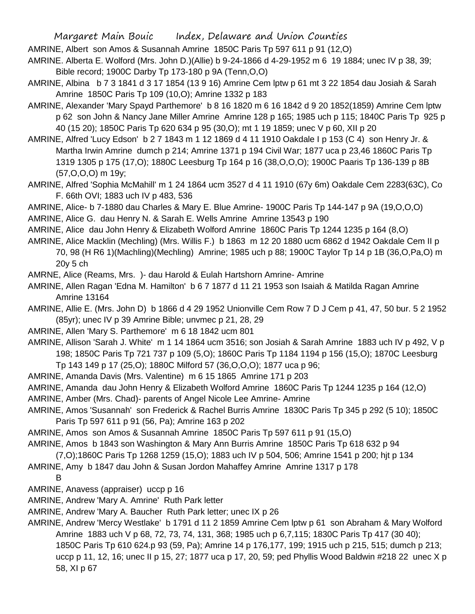AMRINE, Albert son Amos & Susannah Amrine 1850C Paris Tp 597 611 p 91 (12,O)

AMRINE. Alberta E. Wolford (Mrs. John D.)(Allie) b 9-24-1866 d 4-29-1952 m 6 19 1884; unec IV p 38, 39; Bible record; 1900C Darby Tp 173-180 p 9A (Tenn,O,O)

- AMRINE, Albina b 7 3 1841 d 3 17 1854 (13 9 16) Amrine Cem lptw p 61 mt 3 22 1854 dau Josiah & Sarah Amrine 1850C Paris Tp 109 (10,O); Amrine 1332 p 183
- AMRINE, Alexander 'Mary Spayd Parthemore' b 8 16 1820 m 6 16 1842 d 9 20 1852(1859) Amrine Cem lptw p 62 son John & Nancy Jane Miller Amrine Amrine 128 p 165; 1985 uch p 115; 1840C Paris Tp 925 p 40 (15 20); 1850C Paris Tp 620 634 p 95 (30,O); mt 1 19 1859; unec V p 60, XII p 20
- AMRINE, Alfred 'Lucy Edson' b 2 7 1843 m 1 12 1869 d 4 11 1910 Oakdale I p 153 (C 4) son Henry Jr. & Martha Irwin Amrine dumch p 214; Amrine 1371 p 194 Civil War; 1877 uca p 23,46 1860C Paris Tp 1319 1305 p 175 (17,O); 1880C Leesburg Tp 164 p 16 (38,O,O,O); 1900C Paaris Tp 136-139 p 8B (57,O,O,O) m 19y;
- AMRINE, Alfred 'Sophia McMahill' m 1 24 1864 ucm 3527 d 4 11 1910 (67y 6m) Oakdale Cem 2283(63C), Co F. 66th OVI; 1883 uch IV p 483, 536
- AMRINE, Alice- b 7-1880 dau Charles & Mary E. Blue Amrine- 1900C Paris Tp 144-147 p 9A (19,O,O,O)
- AMRINE, Alice G. dau Henry N. & Sarah E. Wells Amrine Amrine 13543 p 190
- AMRINE, Alice dau John Henry & Elizabeth Wolford Amrine 1860C Paris Tp 1244 1235 p 164 (8,O)
- AMRINE, Alice Macklin (Mechling) (Mrs. Willis F.) b 1863 m 12 20 1880 ucm 6862 d 1942 Oakdale Cem II p 70, 98 (H R6 1)(Machling)(Mechling) Amrine; 1985 uch p 88; 1900C Taylor Tp 14 p 1B (36,O,Pa,O) m 20y 5 ch

AMRNE, Alice (Reams, Mrs. )- dau Harold & Eulah Hartshorn Amrine- Amrine

- AMRINE, Allen Ragan 'Edna M. Hamilton' b 6 7 1877 d 11 21 1953 son Isaiah & Matilda Ragan Amrine Amrine 13164
- AMRINE, Allie E. (Mrs. John D) b 1866 d 4 29 1952 Unionville Cem Row 7 D J Cem p 41, 47, 50 bur. 5 2 1952 (85yr); unec IV p 39 Amrine Bible; unvmec p 21, 28, 29
- AMRINE, Allen 'Mary S. Parthemore' m 6 18 1842 ucm 801

AMRINE, Allison 'Sarah J. White' m 1 14 1864 ucm 3516; son Josiah & Sarah Amrine 1883 uch IV p 492, V p 198; 1850C Paris Tp 721 737 p 109 (5,O); 1860C Paris Tp 1184 1194 p 156 (15,O); 1870C Leesburg Tp 143 149 p 17 (25,O); 1880C Milford 57 (36,O,O,O); 1877 uca p 96;

- AMRINE, Amanda Davis (Mrs. Valentine) m 6 15 1865 Amrine 171 p 203
- AMRINE, Amanda dau John Henry & Elizabeth Wolford Amrine 1860C Paris Tp 1244 1235 p 164 (12,O)

AMRINE, Amber (Mrs. Chad)- parents of Angel Nicole Lee Amrine- Amrine

- AMRINE, Amos 'Susannah' son Frederick & Rachel Burris Amrine 1830C Paris Tp 345 p 292 (5 10); 1850C Paris Tp 597 611 p 91 (56, Pa); Amrine 163 p 202
- AMRINE, Amos son Amos & Susannah Amrine 1850C Paris Tp 597 611 p 91 (15,O)
- AMRINE, Amos b 1843 son Washington & Mary Ann Burris Amrine 1850C Paris Tp 618 632 p 94
- (7,O);1860C Paris Tp 1268 1259 (15,O); 1883 uch IV p 504, 506; Amrine 1541 p 200; hjt p 134
- AMRINE, Amy b 1847 dau John & Susan Jordon Mahaffey Amrine Amrine 1317 p 178

B

- AMRINE, Anavess (appraiser) uccp p 16
- AMRINE, Andrew 'Mary A. Amrine' Ruth Park letter
- AMRINE, Andrew 'Mary A. Baucher Ruth Park letter; unec IX p 26
- AMRINE, Andrew 'Mercy Westlake' b 1791 d 11 2 1859 Amrine Cem lptw p 61 son Abraham & Mary Wolford Amrine 1883 uch V p 68, 72, 73, 74, 131, 368; 1985 uch p 6,7,115; 1830C Paris Tp 417 (30 40); 1850C Paris Tp 610 624.p 93 (59, Pa); Amrine 14 p 176,177, 199; 1915 uch p 215, 515; dumch p 213; uccp p 11, 12, 16; unec II p 15, 27; 1877 uca p 17, 20, 59; ped Phyllis Wood Baldwin #218 22 unec X p 58, XI p 67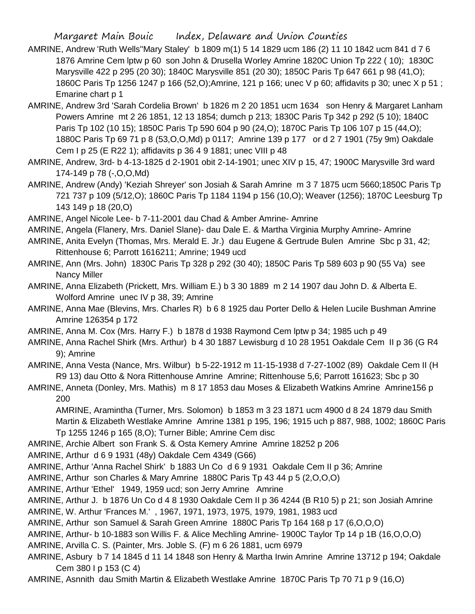- AMRINE, Andrew 'Ruth Wells''Mary Staley' b 1809 m(1) 5 14 1829 ucm 186 (2) 11 10 1842 ucm 841 d 7 6 1876 Amrine Cem lptw p 60 son John & Drusella Worley Amrine 1820C Union Tp 222 ( 10); 1830C Marysville 422 p 295 (20 30); 1840C Marysville 851 (20 30); 1850C Paris Tp 647 661 p 98 (41,O); 1860C Paris Tp 1256 1247 p 166 (52,O);Amrine, 121 p 166; unec V p 60; affidavits p 30; unec X p 51 ; Emarine chart p 1
- AMRINE, Andrew 3rd 'Sarah Cordelia Brown' b 1826 m 2 20 1851 ucm 1634 son Henry & Margaret Lanham Powers Amrine mt 2 26 1851, 12 13 1854; dumch p 213; 1830C Paris Tp 342 p 292 (5 10); 1840C Paris Tp 102 (10 15); 1850C Paris Tp 590 604 p 90 (24,O); 1870C Paris Tp 106 107 p 15 (44,O); 1880C Paris Tp 69 71 p 8 (53,O,O,Md) p 0117; Amrine 139 p 177 or d 2 7 1901 (75y 9m) Oakdale Cem I p 25 (E R22 1); affidavits p 36 4 9 1881; unec VIII p 48
- AMRINE, Andrew, 3rd- b 4-13-1825 d 2-1901 obit 2-14-1901; unec XIV p 15, 47; 1900C Marysville 3rd ward 174-149 p 78 (-,O,O,Md)
- AMRINE, Andrew (Andy) 'Keziah Shreyer' son Josiah & Sarah Amrine m 3 7 1875 ucm 5660;1850C Paris Tp 721 737 p 109 (5/12,O); 1860C Paris Tp 1184 1194 p 156 (10,O); Weaver (1256); 1870C Leesburg Tp 143 149 p 18 (20,O)
- AMRINE, Angel Nicole Lee- b 7-11-2001 dau Chad & Amber Amrine- Amrine
- AMRINE, Angela (Flanery, Mrs. Daniel Slane)- dau Dale E. & Martha Virginia Murphy Amrine- Amrine
- AMRINE, Anita Evelyn (Thomas, Mrs. Merald E. Jr.) dau Eugene & Gertrude Bulen Amrine Sbc p 31, 42; Rittenhouse 6; Parrott 1616211; Amrine; 1949 ucd
- AMRINE, Ann (Mrs. John) 1830C Paris Tp 328 p 292 (30 40); 1850C Paris Tp 589 603 p 90 (55 Va) see Nancy Miller
- AMRINE, Anna Elizabeth (Prickett, Mrs. William E.) b 3 30 1889 m 2 14 1907 dau John D. & Alberta E. Wolford Amrine unec IV p 38, 39; Amrine
- AMRINE, Anna Mae (Blevins, Mrs. Charles R) b 6 8 1925 dau Porter Dello & Helen Lucile Bushman Amrine Amrine 126354 p 172
- AMRINE, Anna M. Cox (Mrs. Harry F.) b 1878 d 1938 Raymond Cem lptw p 34; 1985 uch p 49
- AMRINE, Anna Rachel Shirk (Mrs. Arthur) b 4 30 1887 Lewisburg d 10 28 1951 Oakdale Cem II p 36 (G R4 9); Amrine
- AMRINE, Anna Vesta (Nance, Mrs. Wilbur) b 5-22-1912 m 11-15-1938 d 7-27-1002 (89) Oakdale Cem II (H R9 13) dau Otto & Nora Rittenhouse Amrine Amrine; Rittenhouse 5,6; Parrott 161623; Sbc p 30
- AMRINE, Anneta (Donley, Mrs. Mathis) m 8 17 1853 dau Moses & Elizabeth Watkins Amrine Amrine156 p 200

AMRINE, Aramintha (Turner, Mrs. Solomon) b 1853 m 3 23 1871 ucm 4900 d 8 24 1879 dau Smith Martin & Elizabeth Westlake Amrine Amrine 1381 p 195, 196; 1915 uch p 887, 988, 1002; 1860C Paris Tp 1255 1246 p 165 (8,O); Turner Bible; Amrine Cem disc

- AMRINE, Archie Albert son Frank S. & Osta Kemery Amrine Amrine 18252 p 206
- AMRINE, Arthur d 6 9 1931 (48y) Oakdale Cem 4349 (G66)
- AMRINE, Arthur 'Anna Rachel Shirk' b 1883 Un Co d 6 9 1931 Oakdale Cem II p 36; Amrine
- AMRINE, Arthur son Charles & Mary Amrine 1880C Paris Tp 43 44 p 5 (2,O,O,O)
- AMRINE, Arthur 'Ethel' 1949, 1959 ucd; son Jerry Amrine Amrine
- AMRINE, Arthur J. b 1876 Un Co d 4 8 1930 Oakdale Cem II p 36 4244 (B R10 5) p 21; son Josiah Amrine
- AMRINE, W. Arthur 'Frances M.' , 1967, 1971, 1973, 1975, 1979, 1981, 1983 ucd
- AMRINE, Arthur son Samuel & Sarah Green Amrine 1880C Paris Tp 164 168 p 17 (6,O,O,O)
- AMRINE, Arthur- b 10-1883 son Willis F. & Alice Mechling Amrine- 1900C Taylor Tp 14 p 1B (16,O,O,O)
- AMRINE, Arvilla C. S. (Painter, Mrs. Joble S. (F) m 6 26 1881, ucm 6979
- AMRINE, Asbury b 7 14 1845 d 11 14 1848 son Henry & Martha Irwin Amrine Amrine 13712 p 194; Oakdale Cem 380 I p 153 (C 4)
- AMRINE, Asnnith dau Smith Martin & Elizabeth Westlake Amrine 1870C Paris Tp 70 71 p 9 (16,O)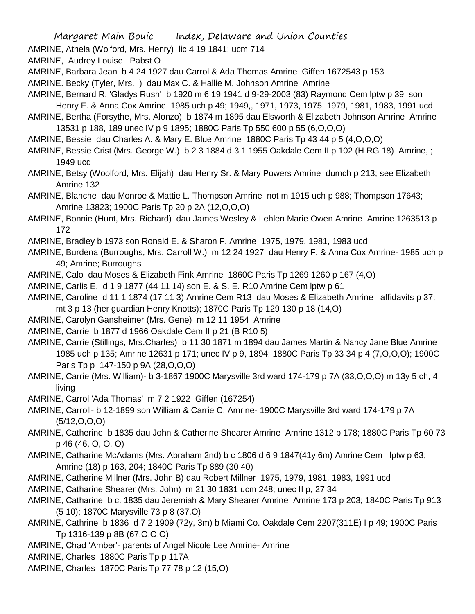AMRINE, Athela (Wolford, Mrs. Henry) lic 4 19 1841; ucm 714

AMRINE, Audrey Louise Pabst O

AMRINE, Barbara Jean b 4 24 1927 dau Carrol & Ada Thomas Amrine Giffen 1672543 p 153

AMRINE. Becky (Tyler, Mrs. ) dau Max C. & Hallie M. Johnson Amrine Amrine

AMRINE, Bernard R. 'Gladys Rush' b 1920 m 6 19 1941 d 9-29-2003 (83) Raymond Cem lptw p 39 son

Henry F. & Anna Cox Amrine 1985 uch p 49; 1949,, 1971, 1973, 1975, 1979, 1981, 1983, 1991 ucd

AMRINE, Bertha (Forsythe, Mrs. Alonzo) b 1874 m 1895 dau Elsworth & Elizabeth Johnson Amrine Amrine 13531 p 188, 189 unec IV p 9 1895; 1880C Paris Tp 550 600 p 55 (6,O,O,O)

AMRINE, Bessie dau Charles A. & Mary E. Blue Amrine 1880C Paris Tp 43 44 p 5 (4,O,O,O)

AMRINE, Bessie Crist (Mrs. George W.) b 2 3 1884 d 3 1 1955 Oakdale Cem II p 102 (H RG 18) Amrine, ; 1949 ucd

AMRINE, Betsy (Woolford, Mrs. Elijah) dau Henry Sr. & Mary Powers Amrine dumch p 213; see Elizabeth Amrine 132

AMRINE, Blanche dau Monroe & Mattie L. Thompson Amrine not m 1915 uch p 988; Thompson 17643; Amrine 13823; 1900C Paris Tp 20 p 2A (12,O,O,O)

AMRINE, Bonnie (Hunt, Mrs. Richard) dau James Wesley & Lehlen Marie Owen Amrine Amrine 1263513 p 172

AMRINE, Bradley b 1973 son Ronald E. & Sharon F. Amrine 1975, 1979, 1981, 1983 ucd

AMRINE, Burdena (Burroughs, Mrs. Carroll W.) m 12 24 1927 dau Henry F. & Anna Cox Amrine- 1985 uch p 49; Amrine; Burroughs

AMRINE, Calo dau Moses & Elizabeth Fink Amrine 1860C Paris Tp 1269 1260 p 167 (4,O)

AMRINE, Carlis E. d 1 9 1877 (44 11 14) son E. & S. E. R10 Amrine Cem lptw p 61

AMRINE, Caroline d 11 1 1874 (17 11 3) Amrine Cem R13 dau Moses & Elizabeth Amrine affidavits p 37; mt 3 p 13 (her guardian Henry Knotts); 1870C Paris Tp 129 130 p 18 (14,O)

AMRINE, Carolyn Gansheimer (Mrs. Gene) m 12 11 1954 Amrine

AMRINE, Carrie b 1877 d 1966 Oakdale Cem II p 21 (B R10 5)

AMRINE, Carrie (Stillings, Mrs.Charles) b 11 30 1871 m 1894 dau James Martin & Nancy Jane Blue Amrine 1985 uch p 135; Amrine 12631 p 171; unec IV p 9, 1894; 1880C Paris Tp 33 34 p 4 (7,O,O,O); 1900C Paris Tp p 147-150 p 9A (28,O,O,O)

AMRINE, Carrie (Mrs. William)- b 3-1867 1900C Marysville 3rd ward 174-179 p 7A (33,O,O,O) m 13y 5 ch, 4 living

AMRINE, Carrol 'Ada Thomas' m 7 2 1922 Giffen (167254)

AMRINE, Carroll- b 12-1899 son William & Carrie C. Amrine- 1900C Marysville 3rd ward 174-179 p 7A (5/12,O,O,O)

AMRINE, Catherine b 1835 dau John & Catherine Shearer Amrine Amrine 1312 p 178; 1880C Paris Tp 60 73 p 46 (46, O, O, O)

AMRINE, Catharine McAdams (Mrs. Abraham 2nd) b c 1806 d 6 9 1847(41y 6m) Amrine Cem lptw p 63; Amrine (18) p 163, 204; 1840C Paris Tp 889 (30 40)

AMRINE, Catherine Millner (Mrs. John B) dau Robert Millner 1975, 1979, 1981, 1983, 1991 ucd

AMRINE, Catharine Shearer (Mrs. John) m 21 30 1831 ucm 248; unec II p, 27 34

AMRINE, Catharine b c. 1835 dau Jeremiah & Mary Shearer Amrine Amrine 173 p 203; 1840C Paris Tp 913 (5 10); 1870C Marysville 73 p 8 (37,O)

- AMRINE, Cathrine b 1836 d 7 2 1909 (72y, 3m) b Miami Co. Oakdale Cem 2207(311E) I p 49; 1900C Paris Tp 1316-139 p 8B (67,O,O,O)
- AMRINE, Chad 'Amber'- parents of Angel Nicole Lee Amrine- Amrine
- AMRINE, Charles 1880C Paris Tp p 117A

AMRINE, Charles 1870C Paris Tp 77 78 p 12 (15,O)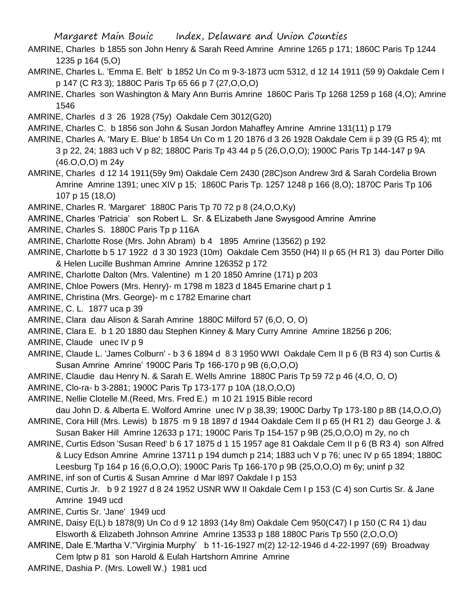AMRINE, Charles b 1855 son John Henry & Sarah Reed Amrine Amrine 1265 p 171; 1860C Paris Tp 1244 1235 p 164 (5,O)

AMRINE, Charles L. 'Emma E. Belt' b 1852 Un Co m 9-3-1873 ucm 5312, d 12 14 1911 (59 9) Oakdale Cem I p 147 (C R3 3); 1880C Paris Tp 65 66 p 7 (27,O,O,O)

AMRINE, Charles son Washington & Mary Ann Burris Amrine 1860C Paris Tp 1268 1259 p 168 (4,O); Amrine 1546

AMRINE, Charles d 3 26 1928 (75y) Oakdale Cem 3012(G20)

AMRINE, Charles C. b 1856 son John & Susan Jordon Mahaffey Amrine Amrine 131(11) p 179

- AMRINE, Charles A. 'Mary E. Blue' b 1854 Un Co m 1 20 1876 d 3 26 1928 Oakdale Cem ii p 39 (G R5 4); mt 3 p 22, 24; 1883 uch V p 82; 1880C Paris Tp 43 44 p 5 (26,O,O,O); 1900C Paris Tp 144-147 p 9A (46.O,O,O) m 24y
- AMRINE, Charles d 12 14 1911(59y 9m) Oakdale Cem 2430 (28C)son Andrew 3rd & Sarah Cordelia Brown Amrine Amrine 1391; unec XIV p 15; 1860C Paris Tp. 1257 1248 p 166 (8,O); 1870C Paris Tp 106 107 p 15 (18,O)

AMRINE, Charles R. 'Margaret' 1880C Paris Tp 70 72 p 8 (24,O,O,Ky)

- AMRINE, Charles 'Patricia' son Robert L. Sr. & ELizabeth Jane Swysgood Amrine Amrine
- AMRINE, Charles S. 1880C Paris Tp p 116A
- AMRINE, Charlotte Rose (Mrs. John Abram) b 4 1895 Amrine (13562) p 192
- AMRINE, Charlotte b 5 17 1922 d 3 30 1923 (10m) Oakdale Cem 3550 (H4) II p 65 (H R1 3) dau Porter Dillo & Helen Lucille Bushman Amrine Amrine 126352 p 172
- AMRINE, Charlotte Dalton (Mrs. Valentine) m 1 20 1850 Amrine (171) p 203
- AMRINE, Chloe Powers (Mrs. Henry)- m 1798 m 1823 d 1845 Emarine chart p 1
- AMRINE, Christina (Mrs. George)- m c 1782 Emarine chart
- AMRINE, C. L. 1877 uca p 39
- AMRINE, Clara dau Alison & Sarah Amrine 1880C Milford 57 (6,O, O, O)
- AMRINE, Clara E. b 1 20 1880 dau Stephen Kinney & Mary Curry Amrine Amrine 18256 p 206;
- AMRINE, Claude unec IV p 9
- AMRINE, Claude L. 'James Colburn' b 3 6 1894 d 8 3 1950 WWI Oakdale Cem II p 6 (B R3 4) son Curtis & Susan Amrine Amrine' 1900C Paris Tp 166-170 p 9B (6,O,O,O)
- AMRINE, Claudie dau Henry N. & Sarah E. Wells Amrine 1880C Paris Tp 59 72 p 46 (4,O, O, O)
- AMRINE, Clo-ra- b 3-2881; 1900C Paris Tp 173-177 p 10A (18,O,O,O)
- AMRINE, Nellie Clotelle M.(Reed, Mrs. Fred E.) m 10 21 1915 Bible record

dau John D. & Alberta E. Wolford Amrine unec IV p 38,39; 1900C Darby Tp 173-180 p 8B (14,O,O,O) AMRINE, Cora Hill (Mrs. Lewis) b 1875 m 9 18 1897 d 1944 Oakdale Cem II p 65 (H R1 2) dau George J. &

Susan Baker Hill Amrine 12633 p 171; 1900C Paris Tp 154-157 p 9B (25,O,O,O) m 2y, no ch

AMRINE, Curtis Edson 'Susan Reed' b 6 17 1875 d 1 15 1957 age 81 Oakdale Cem II p 6 (B R3 4) son Alfred & Lucy Edson Amrine Amrine 13711 p 194 dumch p 214; 1883 uch V p 76; unec IV p 65 1894; 1880C Leesburg Tp 164 p 16 (6,O,O,O); 1900C Paris Tp 166-170 p 9B (25,O,O,O) m 6y; uninf p 32

- AMRINE, inf son of Curtis & Susan Amrine d Mar l897 Oakdale I p 153
- AMRINE, Curtis Jr. b 9 2 1927 d 8 24 1952 USNR WW II Oakdale Cem I p 153 (C 4) son Curtis Sr. & Jane Amrine 1949 ucd
- AMRINE, Curtis Sr. 'Jane' 1949 ucd
- AMRINE, Daisy E(L) b 1878(9) Un Co d 9 12 1893 (14y 8m) Oakdale Cem 950(C47) I p 150 (C R4 1) dau Elsworth & Elizabeth Johnson Amrine Amrine 13533 p 188 1880C Paris Tp 550 (2,O,O,O)
- AMRINE, Dale E.'Martha V.''Virginia Murphy' b 11-16-1927 m(2) 12-12-1946 d 4-22-1997 (69) Broadway Cem lptw p 81 son Harold & Eulah Hartshorn Amrine Amrine

AMRINE, Dashia P. (Mrs. Lowell W.) 1981 ucd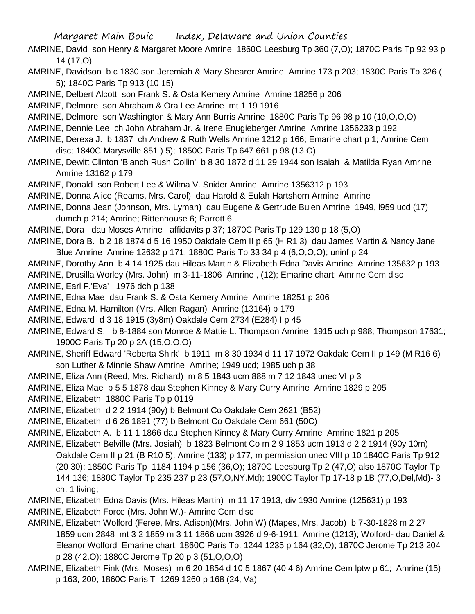- AMRINE, David son Henry & Margaret Moore Amrine 1860C Leesburg Tp 360 (7,O); 1870C Paris Tp 92 93 p 14 (17,O)
- AMRINE, Davidson b c 1830 son Jeremiah & Mary Shearer Amrine Amrine 173 p 203; 1830C Paris Tp 326 ( 5); 1840C Paris Tp 913 (10 15)
- AMRINE, Delbert Alcott son Frank S. & Osta Kemery Amrine Amrine 18256 p 206
- AMRINE, Delmore son Abraham & Ora Lee Amrine mt 1 19 1916
- AMRINE, Delmore son Washington & Mary Ann Burris Amrine 1880C Paris Tp 96 98 p 10 (10,O,O,O)
- AMRINE, Dennie Lee ch John Abraham Jr. & Irene Enugieberger Amrine Amrine 1356233 p 192
- AMRINE, Derexa J. b 1837 ch Andrew & Ruth Wells Amrine 1212 p 166; Emarine chart p 1; Amrine Cem disc; 1840C Marysville 851 ) 5); 1850C Paris Tp 647 661 p 98 (13,O)
- AMRINE, Dewitt Clinton 'Blanch Rush Collin' b 8 30 1872 d 11 29 1944 son Isaiah & Matilda Ryan Amrine Amrine 13162 p 179
- AMRINE, Donald son Robert Lee & Wilma V. Snider Amrine Amrine 1356312 p 193
- AMRINE, Donna Alice (Reams, Mrs. Carol) dau Harold & Eulah Hartshorn Armine Amrine
- AMRINE, Donna Jean (Johnson, Mrs. Lyman) dau Eugene & Gertrude Bulen Amrine 1949, l959 ucd (17) dumch p 214; Amrine; Rittenhouse 6; Parrott 6
- AMRINE, Dora dau Moses Amrine affidavits p 37; 1870C Paris Tp 129 130 p 18 (5,O)
- AMRINE, Dora B. b 2 18 1874 d 5 16 1950 Oakdale Cem II p 65 (H R1 3) dau James Martin & Nancy Jane Blue Amrine Amrine 12632 p 171; 1880C Paris Tp 33 34 p 4 (6,O,O,O); uninf p 24
- AMRINE, Dorothy Ann b 4 14 1925 dau Hileas Martin & Elizabeth Edna Davis Amrine Amrine 135632 p 193
- AMRINE, Drusilla Worley (Mrs. John) m 3-11-1806 Amrine , (12); Emarine chart; Amrine Cem disc
- AMRINE, Earl F.'Eva' 1976 dch p 138
- AMRINE, Edna Mae dau Frank S. & Osta Kemery Amrine Amrine 18251 p 206
- AMRINE, Edna M. Hamilton (Mrs. Allen Ragan) Amrine (13164) p 179
- AMRINE, Edward d 3 18 1915 (3y8m) Oakdale Cem 2734 (E284) I p 45
- AMRINE, Edward S. b 8-1884 son Monroe & Mattie L. Thompson Amrine 1915 uch p 988; Thompson 17631; 1900C Paris Tp 20 p 2A (15,O,O,O)
- AMRINE, Sheriff Edward 'Roberta Shirk' b 1911 m 8 30 1934 d 11 17 1972 Oakdale Cem II p 149 (M R16 6) son Luther & Minnie Shaw Amrine Amrine; 1949 ucd; 1985 uch p 38
- AMRINE, Eliza Ann (Reed, Mrs. Richard) m 8 5 1843 ucm 888 m 7 12 1843 unec VI p 3
- AMRINE, Eliza Mae b 5 5 1878 dau Stephen Kinney & Mary Curry Amrine Amrine 1829 p 205
- AMRINE, Elizabeth 1880C Paris Tp p 0119
- AMRINE, Elizabeth d 2 2 1914 (90y) b Belmont Co Oakdale Cem 2621 (B52)
- AMRINE, Elizabeth d 6 26 1891 (77) b Belmont Co Oakdale Cem 661 (50C)
- AMRINE, Elizabeth A. b 11 1 1866 dau Stephen Kinney & Mary Curry Amrine Amrine 1821 p 205
- AMRINE, Elizabeth Belville (Mrs. Josiah) b 1823 Belmont Co m 2 9 1853 ucm 1913 d 2 2 1914 (90y 10m) Oakdale Cem II p 21 (B R10 5); Amrine (133) p 177, m permission unec VIII p 10 1840C Paris Tp 912 (20 30); 1850C Paris Tp 1184 1194 p 156 (36,O); 1870C Leesburg Tp 2 (47,O) also 1870C Taylor Tp 144 136; 1880C Taylor Tp 235 237 p 23 (57,O,NY.Md); 1900C Taylor Tp 17-18 p 1B (77,O,Del,Md)- 3 ch, 1 living;
- AMRINE, Elizabeth Edna Davis (Mrs. Hileas Martin) m 11 17 1913, div 1930 Amrine (125631) p 193 AMRINE, Elizabeth Force (Mrs. John W.)- Amrine Cem disc
- AMRINE, Elizabeth Wolford (Feree, Mrs. Adison)(Mrs. John W) (Mapes, Mrs. Jacob) b 7-30-1828 m 2 27 1859 ucm 2848 mt 3 2 1859 m 3 11 1866 ucm 3926 d 9-6-1911; Amrine (1213); Wolford- dau Daniel & Eleanor Wolford Emarine chart; 1860C Paris Tp. 1244 1235 p 164 (32,O); 1870C Jerome Tp 213 204 p 28 (42,O); 1880C Jerome Tp 20 p 3 (51,O,O,O)
- AMRINE, Elizabeth Fink (Mrs. Moses) m 6 20 1854 d 10 5 1867 (40 4 6) Amrine Cem lptw p 61; Amrine (15) p 163, 200; 1860C Paris T 1269 1260 p 168 (24, Va)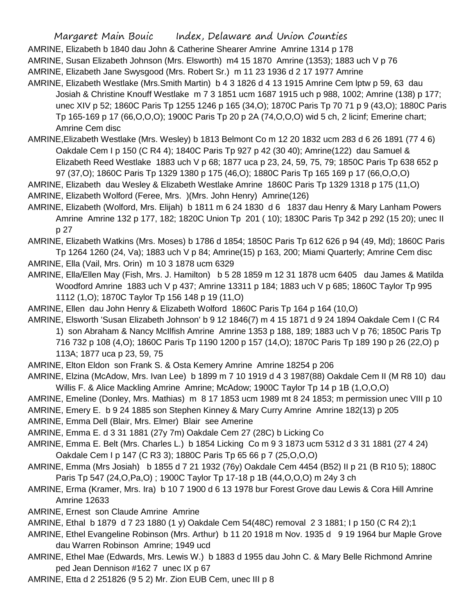AMRINE, Elizabeth b 1840 dau John & Catherine Shearer Amrine Amrine 1314 p 178

AMRINE, Susan Elizabeth Johnson (Mrs. Elsworth) m4 15 1870 Amrine (1353); 1883 uch V p 76

AMRINE, Elizabeth Jane Swysgood (Mrs. Robert Sr.) m 11 23 1936 d 2 17 1977 Amrine

- AMRINE, Elizabeth Westlake (Mrs.Smith Martin) b 4 3 1826 d 4 13 1915 Amrine Cem lptw p 59, 63 dau Josiah & Christine Knouff Westlake m 7 3 1851 ucm 1687 1915 uch p 988, 1002; Amrine (138) p 177; unec XIV p 52; 1860C Paris Tp 1255 1246 p 165 (34,O); 1870C Paris Tp 70 71 p 9 (43,O); 1880C Paris Tp 165-169 p 17 (66,O,O,O); 1900C Paris Tp 20 p 2A (74,O,O,O) wid 5 ch, 2 licinf; Emerine chart; Amrine Cem disc
- AMRINE,Elizabeth Westlake (Mrs. Wesley) b 1813 Belmont Co m 12 20 1832 ucm 283 d 6 26 1891 (77 4 6) Oakdale Cem I p 150 (C R4 4); 1840C Paris Tp 927 p 42 (30 40); Amrine(122) dau Samuel & Elizabeth Reed Westlake 1883 uch V p 68; 1877 uca p 23, 24, 59, 75, 79; 1850C Paris Tp 638 652 p 97 (37,O); 1860C Paris Tp 1329 1380 p 175 (46,O); 1880C Paris Tp 165 169 p 17 (66,O,O,O)
- AMRINE, Elizabeth dau Wesley & Elizabeth Westlake Amrine 1860C Paris Tp 1329 1318 p 175 (11,O) AMRINE, Elizabeth Wolford (Feree, Mrs. )(Mrs. John Henry) Amrine(126)
- AMRINE, Elizabeth (Wolford, Mrs. Elijah) b 1811 m 6 24 1830 d 6 1837 dau Henry & Mary Lanham Powers Amrine Amrine 132 p 177, 182; 1820C Union Tp 201 ( 10); 1830C Paris Tp 342 p 292 (15 20); unec II p 27

AMRINE, Elizabeth Watkins (Mrs. Moses) b 1786 d 1854; 1850C Paris Tp 612 626 p 94 (49, Md); 1860C Paris Tp 1264 1260 (24, Va); 1883 uch V p 84; Amrine(15) p 163, 200; Miami Quarterly; Amrine Cem disc

AMRINE, Ella (Vail, Mrs. Orin) m 10 3 1878 ucm 6329

AMRINE, Ella/Ellen May (Fish, Mrs. J. Hamilton) b 5 28 1859 m 12 31 1878 ucm 6405 dau James & Matilda Woodford Amrine 1883 uch V p 437; Amrine 13311 p 184; 1883 uch V p 685; 1860C Taylor Tp 995 1112 (1,O); 1870C Taylor Tp 156 148 p 19 (11,O)

AMRINE, Ellen dau John Henry & Elizabeth Wolford 1860C Paris Tp 164 p 164 (10,0)

AMRINE, Elsworth 'Susan Elizabeth Johnson' b 9 12 1846(7) m 4 15 1871 d 9 24 1894 Oakdale Cem I (C R4 1) son Abraham & Nancy McIlfish Amrine Amrine 1353 p 188, 189; 1883 uch V p 76; 1850C Paris Tp 716 732 p 108 (4,O); 1860C Paris Tp 1190 1200 p 157 (14,O); 1870C Paris Tp 189 190 p 26 (22,O) p 113A; 1877 uca p 23, 59, 75

AMRINE, Elton Eldon son Frank S. & Osta Kemery Amrine Amrine 18254 p 206

AMRINE, Elzina (McAdow, Mrs. Ivan Lee) b 1899 m 7 10 1919 d 4 3 1987(88) Oakdale Cem II (M R8 10) dau Willis F. & Alice Mackling Amrine Amrine; McAdow; 1900C Taylor Tp 14 p 1B (1,O,O,O)

- AMRINE, Emeline (Donley, Mrs. Mathias) m 8 17 1853 ucm 1989 mt 8 24 1853; m permission unec VIII p 10 AMRINE, Emery E. b 9 24 1885 son Stephen Kinney & Mary Curry Amrine Amrine 182(13) p 205
- AMRINE, Emma Dell (Blair, Mrs. Elmer) Blair see Amerine
- AMRINE, Emma E. d 3 31 1881 (27y 7m) Oakdale Cem 27 (28C) b Licking Co
- AMRINE, Emma E. Belt (Mrs. Charles L.) b 1854 Licking Co m 9 3 1873 ucm 5312 d 3 31 1881 (27 4 24) Oakdale Cem I p 147 (C R3 3); 1880C Paris Tp 65 66 p 7 (25,O,O,O)
- AMRINE, Emma (Mrs Josiah) b 1855 d 7 21 1932 (76y) Oakdale Cem 4454 (B52) II p 21 (B R10 5); 1880C Paris Tp 547 (24,O,Pa,O) ; 1900C Taylor Tp 17-18 p 1B (44,O,O,O) m 24y 3 ch
- AMRINE, Erma (Kramer, Mrs. Ira) b 10 7 1900 d 6 13 1978 bur Forest Grove dau Lewis & Cora Hill Amrine Amrine 12633
- AMRINE, Ernest son Claude Amrine Amrine
- AMRINE, Ethal b 1879 d 7 23 1880 (1 y) Oakdale Cem 54(48C) removal 2 3 1881; I p 150 (C R4 2);1
- AMRINE, Ethel Evangeline Robinson (Mrs. Arthur) b 11 20 1918 m Nov. 1935 d 9 19 1964 bur Maple Grove dau Warren Robinson Amrine; 1949 ucd
- AMRINE, Ethel Mae (Edwards, Mrs. Lewis W.) b 1883 d 1955 dau John C. & Mary Belle Richmond Amrine ped Jean Dennison #162 7 unec IX p 67
- AMRINE, Etta d 2 251826 (9 5 2) Mr. Zion EUB Cem, unec III p 8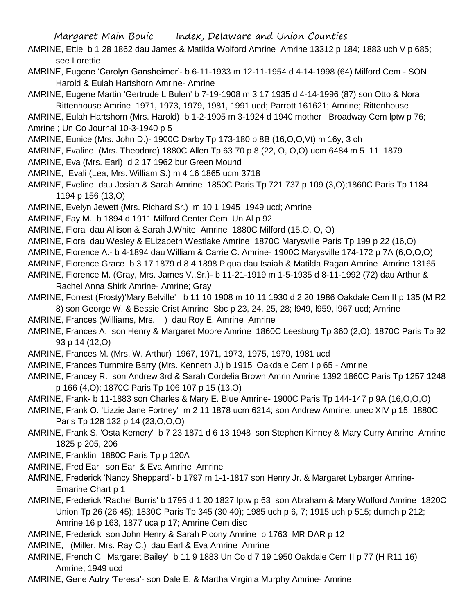- AMRINE, Ettie b 1 28 1862 dau James & Matilda Wolford Amrine Amrine 13312 p 184; 1883 uch V p 685; see Lorettie
- AMRINE, Eugene 'Carolyn Gansheimer'- b 6-11-1933 m 12-11-1954 d 4-14-1998 (64) Milford Cem SON Harold & Eulah Hartshorn Amrine- Amrine
- AMRINE, Eugene Martin 'Gertrude L Bulen' b 7-19-1908 m 3 17 1935 d 4-14-1996 (87) son Otto & Nora Rittenhouse Amrine 1971, 1973, 1979, 1981, 1991 ucd; Parrott 161621; Amrine; Rittenhouse
- AMRINE, Eulah Hartshorn (Mrs. Harold) b 1-2-1905 m 3-1924 d 1940 mother Broadway Cem lptw p 76; Amrine ; Un Co Journal 10-3-1940 p 5
- AMRINE, Eunice (Mrs. John D.)- 1900C Darby Tp 173-180 p 8B (16,O,O,Vt) m 16y, 3 ch
- AMRINE, Evaline (Mrs. Theodore) 1880C Allen Tp 63 70 p 8 (22, O, O,O) ucm 6484 m 5 11 1879
- AMRINE, Eva (Mrs. Earl) d 2 17 1962 bur Green Mound
- AMRINE, Evali (Lea, Mrs. William S.) m 4 16 1865 ucm 3718
- AMRINE, Eveline dau Josiah & Sarah Amrine 1850C Paris Tp 721 737 p 109 (3,O);1860C Paris Tp 1184 1194 p 156 (13,O)
- AMRINE, Evelyn Jewett (Mrs. Richard Sr.) m 10 1 1945 1949 ucd; Amrine
- AMRINE, Fay M. b 1894 d 1911 Milford Center Cem Un Al p 92
- AMRINE, Flora dau Allison & Sarah J.White Amrine 1880C Milford (15,O, O, O)
- AMRINE, Flora dau Wesley & ELizabeth Westlake Amrine 1870C Marysville Paris Tp 199 p 22 (16,O)
- AMRINE, Florence A.- b 4-1894 dau William & Carrie C. Amrine- 1900C Marysville 174-172 p 7A (6,O,O,O)
- AMRINE, Florence Grace b 3 17 1879 d 8 4 1898 Piqua dau Isaiah & Matilda Ragan Amrine Amrine 13165
- AMRINE, Florence M. (Gray, Mrs. James V.,Sr.)- b 11-21-1919 m 1-5-1935 d 8-11-1992 (72) dau Arthur & Rachel Anna Shirk Amrine- Amrine; Gray
- AMRINE, Forrest (Frosty)'Mary Belville' b 11 10 1908 m 10 11 1930 d 2 20 1986 Oakdale Cem II p 135 (M R2 8) son George W. & Bessie Crist Amrine Sbc p 23, 24, 25, 28; l949, l959, l967 ucd; Amrine
- AMRINE, Frances (Williams, Mrs. ) dau Roy E. Amrine Amrine
- AMRINE, Frances A. son Henry & Margaret Moore Amrine 1860C Leesburg Tp 360 (2,O); 1870C Paris Tp 92 93 p 14 (12,O)
- AMRINE, Frances M. (Mrs. W. Arthur) 1967, 1971, 1973, 1975, 1979, 1981 ucd
- AMRINE, Frances Turnmire Barry (Mrs. Kenneth J.) b 1915 Oakdale Cem I p 65 Amrine
- AMRINE, Francey R. son Andrew 3rd & Sarah Cordelia Brown Amrin Amrine 1392 1860C Paris Tp 1257 1248 p 166 (4,O); 1870C Paris Tp 106 107 p 15 (13,O)
- AMRINE, Frank- b 11-1883 son Charles & Mary E. Blue Amrine- 1900C Paris Tp 144-147 p 9A (16,O,O,O)
- AMRINE, Frank O. 'Lizzie Jane Fortney' m 2 11 1878 ucm 6214; son Andrew Amrine; unec XIV p 15; 1880C Paris Tp 128 132 p 14 (23,O,O,O)
- AMRINE, Frank S. 'Osta Kemery' b 7 23 1871 d 6 13 1948 son Stephen Kinney & Mary Curry Amrine Amrine 1825 p 205, 206
- AMRINE, Franklin 1880C Paris Tp p 120A
- AMRINE, Fred Earl son Earl & Eva Amrine Amrine
- AMRINE, Frederick 'Nancy Sheppard'- b 1797 m 1-1-1817 son Henry Jr. & Margaret Lybarger Amrine-Emarine Chart p 1
- AMRINE, Frederick 'Rachel Burris' b 1795 d 1 20 1827 lptw p 63 son Abraham & Mary Wolford Amrine 1820C Union Tp 26 (26 45); 1830C Paris Tp 345 (30 40); 1985 uch p 6, 7; 1915 uch p 515; dumch p 212; Amrine 16 p 163, 1877 uca p 17; Amrine Cem disc
- AMRINE, Frederick son John Henry & Sarah Picony Amrine b 1763 MR DAR p 12
- AMRINE, (Miller, Mrs. Ray C.) dau Earl & Eva Amrine Amrine
- AMRINE, French C ' Margaret Bailey' b 11 9 1883 Un Co d 7 19 1950 Oakdale Cem II p 77 (H R11 16) Amrine; 1949 ucd
- AMRINE, Gene Autry 'Teresa'- son Dale E. & Martha Virginia Murphy Amrine- Amrine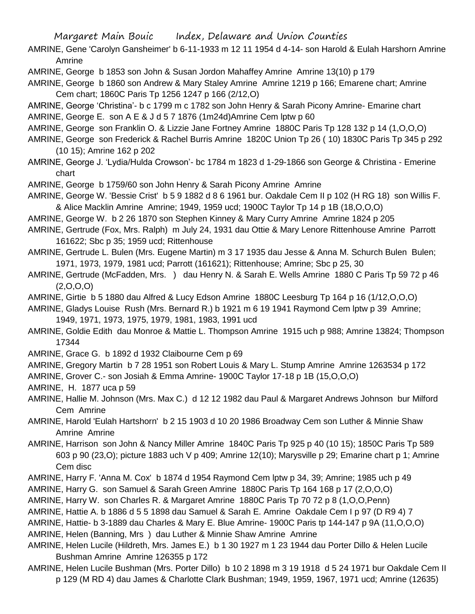- AMRINE, Gene 'Carolyn Gansheimer' b 6-11-1933 m 12 11 1954 d 4-14- son Harold & Eulah Harshorn Amrine Amrine
- AMRINE, George b 1853 son John & Susan Jordon Mahaffey Amrine Amrine 13(10) p 179

AMRINE, George b 1860 son Andrew & Mary Staley Amrine Amrine 1219 p 166; Emarene chart; Amrine Cem chart; 1860C Paris Tp 1256 1247 p 166 (2/12,O)

AMRINE, George 'Christina'- b c 1799 m c 1782 son John Henry & Sarah Picony Amrine- Emarine chart

AMRINE, George E. son A E & J d 5 7 1876 (1m24d)Amrine Cem lptw p 60

- AMRINE, George son Franklin O. & Lizzie Jane Fortney Amrine 1880C Paris Tp 128 132 p 14 (1,O,O,O)
- AMRINE, George son Frederick & Rachel Burris Amrine 1820C Union Tp 26 ( 10) 1830C Paris Tp 345 p 292 (10 15); Amrine 162 p 202
- AMRINE, George J. 'Lydia/Hulda Crowson'- bc 1784 m 1823 d 1-29-1866 son George & Christina Emerine chart
- AMRINE, George b 1759/60 son John Henry & Sarah Picony Amrine Amrine
- AMRINE, George W. 'Bessie Crist' b 5 9 1882 d 8 6 1961 bur. Oakdale Cem II p 102 (H RG 18) son Willis F. & Alice Macklin Amrine Amrine; 1949, 1959 ucd; 1900C Taylor Tp 14 p 1B (18,O,O,O)
- AMRINE, George W. b 2 26 1870 son Stephen Kinney & Mary Curry Amrine Amrine 1824 p 205
- AMRINE, Gertrude (Fox, Mrs. Ralph) m July 24, 1931 dau Ottie & Mary Lenore Rittenhouse Amrine Parrott 161622; Sbc p 35; 1959 ucd; Rittenhouse
- AMRINE, Gertrude L. Bulen (Mrs. Eugene Martin) m 3 17 1935 dau Jesse & Anna M. Schurch Bulen Bulen; 1971, 1973, 1979, 1981 ucd; Parrott (161621); Rittenhouse; Amrine; Sbc p 25, 30
- AMRINE, Gertrude (McFadden, Mrs. ) dau Henry N. & Sarah E. Wells Amrine 1880 C Paris Tp 59 72 p 46  $(2,0,0,0)$
- AMRINE, Girtie b 5 1880 dau Alfred & Lucy Edson Amrine 1880C Leesburg Tp 164 p 16 (1/12,O,O,O)
- AMRINE, Gladys Louise Rush (Mrs. Bernard R.) b 1921 m 6 19 1941 Raymond Cem lptw p 39 Amrine; 1949, 1971, 1973, 1975, 1979, 1981, 1983, 1991 ucd
- AMRINE, Goldie Edith dau Monroe & Mattie L. Thompson Amrine 1915 uch p 988; Amrine 13824; Thompson 17344
- AMRINE, Grace G. b 1892 d 1932 Claibourne Cem p 69
- AMRINE, Gregory Martin b 7 28 1951 son Robert Louis & Mary L. Stump Amrine Amrine 1263534 p 172
- AMRINE, Grover C.- son Josiah & Emma Amrine- 1900C Taylor 17-18 p 1B (15,O,O,O)
- AMRINE, H. 1877 uca p 59
- AMRINE, Hallie M. Johnson (Mrs. Max C.) d 12 12 1982 dau Paul & Margaret Andrews Johnson bur Milford Cem Amrine
- AMRINE, Harold 'Eulah Hartshorn' b 2 15 1903 d 10 20 1986 Broadway Cem son Luther & Minnie Shaw Amrine Amrine
- AMRINE, Harrison son John & Nancy Miller Amrine 1840C Paris Tp 925 p 40 (10 15); 1850C Paris Tp 589 603 p 90 (23,O); picture 1883 uch V p 409; Amrine 12(10); Marysville p 29; Emarine chart p 1; Amrine Cem disc
- AMRINE, Harry F. 'Anna M. Cox' b 1874 d 1954 Raymond Cem lptw p 34, 39; Amrine; 1985 uch p 49
- AMRINE, Harry G. son Samuel & Sarah Green Amrine 1880C Paris Tp 164 168 p 17 (2,O,O,O)
- AMRINE, Harry W. son Charles R. & Margaret Amrine 1880C Paris Tp 70 72 p 8 (1,O,O,Penn)
- AMRINE, Hattie A. b 1886 d 5 5 1898 dau Samuel & Sarah E. Amrine Oakdale Cem I p 97 (D R9 4) 7
- AMRINE, Hattie- b 3-1889 dau Charles & Mary E. Blue Amrine- 1900C Paris tp 144-147 p 9A (11,O,O,O)
- AMRINE, Helen (Banning, Mrs ) dau Luther & Minnie Shaw Amrine Amrine
- AMRINE, Helen Lucile (Hildreth, Mrs. James E.) b 1 30 1927 m 1 23 1944 dau Porter Dillo & Helen Lucile Bushman Amrine Amrine 126355 p 172
- AMRINE, Helen Lucile Bushman (Mrs. Porter Dillo) b 10 2 1898 m 3 19 1918 d 5 24 1971 bur Oakdale Cem II p 129 (M RD 4) dau James & Charlotte Clark Bushman; 1949, 1959, 1967, 1971 ucd; Amrine (12635)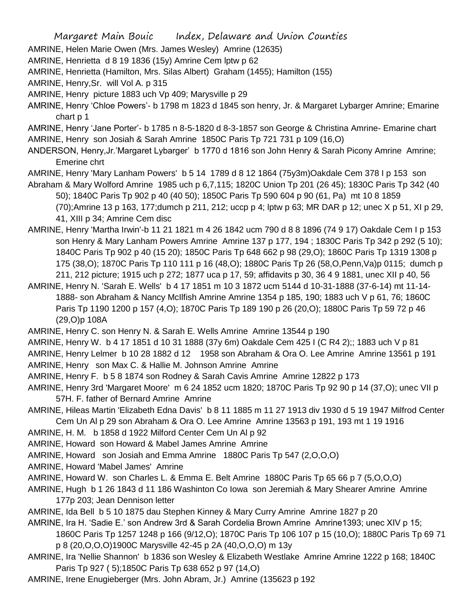- AMRINE, Helen Marie Owen (Mrs. James Wesley) Amrine (12635)
- AMRINE, Henrietta d 8 19 1836 (15y) Amrine Cem lptw p 62
- AMRINE, Henrietta (Hamilton, Mrs. Silas Albert) Graham (1455); Hamilton (155)
- AMRINE, Henry,Sr. will Vol A. p 315
- AMRINE, Henry picture 1883 uch Vp 409; Marysville p 29
- AMRINE, Henry 'Chloe Powers'- b 1798 m 1823 d 1845 son henry, Jr. & Margaret Lybarger Amrine; Emarine chart p 1
- AMRINE, Henry 'Jane Porter'- b 1785 n 8-5-1820 d 8-3-1857 son George & Christina Amrine- Emarine chart AMRINE, Henry son Josiah & Sarah Amrine 1850C Paris Tp 721 731 p 109 (16,O)
- ANDERSON, Henry,Jr.'Margaret Lybarger' b 1770 d 1816 son John Henry & Sarah Picony Amrine Amrine; Emerine chrt
- AMRINE, Henry 'Mary Lanham Powers' b 5 14 1789 d 8 12 1864 (75y3m)Oakdale Cem 378 I p 153 son
- Abraham & Mary Wolford Amrine 1985 uch p 6,7,115; 1820C Union Tp 201 (26 45); 1830C Paris Tp 342 (40 50); 1840C Paris Tp 902 p 40 (40 50); 1850C Paris Tp 590 604 p 90 (61, Pa) mt 10 8 1859 (70);Amrine 13 p 163, 177;dumch p 211, 212; uccp p 4; lptw p 63; MR DAR p 12; unec X p 51, XI p 29, 41, XIII p 34; Amrine Cem disc
- AMRINE, Henry 'Martha Irwin'-b 11 21 1821 m 4 26 1842 ucm 790 d 8 8 1896 (74 9 17) Oakdale Cem I p 153 son Henry & Mary Lanham Powers Amrine Amrine 137 p 177, 194 ; 1830C Paris Tp 342 p 292 (5 10); 1840C Paris Tp 902 p 40 (15 20); 1850C Paris Tp 648 662 p 98 (29,O); 1860C Paris Tp 1319 1308 p 175 (38,O); 1870C Paris Tp 110 111 p 16 (48,O); 1880C Paris Tp 26 (58,O,Penn,Va)p 0115; dumch p 211, 212 picture; 1915 uch p 272; 1877 uca p 17, 59; affidavits p 30, 36 4 9 1881, unec XII p 40, 56
- AMRINE, Henry N. 'Sarah E. Wells' b 4 17 1851 m 10 3 1872 ucm 5144 d 10-31-1888 (37-6-14) mt 11-14- 1888- son Abraham & Nancy McIlfish Amrine Amrine 1354 p 185, 190; 1883 uch V p 61, 76; 1860C Paris Tp 1190 1200 p 157 (4,O); 1870C Paris Tp 189 190 p 26 (20,O); 1880C Paris Tp 59 72 p 46 (29,O)p 108A
- AMRINE, Henry C. son Henry N. & Sarah E. Wells Amrine Amrine 13544 p 190
- AMRINE, Henry W. b 4 17 1851 d 10 31 1888 (37y 6m) Oakdale Cem 425 I (C R4 2);; 1883 uch V p 81
- AMRINE, Henry Lelmer b 10 28 1882 d 12 1958 son Abraham & Ora O. Lee Amrine Amrine 13561 p 191 AMRINE, Henry son Max C. & Hallie M. Johnson Amrine Amrine
- 
- AMRINE, Henry F. b 5 8 1874 son Rodney & Sarah Cavis Amrine Amrine 12822 p 173
- AMRINE, Henry 3rd 'Margaret Moore' m 6 24 1852 ucm 1820; 1870C Paris Tp 92 90 p 14 (37,O); unec VII p 57H. F. father of Bernard Amrine Amrine
- AMRINE, Hileas Martin 'Elizabeth Edna Davis' b 8 11 1885 m 11 27 1913 div 1930 d 5 19 1947 Milfrod Center Cem Un Al p 29 son Abraham & Ora O. Lee Amrine Amrine 13563 p 191, 193 mt 1 19 1916
- AMRINE, H. M. b 1858 d 1922 Milford Center Cem Un Al p 92
- AMRINE, Howard son Howard & Mabel James Amrine Amrine
- AMRINE, Howard son Josiah and Emma Amrine 1880C Paris Tp 547 (2,O,O,O)
- AMRINE, Howard 'Mabel James' Amrine
- AMRINE, Howard W. son Charles L. & Emma E. Belt Amrine 1880C Paris Tp 65 66 p 7 (5,O,O,O)
- AMRINE, Hugh b 1 26 1843 d 11 186 Washinton Co Iowa son Jeremiah & Mary Shearer Amrine Amrine 177p 203; Jean Dennison letter
- AMRINE, Ida Bell b 5 10 1875 dau Stephen Kinney & Mary Curry Amrine Amrine 1827 p 20
- AMRINE, Ira H. 'Sadie E.' son Andrew 3rd & Sarah Cordelia Brown Amrine Amrine1393; unec XIV p 15; 1860C Paris Tp 1257 1248 p 166 (9/12,O); 1870C Paris Tp 106 107 p 15 (10,O); 1880C Paris Tp 69 71
	- p 8 (20,O,O,O)1900C Marysville 42-45 p 2A (40,O,O,O) m 13y
- AMRINE, Ira 'Nellie Shannon' b 1836 son Wesley & Elizabeth Westlake Amrine Amrine 1222 p 168; 1840C Paris Tp 927 ( 5);1850C Paris Tp 638 652 p 97 (14,O)
- AMRINE, Irene Enugieberger (Mrs. John Abram, Jr.) Amrine (135623 p 192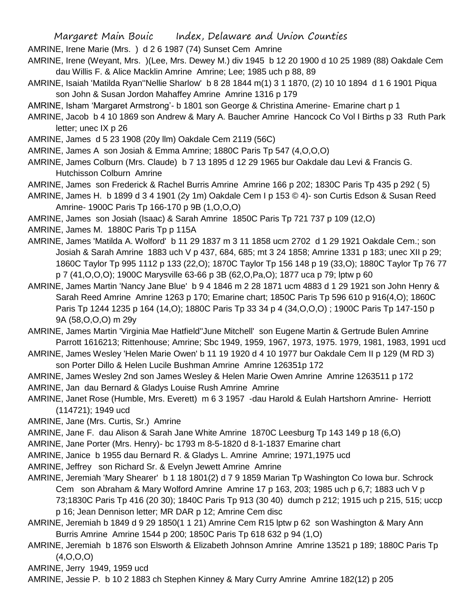- AMRINE, Irene Marie (Mrs. ) d 2 6 1987 (74) Sunset Cem Amrine
- AMRINE, Irene (Weyant, Mrs. )(Lee, Mrs. Dewey M.) div 1945 b 12 20 1900 d 10 25 1989 (88) Oakdale Cem dau Willis F. & Alice Macklin Amrine Amrine; Lee; 1985 uch p 88, 89
- AMRINE, Isaiah 'Matilda Ryan''Nellie Sharlow' b 8 28 1844 m(1) 3 1 1870, (2) 10 10 1894 d 1 6 1901 Piqua son John & Susan Jordon Mahaffey Amrine Amrine 1316 p 179
- AMRINE, Isham 'Margaret Armstrong'- b 1801 son George & Christina Amerine- Emarine chart p 1
- AMRINE, Jacob b 4 10 1869 son Andrew & Mary A. Baucher Amrine Hancock Co Vol I Births p 33 Ruth Park letter; unec IX p 26
- AMRINE, James d 5 23 1908 (20y llm) Oakdale Cem 2119 (56C)
- AMRINE, James A son Josiah & Emma Amrine; 1880C Paris Tp 547 (4,O,O,O)
- AMRINE, James Colburn (Mrs. Claude) b 7 13 1895 d 12 29 1965 bur Oakdale dau Levi & Francis G. Hutchisson Colburn Amrine
- AMRINE, James son Frederick & Rachel Burris Amrine Amrine 166 p 202; 1830C Paris Tp 435 p 292 ( 5)
- AMRINE, James H. b 1899 d 3 4 1901 (2y 1m) Oakdale Cem I p 153 © 4)- son Curtis Edson & Susan Reed Amrine- 1900C Paris Tp 166-170 p 9B (1,O,O,O)
- AMRINE, James son Josiah (Isaac) & Sarah Amrine 1850C Paris Tp 721 737 p 109 (12,O)
- AMRINE, James M. 1880C Paris Tp p 115A
- AMRINE, James 'Matilda A. Wolford' b 11 29 1837 m 3 11 1858 ucm 2702 d 1 29 1921 Oakdale Cem.; son Josiah & Sarah Amrine 1883 uch V p 437, 684, 685; mt 3 24 1858; Amrine 1331 p 183; unec XII p 29; 1860C Taylor Tp 995 1112 p 133 (22,O); 1870C Taylor Tp 156 148 p 19 (33,O); 1880C Taylor Tp 76 77 p 7 (41,O,O,O); 1900C Marysville 63-66 p 3B (62,O,Pa,O); 1877 uca p 79; lptw p 60
- AMRINE, James Martin 'Nancy Jane Blue' b 9 4 1846 m 2 28 1871 ucm 4883 d 1 29 1921 son John Henry & Sarah Reed Amrine Amrine 1263 p 170; Emarine chart; 1850C Paris Tp 596 610 p 916(4,O); 1860C Paris Tp 1244 1235 p 164 (14,O); 1880C Paris Tp 33 34 p 4 (34,O,O,O) ; 1900C Paris Tp 147-150 p 9A (58,O,O,O) m 29y
- AMRINE, James Martin 'Virginia Mae Hatfield''June Mitchell' son Eugene Martin & Gertrude Bulen Amrine Parrott 1616213; Rittenhouse; Amrine; Sbc 1949, 1959, 1967, 1973, 1975. 1979, 1981, 1983, 1991 ucd
- AMRINE, James Wesley 'Helen Marie Owen' b 11 19 1920 d 4 10 1977 bur Oakdale Cem II p 129 (M RD 3) son Porter Dillo & Helen Lucile Bushman Amrine Amrine 126351p 172
- AMRINE, James Wesley 2nd son James Wesley & Helen Marie Owen Amrine Amrine 1263511 p 172
- AMRINE, Jan dau Bernard & Gladys Louise Rush Amrine Amrine
- AMRINE, Janet Rose (Humble, Mrs. Everett) m 6 3 1957 -dau Harold & Eulah Hartshorn Amrine- Herriott (114721); 1949 ucd
- AMRINE, Jane (Mrs. Curtis, Sr.) Amrine
- AMRINE, Jane F. dau Alison & Sarah Jane White Amrine 1870C Leesburg Tp 143 149 p 18 (6,O)
- AMRINE, Jane Porter (Mrs. Henry)- bc 1793 m 8-5-1820 d 8-1-1837 Emarine chart
- AMRINE, Janice b 1955 dau Bernard R. & Gladys L. Amrine Amrine; 1971,1975 ucd
- AMRINE, Jeffrey son Richard Sr. & Evelyn Jewett Amrine Amrine
- AMRINE, Jeremiah 'Mary Shearer' b 1 18 1801(2) d 7 9 1859 Marian Tp Washington Co Iowa bur. Schrock Cem son Abraham & Mary Wolford Amrine Amrine 17 p 163, 203; 1985 uch p 6,7; 1883 uch V p 73;1830C Paris Tp 416 (20 30); 1840C Paris Tp 913 (30 40) dumch p 212; 1915 uch p 215, 515; uccp p 16; Jean Dennison letter; MR DAR p 12; Amrine Cem disc
- AMRINE, Jeremiah b 1849 d 9 29 1850(1 1 21) Amrine Cem R15 lptw p 62 son Washington & Mary Ann Burris Amrine Amrine 1544 p 200; 1850C Paris Tp 618 632 p 94 (1,O)
- AMRINE, Jeremiah b 1876 son Elsworth & Elizabeth Johnson Amrine Amrine 13521 p 189; 1880C Paris Tp  $(4, 0, 0, 0)$
- AMRINE, Jerry 1949, 1959 ucd
- AMRINE, Jessie P. b 10 2 1883 ch Stephen Kinney & Mary Curry Amrine Amrine 182(12) p 205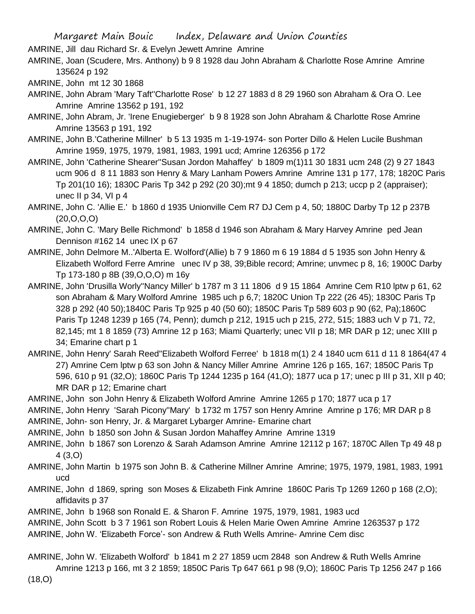AMRINE, Jill dau Richard Sr. & Evelyn Jewett Amrine Amrine

AMRINE, Joan (Scudere, Mrs. Anthony) b 9 8 1928 dau John Abraham & Charlotte Rose Amrine Amrine 135624 p 192

AMRINE, John mt 12 30 1868

- AMRINE, John Abram 'Mary Taft''Charlotte Rose' b 12 27 1883 d 8 29 1960 son Abraham & Ora O. Lee Amrine Amrine 13562 p 191, 192
- AMRINE, John Abram, Jr. 'Irene Enugieberger' b 9 8 1928 son John Abraham & Charlotte Rose Amrine Amrine 13563 p 191, 192
- AMRINE, John B.'Catherine Millner' b 5 13 1935 m 1-19-1974- son Porter Dillo & Helen Lucile Bushman Amrine 1959, 1975, 1979, 1981, 1983, 1991 ucd; Amrine 126356 p 172
- AMRINE, John 'Catherine Shearer''Susan Jordon Mahaffey' b 1809 m(1)11 30 1831 ucm 248 (2) 9 27 1843 ucm 906 d 8 11 1883 son Henry & Mary Lanham Powers Amrine Amrine 131 p 177, 178; 1820C Paris Tp 201(10 16); 1830C Paris Tp 342 p 292 (20 30);mt 9 4 1850; dumch p 213; uccp p 2 (appraiser); unec II p 34, VI p 4

AMRINE, John C. 'Allie E.' b 1860 d 1935 Unionville Cem R7 DJ Cem p 4, 50; 1880C Darby Tp 12 p 237B  $(20, 0, 0, 0)$ 

AMRINE, John C. 'Mary Belle Richmond' b 1858 d 1946 son Abraham & Mary Harvey Amrine ped Jean Dennison #162 14 unec IX p 67

AMRINE, John Delmore M..'Alberta E. Wolford'(Allie) b 7 9 1860 m 6 19 1884 d 5 1935 son John Henry & Elizabeth Wolford Ferre Amrine unec IV p 38, 39;Bible record; Amrine; unvmec p 8, 16; 1900C Darby Tp 173-180 p 8B (39,O,O,O) m 16y

- AMRINE, John 'Drusilla Worly''Nancy Miller' b 1787 m 3 11 1806 d 9 15 1864 Amrine Cem R10 lptw p 61, 62 son Abraham & Mary Wolford Amrine 1985 uch p 6,7; 1820C Union Tp 222 (26 45); 1830C Paris Tp 328 p 292 (40 50);1840C Paris Tp 925 p 40 (50 60); 1850C Paris Tp 589 603 p 90 (62, Pa);1860C Paris Tp 1248 1239 p 165 (74, Penn); dumch p 212, 1915 uch p 215, 272, 515; 1883 uch V p 71, 72, 82,145; mt 1 8 1859 (73) Amrine 12 p 163; Miami Quarterly; unec VII p 18; MR DAR p 12; unec XIII p 34; Emarine chart p 1
- AMRINE, John Henry' Sarah Reed''Elizabeth Wolford Ferree' b 1818 m(1) 2 4 1840 ucm 611 d 11 8 1864(47 4 27) Amrine Cem lptw p 63 son John & Nancy Miller Amrine Amrine 126 p 165, 167; 1850C Paris Tp 596, 610 p 91 (32,O); 1860C Paris Tp 1244 1235 p 164 (41,O); 1877 uca p 17; unec p III p 31, XII p 40; MR DAR p 12; Emarine chart

AMRINE, John son John Henry & Elizabeth Wolford Amrine Amrine 1265 p 170; 1877 uca p 17

AMRINE, John Henry 'Sarah Picony''Mary' b 1732 m 1757 son Henry Amrine Amrine p 176; MR DAR p 8

AMRINE, John- son Henry, Jr. & Margaret Lybarger Amrine- Emarine chart

- AMRINE, John b 1850 son John & Susan Jordon Mahaffey Amrine Amrine 1319
- AMRINE, John b 1867 son Lorenzo & Sarah Adamson Amrine Amrine 12112 p 167; 1870C Allen Tp 49 48 p 4 (3,O)
- AMRINE, John Martin b 1975 son John B. & Catherine Millner Amrine Amrine; 1975, 1979, 1981, 1983, 1991 ucd
- AMRINE, John d 1869, spring son Moses & Elizabeth Fink Amrine 1860C Paris Tp 1269 1260 p 168 (2,O); affidavits p 37
- AMRINE, John b 1968 son Ronald E. & Sharon F. Amrine 1975, 1979, 1981, 1983 ucd

AMRINE, John Scott b 3 7 1961 son Robert Louis & Helen Marie Owen Amrine Amrine 1263537 p 172

- AMRINE, John W. 'Elizabeth Force'- son Andrew & Ruth Wells Amrine- Amrine Cem disc
- AMRINE, John W. 'Elizabeth Wolford' b 1841 m 2 27 1859 ucm 2848 son Andrew & Ruth Wells Amrine Amrine 1213 p 166, mt 3 2 1859; 1850C Paris Tp 647 661 p 98 (9,O); 1860C Paris Tp 1256 247 p 166 (18,O)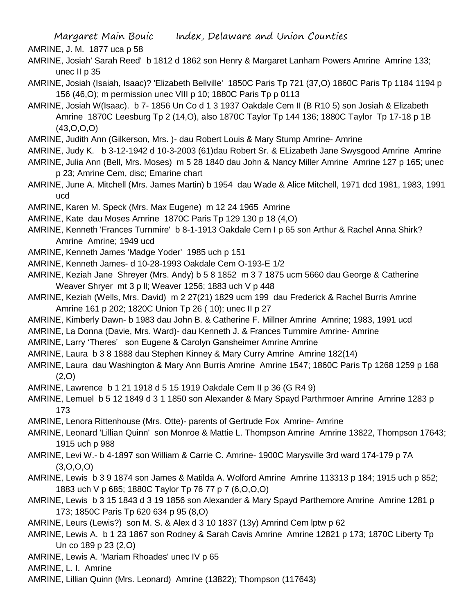AMRINE, J. M. 1877 uca p 58

- AMRINE, Josiah' Sarah Reed' b 1812 d 1862 son Henry & Margaret Lanham Powers Amrine Amrine 133; unec II p 35
- AMRINE, Josiah (Isaiah, Isaac)? 'Elizabeth Bellville' 1850C Paris Tp 721 (37,O) 1860C Paris Tp 1184 1194 p 156 (46,O); m permission unec VIII p 10; 1880C Paris Tp p 0113
- AMRINE, Josiah W(Isaac). b 7- 1856 Un Co d 1 3 1937 Oakdale Cem II (B R10 5) son Josiah & Elizabeth Amrine 1870C Leesburg Tp 2 (14,O), also 1870C Taylor Tp 144 136; 1880C Taylor Tp 17-18 p 1B (43,O,O,O)
- AMRINE, Judith Ann (Gilkerson, Mrs. )- dau Robert Louis & Mary Stump Amrine- Amrine
- AMRINE, Judy K. b 3-12-1942 d 10-3-2003 (61)dau Robert Sr. & ELizabeth Jane Swysgood Amrine Amrine
- AMRINE, Julia Ann (Bell, Mrs. Moses) m 5 28 1840 dau John & Nancy Miller Amrine Amrine 127 p 165; unec p 23; Amrine Cem, disc; Emarine chart
- AMRINE, June A. Mitchell (Mrs. James Martin) b 1954 dau Wade & Alice Mitchell, 1971 dcd 1981, 1983, 1991 ucd
- AMRINE, Karen M. Speck (Mrs. Max Eugene) m 12 24 1965 Amrine
- AMRINE, Kate dau Moses Amrine 1870C Paris Tp 129 130 p 18 (4,O)
- AMRINE, Kenneth 'Frances Turnmire' b 8-1-1913 Oakdale Cem I p 65 son Arthur & Rachel Anna Shirk? Amrine Amrine; 1949 ucd
- AMRINE, Kenneth James 'Madge Yoder' 1985 uch p 151
- AMRINE, Kenneth James- d 10-28-1993 Oakdale Cem O-193-E 1/2
- AMRINE, Keziah Jane Shreyer (Mrs. Andy) b 5 8 1852 m 3 7 1875 ucm 5660 dau George & Catherine Weaver Shryer mt 3 p ll; Weaver 1256; 1883 uch V p 448
- AMRINE, Keziah (Wells, Mrs. David) m 2 27(21) 1829 ucm 199 dau Frederick & Rachel Burris Amrine Amrine 161 p 202; 1820C Union Tp 26 ( 10); unec II p 27
- AMRINE, Kimberly Dawn- b 1983 dau John B. & Catherine F. Millner Amrine Amrine; 1983, 1991 ucd
- AMRINE, La Donna (Davie, Mrs. Ward)- dau Kenneth J. & Frances Turnmire Amrine- Amrine
- AMRINE, Larry 'Theres' son Eugene & Carolyn Gansheimer Amrine Amrine
- AMRINE, Laura b 3 8 1888 dau Stephen Kinney & Mary Curry Amrine Amrine 182(14)
- AMRINE, Laura dau Washington & Mary Ann Burris Amrine Amrine 1547; 1860C Paris Tp 1268 1259 p 168  $(2,0)$
- AMRINE, Lawrence b 1 21 1918 d 5 15 1919 Oakdale Cem II p 36 (G R4 9)
- AMRINE, Lemuel b 5 12 1849 d 3 1 1850 son Alexander & Mary Spayd Parthrmoer Amrine Amrine 1283 p 173
- AMRINE, Lenora Rittenhouse (Mrs. Otte)- parents of Gertrude Fox Amrine- Amrine
- AMRINE, Leonard 'Lillian Quinn' son Monroe & Mattie L. Thompson Amrine Amrine 13822, Thompson 17643; 1915 uch p 988
- AMRINE, Levi W.- b 4-1897 son William & Carrie C. Amrine- 1900C Marysville 3rd ward 174-179 p 7A  $(3,0,0,0)$
- AMRINE, Lewis b 3 9 1874 son James & Matilda A. Wolford Amrine Amrine 113313 p 184; 1915 uch p 852; 1883 uch V p 685; 1880C Taylor Tp 76 77 p 7 (6,O,O,O)
- AMRINE, Lewis b 3 15 1843 d 3 19 1856 son Alexander & Mary Spayd Parthemore Amrine Amrine 1281 p 173; 1850C Paris Tp 620 634 p 95 (8,O)
- AMRINE, Leurs (Lewis?) son M. S. & Alex d 3 10 1837 (13y) Amrind Cem lptw p 62
- AMRINE, Lewis A. b 1 23 1867 son Rodney & Sarah Cavis Amrine Amrine 12821 p 173; 1870C Liberty Tp Un co 189 p 23 (2,O)
- AMRINE, Lewis A. 'Mariam Rhoades' unec IV p 65

AMRINE, L. I. Amrine

AMRINE, Lillian Quinn (Mrs. Leonard) Amrine (13822); Thompson (117643)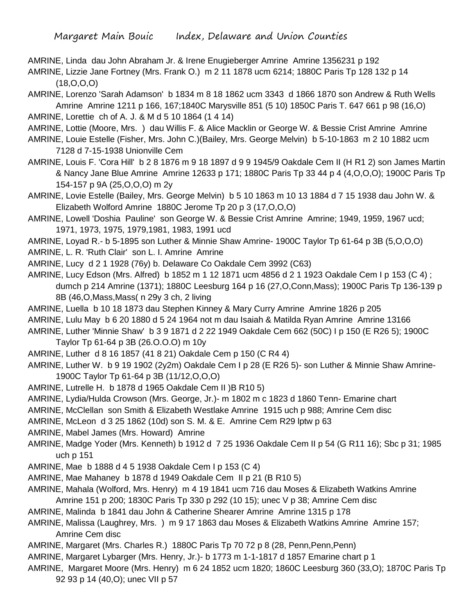AMRINE, Linda dau John Abraham Jr. & Irene Enugieberger Amrine Amrine 1356231 p 192

AMRINE, Lizzie Jane Fortney (Mrs. Frank O.) m 2 11 1878 ucm 6214; 1880C Paris Tp 128 132 p 14 (18,O,O,O)

AMRINE, Lorenzo 'Sarah Adamson' b 1834 m 8 18 1862 ucm 3343 d 1866 1870 son Andrew & Ruth Wells Amrine Amrine 1211 p 166, 167;1840C Marysville 851 (5 10) 1850C Paris T. 647 661 p 98 (16,O)

AMRINE, Lorettie ch of A. J. & M d 5 10 1864 (1 4 14)

- AMRINE, Lottie (Moore, Mrs. ) dau Willis F. & Alice Macklin or George W. & Bessie Crist Amrine Amrine
- AMRINE, Louie Estelle (Fisher, Mrs. John C.)(Bailey, Mrs. George Melvin) b 5-10-1863 m 2 10 1882 ucm 7128 d 7-15-1938 Unionville Cem
- AMRINE, Louis F. 'Cora Hill' b 2 8 1876 m 9 18 1897 d 9 9 1945/9 Oakdale Cem II (H R1 2) son James Martin & Nancy Jane Blue Amrine Amrine 12633 p 171; 1880C Paris Tp 33 44 p 4 (4,O,O,O); 1900C Paris Tp 154-157 p 9A (25,O,O,O) m 2y
- AMRINE, Lovie Estelle (Bailey, Mrs. George Melvin) b 5 10 1863 m 10 13 1884 d 7 15 1938 dau John W. & Elizabeth Wolford Amrine 1880C Jerome Tp 20 p 3 (17,O,O,O)
- AMRINE, Lowell 'Doshia Pauline' son George W. & Bessie Crist Amrine Amrine; 1949, 1959, 1967 ucd; 1971, 1973, 1975, 1979,1981, 1983, 1991 ucd
- AMRINE, Loyad R.- b 5-1895 son Luther & Minnie Shaw Amrine- 1900C Taylor Tp 61-64 p 3B (5,O,O,O)
- AMRINE, L. R. 'Ruth Clair' son L. I. Amrine Amrine

AMRINE, Lucy d 2 1 1928 (76y) b. Delaware Co Oakdale Cem 3992 (C63)

- AMRINE, Lucy Edson (Mrs. Alfred) b 1852 m 1 12 1871 ucm 4856 d 2 1 1923 Oakdale Cem I p 153 (C 4) ; dumch p 214 Amrine (1371); 1880C Leesburg 164 p 16 (27,O,Conn,Mass); 1900C Paris Tp 136-139 p 8B (46,O,Mass,Mass( n 29y 3 ch, 2 living
- AMRINE, Luella b 10 18 1873 dau Stephen Kinney & Mary Curry Amrine Amrine 1826 p 205
- AMRINE, Lulu May b 6 20 1880 d 5 24 1964 not m dau Isaiah & Matilda Ryan Amrine Amrine 13166
- AMRINE, Luther 'Minnie Shaw' b 3 9 1871 d 2 22 1949 Oakdale Cem 662 (50C) I p 150 (E R26 5); 1900C Taylor Tp 61-64 p 3B (26.O.O.O) m 10y
- AMRINE, Luther d 8 16 1857 (41 8 21) Oakdale Cem p 150 (C R4 4)
- AMRINE, Luther W. b 9 19 1902 (2y2m) Oakdale Cem I p 28 (E R26 5)- son Luther & Minnie Shaw Amrine-1900C Taylor Tp 61-64 p 3B (11/12,O,O,O)
- AMRINE, Lutrelle H. b 1878 d 1965 Oakdale Cem II )B R10 5)
- AMRINE, Lydia/Hulda Crowson (Mrs. George, Jr.)- m 1802 m c 1823 d 1860 Tenn- Emarine chart
- AMRINE, McClellan son Smith & Elizabeth Westlake Amrine 1915 uch p 988; Amrine Cem disc
- AMRINE, McLeon d 3 25 1862 (10d) son S. M. & E. Amrine Cem R29 lptw p 63
- AMRINE, Mabel James (Mrs. Howard) Amrine
- AMRINE, Madge Yoder (Mrs. Kenneth) b 1912 d 7 25 1936 Oakdale Cem II p 54 (G R11 16); Sbc p 31; 1985 uch p 151
- AMRINE, Mae b 1888 d 4 5 1938 Oakdale Cem I p 153 (C 4)
- AMRINE, Mae Mahaney b 1878 d 1949 Oakdale Cem II p 21 (B R10 5)
- AMRINE, Mahala (Wolford, Mrs. Henry) m 4 19 1841 ucm 716 dau Moses & Elizabeth Watkins Amrine Amrine 151 p 200; 1830C Paris Tp 330 p 292 (10 15); unec V p 38; Amrine Cem disc
- AMRINE, Malinda b 1841 dau John & Catherine Shearer Amrine Amrine 1315 p 178
- AMRINE, Malissa (Laughrey, Mrs. ) m 9 17 1863 dau Moses & Elizabeth Watkins Amrine Amrine 157; Amrine Cem disc
- AMRINE, Margaret (Mrs. Charles R.) 1880C Paris Tp 70 72 p 8 (28, Penn,Penn,Penn)
- AMRINE, Margaret Lybarger (Mrs. Henry, Jr.)- b 1773 m 1-1-1817 d 1857 Emarine chart p 1
- AMRINE, Margaret Moore (Mrs. Henry) m 6 24 1852 ucm 1820; 1860C Leesburg 360 (33,O); 1870C Paris Tp 92 93 p 14 (40,O); unec VII p 57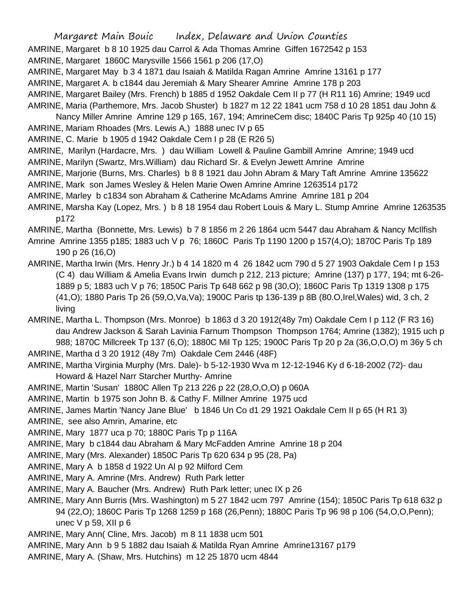AMRINE, Margaret b 8 10 1925 dau Carrol & Ada Thomas Amrine Giffen 1672542 p 153

AMRINE, Margaret 1860C Marysville 1566 1561 p 206 (17,O)

AMRINE, Margaret May b 3 4 1871 dau Isaiah & Matilda Ragan Amrine Amrine 13161 p 177

AMRINE, Margaret A. b c1844 dau Jeremiah & Mary Shearer Amrine Amrine 178 p 203

- AMRINE, Margaret Bailey (Mrs. French) b 1885 d 1952 Oakdale Cem II p 77 (H R11 16) Amrine; 1949 ucd
- AMRINE, Maria (Parthemore, Mrs. Jacob Shuster) b 1827 m 12 22 1841 ucm 758 d 10 28 1851 dau John &

Nancy Miller Amrine Amrine 129 p 165, 167, 194; AmrineCem disc; 1840C Paris Tp 925p 40 (10 15)

AMRINE, Mariam Rhoades (Mrs. Lewis A,) 1888 unec IV p 65

AMRINE, C. Marie b 1905 d 1942 Oakdale Cem I p 28 (E R26 5)

AMRINE, Marilyn (Hardacre, Mrs. ) dau William Lowell & Pauline Gambill Amrine Amrine; 1949 ucd

- AMRINE, Marilyn (Swartz, Mrs.William) dau Richard Sr. & Evelyn Jewett Amrine Amrine
- AMRINE, Marjorie (Burns, Mrs. Charles) b 8 8 1921 dau John Abram & Mary Taft Amrine Amrine 135622
- AMRINE, Mark son James Wesley & Helen Marie Owen Amrine Amrine 1263514 p172

AMRINE, Marley b c1834 son Abraham & Catherine McAdams Amrine Amrine 181 p 204

AMRINE, Marsha Kay (Lopez, Mrs. ) b 8 18 1954 dau Robert Louis & Mary L. Stump Amrine Amrine 1263535 p172

AMRINE, Martha (Bonnette, Mrs. Lewis) b 7 8 1856 m 2 26 1864 ucm 5447 dau Abraham & Nancy McIlfish

Amrine Amrine 1355 p185; 1883 uch V p 76; 1860C Paris Tp 1190 1200 p 157(4,O); 1870C Paris Tp 189 190 p 26 (16,O)

AMRINE, Martha Irwin (Mrs. Henry Jr.) b 4 14 1820 m 4 26 1842 ucm 790 d 5 27 1903 Oakdale Cem I p 153 (C 4) dau William & Amelia Evans Irwin dumch p 212, 213 picture; Amrine (137) p 177, 194; mt 6-26- 1889 p 5; 1883 uch V p 76; 1850C Paris Tp 648 662 p 98 (30,O); 1860C Paris Tp 1319 1308 p 175 (41,O); 1880 Paris Tp 26 (59,O,Va,Va); 1900C Paris tp 136-139 p 8B (80.O,Irel,Wales) wid, 3 ch, 2 living

AMRINE, Martha L. Thompson (Mrs. Monroe) b 1863 d 3 20 1912(48y 7m) Oakdale Cem I p 112 (F R3 16) dau Andrew Jackson & Sarah Lavinia Farnum Thompson Thompson 1764; Amrine (1382); 1915 uch p 988; 1870C Millcreek Tp 137 (6,O); 1880C Mil Tp 125; 1900C Paris Tp 20 p 2a (36,O,O,O) m 36y 5 ch AMRINE, Martha d 3 20 1912 (48y 7m) Oakdale Cem 2446 (48F)

AMRINE, Martha Virginia Murphy (Mrs. Dale)- b 5-12-1930 Wva m 12-12-1946 Ky d 6-18-2002 (72)- dau Howard & Hazel Narr Starcher Murthy- Amrine

AMRINE, Martin 'Susan' 1880C Allen Tp 213 226 p 22 (28,O,O,O) p 060A

AMRINE, Martin b 1975 son John B. & Cathy F. Millner Amrine 1975 ucd

AMRINE, James Martin 'Nancy Jane Blue' b 1846 Un Co d1 29 1921 Oakdale Cem II p 65 (H R1 3)

AMRINE, see also Amrin, Amarine, etc

AMRINE, Mary 1877 uca p 70; 1880C Paris Tp p 116A

AMRINE, Mary b c1844 dau Abraham & Mary McFadden Amrine Amrine 18 p 204

AMRINE, Mary (Mrs. Alexander) 1850C Paris Tp 620 634 p 95 (28, Pa)

AMRINE, Mary A b 1858 d 1922 Un Al p 92 Milford Cem

AMRINE, Mary A. Amrine (Mrs. Andrew) Ruth Park letter

AMRINE, Mary A. Baucher (Mrs. Andrew) Ruth Park letter; unec IX p 26

AMRINE, Mary Ann Burris (Mrs. Washington) m 5 27 1842 ucm 797 Amrine (154); 1850C Paris Tp 618 632 p 94 (22,O); 1860C Paris Tp 1268 1259 p 168 (26,Penn); 1880C Paris Tp 96 98 p 106 (54,O,O,Penn); unec  $V$  p 59, XII p 6

AMRINE, Mary Ann( Cline, Mrs. Jacob) m 8 11 1838 ucm 501

AMRINE, Mary Ann b 9 5 1882 dau Isaiah & Matilda Ryan Amrine Amrine13167 p179

AMRINE, Mary A. (Shaw, Mrs. Hutchins) m 12 25 1870 ucm 4844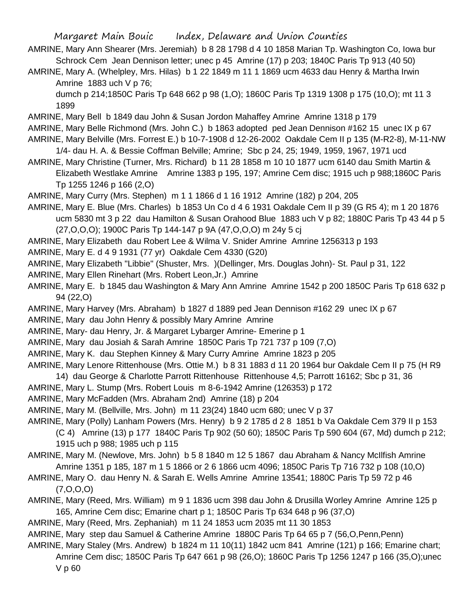- AMRINE, Mary Ann Shearer (Mrs. Jeremiah) b 8 28 1798 d 4 10 1858 Marian Tp. Washington Co, Iowa bur Schrock Cem Jean Dennison letter; unec p 45 Amrine (17) p 203; 1840C Paris Tp 913 (40 50)
- AMRINE, Mary A. (Whelpley, Mrs. Hilas) b 1 22 1849 m 11 1 1869 ucm 4633 dau Henry & Martha Irwin Amrine 1883 uch V p 76;

dumch p 214;1850C Paris Tp 648 662 p 98 (1,O); 1860C Paris Tp 1319 1308 p 175 (10,O); mt 11 3 1899

AMRINE, Mary Bell b 1849 dau John & Susan Jordon Mahaffey Amrine Amrine 1318 p 179

- AMRINE, Mary Belle Richmond (Mrs. John C.) b 1863 adopted ped Jean Dennison #162 15 unec IX p 67
- AMRINE, Mary Belville (Mrs. Forrest E.) b 10-7-1908 d 12-26-2002 Oakdale Cem II p 135 (M-R2-8), M-11-NW 1/4- dau H. A. & Bessie Coffman Belville; Amrine; Sbc p 24, 25; 1949, 1959, 1967, 1971 ucd
- AMRINE, Mary Christine (Turner, Mrs. Richard) b 11 28 1858 m 10 10 1877 ucm 6140 dau Smith Martin & Elizabeth Westlake Amrine Amrine 1383 p 195, 197; Amrine Cem disc; 1915 uch p 988;1860C Paris Tp 1255 1246 p 166 (2,O)

AMRINE, Mary Curry (Mrs. Stephen) m 1 1 1866 d 1 16 1912 Amrine (182) p 204, 205

- AMRINE, Mary E. Blue (Mrs. Charles) b 1853 Un Co d 4 6 1931 Oakdale Cem II p 39 (G R5 4); m 1 20 1876 ucm 5830 mt 3 p 22 dau Hamilton & Susan Orahood Blue 1883 uch V p 82; 1880C Paris Tp 43 44 p 5 (27,O,O,O); 1900C Paris Tp 144-147 p 9A (47,O,O,O) m 24y 5 cj
- AMRINE, Mary Elizabeth dau Robert Lee & Wilma V. Snider Amrine Amrine 1256313 p 193
- AMRINE, Mary E. d 4 9 1931 (77 yr) Oakdale Cem 4330 (G20)
- AMRINE, Mary Elizabeth "Libbie" (Shuster, Mrs. )(Dellinger, Mrs. Douglas John)- St. Paul p 31, 122
- AMRINE, Mary Ellen Rinehart (Mrs. Robert Leon,Jr.) Amrine
- AMRINE, Mary E. b 1845 dau Washington & Mary Ann Amrine Amrine 1542 p 200 1850C Paris Tp 618 632 p 94 (22,O)
- AMRINE, Mary Harvey (Mrs. Abraham) b 1827 d 1889 ped Jean Dennison #162 29 unec IX p 67
- AMRINE, Mary dau John Henry & possibly Mary Amrine Amrine
- AMRINE, Mary- dau Henry, Jr. & Margaret Lybarger Amrine- Emerine p 1
- AMRINE, Mary dau Josiah & Sarah Amrine 1850C Paris Tp 721 737 p 109 (7,O)
- AMRINE, Mary K. dau Stephen Kinney & Mary Curry Amrine Amrine 1823 p 205
- AMRINE, Mary Lenore Rittenhouse (Mrs. Ottie M.) b 8 31 1883 d 11 20 1964 bur Oakdale Cem II p 75 (H R9 14) dau George & Charlotte Parrott Rittenhouse Rittenhouse 4,5; Parrott 16162; Sbc p 31, 36
- AMRINE, Mary L. Stump (Mrs. Robert Louis m 8-6-1942 Amrine (126353) p 172
- AMRINE, Mary McFadden (Mrs. Abraham 2nd) Amrine (18) p 204
- AMRINE, Mary M. (Bellville, Mrs. John) m 11 23(24) 1840 ucm 680; unec V p 37

AMRINE, Mary (Polly) Lanham Powers (Mrs. Henry) b 9 2 1785 d 2 8 1851 b Va Oakdale Cem 379 II p 153 (C 4) Amrine (13) p 177 1840C Paris Tp 902 (50 60); 1850C Paris Tp 590 604 (67, Md) dumch p 212;

1915 uch p 988; 1985 uch p 115

- AMRINE, Mary M. (Newlove, Mrs. John) b 5 8 1840 m 12 5 1867 dau Abraham & Nancy McIlfish Amrine Amrine 1351 p 185, 187 m 1 5 1866 or 2 6 1866 ucm 4096; 1850C Paris Tp 716 732 p 108 (10,O)
- AMRINE, Mary O. dau Henry N. & Sarah E. Wells Amrine Amrine 13541; 1880C Paris Tp 59 72 p 46  $(7, 0, 0, 0)$
- AMRINE, Mary (Reed, Mrs. William) m 9 1 1836 ucm 398 dau John & Drusilla Worley Amrine Amrine 125 p 165, Amrine Cem disc; Emarine chart p 1; 1850C Paris Tp 634 648 p 96 (37,O)
- AMRINE, Mary (Reed, Mrs. Zephaniah) m 11 24 1853 ucm 2035 mt 11 30 1853
- AMRINE, Mary step dau Samuel & Catherine Amrine 1880C Paris Tp 64 65 p 7 (56,O,Penn,Penn)
- AMRINE, Mary Staley (Mrs. Andrew) b 1824 m 11 10(11) 1842 ucm 841 Amrine (121) p 166; Emarine chart; Amrine Cem disc; 1850C Paris Tp 647 661 p 98 (26,O); 1860C Paris Tp 1256 1247 p 166 (35,O);unec V p 60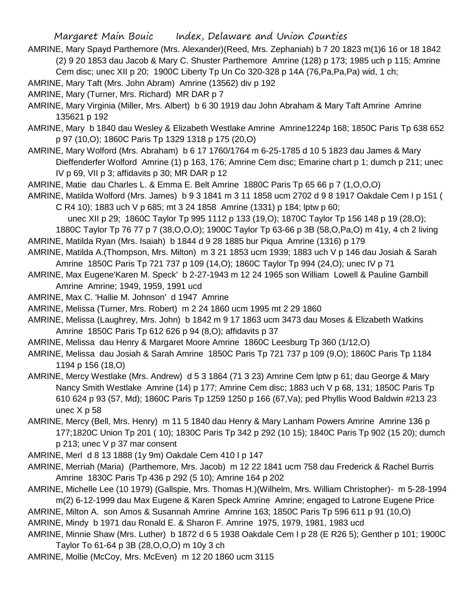AMRINE, Mary Spayd Parthemore (Mrs. Alexander)(Reed, Mrs. Zephaniah) b 7 20 1823 m(1)6 16 or 18 1842 (2) 9 20 1853 dau Jacob & Mary C. Shuster Parthemore Amrine (128) p 173; 1985 uch p 115; Amrine Cem disc; unec XII p 20; 1900C Liberty Tp Un Co 320-328 p 14A (76,Pa,Pa,Pa) wid, 1 ch;

AMRINE, Mary Taft (Mrs. John Abram) Amrine (13562) div p 192

AMRINE, Mary (Turner, Mrs. Richard) MR DAR p 7

AMRINE, Mary Virginia (Miller, Mrs. Albert) b 6 30 1919 dau John Abraham & Mary Taft Amrine Amrine 135621 p 192

AMRINE, Mary b 1840 dau Wesley & Elizabeth Westlake Amrine Amrine1224p 168; 1850C Paris Tp 638 652 p 97 (10,O); 1860C Paris Tp 1329 1318 p 175 (20,O)

AMRINE, Mary Wolford (Mrs. Abraham) b 6 17 1760/1764 m 6-25-1785 d 10 5 1823 dau James & Mary Dieffenderfer Wolford Amrine (1) p 163, 176; Amrine Cem disc; Emarine chart p 1; dumch p 211; unec IV p 69, VII p 3; affidavits p 30; MR DAR p 12

AMRINE, Matie dau Charles L. & Emma E. Belt Amrine 1880C Paris Tp 65 66 p 7 (1,O,O,O)

AMRINE, Matilda Wolford (Mrs. James) b 9 3 1841 m 3 11 1858 ucm 2702 d 9 8 1917 Oakdale Cem I p 151 ( C R4 10); 1883 uch V p 685; mt 3 24 1858 Amrine (1331) p 184; lptw p 60;

 unec XII p 29; 1860C Taylor Tp 995 1112 p 133 (19,O); 1870C Taylor Tp 156 148 p 19 (28,O); 1880C Taylor Tp 76 77 p 7 (38,O,O,O); 1900C Taylor Tp 63-66 p 3B (58,O,Pa,O) m 41y, 4 ch 2 living

AMRINE, Matilda Ryan (Mrs. Isaiah) b 1844 d 9 28 1885 bur Piqua Amrine (1316) p 179

- AMRINE, Matilda A.(Thompson, Mrs. Milton) m 3 21 1853 ucm 1939; 1883 uch V p 146 dau Josiah & Sarah Amrine 1850C Paris Tp 721 737 p 109 (14,O); 1860C Taylor Tp 994 (24,O); unec IV p 71
- AMRINE, Max Eugene'Karen M. Speck' b 2-27-1943 m 12 24 1965 son William Lowell & Pauline Gambill Amrine Amrine; 1949, 1959, 1991 ucd
- AMRINE, Max C. 'Hallie M. Johnson' d 1947 Amrine
- AMRINE, Melissa (Turner, Mrs. Robert) m 2 24 1860 ucm 1995 mt 2 29 1860
- AMRINE, Melissa (Laughrey, Mrs. John) b 1842 m 9 17 1863 ucm 3473 dau Moses & Elizabeth Watkins Amrine 1850C Paris Tp 612 626 p 94 (8,O); affidavits p 37
- AMRINE, Melissa dau Henry & Margaret Moore Amrine 1860C Leesburg Tp 360 (1/12,O)

AMRINE, Melissa dau Josiah & Sarah Amrine 1850C Paris Tp 721 737 p 109 (9,O); 1860C Paris Tp 1184 1194 p 156 (18,O)

- AMRINE, Mercy Westlake (Mrs. Andrew) d 5 3 1864 (71 3 23) Amrine Cem lptw p 61; dau George & Mary Nancy Smith Westlake Amrine (14) p 177; Amrine Cem disc; 1883 uch V p 68, 131; 1850C Paris Tp 610 624 p 93 (57, Md); 1860C Paris Tp 1259 1250 p 166 (67,Va); ped Phyllis Wood Baldwin #213 23 unec X p 58
- AMRINE, Mercy (Bell, Mrs. Henry) m 11 5 1840 dau Henry & Mary Lanham Powers Amrine Amrine 136 p 177;1820C Union Tp 201 ( 10); 1830C Paris Tp 342 p 292 (10 15); 1840C Paris Tp 902 (15 20); dumch p 213; unec V p 37 mar consent

AMRINE, Merl d 8 13 1888 (1y 9m) Oakdale Cem 410 I p 147

- AMRINE, Merriah (Maria) (Parthemore, Mrs. Jacob) m 12 22 1841 ucm 758 dau Frederick & Rachel Burris Amrine 1830C Paris Tp 436 p 292 (5 10); Amrine 164 p 202
- AMRINE, Michelle Lee (10 1979) (Gallspie, Mrs. Thomas H.)(Wilhelm, Mrs. William Christopher)- m 5-28-1994 m(2) 6-12-1999 dau Max Eugene & Karen Speck Amrine Amrine; engaged to Latrone Eugene Price

AMRINE, Milton A. son Amos & Susannah Amrine Amrine 163; 1850C Paris Tp 596 611 p 91 (10,O)

AMRINE, Mindy b 1971 dau Ronald E. & Sharon F. Amrine 1975, 1979, 1981, 1983 ucd

AMRINE, Minnie Shaw (Mrs. Luther) b 1872 d 6 5 1938 Oakdale Cem I p 28 (E R26 5); Genther p 101; 1900C Taylor To 61-64 p 3B (28,O,O,O) m 10y 3 ch

AMRINE, Mollie (McCoy, Mrs. McEven) m 12 20 1860 ucm 3115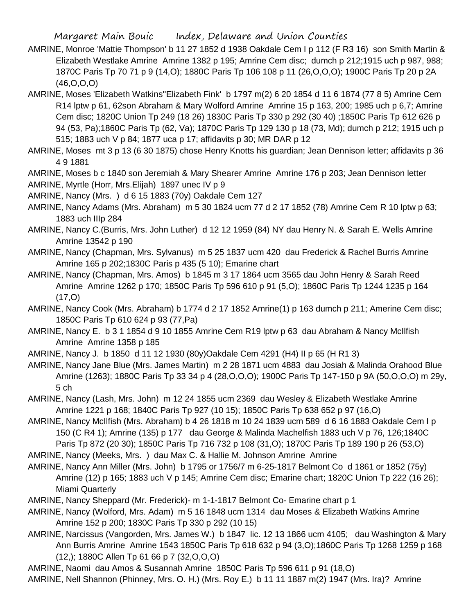- AMRINE, Monroe 'Mattie Thompson' b 11 27 1852 d 1938 Oakdale Cem I p 112 (F R3 16) son Smith Martin & Elizabeth Westlake Amrine Amrine 1382 p 195; Amrine Cem disc; dumch p 212;1915 uch p 987, 988; 1870C Paris Tp 70 71 p 9 (14,O); 1880C Paris Tp 106 108 p 11 (26,O,O,O); 1900C Paris Tp 20 p 2A (46,O,O,O)
- AMRINE, Moses 'Elizabeth Watkins''Elizabeth Fink' b 1797 m(2) 6 20 1854 d 11 6 1874 (77 8 5) Amrine Cem R14 lptw p 61, 62son Abraham & Mary Wolford Amrine Amrine 15 p 163, 200; 1985 uch p 6,7; Amrine Cem disc; 1820C Union Tp 249 (18 26) 1830C Paris Tp 330 p 292 (30 40) ;1850C Paris Tp 612 626 p 94 (53, Pa);1860C Paris Tp (62, Va); 1870C Paris Tp 129 130 p 18 (73, Md); dumch p 212; 1915 uch p 515; 1883 uch V p 84; 1877 uca p 17; affidavits p 30; MR DAR p 12
- AMRINE, Moses mt 3 p 13 (6 30 1875) chose Henry Knotts his guardian; Jean Dennison letter; affidavits p 36 4 9 1881

AMRINE, Moses b c 1840 son Jeremiah & Mary Shearer Amrine Amrine 176 p 203; Jean Dennison letter

AMRINE, Myrtle (Horr, Mrs.Elijah) 1897 unec IV p 9

AMRINE, Nancy (Mrs. ) d 6 15 1883 (70y) Oakdale Cem 127

AMRINE, Nancy Adams (Mrs. Abraham) m 5 30 1824 ucm 77 d 2 17 1852 (78) Amrine Cem R 10 lptw p 63; 1883 uch IIIp 284

- AMRINE, Nancy C.(Burris, Mrs. John Luther) d 12 12 1959 (84) NY dau Henry N. & Sarah E. Wells Amrine Amrine 13542 p 190
- AMRINE, Nancy (Chapman, Mrs. Sylvanus) m 5 25 1837 ucm 420 dau Frederick & Rachel Burris Amrine Amrine 165 p 202;1830C Paris p 435 (5 10); Emarine chart

AMRINE, Nancy (Chapman, Mrs. Amos) b 1845 m 3 17 1864 ucm 3565 dau John Henry & Sarah Reed Amrine Amrine 1262 p 170; 1850C Paris Tp 596 610 p 91 (5,O); 1860C Paris Tp 1244 1235 p 164  $(17, 0)$ 

AMRINE, Nancy Cook (Mrs. Abraham) b 1774 d 2 17 1852 Amrine(1) p 163 dumch p 211; Amerine Cem disc; 1850C Paris Tp 610 624 p 93 (77,Pa)

AMRINE, Nancy E. b 3 1 1854 d 9 10 1855 Amrine Cem R19 lptw p 63 dau Abraham & Nancy McIlfish Amrine Amrine 1358 p 185

AMRINE, Nancy J. b 1850 d 11 12 1930 (80y)Oakdale Cem 4291 (H4) II p 65 (H R1 3)

AMRINE, Nancy Jane Blue (Mrs. James Martin) m 2 28 1871 ucm 4883 dau Josiah & Malinda Orahood Blue Amrine (1263); 1880C Paris Tp 33 34 p 4 (28,O,O,O); 1900C Paris Tp 147-150 p 9A (50,O,O,O) m 29y, 5 ch

AMRINE, Nancy (Lash, Mrs. John) m 12 24 1855 ucm 2369 dau Wesley & Elizabeth Westlake Amrine Amrine 1221 p 168; 1840C Paris Tp 927 (10 15); 1850C Paris Tp 638 652 p 97 (16,O)

AMRINE, Nancy McIlfish (Mrs. Abraham) b 4 26 1818 m 10 24 1839 ucm 589 d 6 16 1883 Oakdale Cem I p 150 (C R4 1); Amrine (135) p 177 dau George & Malinda Machelfish 1883 uch V p 76, 126;1840C Paris Tp 872 (20 30); 1850C Paris Tp 716 732 p 108 (31,O); 1870C Paris Tp 189 190 p 26 (53,O)

AMRINE, Nancy (Meeks, Mrs. ) dau Max C. & Hallie M. Johnson Amrine Amrine

AMRINE, Nancy Ann Miller (Mrs. John) b 1795 or 1756/7 m 6-25-1817 Belmont Co d 1861 or 1852 (75y) Amrine (12) p 165; 1883 uch V p 145; Amrine Cem disc; Emarine chart; 1820C Union Tp 222 (16 26); Miami Quarterly

AMRINE, Nancy Sheppard (Mr. Frederick)- m 1-1-1817 Belmont Co- Emarine chart p 1

- AMRINE, Nancy (Wolford, Mrs. Adam) m 5 16 1848 ucm 1314 dau Moses & Elizabeth Watkins Amrine Amrine 152 p 200; 1830C Paris Tp 330 p 292 (10 15)
- AMRINE, Narcissus (Vangorden, Mrs. James W.) b 1847 lic. 12 13 1866 ucm 4105; dau Washington & Mary Ann Burris Amrine Amrine 1543 1850C Paris Tp 618 632 p 94 (3,O);1860C Paris Tp 1268 1259 p 168 (12,); 1880C Allen Tp 61 66 p 7 (32,O,O,O)

AMRINE, Naomi dau Amos & Susannah Amrine 1850C Paris Tp 596 611 p 91 (18,O)

AMRINE, Nell Shannon (Phinney, Mrs. O. H.) (Mrs. Roy E.) b 11 11 1887 m(2) 1947 (Mrs. Ira)? Amrine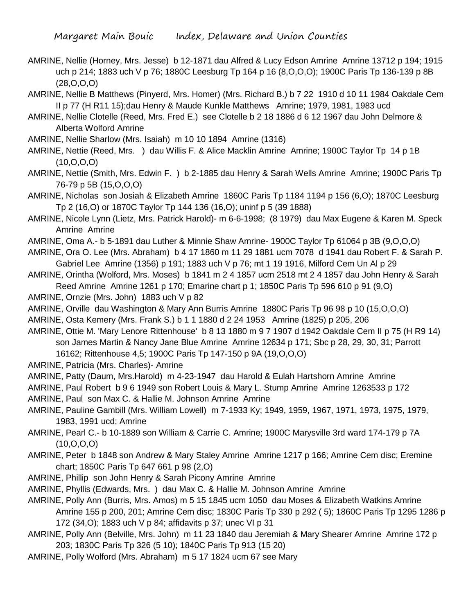- AMRINE, Nellie (Horney, Mrs. Jesse) b 12-1871 dau Alfred & Lucy Edson Amrine Amrine 13712 p 194; 1915 uch p 214; 1883 uch V p 76; 1880C Leesburg Tp 164 p 16 (8,O,O,O); 1900C Paris Tp 136-139 p 8B (28,O,O,O)
- AMRINE, Nellie B Matthews (Pinyerd, Mrs. Homer) (Mrs. Richard B.) b 7 22 1910 d 10 11 1984 Oakdale Cem II p 77 (H R11 15);dau Henry & Maude Kunkle Matthews Amrine; 1979, 1981, 1983 ucd
- AMRINE, Nellie Clotelle (Reed, Mrs. Fred E.) see Clotelle b 2 18 1886 d 6 12 1967 dau John Delmore & Alberta Wolford Amrine
- AMRINE, Nellie Sharlow (Mrs. Isaiah) m 10 10 1894 Amrine (1316)
- AMRINE, Nettie (Reed, Mrs. ) dau Willis F. & Alice Macklin Amrine Amrine; 1900C Taylor Tp 14 p 1B (10,O,O,O)
- AMRINE, Nettie (Smith, Mrs. Edwin F. ) b 2-1885 dau Henry & Sarah Wells Amrine Amrine; 1900C Paris Tp 76-79 p 5B (15,O,O,O)
- AMRINE, Nicholas son Josiah & Elizabeth Amrine 1860C Paris Tp 1184 1194 p 156 (6,O); 1870C Leesburg Tp 2 (16,O) or 1870C Taylor Tp 144 136 (16,O); uninf p 5 (39 1888)
- AMRINE, Nicole Lynn (Lietz, Mrs. Patrick Harold)- m 6-6-1998; (8 1979) dau Max Eugene & Karen M. Speck Amrine Amrine
- AMRINE, Oma A.- b 5-1891 dau Luther & Minnie Shaw Amrine- 1900C Taylor Tp 61064 p 3B (9,O,O,O)
- AMRINE, Ora O. Lee (Mrs. Abraham) b 4 17 1860 m 11 29 1881 ucm 7078 d 1941 dau Robert F. & Sarah P. Gabriel Lee Amrine (1356) p 191; 1883 uch V p 76; mt 1 19 1916, Milford Cem Un Al p 29
- AMRINE, Orintha (Wolford, Mrs. Moses) b 1841 m 2 4 1857 ucm 2518 mt 2 4 1857 dau John Henry & Sarah Reed Amrine Amrine 1261 p 170; Emarine chart p 1; 1850C Paris Tp 596 610 p 91 (9,O)
- AMRINE, Ornzie (Mrs. John) 1883 uch V p 82
- AMRINE, Orville dau Washington & Mary Ann Burris Amrine 1880C Paris Tp 96 98 p 10 (15,O,O,O)
- AMRINE, Osta Kemery (Mrs. Frank S.) b 1 1 1880 d 2 24 1953 Amrine (1825) p 205, 206
- AMRINE, Ottie M. 'Mary Lenore Rittenhouse' b 8 13 1880 m 9 7 1907 d 1942 Oakdale Cem II p 75 (H R9 14) son James Martin & Nancy Jane Blue Amrine Amrine 12634 p 171; Sbc p 28, 29, 30, 31; Parrott 16162; Rittenhouse 4,5; 1900C Paris Tp 147-150 p 9A (19,O,O,O)
- AMRINE, Patricia (Mrs. Charles)- Amrine
- AMRINE, Patty (Daum, Mrs.Harold) m 4-23-1947 dau Harold & Eulah Hartshorn Amrine Amrine
- AMRINE, Paul Robert b 9 6 1949 son Robert Louis & Mary L. Stump Amrine Amrine 1263533 p 172
- AMRINE, Paul son Max C. & Hallie M. Johnson Amrine Amrine
- AMRINE, Pauline Gambill (Mrs. William Lowell) m 7-1933 Ky; 1949, 1959, 1967, 1971, 1973, 1975, 1979, 1983, 1991 ucd; Amrine
- AMRINE, Pearl C.- b 10-1889 son William & Carrie C. Amrine; 1900C Marysville 3rd ward 174-179 p 7A  $(10, O, O, O)$
- AMRINE, Peter b 1848 son Andrew & Mary Staley Amrine Amrine 1217 p 166; Amrine Cem disc; Eremine chart; 1850C Paris Tp 647 661 p 98 (2,O)
- AMRINE, Phillip son John Henry & Sarah Picony Amrine Amrine
- AMRINE, Phyllis (Edwards, Mrs. ) dau Max C. & Hallie M. Johnson Amrine Amrine
- AMRINE, Polly Ann (Burris, Mrs. Amos) m 5 15 1845 ucm 1050 dau Moses & Elizabeth Watkins Amrine Amrine 155 p 200, 201; Amrine Cem disc; 1830C Paris Tp 330 p 292 ( 5); 1860C Paris Tp 1295 1286 p 172 (34,O); 1883 uch V p 84; affidavits p 37; unec VI p 31
- AMRINE, Polly Ann (Belville, Mrs. John) m 11 23 1840 dau Jeremiah & Mary Shearer Amrine Amrine 172 p 203; 1830C Paris Tp 326 (5 10); 1840C Paris Tp 913 (15 20)
- AMRINE, Polly Wolford (Mrs. Abraham) m 5 17 1824 ucm 67 see Mary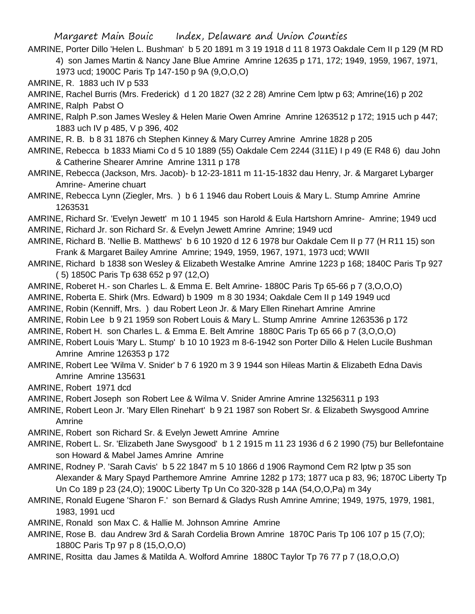AMRINE, Porter Dillo 'Helen L. Bushman' b 5 20 1891 m 3 19 1918 d 11 8 1973 Oakdale Cem II p 129 (M RD 4) son James Martin & Nancy Jane Blue Amrine Amrine 12635 p 171, 172; 1949, 1959, 1967, 1971, 1973 ucd; 1900C Paris Tp 147-150 p 9A (9,O,O,O)

AMRINE, R. 1883 uch IV p 533

AMRINE, Rachel Burris (Mrs. Frederick) d 1 20 1827 (32 2 28) Amrine Cem lptw p 63; Amrine(16) p 202 AMRINE, Ralph Pabst O

AMRINE, Ralph P.son James Wesley & Helen Marie Owen Amrine Amrine 1263512 p 172; 1915 uch p 447; 1883 uch IV p 485, V p 396, 402

AMRINE, R. B. b 8 31 1876 ch Stephen Kinney & Mary Currey Amrine Amrine 1828 p 205

AMRINE, Rebecca b 1833 Miami Co d 5 10 1889 (55) Oakdale Cem 2244 (311E) I p 49 (E R48 6) dau John & Catherine Shearer Amrine Amrine 1311 p 178

- AMRINE, Rebecca (Jackson, Mrs. Jacob)- b 12-23-1811 m 11-15-1832 dau Henry, Jr. & Margaret Lybarger Amrine- Amerine chuart
- AMRINE, Rebecca Lynn (Ziegler, Mrs. ) b 6 1 1946 dau Robert Louis & Mary L. Stump Amrine Amrine 1263531

AMRINE, Richard Sr. 'Evelyn Jewett' m 10 1 1945 son Harold & Eula Hartshorn Amrine- Amrine; 1949 ucd AMRINE, Richard Jr. son Richard Sr. & Evelyn Jewett Amrine Amrine; 1949 ucd

- AMRINE, Richard B. 'Nellie B. Matthews' b 6 10 1920 d 12 6 1978 bur Oakdale Cem II p 77 (H R11 15) son Frank & Margaret Bailey Amrine Amrine; 1949, 1959, 1967, 1971, 1973 ucd; WWII
- AMRINE, Richard b 1838 son Wesley & Elizabeth Westalke Amrine Amrine 1223 p 168; 1840C Paris Tp 927 ( 5) 1850C Paris Tp 638 652 p 97 (12,O)
- AMRINE, Roberet H.- son Charles L. & Emma E. Belt Amrine- 1880C Paris Tp 65-66 p 7 (3,O,O,O)

AMRINE, Roberta E. Shirk (Mrs. Edward) b 1909 m 8 30 1934; Oakdale Cem II p 149 1949 ucd

- AMRINE, Robin (Kenniff, Mrs. ) dau Robert Leon Jr. & Mary Ellen Rinehart Amrine Amrine
- AMRINE, Robin Lee b 9 21 1959 son Robert Louis & Mary L. Stump Amrine Amrine 1263536 p 172
- AMRINE, Robert H. son Charles L. & Emma E. Belt Amrine 1880C Paris Tp 65 66 p 7 (3,O,O,O)
- AMRINE, Robert Louis 'Mary L. Stump' b 10 10 1923 m 8-6-1942 son Porter Dillo & Helen Lucile Bushman Amrine Amrine 126353 p 172
- AMRINE, Robert Lee 'Wilma V. Snider' b 7 6 1920 m 3 9 1944 son Hileas Martin & Elizabeth Edna Davis Amrine Amrine 135631
- AMRINE, Robert 1971 dcd

AMRINE, Robert Joseph son Robert Lee & Wilma V. Snider Amrine Amrine 13256311 p 193

AMRINE, Robert Leon Jr. 'Mary Ellen Rinehart' b 9 21 1987 son Robert Sr. & Elizabeth Swysgood Amrine Amrine

AMRINE, Robert son Richard Sr. & Evelyn Jewett Amrine Amrine

- AMRINE, Robert L. Sr. 'Elizabeth Jane Swysgood' b 1 2 1915 m 11 23 1936 d 6 2 1990 (75) bur Bellefontaine son Howard & Mabel James Amrine Amrine
- AMRINE, Rodney P. 'Sarah Cavis' b 5 22 1847 m 5 10 1866 d 1906 Raymond Cem R2 lptw p 35 son Alexander & Mary Spayd Parthemore Amrine Amrine 1282 p 173; 1877 uca p 83, 96; 1870C Liberty Tp Un Co 189 p 23 (24,O); 1900C Liberty Tp Un Co 320-328 p 14A (54,O,O,Pa) m 34y
- AMRINE, Ronald Eugene 'Sharon F.' son Bernard & Gladys Rush Amrine Amrine; 1949, 1975, 1979, 1981, 1983, 1991 ucd

AMRINE, Ronald son Max C. & Hallie M. Johnson Amrine Amrine

- AMRINE, Rose B. dau Andrew 3rd & Sarah Cordelia Brown Amrine 1870C Paris Tp 106 107 p 15 (7,O); 1880C Paris Tp 97 p 8 (15,O,O,O)
- AMRINE, Rositta dau James & Matilda A. Wolford Amrine 1880C Taylor Tp 76 77 p 7 (18,O,O,O)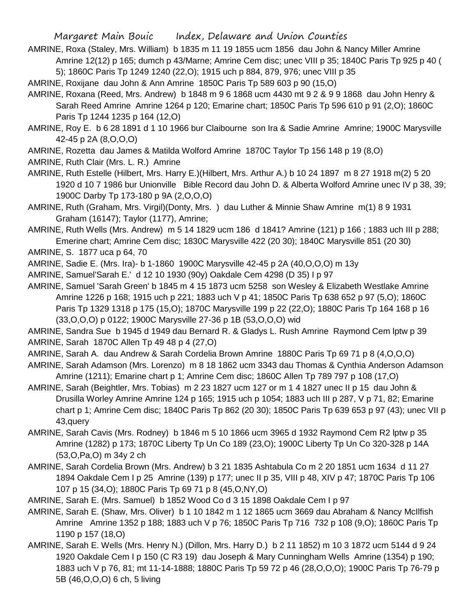- AMRINE, Roxa (Staley, Mrs. William) b 1835 m 11 19 1855 ucm 1856 dau John & Nancy Miller Amrine Amrine 12(12) p 165; dumch p 43/Marne; Amrine Cem disc; unec VIII p 35; 1840C Paris Tp 925 p 40 ( 5); 1860C Paris Tp 1249 1240 (22,O); 1915 uch p 884, 879, 976; unec VIII p 35
- AMRINE, Roxijane dau John & Ann Amrine 1850C Paris Tp 589 603 p 90 (15,O)
- AMRINE, Roxana (Reed, Mrs. Andrew) b 1848 m 9 6 1868 ucm 4430 mt 9 2 & 9 9 1868 dau John Henry & Sarah Reed Amrine Amrine 1264 p 120; Emarine chart; 1850C Paris Tp 596 610 p 91 (2,O); 1860C Paris Tp 1244 1235 p 164 (12,O)
- AMRINE, Roy E. b 6 28 1891 d 1 10 1966 bur Claibourne son Ira & Sadie Amrine Amrine; 1900C Marysville 42-45 p 2A (8,O,O,O)
- AMRINE, Rozetta dau James & Matilda Wolford Amrine 1870C Taylor Tp 156 148 p 19 (8,O)
- AMRINE, Ruth Clair (Mrs. L. R.) Amrine
- AMRINE, Ruth Estelle (Hilbert, Mrs. Harry E.)(Hilbert, Mrs. Arthur A.) b 10 24 1897 m 8 27 1918 m(2) 5 20 1920 d 10 7 1986 bur Unionville Bible Record dau John D. & Alberta Wolford Amrine unec IV p 38, 39; 1900C Darby Tp 173-180 p 9A (2,O,O,O)
- AMRINE, Ruth (Graham, Mrs. Virgil)(Donty, Mrs. ) dau Luther & Minnie Shaw Amrine m(1) 8 9 1931 Graham (16147); Taylor (1177), Amrine;
- AMRINE, Ruth Wells (Mrs. Andrew) m 5 14 1829 ucm 186 d 1841? Amrine (121) p 166 ; 1883 uch III p 288; Emerine chart; Amrine Cem disc; 1830C Marysville 422 (20 30); 1840C Marysville 851 (20 30)
- AMRINE, S. 1877 uca p 64, 70
- AMRINE, Sadie E. (Mrs. Ira)- b 1-1860 1900C Marysville 42-45 p 2A (40,O,O,O) m 13y
- AMRINE, Samuel'Sarah E.' d 12 10 1930 (90y) Oakdale Cem 4298 (D 35) I p 97
- AMRINE, Samuel 'Sarah Green' b 1845 m 4 15 1873 ucm 5258 son Wesley & Elizabeth Westlake Amrine Amrine 1226 p 168; 1915 uch p 221; 1883 uch V p 41; 1850C Paris Tp 638 652 p 97 (5,O); 1860C Paris Tp 1329 1318 p 175 (15,O); 1870C Marysville 199 p 22 (22,O); 1880C Paris Tp 164 168 p 16 (33,O,O,O) p 0122; 1900C Marysville 27-36 p 1B (53,O,O,O) wid

AMRINE, Sandra Sue b 1945 d 1949 dau Bernard R. & Gladys L. Rush Amrine Raymond Cem lptw p 39 AMRINE, Sarah 1870C Allen Tp 49 48 p 4 (27,O)

- AMRINE, Sarah A. dau Andrew & Sarah Cordelia Brown Amrine 1880C Paris Tp 69 71 p 8 (4,O,O,O)
- AMRINE, Sarah Adamson (Mrs. Lorenzo) m 8 18 1862 ucm 3343 dau Thomas & Cynthia Anderson Adamson Amrine (1211); Emarine chart p 1; Amrine Cem disc; 1860C Allen Tp 789 797 p 108 (17,O)
- AMRINE, Sarah (Beightler, Mrs. Tobias) m 2 23 1827 ucm 127 or m 1 4 1827 unec II p 15 dau John & Drusilla Worley Amrine Amrine 124 p 165; 1915 uch p 1054; 1883 uch III p 287, V p 71, 82; Emarine chart p 1; Amrine Cem disc; 1840C Paris Tp 862 (20 30); 1850C Paris Tp 639 653 p 97 (43); unec VII p 43,query
- AMRINE, Sarah Cavis (Mrs. Rodney) b 1846 m 5 10 1866 ucm 3965 d 1932 Raymond Cem R2 lptw p 35 Amrine (1282) p 173; 1870C Liberty Tp Un Co 189 (23,O); 1900C Liberty Tp Un Co 320-328 p 14A (53,O,Pa,O) m 34y 2 ch
- AMRINE, Sarah Cordelia Brown (Mrs. Andrew) b 3 21 1835 Ashtabula Co m 2 20 1851 ucm 1634 d 11 27 1894 Oakdale Cem I p 25 Amrine (139) p 177; unec II p 35, VIII p 48, XIV p 47; 1870C Paris Tp 106 107 p 15 (34,O); 1880C Paris Tp 69 71 p 8 (45,O,NY,O)
- AMRINE, Sarah E. (Mrs. Samuel) b 1852 Wood Co d 3 15 1898 Oakdale Cem I p 97
- AMRINE, Sarah E. (Shaw, Mrs. Oliver) b 1 10 1842 m 1 12 1865 ucm 3669 dau Abraham & Nancy McIlfish Amrine Amrine 1352 p 188; 1883 uch V p 76; 1850C Paris Tp 716 732 p 108 (9,O); 1860C Paris Tp 1190 p 157 (18,O)
- AMRINE, Sarah E. Wells (Mrs. Henry N.) (Dillon, Mrs. Harry D.) b 2 11 1852) m 10 3 1872 ucm 5144 d 9 24 1920 Oakdale Cem I p 150 (C R3 19) dau Joseph & Mary Cunningham Wells Amrine (1354) p 190; 1883 uch V p 76, 81; mt 11-14-1888; 1880C Paris Tp 59 72 p 46 (28,O,O,O); 1900C Paris Tp 76-79 p 5B (46,O,O,O) 6 ch, 5 living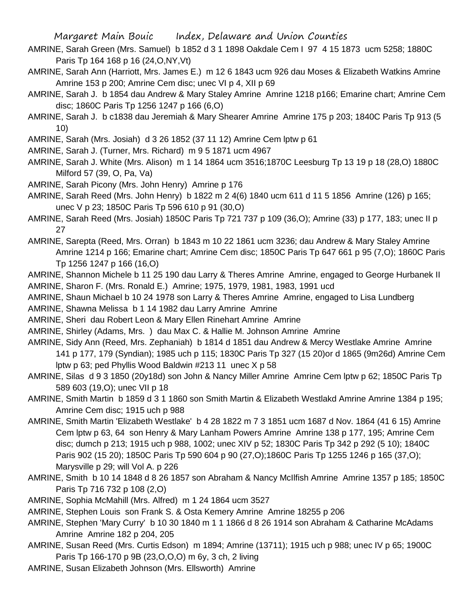- AMRINE, Sarah Green (Mrs. Samuel) b 1852 d 3 1 1898 Oakdale Cem I 97 4 15 1873 ucm 5258; 1880C Paris Tp 164 168 p 16 (24,O,NY,Vt)
- AMRINE, Sarah Ann (Harriott, Mrs. James E.) m 12 6 1843 ucm 926 dau Moses & Elizabeth Watkins Amrine Amrine 153 p 200; Amrine Cem disc; unec VI p 4, XII p 69
- AMRINE, Sarah J. b 1854 dau Andrew & Mary Staley Amrine Amrine 1218 p166; Emarine chart; Amrine Cem disc; 1860C Paris Tp 1256 1247 p 166 (6,O)
- AMRINE, Sarah J. b c1838 dau Jeremiah & Mary Shearer Amrine Amrine 175 p 203; 1840C Paris Tp 913 (5 10)

AMRINE, Sarah (Mrs. Josiah) d 3 26 1852 (37 11 12) Amrine Cem lptw p 61

- AMRINE, Sarah J. (Turner, Mrs. Richard) m 9 5 1871 ucm 4967
- AMRINE, Sarah J. White (Mrs. Alison) m 1 14 1864 ucm 3516;1870C Leesburg Tp 13 19 p 18 (28,O) 1880C Milford 57 (39, O, Pa, Va)
- AMRINE, Sarah Picony (Mrs. John Henry) Amrine p 176
- AMRINE, Sarah Reed (Mrs. John Henry) b 1822 m 2 4(6) 1840 ucm 611 d 11 5 1856 Amrine (126) p 165; unec V p 23; 1850C Paris Tp 596 610 p 91 (30,O)
- AMRINE, Sarah Reed (Mrs. Josiah) 1850C Paris Tp 721 737 p 109 (36,O); Amrine (33) p 177, 183; unec II p 27
- AMRINE, Sarepta (Reed, Mrs. Orran) b 1843 m 10 22 1861 ucm 3236; dau Andrew & Mary Staley Amrine Amrine 1214 p 166; Emarine chart; Amrine Cem disc; 1850C Paris Tp 647 661 p 95 (7,O); 1860C Paris Tp 1256 1247 p 166 (16,O)
- AMRINE, Shannon Michele b 11 25 190 dau Larry & Theres Amrine Amrine, engaged to George Hurbanek II AMRINE, Sharon F. (Mrs. Ronald E.) Amrine; 1975, 1979, 1981, 1983, 1991 ucd

AMRINE, Shaun Michael b 10 24 1978 son Larry & Theres Amrine Amrine, engaged to Lisa Lundberg

- AMRINE, Shawna Melissa b 1 14 1982 dau Larry Amrine Amrine
- AMRINE, Sheri dau Robert Leon & Mary Ellen Rinehart Amrine Amrine
- AMRINE, Shirley (Adams, Mrs. ) dau Max C. & Hallie M. Johnson Amrine Amrine
- AMRINE, Sidy Ann (Reed, Mrs. Zephaniah) b 1814 d 1851 dau Andrew & Mercy Westlake Amrine Amrine 141 p 177, 179 (Syndian); 1985 uch p 115; 1830C Paris Tp 327 (15 20)or d 1865 (9m26d) Amrine Cem lptw p 63; ped Phyllis Wood Baldwin #213 11 unec X p 58
- AMRINE, Silas d 9 3 1850 (20y18d) son John & Nancy Miller Amrine Amrine Cem lptw p 62; 1850C Paris Tp 589 603 (19,O); unec VII p 18
- AMRINE, Smith Martin b 1859 d 3 1 1860 son Smith Martin & Elizabeth Westlakd Amrine Amrine 1384 p 195; Amrine Cem disc; 1915 uch p 988
- AMRINE, Smith Martin 'Elizabeth Westlake' b 4 28 1822 m 7 3 1851 ucm 1687 d Nov. 1864 (41 6 15) Amrine Cem lptw p 63, 64 son Henry & Mary Lanham Powers Amrine Amrine 138 p 177, 195; Amrine Cem disc; dumch p 213; 1915 uch p 988, 1002; unec XIV p 52; 1830C Paris Tp 342 p 292 (5 10); 1840C Paris 902 (15 20); 1850C Paris Tp 590 604 p 90 (27,O);1860C Paris Tp 1255 1246 p 165 (37,O); Marysville p 29; will Vol A. p 226
- AMRINE, Smith b 10 14 1848 d 8 26 1857 son Abraham & Nancy McIlfish Amrine Amrine 1357 p 185; 1850C Paris Tp 716 732 p 108 (2,O)
- AMRINE, Sophia McMahill (Mrs. Alfred) m 1 24 1864 ucm 3527
- AMRINE, Stephen Louis son Frank S. & Osta Kemery Amrine Amrine 18255 p 206
- AMRINE, Stephen 'Mary Curry' b 10 30 1840 m 1 1 1866 d 8 26 1914 son Abraham & Catharine McAdams Amrine Amrine 182 p 204, 205
- AMRINE, Susan Reed (Mrs. Curtis Edson) m 1894; Amrine (13711); 1915 uch p 988; unec IV p 65; 1900C Paris Tp 166-170 p 9B (23,O,O,O) m 6y, 3 ch, 2 living
- AMRINE, Susan Elizabeth Johnson (Mrs. Ellsworth) Amrine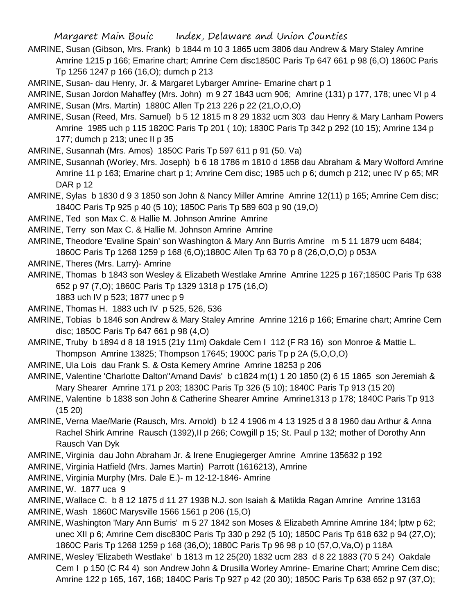- AMRINE, Susan (Gibson, Mrs. Frank) b 1844 m 10 3 1865 ucm 3806 dau Andrew & Mary Staley Amrine Amrine 1215 p 166; Emarine chart; Amrine Cem disc1850C Paris Tp 647 661 p 98 (6,O) 1860C Paris Tp 1256 1247 p 166 (16,O); dumch p 213
- AMRINE, Susan- dau Henry, Jr. & Margaret Lybarger Amrine- Emarine chart p 1
- AMRINE, Susan Jordon Mahaffey (Mrs. John) m 9 27 1843 ucm 906; Amrine (131) p 177, 178; unec VI p 4 AMRINE, Susan (Mrs. Martin) 1880C Allen Tp 213 226 p 22 (21,O,O,O)
- AMRINE, Susan (Reed, Mrs. Samuel) b 5 12 1815 m 8 29 1832 ucm 303 dau Henry & Mary Lanham Powers Amrine 1985 uch p 115 1820C Paris Tp 201 ( 10); 1830C Paris Tp 342 p 292 (10 15); Amrine 134 p 177; dumch p 213; unec II p 35
- AMRINE, Susannah (Mrs. Amos) 1850C Paris Tp 597 611 p 91 (50. Va)
- AMRINE, Susannah (Worley, Mrs. Joseph) b 6 18 1786 m 1810 d 1858 dau Abraham & Mary Wolford Amrine Amrine 11 p 163; Emarine chart p 1; Amrine Cem disc; 1985 uch p 6; dumch p 212; unec IV p 65; MR DAR p 12
- AMRINE, Sylas b 1830 d 9 3 1850 son John & Nancy Miller Amrine Amrine 12(11) p 165; Amrine Cem disc; 1840C Paris Tp 925 p 40 (5 10); 1850C Paris Tp 589 603 p 90 (19,O)
- AMRINE, Ted son Max C. & Hallie M. Johnson Amrine Amrine
- AMRINE, Terry son Max C. & Hallie M. Johnson Amrine Amrine
- AMRINE, Theodore 'Evaline Spain' son Washington & Mary Ann Burris Amrine m 5 11 1879 ucm 6484;
- 1860C Paris Tp 1268 1259 p 168 (6,O);1880C Allen Tp 63 70 p 8 (26,O,O,O) p 053A
- AMRINE, Theres (Mrs. Larry)- Amrine
- AMRINE, Thomas b 1843 son Wesley & Elizabeth Westlake Amrine Amrine 1225 p 167;1850C Paris Tp 638 652 p 97 (7,O); 1860C Paris Tp 1329 1318 p 175 (16,O)
	- 1883 uch IV p 523; 1877 unec p 9
- AMRINE, Thomas H. 1883 uch IV p 525, 526, 536
- AMRINE, Tobias b 1846 son Andrew & Mary Staley Amrine Amrine 1216 p 166; Emarine chart; Amrine Cem disc; 1850C Paris Tp 647 661 p 98 (4,O)
- AMRINE, Truby b 1894 d 8 18 1915 (21y 11m) Oakdale Cem I 112 (F R3 16) son Monroe & Mattie L.
- Thompson Amrine 13825; Thompson 17645; 1900C paris Tp p 2A (5,O,O,O)
- AMRINE, Ula Lois dau Frank S. & Osta Kemery Amrine Amrine 18253 p 206
- AMRINE, Valentine 'Charlotte Dalton''Amand Davis' b c1824 m(1) 1 20 1850 (2) 6 15 1865 son Jeremiah & Mary Shearer Amrine 171 p 203; 1830C Paris Tp 326 (5 10); 1840C Paris Tp 913 (15 20)
- AMRINE, Valentine b 1838 son John & Catherine Shearer Amrine Amrine1313 p 178; 1840C Paris Tp 913 (15 20)
- AMRINE, Verna Mae/Marie (Rausch, Mrs. Arnold) b 12 4 1906 m 4 13 1925 d 3 8 1960 dau Arthur & Anna Rachel Shirk Amrine Rausch (1392), Il p 266; Cowgill p 15; St. Paul p 132; mother of Dorothy Ann Rausch Van Dyk
- AMRINE, Virginia dau John Abraham Jr. & Irene Enugiegerger Amrine Amrine 135632 p 192
- AMRINE, Virginia Hatfield (Mrs. James Martin) Parrott (1616213), Amrine
- AMRINE, Virginia Murphy (Mrs. Dale E.)- m 12-12-1846- Amrine
- AMRINE, W. 1877 uca 9
- AMRINE, Wallace C. b 8 12 1875 d 11 27 1938 N.J. son Isaiah & Matilda Ragan Amrine Amrine 13163
- AMRINE, Wash 1860C Marysville 1566 1561 p 206 (15,O)
- AMRINE, Washington 'Mary Ann Burris' m 5 27 1842 son Moses & Elizabeth Amrine Amrine 184; lptw p 62; unec XII p 6; Amrine Cem disc830C Paris Tp 330 p 292 (5 10); 1850C Paris Tp 618 632 p 94 (27,O); 1860C Paris Tp 1268 1259 p 168 (36,O); 1880C Paris Tp 96 98 p 10 (57,O,Va,O) p 118A
- AMRINE, Wesley 'Elizabeth Westlake' b 1813 m 12 25(20) 1832 ucm 283 d 8 22 1883 (70 5 24) Oakdale Cem I p 150 (C R4 4) son Andrew John & Drusilla Worley Amrine- Emarine Chart; Amrine Cem disc; Amrine 122 p 165, 167, 168; 1840C Paris Tp 927 p 42 (20 30); 1850C Paris Tp 638 652 p 97 (37,O);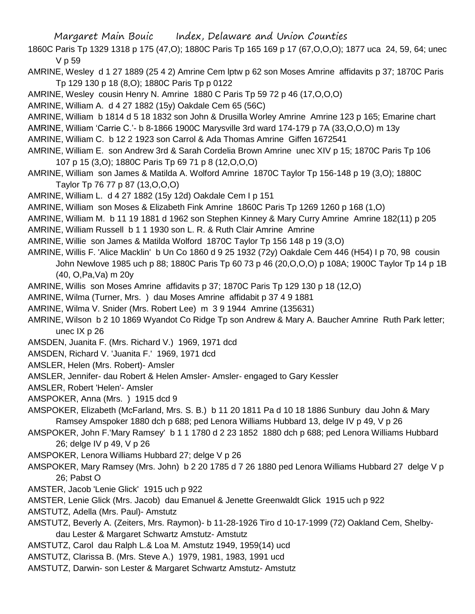- 1860C Paris Tp 1329 1318 p 175 (47,O); 1880C Paris Tp 165 169 p 17 (67,O,O,O); 1877 uca 24, 59, 64; unec V p 59
- AMRINE, Wesley d 1 27 1889 (25 4 2) Amrine Cem lptw p 62 son Moses Amrine affidavits p 37; 1870C Paris Tp 129 130 p 18 (8,O); 1880C Paris Tp p 0122
- AMRINE, Wesley cousin Henry N. Amrine 1880 C Paris Tp 59 72 p 46 (17,O,O,O)
- AMRINE, William A. d 4 27 1882 (15y) Oakdale Cem 65 (56C)
- AMRINE, William b 1814 d 5 18 1832 son John & Drusilla Worley Amrine Amrine 123 p 165; Emarine chart
- AMRINE, William 'Carrie C.'- b 8-1866 1900C Marysville 3rd ward 174-179 p 7A (33,O,O,O) m 13y
- AMRINE, William C. b 12 2 1923 son Carrol & Ada Thomas Amrine Giffen 1672541
- AMRINE, William E. son Andrew 3rd & Sarah Cordelia Brown Amrine unec XIV p 15; 1870C Paris Tp 106 107 p 15 (3,O); 1880C Paris Tp 69 71 p 8 (12,O,O,O)
- AMRINE, William son James & Matilda A. Wolford Amrine 1870C Taylor Tp 156-148 p 19 (3,O); 1880C Taylor Tp 76 77 p 87 (13,O,O,O)
- AMRINE, William L. d 4 27 1882 (15y 12d) Oakdale Cem I p 151
- AMRINE, William son Moses & Elizabeth Fink Amrine 1860C Paris Tp 1269 1260 p 168 (1,O)
- AMRINE, William M. b 11 19 1881 d 1962 son Stephen Kinney & Mary Curry Amrine Amrine 182(11) p 205 AMRINE, William Russell b 1 1 1930 son L. R. & Ruth Clair Amrine Amrine
- AMRINE, Willie son James & Matilda Wolford 1870C Taylor Tp 156 148 p 19 (3,O)
- AMRINE, Willis F. 'Alice Macklin' b Un Co 1860 d 9 25 1932 (72y) Oakdale Cem 446 (H54) I p 70, 98 cousin
	- John Newlove 1985 uch p 88; 1880C Paris Tp 60 73 p 46 (20,O,O,O) p 108A; 1900C Taylor Tp 14 p 1B (40, O,Pa,Va) m 20y
- AMRINE, Willis son Moses Amrine affidavits p 37; 1870C Paris Tp 129 130 p 18 (12,O)
- AMRINE, Wilma (Turner, Mrs. ) dau Moses Amrine affidabit p 37 4 9 1881
- AMRINE, Wilma V. Snider (Mrs. Robert Lee) m 3 9 1944 Amrine (135631)
- AMRINE, Wilson b 2 10 1869 Wyandot Co Ridge Tp son Andrew & Mary A. Baucher Amrine Ruth Park letter; unec IX p 26
- AMSDEN, Juanita F. (Mrs. Richard V.) 1969, 1971 dcd
- AMSDEN, Richard V. 'Juanita F.' 1969, 1971 dcd
- AMSLER, Helen (Mrs. Robert)- Amsler
- AMSLER, Jennifer- dau Robert & Helen Amsler- Amsler- engaged to Gary Kessler
- AMSLER, Robert 'Helen'- Amsler
- AMSPOKER, Anna (Mrs. ) 1915 dcd 9
- AMSPOKER, Elizabeth (McFarland, Mrs. S. B.) b 11 20 1811 Pa d 10 18 1886 Sunbury dau John & Mary Ramsey Amspoker 1880 dch p 688; ped Lenora Williams Hubbard 13, delge IV p 49, V p 26
- AMSPOKER, John F.'Mary Ramsey' b 1 1 1780 d 2 23 1852 1880 dch p 688; ped Lenora Williams Hubbard 26; delge IV p 49, V p 26
- AMSPOKER, Lenora Williams Hubbard 27; delge V p 26
- AMSPOKER, Mary Ramsey (Mrs. John) b 2 20 1785 d 7 26 1880 ped Lenora Williams Hubbard 27 delge V p 26; Pabst O
- AMSTER, Jacob 'Lenie Glick' 1915 uch p 922
- AMSTER, Lenie Glick (Mrs. Jacob) dau Emanuel & Jenette Greenwaldt Glick 1915 uch p 922
- AMSTUTZ, Adella (Mrs. Paul)- Amstutz
- AMSTUTZ, Beverly A. (Zeiters, Mrs. Raymon)- b 11-28-1926 Tiro d 10-17-1999 (72) Oakland Cem, Shelbydau Lester & Margaret Schwartz Amstutz- Amstutz
- AMSTUTZ, Carol dau Ralph L.& Loa M. Amstutz 1949, 1959(14) ucd
- AMSTUTZ, Clarissa B. (Mrs. Steve A.) 1979, 1981, 1983, 1991 ucd
- AMSTUTZ, Darwin- son Lester & Margaret Schwartz Amstutz- Amstutz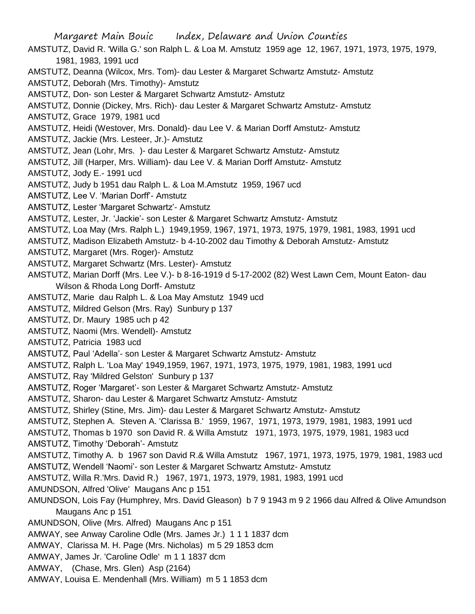AMSTUTZ, David R. 'Willa G.' son Ralph L. & Loa M. Amstutz 1959 age 12, 1967, 1971, 1973, 1975, 1979, 1981, 1983, 1991 ucd

- AMSTUTZ, Deanna (Wilcox, Mrs. Tom)- dau Lester & Margaret Schwartz Amstutz- Amstutz
- AMSTUTZ, Deborah (Mrs. Timothy)- Amstutz
- AMSTUTZ, Don- son Lester & Margaret Schwartz Amstutz- Amstutz
- AMSTUTZ, Donnie (Dickey, Mrs. Rich)- dau Lester & Margaret Schwartz Amstutz- Amstutz
- AMSTUTZ, Grace 1979, 1981 ucd
- AMSTUTZ, Heidi (Westover, Mrs. Donald)- dau Lee V. & Marian Dorff Amstutz- Amstutz
- AMSTUTZ, Jackie (Mrs. Lesteer, Jr.)- Amstutz
- AMSTUTZ, Jean (Lohr, Mrs. )- dau Lester & Margaret Schwartz Amstutz- Amstutz
- AMSTUTZ, Jill (Harper, Mrs. William)- dau Lee V. & Marian Dorff Amstutz- Amstutz
- AMSTUTZ, Jody E.- 1991 ucd
- AMSTUTZ, Judy b 1951 dau Ralph L. & Loa M.Amstutz 1959, 1967 ucd
- AMSTUTZ, Lee V. 'Marian Dorff'- Amstutz
- AMSTUTZ, Lester 'Margaret Schwartz'- Amstutz
- AMSTUTZ, Lester, Jr. 'Jackie'- son Lester & Margaret Schwartz Amstutz- Amstutz
- AMSTUTZ, Loa May (Mrs. Ralph L.) 1949,1959, 1967, 1971, 1973, 1975, 1979, 1981, 1983, 1991 ucd
- AMSTUTZ, Madison Elizabeth Amstutz- b 4-10-2002 dau Timothy & Deborah Amstutz- Amstutz
- AMSTUTZ, Margaret (Mrs. Roger)- Amstutz
- AMSTUTZ, Margaret Schwartz (Mrs. Lester)- Amstutz
- AMSTUTZ, Marian Dorff (Mrs. Lee V.)- b 8-16-1919 d 5-17-2002 (82) West Lawn Cem, Mount Eaton- dau Wilson & Rhoda Long Dorff- Amstutz
- AMSTUTZ, Marie dau Ralph L. & Loa May Amstutz 1949 ucd
- AMSTUTZ, Mildred Gelson (Mrs. Ray) Sunbury p 137
- AMSTUTZ, Dr. Maury 1985 uch p 42
- AMSTUTZ, Naomi (Mrs. Wendell)- Amstutz
- AMSTUTZ, Patricia 1983 ucd
- AMSTUTZ, Paul 'Adella'- son Lester & Margaret Schwartz Amstutz- Amstutz
- AMSTUTZ, Ralph L. 'Loa May' 1949,1959, 1967, 1971, 1973, 1975, 1979, 1981, 1983, 1991 ucd
- AMSTUTZ, Ray 'Mildred Gelston' Sunbury p 137
- AMSTUTZ, Roger 'Margaret'- son Lester & Margaret Schwartz Amstutz- Amstutz
- AMSTUTZ, Sharon- dau Lester & Margaret Schwartz Amstutz- Amstutz
- AMSTUTZ, Shirley (Stine, Mrs. Jim)- dau Lester & Margaret Schwartz Amstutz- Amstutz
- AMSTUTZ, Stephen A. Steven A. 'Clarissa B.' 1959, 1967, 1971, 1973, 1979, 1981, 1983, 1991 ucd
- AMSTUTZ, Thomas b 1970 son David R. & Willa Amstutz 1971, 1973, 1975, 1979, 1981, 1983 ucd
- AMSTUTZ, Timothy 'Deborah'- Amstutz
- AMSTUTZ, Timothy A. b 1967 son David R.& Willa Amstutz 1967, 1971, 1973, 1975, 1979, 1981, 1983 ucd
- AMSTUTZ, Wendell 'Naomi'- son Lester & Margaret Schwartz Amstutz- Amstutz
- AMSTUTZ, Willa R.'Mrs. David R.) 1967, 1971, 1973, 1979, 1981, 1983, 1991 ucd
- AMUNDSON, Alfred 'Olive' Maugans Anc p 151
- AMUNDSON, Lois Fay (Humphrey, Mrs. David Gleason) b 7 9 1943 m 9 2 1966 dau Alfred & Olive Amundson Maugans Anc p 151
- AMUNDSON, Olive (Mrs. Alfred) Maugans Anc p 151
- AMWAY, see Anway Caroline Odle (Mrs. James Jr.) 1 1 1 1837 dcm
- AMWAY, Clarissa M. H. Page (Mrs. Nicholas) m 5 29 1853 dcm
- AMWAY, James Jr. 'Caroline Odle' m 1 1 1837 dcm
- AMWAY, (Chase, Mrs. Glen) Asp (2164)
- AMWAY, Louisa E. Mendenhall (Mrs. William) m 5 1 1853 dcm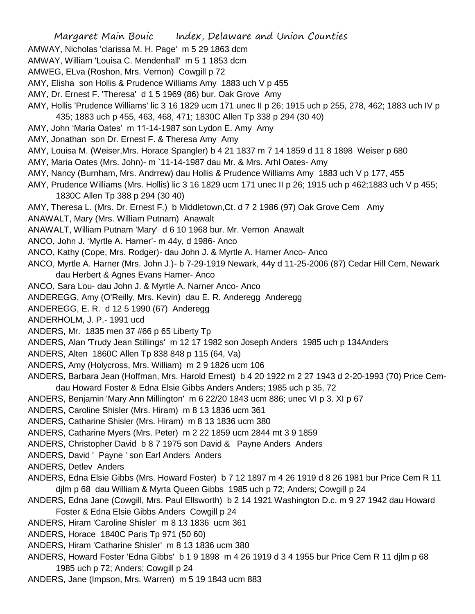- AMWAY, Nicholas 'clarissa M. H. Page' m 5 29 1863 dcm
- AMWAY, William 'Louisa C. Mendenhall' m 5 1 1853 dcm
- AMWEG, ELva (Roshon, Mrs. Vernon) Cowgill p 72
- AMY, Elisha son Hollis & Prudence Williams Amy 1883 uch V p 455
- AMY, Dr. Ernest F. 'Theresa' d 1 5 1969 (86) bur. Oak Grove Amy
- AMY, Hollis 'Prudence Williams' lic 3 16 1829 ucm 171 unec II p 26; 1915 uch p 255, 278, 462; 1883 uch IV p 435; 1883 uch p 455, 463, 468, 471; 1830C Allen Tp 338 p 294 (30 40)
- AMY, John 'Maria Oates' m 11-14-1987 son Lydon E. Amy Amy
- AMY, Jonathan son Dr. Ernest F. & Theresa Amy Amy
- AMY, Louisa M. (Weiser,Mrs. Horace Spangler) b 4 21 1837 m 7 14 1859 d 11 8 1898 Weiser p 680
- AMY, Maria Oates (Mrs. John)- m `11-14-1987 dau Mr. & Mrs. Arhl Oates- Amy
- AMY, Nancy (Burnham, Mrs. Andrrew) dau Hollis & Prudence Williams Amy 1883 uch V p 177, 455
- AMY, Prudence Williams (Mrs. Hollis) lic 3 16 1829 ucm 171 unec II p 26; 1915 uch p 462;1883 uch V p 455; 1830C Allen Tp 388 p 294 (30 40)
- AMY, Theresa L. (Mrs. Dr. Ernest F.) b Middletown,Ct. d 7 2 1986 (97) Oak Grove Cem Amy
- ANAWALT, Mary (Mrs. William Putnam) Anawalt
- ANAWALT, William Putnam 'Mary' d 6 10 1968 bur. Mr. Vernon Anawalt
- ANCO, John J. 'Myrtle A. Harner'- m 44y, d 1986- Anco
- ANCO, Kathy (Cope, Mrs. Rodger)- dau John J. & Myrtle A. Harner Anco- Anco
- ANCO, Myrtle A. Harner (Mrs. John J.)- b 7-29-1919 Newark, 44y d 11-25-2006 (87) Cedar Hill Cem, Newark dau Herbert & Agnes Evans Harner- Anco
- ANCO, Sara Lou- dau John J. & Myrtle A. Narner Anco- Anco
- ANDEREGG, Amy (O'Reilly, Mrs. Kevin) dau E. R. Anderegg Anderegg
- ANDEREGG, E. R. d 12 5 1990 (67) Anderegg
- ANDERHOLM, J. P.- 1991 ucd
- ANDERS, Mr. 1835 men 37 #66 p 65 Liberty Tp
- ANDERS, Alan 'Trudy Jean Stillings' m 12 17 1982 son Joseph Anders 1985 uch p 134Anders
- ANDERS, Alten 1860C Allen Tp 838 848 p 115 (64, Va)
- ANDERS, Amy (Holycross, Mrs. William) m 2 9 1826 ucm 106
- ANDERS, Barbara Jean (Hoffman, Mrs. Harold Ernest) b 4 20 1922 m 2 27 1943 d 2-20-1993 (70) Price Cemdau Howard Foster & Edna Elsie Gibbs Anders Anders; 1985 uch p 35, 72
- ANDERS, Benjamin 'Mary Ann Millington' m 6 22/20 1843 ucm 886; unec VI p 3. XI p 67
- ANDERS, Caroline Shisler (Mrs. Hiram) m 8 13 1836 ucm 361
- ANDERS, Catharine Shisler (Mrs. Hiram) m 8 13 1836 ucm 380
- ANDERS, Catharine Myers (Mrs. Peter) m 2 22 1859 ucm 2844 mt 3 9 1859
- ANDERS, Christopher David b 8 7 1975 son David & Payne Anders Anders
- ANDERS, David ' Payne ' son Earl Anders Anders
- ANDERS, Detlev Anders
- ANDERS, Edna Elsie Gibbs (Mrs. Howard Foster) b 7 12 1897 m 4 26 1919 d 8 26 1981 bur Price Cem R 11 djlm p 68 dau William & Myrta Queen Gibbs 1985 uch p 72; Anders; Cowgill p 24
- ANDERS, Edna Jane (Cowgill, Mrs. Paul Ellsworth) b 2 14 1921 Washington D.c. m 9 27 1942 dau Howard Foster & Edna Elsie Gibbs Anders Cowgill p 24
- ANDERS, Hiram 'Caroline Shisler' m 8 13 1836 ucm 361
- ANDERS, Horace 1840C Paris Tp 971 (50 60)
- ANDERS, Hiram 'Catharine Shisler' m 8 13 1836 ucm 380
- ANDERS, Howard Foster 'Edna Gibbs' b 1 9 1898 m 4 26 1919 d 3 4 1955 bur Price Cem R 11 djlm p 68 1985 uch p 72; Anders; Cowgill p 24
- ANDERS, Jane (Impson, Mrs. Warren) m 5 19 1843 ucm 883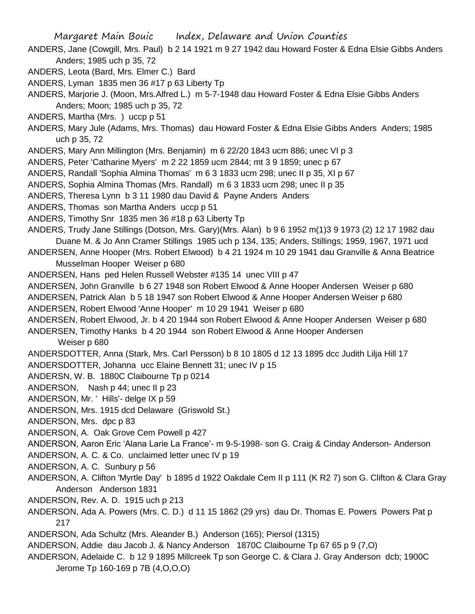- ANDERS, Jane (Cowgill, Mrs. Paul) b 2 14 1921 m 9 27 1942 dau Howard Foster & Edna Elsie Gibbs Anders Anders; 1985 uch p 35, 72
- ANDERS, Leota (Bard, Mrs. Elmer C.) Bard
- ANDERS, Lyman 1835 men 36 #17 p 63 Liberty Tp
- ANDERS, Marjorie J. (Moon, Mrs.Alfred L.) m 5-7-1948 dau Howard Foster & Edna Elsie Gibbs Anders Anders; Moon; 1985 uch p 35, 72
- ANDERS, Martha (Mrs. ) uccp p 51
- ANDERS, Mary Jule (Adams, Mrs. Thomas) dau Howard Foster & Edna Elsie Gibbs Anders Anders; 1985 uch p 35, 72
- ANDERS, Mary Ann Millington (Mrs. Benjamin) m 6 22/20 1843 ucm 886; unec VI p 3
- ANDERS, Peter 'Catharine Myers' m 2 22 1859 ucm 2844; mt 3 9 1859; unec p 67
- ANDERS, Randall 'Sophia Almina Thomas' m 6 3 1833 ucm 298; unec II p 35, XI p 67
- ANDERS, Sophia Almina Thomas (Mrs. Randall) m 6 3 1833 ucm 298; unec II p 35
- ANDERS, Theresa Lynn b 3 11 1980 dau David & Payne Anders Anders
- ANDERS, Thomas son Martha Anders uccp p 51
- ANDERS, Timothy Snr 1835 men 36 #18 p 63 Liberty Tp
- ANDERS, Trudy Jane Stillings (Dotson, Mrs. Gary)(Mrs. Alan) b 9 6 1952 m(1)3 9 1973 (2) 12 17 1982 dau Duane M. & Jo Ann Cramer Stillings 1985 uch p 134, 135; Anders, Stillings; 1959, 1967, 1971 ucd
- ANDERSEN, Anne Hooper (Mrs. Robert Elwood) b 4 21 1924 m 10 29 1941 dau Granville & Anna Beatrice Musselman Hooper Weiser p 680
- ANDERSEN, Hans ped Helen Russell Webster #135 14 unec VIII p 47
- ANDERSEN, John Granville b 6 27 1948 son Robert Elwood & Anne Hooper Andersen Weiser p 680
- ANDERSEN, Patrick Alan b 5 18 1947 son Robert Elwood & Anne Hooper Andersen Weiser p 680
- ANDERSEN, Robert Elwood 'Anne Hooper' m 10 29 1941 Weiser p 680
- ANDERSEN, Robert Elwood, Jr. b 4 20 1944 son Robert Elwood & Anne Hooper Andersen Weiser p 680 ANDERSEN, Timothy Hanks b 4 20 1944 son Robert Elwood & Anne Hooper Andersen

Weiser p 680

- ANDERSDOTTER, Anna (Stark, Mrs. Carl Persson) b 8 10 1805 d 12 13 1895 dcc Judith Lilja Hill 17
- ANDERSDOTTER, Johanna ucc Elaine Bennett 31; unec IV p 15
- ANDERSN, W. B. 1880C Claibourne Tp p 0214
- ANDERSON, Nash p 44; unec II p 23
- ANDERSON, Mr. ' Hills'- delge IX p 59
- ANDERSON, Mrs. 1915 dcd Delaware (Griswold St.)
- ANDERSON, Mrs. dpc p 83
- ANDERSON, A. Oak Grove Cem Powell p 427
- ANDERSON, Aaron Eric 'Alana Larie La France'- m 9-5-1998- son G. Craig & Cinday Anderson- Anderson
- ANDERSON, A. C. & Co. unclaimed letter unec IV p 19
- ANDERSON, A. C. Sunbury p 56
- ANDERSON, A. Clifton 'Myrtle Day' b 1895 d 1922 Oakdale Cem II p 111 (K R2 7) son G. Clifton & Clara Gray Anderson Anderson 1831
- ANDERSON, Rev. A. D. 1915 uch p 213
- ANDERSON, Ada A. Powers (Mrs. C. D.) d 11 15 1862 (29 yrs) dau Dr. Thomas E. Powers Powers Pat p 217
- ANDERSON, Ada Schultz (Mrs. Aleander B.) Anderson (165); Piersol (1315)
- ANDERSON, Addie dau Jacob J. & Nancy Anderson 1870C Claibourne Tp 67 65 p 9 (7,O)
- ANDERSON, Adelaide C. b 12 9 1895 Millcreek Tp son George C. & Clara J. Gray Anderson dcb; 1900C Jerome Tp 160-169 p 7B (4,O,O,O)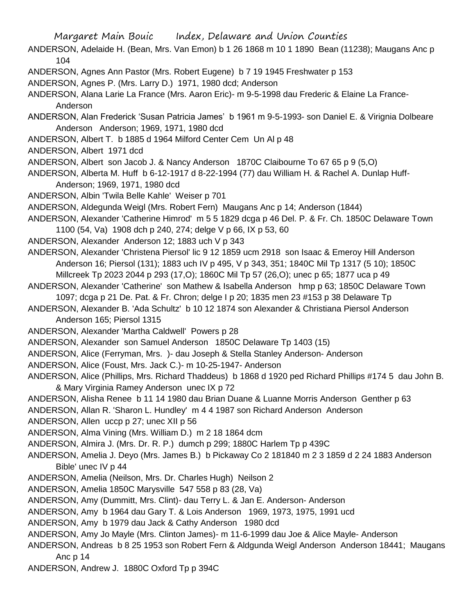- ANDERSON, Adelaide H. (Bean, Mrs. Van Emon) b 1 26 1868 m 10 1 1890 Bean (11238); Maugans Anc p 104
- ANDERSON, Agnes Ann Pastor (Mrs. Robert Eugene) b 7 19 1945 Freshwater p 153
- ANDERSON, Agnes P. (Mrs. Larry D.) 1971, 1980 dcd; Anderson

ANDERSON, Alana Larie La France (Mrs. Aaron Eric)- m 9-5-1998 dau Frederic & Elaine La France-Anderson

ANDERSON, Alan Frederick 'Susan Patricia James' b 1961 m 9-5-1993- son Daniel E. & Virignia Dolbeare Anderson Anderson; 1969, 1971, 1980 dcd

- ANDERSON, Albert T. b 1885 d 1964 Milford Center Cem Un Al p 48
- ANDERSON, Albert 1971 dcd

ANDERSON, Albert son Jacob J. & Nancy Anderson 1870C Claibourne To 67 65 p 9 (5,O)

ANDERSON, Alberta M. Huff b 6-12-1917 d 8-22-1994 (77) dau William H. & Rachel A. Dunlap Huff-Anderson; 1969, 1971, 1980 dcd

ANDERSON, Albin 'Twila Belle Kahle' Weiser p 701

ANDERSON, Aldegunda Weigl (Mrs. Robert Fern) Maugans Anc p 14; Anderson (1844)

ANDERSON, Alexander 'Catherine Himrod' m 5 5 1829 dcga p 46 Del. P. & Fr. Ch. 1850C Delaware Town 1100 (54, Va) 1908 dch p 240, 274; delge V p 66, IX p 53, 60

ANDERSON, Alexander Anderson 12; 1883 uch V p 343

ANDERSON, Alexander 'Christena Piersol' lic 9 12 1859 ucm 2918 son Isaac & Emeroy Hill Anderson Anderson 16; Piersol (131); 1883 uch IV p 495, V p 343, 351; 1840C Mil Tp 1317 (5 10); 1850C Millcreek Tp 2023 2044 p 293 (17,O); 1860C Mil Tp 57 (26,O); unec p 65; 1877 uca p 49

- ANDERSON, Alexander 'Catherine' son Mathew & Isabella Anderson hmp p 63; 1850C Delaware Town 1097; dcga p 21 De. Pat. & Fr. Chron; delge I p 20; 1835 men 23 #153 p 38 Delaware Tp
- ANDERSON, Alexander B. 'Ada Schultz' b 10 12 1874 son Alexander & Christiana Piersol Anderson Anderson 165; Piersol 1315
- ANDERSON, Alexander 'Martha Caldwell' Powers p 28
- ANDERSON, Alexander son Samuel Anderson 1850C Delaware Tp 1403 (15)
- ANDERSON, Alice (Ferryman, Mrs. )- dau Joseph & Stella Stanley Anderson- Anderson
- ANDERSON, Alice (Foust, Mrs. Jack C.)- m 10-25-1947- Anderson
- ANDERSON, Alice (Phillips, Mrs. Richard Thaddeus) b 1868 d 1920 ped Richard Phillips #174 5 dau John B. & Mary Virginia Ramey Anderson unec IX p 72
- ANDERSON, Alisha Renee b 11 14 1980 dau Brian Duane & Luanne Morris Anderson Genther p 63

ANDERSON, Allan R. 'Sharon L. Hundley' m 4 4 1987 son Richard Anderson Anderson

- ANDERSON, Allen uccp p 27; unec XII p 56
- ANDERSON, Alma Vining (Mrs. William D.) m 2 18 1864 dcm
- ANDERSON, Almira J. (Mrs. Dr. R. P.) dumch p 299; 1880C Harlem Tp p 439C
- ANDERSON, Amelia J. Deyo (Mrs. James B.) b Pickaway Co 2 181840 m 2 3 1859 d 2 24 1883 Anderson Bible' unec IV p 44
- ANDERSON, Amelia (Neilson, Mrs. Dr. Charles Hugh) Neilson 2
- ANDERSON, Amelia 1850C Marysville 547 558 p 83 (28, Va)

ANDERSON, Amy (Dummitt, Mrs. Clint)- dau Terry L. & Jan E. Anderson- Anderson

- ANDERSON, Amy b 1964 dau Gary T. & Lois Anderson 1969, 1973, 1975, 1991 ucd
- ANDERSON, Amy b 1979 dau Jack & Cathy Anderson 1980 dcd
- ANDERSON, Amy Jo Mayle (Mrs. Clinton James)- m 11-6-1999 dau Joe & Alice Mayle- Anderson
- ANDERSON, Andreas b 8 25 1953 son Robert Fern & Aldgunda Weigl Anderson Anderson 18441; Maugans Anc p 14
- ANDERSON, Andrew J. 1880C Oxford Tp p 394C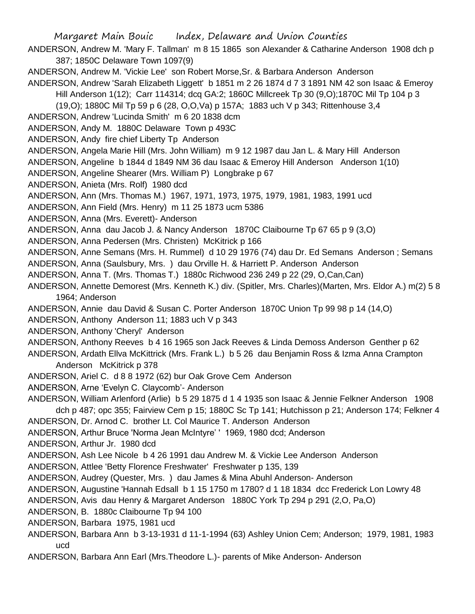- ANDERSON, Andrew M. 'Mary F. Tallman' m 8 15 1865 son Alexander & Catharine Anderson 1908 dch p 387; 1850C Delaware Town 1097(9)
- ANDERSON, Andrew M. 'Vickie Lee' son Robert Morse,Sr. & Barbara Anderson Anderson
- ANDERSON, Andrew 'Sarah Elizabeth Liggett' b 1851 m 2 26 1874 d 7 3 1891 NM 42 son Isaac & Emeroy Hill Anderson 1(12); Carr 114314; dcq GA:2; 1860C Millcreek Tp 30 (9,O);1870C Mil Tp 104 p 3
	-
	- (19,O); 1880C Mil Tp 59 p 6 (28, O,O,Va) p 157A; 1883 uch V p 343; Rittenhouse 3,4
- ANDERSON, Andrew 'Lucinda Smith' m 6 20 1838 dcm
- ANDERSON, Andy M. 1880C Delaware Town p 493C
- ANDERSON, Andy fire chief Liberty Tp Anderson
- ANDERSON, Angela Marie Hill (Mrs. John William) m 9 12 1987 dau Jan L. & Mary Hill Anderson
- ANDERSON, Angeline b 1844 d 1849 NM 36 dau Isaac & Emeroy Hill Anderson Anderson 1(10)
- ANDERSON, Angeline Shearer (Mrs. William P) Longbrake p 67
- ANDERSON, Anieta (Mrs. Rolf) 1980 dcd
- ANDERSON, Ann (Mrs. Thomas M.) 1967, 1971, 1973, 1975, 1979, 1981, 1983, 1991 ucd
- ANDERSON, Ann Field (Mrs. Henry) m 11 25 1873 ucm 5386
- ANDERSON, Anna (Mrs. Everett)- Anderson
- ANDERSON, Anna dau Jacob J. & Nancy Anderson 1870C Claibourne Tp 67 65 p 9 (3,O)
- ANDERSON, Anna Pedersen (Mrs. Christen) McKitrick p 166
- ANDERSON, Anne Semans (Mrs. H. Rummel) d 10 29 1976 (74) dau Dr. Ed Semans Anderson ; Semans
- ANDERSON, Anna (Saulsbury, Mrs. ) dau Orville H. & Harriett P. Anderson Anderson
- ANDERSON, Anna T. (Mrs. Thomas T.) 1880c Richwood 236 249 p 22 (29, O,Can,Can)
- ANDERSON, Annette Demorest (Mrs. Kenneth K.) div. (Spitler, Mrs. Charles)(Marten, Mrs. Eldor A.) m(2) 5 8 1964; Anderson
- ANDERSON, Annie dau David & Susan C. Porter Anderson 1870C Union Tp 99 98 p 14 (14,O)
- ANDERSON, Anthony Anderson 11; 1883 uch V p 343
- ANDERSON, Anthony 'Cheryl' Anderson
- ANDERSON, Anthony Reeves b 4 16 1965 son Jack Reeves & Linda Demoss Anderson Genther p 62
- ANDERSON, Ardath Ellva McKittrick (Mrs. Frank L.) b 5 26 dau Benjamin Ross & Izma Anna Crampton Anderson McKitrick p 378
- ANDERSON, Ariel C. d 8 8 1972 (62) bur Oak Grove Cem Anderson
- ANDERSON, Arne 'Evelyn C. Claycomb'- Anderson
- ANDERSON, William Arlenford (Arlie) b 5 29 1875 d 1 4 1935 son Isaac & Jennie Felkner Anderson 1908 dch p 487; opc 355; Fairview Cem p 15; 1880C Sc Tp 141; Hutchisson p 21; Anderson 174; Felkner 4
- ANDERSON, Dr. Arnod C. brother Lt. Col Maurice T. Anderson Anderson
- ANDERSON, Arthur Bruce 'Norma Jean McIntyre' ' 1969, 1980 dcd; Anderson
- ANDERSON, Arthur Jr. 1980 dcd
- ANDERSON, Ash Lee Nicole b 4 26 1991 dau Andrew M. & Vickie Lee Anderson Anderson
- ANDERSON, Attlee 'Betty Florence Freshwater' Freshwater p 135, 139
- ANDERSON, Audrey (Quester, Mrs. ) dau James & Mina Abuhl Anderson- Anderson
- ANDERSON, Augustine 'Hannah Edsall b 1 15 1750 m 1780? d 1 18 1834 dcc Frederick Lon Lowry 48
- ANDERSON, Avis dau Henry & Margaret Anderson 1880C York Tp 294 p 291 (2,O, Pa,O)
- ANDERSON, B. 1880c Claibourne Tp 94 100
- ANDERSON, Barbara 1975, 1981 ucd
- ANDERSON, Barbara Ann b 3-13-1931 d 11-1-1994 (63) Ashley Union Cem; Anderson; 1979, 1981, 1983 ucd
- ANDERSON, Barbara Ann Earl (Mrs.Theodore L.)- parents of Mike Anderson- Anderson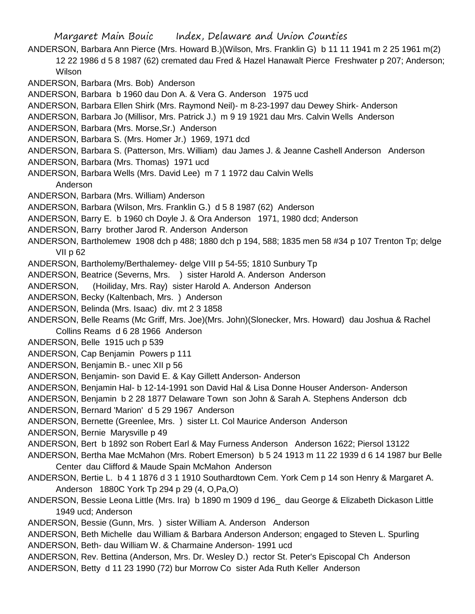ANDERSON, Barbara Ann Pierce (Mrs. Howard B.)(Wilson, Mrs. Franklin G) b 11 11 1941 m 2 25 1961 m(2) 12 22 1986 d 5 8 1987 (62) cremated dau Fred & Hazel Hanawalt Pierce Freshwater p 207; Anderson; Wilson

ANDERSON, Barbara (Mrs. Bob) Anderson

ANDERSON, Barbara b 1960 dau Don A. & Vera G. Anderson 1975 ucd

ANDERSON, Barbara Ellen Shirk (Mrs. Raymond Neil)- m 8-23-1997 dau Dewey Shirk- Anderson

ANDERSON, Barbara Jo (Millisor, Mrs. Patrick J.) m 9 19 1921 dau Mrs. Calvin Wells Anderson

ANDERSON, Barbara (Mrs. Morse,Sr.) Anderson

- ANDERSON, Barbara S. (Mrs. Homer Jr.) 1969, 1971 dcd
- ANDERSON, Barbara S. (Patterson, Mrs. William) dau James J. & Jeanne Cashell Anderson Anderson
- ANDERSON, Barbara (Mrs. Thomas) 1971 ucd
- ANDERSON, Barbara Wells (Mrs. David Lee) m 7 1 1972 dau Calvin Wells

Anderson

ANDERSON, Barbara (Mrs. William) Anderson

ANDERSON, Barbara (Wilson, Mrs. Franklin G.) d 5 8 1987 (62) Anderson

- ANDERSON, Barry E. b 1960 ch Doyle J. & Ora Anderson 1971, 1980 dcd; Anderson
- ANDERSON, Barry brother Jarod R. Anderson Anderson
- ANDERSON, Bartholemew 1908 dch p 488; 1880 dch p 194, 588; 1835 men 58 #34 p 107 Trenton Tp; delge VII p 62
- ANDERSON, Bartholemy/Berthalemey- delge VIII p 54-55; 1810 Sunbury Tp

ANDERSON, Beatrice (Severns, Mrs. ) sister Harold A. Anderson Anderson

ANDERSON, (Hoiliday, Mrs. Ray) sister Harold A. Anderson Anderson

- ANDERSON, Becky (Kaltenbach, Mrs. ) Anderson
- ANDERSON, Belinda (Mrs. Isaac) div. mt 2 3 1858

ANDERSON, Belle Reams (Mc Griff, Mrs. Joe)(Mrs. John)(Slonecker, Mrs. Howard) dau Joshua & Rachel Collins Reams d 6 28 1966 Anderson

ANDERSON, Belle 1915 uch p 539

ANDERSON, Cap Benjamin Powers p 111

ANDERSON, Benjamin B.- unec XII p 56

ANDERSON, Benjamin- son David E. & Kay Gillett Anderson- Anderson

ANDERSON, Benjamin Hal- b 12-14-1991 son David Hal & Lisa Donne Houser Anderson- Anderson

ANDERSON, Benjamin b 2 28 1877 Delaware Town son John & Sarah A. Stephens Anderson dcb

ANDERSON, Bernard 'Marion' d 5 29 1967 Anderson

ANDERSON, Bernette (Greenlee, Mrs. ) sister Lt. Col Maurice Anderson Anderson

ANDERSON, Bernie Marysville p 49

ANDERSON, Bert b 1892 son Robert Earl & May Furness Anderson Anderson 1622; Piersol 13122

ANDERSON, Bertha Mae McMahon (Mrs. Robert Emerson) b 5 24 1913 m 11 22 1939 d 6 14 1987 bur Belle Center dau Clifford & Maude Spain McMahon Anderson

- ANDERSON, Bertie L. b 4 1 1876 d 3 1 1910 Southardtown Cem. York Cem p 14 son Henry & Margaret A. Anderson 1880C York Tp 294 p 29 (4, O,Pa,O)
- ANDERSON, Bessie Leona Little (Mrs. Ira) b 1890 m 1909 d 196\_ dau George & Elizabeth Dickason Little 1949 ucd; Anderson

ANDERSON, Bessie (Gunn, Mrs. ) sister William A. Anderson Anderson

ANDERSON, Beth Michelle dau William & Barbara Anderson Anderson; engaged to Steven L. Spurling ANDERSON, Beth- dau William W. & Charmaine Anderson- 1991 ucd

ANDERSON, Rev. Bettina (Anderson, Mrs. Dr. Wesley D.) rector St. Peter's Episcopal Ch Anderson ANDERSON, Betty d 11 23 1990 (72) bur Morrow Co sister Ada Ruth Keller Anderson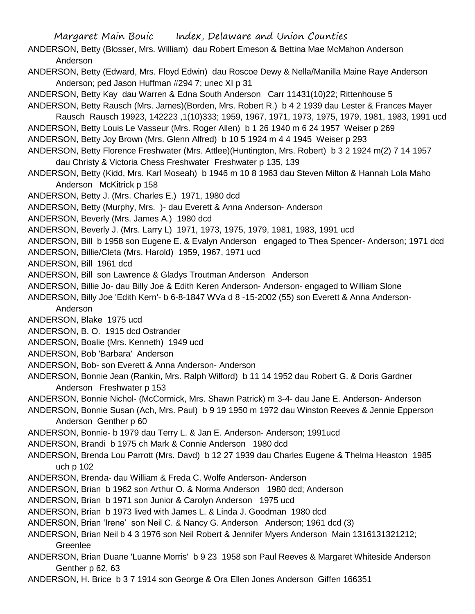ANDERSON, Betty (Blosser, Mrs. William) dau Robert Emeson & Bettina Mae McMahon Anderson Anderson

- ANDERSON, Betty (Edward, Mrs. Floyd Edwin) dau Roscoe Dewy & Nella/Manilla Maine Raye Anderson Anderson; ped Jason Huffman #294 7; unec XI p 31
- ANDERSON, Betty Kay dau Warren & Edna South Anderson Carr 11431(10)22; Rittenhouse 5
- ANDERSON, Betty Rausch (Mrs. James)(Borden, Mrs. Robert R.) b 4 2 1939 dau Lester & Frances Mayer Rausch Rausch 19923, 142223 ,1(10)333; 1959, 1967, 1971, 1973, 1975, 1979, 1981, 1983, 1991 ucd
- ANDERSON, Betty Louis Le Vasseur (Mrs. Roger Allen) b 1 26 1940 m 6 24 1957 Weiser p 269
- ANDERSON, Betty Joy Brown (Mrs. Glenn Alfred) b 10 5 1924 m 4 4 1945 Weiser p 293
- ANDERSON, Betty Florence Freshwater (Mrs. Attlee)(Huntington, Mrs. Robert) b 3 2 1924 m(2) 7 14 1957 dau Christy & Victoria Chess Freshwater Freshwater p 135, 139
- ANDERSON, Betty (Kidd, Mrs. Karl Moseah) b 1946 m 10 8 1963 dau Steven Milton & Hannah Lola Maho Anderson McKitrick p 158
- ANDERSON, Betty J. (Mrs. Charles E.) 1971, 1980 dcd
- ANDERSON, Betty (Murphy, Mrs. )- dau Everett & Anna Anderson- Anderson
- ANDERSON, Beverly (Mrs. James A.) 1980 dcd
- ANDERSON, Beverly J. (Mrs. Larry L) 1971, 1973, 1975, 1979, 1981, 1983, 1991 ucd
- ANDERSON, Bill b 1958 son Eugene E. & Evalyn Anderson engaged to Thea Spencer- Anderson; 1971 dcd
- ANDERSON, Billie/Cleta (Mrs. Harold) 1959, 1967, 1971 ucd
- ANDERSON, Bill 1961 dcd
- ANDERSON, Bill son Lawrence & Gladys Troutman Anderson Anderson
- ANDERSON, Billie Jo- dau Billy Joe & Edith Keren Anderson- Anderson- engaged to William Slone
- ANDERSON, Billy Joe 'Edith Kern'- b 6-8-1847 WVa d 8 -15-2002 (55) son Everett & Anna Anderson-
	- Anderson
- ANDERSON, Blake 1975 ucd
- ANDERSON, B. O. 1915 dcd Ostrander
- ANDERSON, Boalie (Mrs. Kenneth) 1949 ucd
- ANDERSON, Bob 'Barbara' Anderson
- ANDERSON, Bob- son Everett & Anna Anderson- Anderson
- ANDERSON, Bonnie Jean (Rankin, Mrs. Ralph Wilford) b 11 14 1952 dau Robert G. & Doris Gardner Anderson Freshwater p 153
- ANDERSON, Bonnie Nichol- (McCormick, Mrs. Shawn Patrick) m 3-4- dau Jane E. Anderson- Anderson
- ANDERSON, Bonnie Susan (Ach, Mrs. Paul) b 9 19 1950 m 1972 dau Winston Reeves & Jennie Epperson Anderson Genther p 60
- ANDERSON, Bonnie- b 1979 dau Terry L. & Jan E. Anderson- Anderson; 1991ucd
- ANDERSON, Brandi b 1975 ch Mark & Connie Anderson 1980 dcd
- ANDERSON, Brenda Lou Parrott (Mrs. Davd) b 12 27 1939 dau Charles Eugene & Thelma Heaston 1985 uch p 102
- ANDERSON, Brenda- dau William & Freda C. Wolfe Anderson- Anderson
- ANDERSON, Brian b 1962 son Arthur O. & Norma Anderson 1980 dcd; Anderson
- ANDERSON, Brian b 1971 son Junior & Carolyn Anderson 1975 ucd
- ANDERSON, Brian b 1973 lived with James L. & Linda J. Goodman 1980 dcd
- ANDERSON, Brian 'Irene' son Neil C. & Nancy G. Anderson Anderson; 1961 dcd (3)
- ANDERSON, Brian Neil b 4 3 1976 son Neil Robert & Jennifer Myers Anderson Main 1316131321212; Greenlee
- ANDERSON, Brian Duane 'Luanne Morris' b 9 23 1958 son Paul Reeves & Margaret Whiteside Anderson Genther p 62, 63
- ANDERSON, H. Brice b 3 7 1914 son George & Ora Ellen Jones Anderson Giffen 166351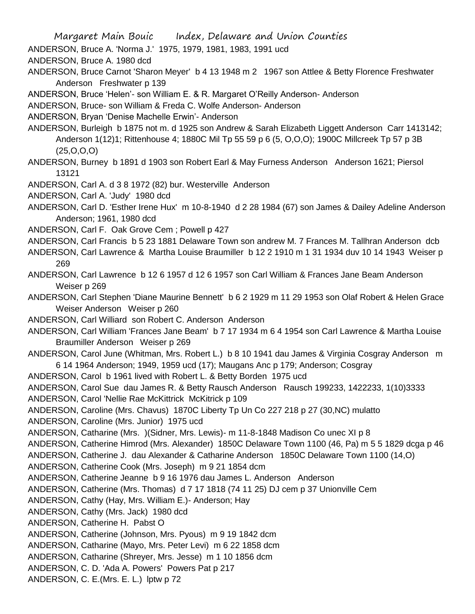ANDERSON, Bruce A. 'Norma J.' 1975, 1979, 1981, 1983, 1991 ucd

ANDERSON, Bruce A. 1980 dcd

ANDERSON, Bruce Carnot 'Sharon Meyer' b 4 13 1948 m 2 1967 son Attlee & Betty Florence Freshwater Anderson Freshwater p 139

ANDERSON, Bruce 'Helen'- son William E. & R. Margaret O'Reilly Anderson- Anderson

ANDERSON, Bruce- son William & Freda C. Wolfe Anderson- Anderson

ANDERSON, Bryan 'Denise Machelle Erwin'- Anderson

ANDERSON, Burleigh b 1875 not m. d 1925 son Andrew & Sarah Elizabeth Liggett Anderson Carr 1413142; Anderson 1(12)1; Rittenhouse 4; 1880C Mil Tp 55 59 p 6 (5, O,O,O); 1900C Millcreek Tp 57 p 3B (25,O,O,O)

ANDERSON, Burney b 1891 d 1903 son Robert Earl & May Furness Anderson Anderson 1621; Piersol 13121

ANDERSON, Carl A. d 3 8 1972 (82) bur. Westerville Anderson

ANDERSON, Carl A. 'Judy' 1980 dcd

ANDERSON, Carl D. 'Esther Irene Hux' m 10-8-1940 d 2 28 1984 (67) son James & Dailey Adeline Anderson Anderson; 1961, 1980 dcd

ANDERSON, Carl F. Oak Grove Cem ; Powell p 427

ANDERSON, Carl Francis b 5 23 1881 Delaware Town son andrew M. 7 Frances M. Tallhran Anderson dcb

ANDERSON, Carl Lawrence & Martha Louise Braumiller b 12 2 1910 m 1 31 1934 duv 10 14 1943 Weiser p 269

ANDERSON, Carl Lawrence b 12 6 1957 d 12 6 1957 son Carl William & Frances Jane Beam Anderson Weiser p 269

ANDERSON, Carl Stephen 'Diane Maurine Bennett' b 6 2 1929 m 11 29 1953 son Olaf Robert & Helen Grace Weiser Anderson Weiser p 260

ANDERSON, Carl Williard son Robert C. Anderson Anderson

ANDERSON, Carl William 'Frances Jane Beam' b 7 17 1934 m 6 4 1954 son Carl Lawrence & Martha Louise Braumiller Anderson Weiser p 269

ANDERSON, Carol June (Whitman, Mrs. Robert L.) b 8 10 1941 dau James & Virginia Cosgray Anderson m 6 14 1964 Anderson; 1949, 1959 ucd (17); Maugans Anc p 179; Anderson; Cosgray

ANDERSON, Carol b 1961 lived with Robert L. & Betty Borden 1975 ucd

ANDERSON, Carol Sue dau James R. & Betty Rausch Anderson Rausch 199233, 1422233, 1(10)3333

ANDERSON, Carol 'Nellie Rae McKittrick McKitrick p 109

ANDERSON, Caroline (Mrs. Chavus) 1870C Liberty Tp Un Co 227 218 p 27 (30,NC) mulatto

ANDERSON, Caroline (Mrs. Junior) 1975 ucd

ANDERSON, Catharine (Mrs. )(Sidner, Mrs. Lewis)- m 11-8-1848 Madison Co unec XI p 8

ANDERSON, Catherine Himrod (Mrs. Alexander) 1850C Delaware Town 1100 (46, Pa) m 5 5 1829 dcga p 46

ANDERSON, Catherine J. dau Alexander & Catharine Anderson 1850C Delaware Town 1100 (14,O)

ANDERSON, Catherine Cook (Mrs. Joseph) m 9 21 1854 dcm

ANDERSON, Catherine Jeanne b 9 16 1976 dau James L. Anderson Anderson

ANDERSON, Catherine (Mrs. Thomas) d 7 17 1818 (74 11 25) DJ cem p 37 Unionville Cem

ANDERSON, Cathy (Hay, Mrs. William E.)- Anderson; Hay

ANDERSON, Cathy (Mrs. Jack) 1980 dcd

ANDERSON, Catherine H. Pabst O

ANDERSON, Catherine (Johnson, Mrs. Pyous) m 9 19 1842 dcm

ANDERSON, Catharine (Mayo, Mrs. Peter Levi) m 6 22 1858 dcm

ANDERSON, Catharine (Shreyer, Mrs. Jesse) m 1 10 1856 dcm

ANDERSON, C. D. 'Ada A. Powers' Powers Pat p 217

ANDERSON, C. E.(Mrs. E. L.) lptw p 72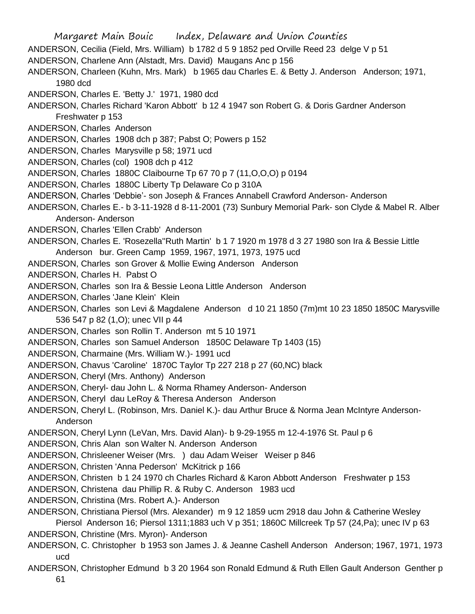Margaret Main Bouic Index, Delaware and Union Counties ANDERSON, Cecilia (Field, Mrs. William) b 1782 d 5 9 1852 ped Orville Reed 23 delge V p 51 ANDERSON, Charlene Ann (Alstadt, Mrs. David) Maugans Anc p 156 ANDERSON, Charleen (Kuhn, Mrs. Mark) b 1965 dau Charles E. & Betty J. Anderson Anderson; 1971, 1980 dcd ANDERSON, Charles E. 'Betty J.' 1971, 1980 dcd ANDERSON, Charles Richard 'Karon Abbott' b 12 4 1947 son Robert G. & Doris Gardner Anderson Freshwater p 153 ANDERSON, Charles Anderson ANDERSON, Charles 1908 dch p 387; Pabst O; Powers p 152 ANDERSON, Charles Marysville p 58; 1971 ucd ANDERSON, Charles (col) 1908 dch p 412 ANDERSON, Charles 1880C Claibourne Tp 67 70 p 7 (11,O,O,O) p 0194 ANDERSON, Charles 1880C Liberty Tp Delaware Co p 310A ANDERSON, Charles 'Debbie'- son Joseph & Frances Annabell Crawford Anderson- Anderson ANDERSON, Charles E.- b 3-11-1928 d 8-11-2001 (73) Sunbury Memorial Park- son Clyde & Mabel R. Alber Anderson- Anderson ANDERSON, Charles 'Ellen Crabb' Anderson ANDERSON, Charles E. 'Rosezella''Ruth Martin' b 1 7 1920 m 1978 d 3 27 1980 son Ira & Bessie Little Anderson bur. Green Camp 1959, 1967, 1971, 1973, 1975 ucd ANDERSON, Charles son Grover & Mollie Ewing Anderson Anderson ANDERSON, Charles H. Pabst O ANDERSON, Charles son Ira & Bessie Leona Little Anderson Anderson ANDERSON, Charles 'Jane Klein' Klein ANDERSON, Charles son Levi & Magdalene Anderson d 10 21 1850 (7m)mt 10 23 1850 1850C Marysville 536 547 p 82 (1,O); unec VII p 44 ANDERSON, Charles son Rollin T. Anderson mt 5 10 1971 ANDERSON, Charles son Samuel Anderson 1850C Delaware Tp 1403 (15) ANDERSON, Charmaine (Mrs. William W.)- 1991 ucd ANDERSON, Chavus 'Caroline' 1870C Taylor Tp 227 218 p 27 (60,NC) black ANDERSON, Cheryl (Mrs. Anthony) Anderson ANDERSON, Cheryl- dau John L. & Norma Rhamey Anderson- Anderson ANDERSON, Cheryl dau LeRoy & Theresa Anderson Anderson ANDERSON, Cheryl L. (Robinson, Mrs. Daniel K.)- dau Arthur Bruce & Norma Jean McIntyre Anderson-Anderson ANDERSON, Cheryl Lynn (LeVan, Mrs. David Alan)- b 9-29-1955 m 12-4-1976 St. Paul p 6 ANDERSON, Chris Alan son Walter N. Anderson Anderson ANDERSON, Chrisleener Weiser (Mrs. ) dau Adam Weiser Weiser p 846 ANDERSON, Christen 'Anna Pederson' McKitrick p 166 ANDERSON, Christen b 1 24 1970 ch Charles Richard & Karon Abbott Anderson Freshwater p 153 ANDERSON, Christena dau Phillip R. & Ruby C. Anderson 1983 ucd ANDERSON, Christina (Mrs. Robert A.)- Anderson ANDERSON, Christiana Piersol (Mrs. Alexander) m 9 12 1859 ucm 2918 dau John & Catherine Wesley Piersol Anderson 16; Piersol 1311;1883 uch V p 351; 1860C Millcreek Tp 57 (24,Pa); unec IV p 63 ANDERSON, Christine (Mrs. Myron)- Anderson ANDERSON, C. Christopher b 1953 son James J. & Jeanne Cashell Anderson Anderson; 1967, 1971, 1973 ucd ANDERSON, Christopher Edmund b 3 20 1964 son Ronald Edmund & Ruth Ellen Gault Anderson Genther p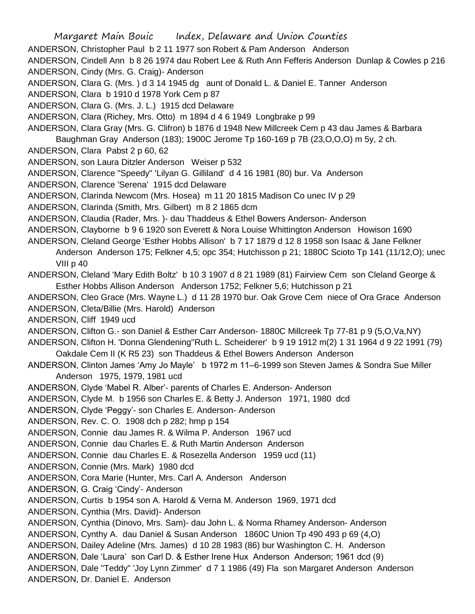Margaret Main Bouic Index, Delaware and Union Counties ANDERSON, Christopher Paul b 2 11 1977 son Robert & Pam Anderson Anderson ANDERSON, Cindell Ann b 8 26 1974 dau Robert Lee & Ruth Ann Fefferis Anderson Dunlap & Cowles p 216 ANDERSON, Cindy (Mrs. G. Craig)- Anderson ANDERSON, Clara G. (Mrs. ) d 3 14 1945 dg aunt of Donald L. & Daniel E. Tanner Anderson ANDERSON, Clara b 1910 d 1978 York Cem p 87 ANDERSON, Clara G. (Mrs. J. L.) 1915 dcd Delaware ANDERSON, Clara (Richey, Mrs. Otto) m 1894 d 4 6 1949 Longbrake p 99 ANDERSON, Clara Gray (Mrs. G. Clifron) b 1876 d 1948 New Millcreek Cem p 43 dau James & Barbara Baughman Gray Anderson (183); 1900C Jerome Tp 160-169 p 7B (23,O,O,O) m 5y, 2 ch. ANDERSON, Clara Pabst 2 p 60, 62 ANDERSON, son Laura Ditzler Anderson Weiser p 532 ANDERSON, Clarence "Speedy" 'Lilyan G. Gilliland' d 4 16 1981 (80) bur. Va Anderson ANDERSON, Clarence 'Serena' 1915 dcd Delaware ANDERSON, Clarinda Newcom (Mrs. Hosea) m 11 20 1815 Madison Co unec IV p 29 ANDERSON, Clarinda (Smith, Mrs. Gilbert) m 8 2 1865 dcm ANDERSON, Claudia (Rader, Mrs. )- dau Thaddeus & Ethel Bowers Anderson- Anderson ANDERSON, Clayborne b 9 6 1920 son Everett & Nora Louise Whittington Anderson Howison 1690 ANDERSON, Cleland George 'Esther Hobbs Allison' b 7 17 1879 d 12 8 1958 son Isaac & Jane Felkner Anderson Anderson 175; Felkner 4,5; opc 354; Hutchisson p 21; 1880C Scioto Tp 141 (11/12,O); unec VIII p 40 ANDERSON, Cleland 'Mary Edith Boltz' b 10 3 1907 d 8 21 1989 (81) Fairview Cem son Cleland George & Esther Hobbs Allison Anderson Anderson 1752; Felkner 5,6; Hutchisson p 21 ANDERSON, Cleo Grace (Mrs. Wayne L.) d 11 28 1970 bur. Oak Grove Cem niece of Ora Grace Anderson ANDERSON, Cleta/Billie (Mrs. Harold) Anderson ANDERSON, Cliff 1949 ucd ANDERSON, Clifton G.- son Daniel & Esther Carr Anderson- 1880C Millcreek Tp 77-81 p 9 (5,O,Va,NY) ANDERSON, Clifton H. 'Donna Glendening''Ruth L. Scheiderer' b 9 19 1912 m(2) 1 31 1964 d 9 22 1991 (79) Oakdale Cem II (K R5 23) son Thaddeus & Ethel Bowers Anderson Anderson ANDERSON, Clinton James 'Amy Jo Mayle' b 1972 m 11–6-1999 son Steven James & Sondra Sue Miller Anderson 1975, 1979, 1981 ucd ANDERSON, Clyde 'Mabel R. Alber'- parents of Charles E. Anderson- Anderson ANDERSON, Clyde M. b 1956 son Charles E. & Betty J. Anderson 1971, 1980 dcd ANDERSON, Clyde 'Peggy'- son Charles E. Anderson- Anderson ANDERSON, Rev. C. O. 1908 dch p 282; hmp p 154 ANDERSON, Connie dau James R. & Wilma P. Anderson 1967 ucd ANDERSON, Connie dau Charles E. & Ruth Martin Anderson Anderson ANDERSON, Connie dau Charles E. & Rosezella Anderson 1959 ucd (11) ANDERSON, Connie (Mrs. Mark) 1980 dcd ANDERSON, Cora Marie (Hunter, Mrs. Carl A. Anderson Anderson ANDERSON, G. Craig 'Cindy'- Anderson ANDERSON, Curtis b 1954 son A. Harold & Verna M. Anderson 1969, 1971 dcd ANDERSON, Cynthia (Mrs. David)- Anderson ANDERSON, Cynthia (Dinovo, Mrs. Sam)- dau John L. & Norma Rhamey Anderson- Anderson ANDERSON, Cynthy A. dau Daniel & Susan Anderson 1860C Union Tp 490 493 p 69 (4,O) ANDERSON, Dailey Adeline (Mrs. James) d 10 28 1983 (86) bur Washington C. H. Anderson ANDERSON, Dale 'Laura' son Carl D. & Esther Irene Hux Anderson Anderson; 1961 dcd (9) ANDERSON, Dale "Teddy" 'Joy Lynn Zimmer' d 7 1 1986 (49) Fla son Margaret Anderson Anderson ANDERSON, Dr. Daniel E. Anderson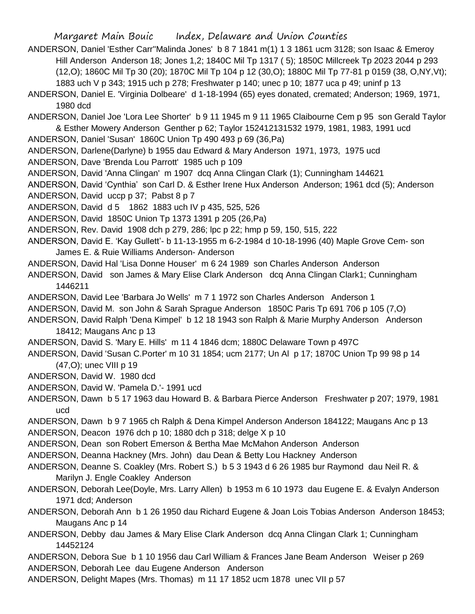ANDERSON, Daniel 'Esther Carr''Malinda Jones' b 8 7 1841 m(1) 1 3 1861 ucm 3128; son Isaac & Emeroy Hill Anderson Anderson 18; Jones 1,2; 1840C Mil Tp 1317 ( 5); 1850C Millcreek Tp 2023 2044 p 293 (12,O); 1860C Mil Tp 30 (20); 1870C Mil Tp 104 p 12 (30,O); 1880C Mil Tp 77-81 p 0159 (38, O,NY,Vt); 1883 uch V p 343; 1915 uch p 278; Freshwater p 140; unec p 10; 1877 uca p 49; uninf p 13

ANDERSON, Daniel E. 'Virginia Dolbeare' d 1-18-1994 (65) eyes donated, cremated; Anderson; 1969, 1971, 1980 dcd

ANDERSON, Daniel Joe 'Lora Lee Shorter' b 9 11 1945 m 9 11 1965 Claibourne Cem p 95 son Gerald Taylor & Esther Mowery Anderson Genther p 62; Taylor 152412131532 1979, 1981, 1983, 1991 ucd

ANDERSON, Daniel 'Susan' 1860C Union Tp 490 493 p 69 (36,Pa)

ANDERSON, Darlene(Darlyne) b 1955 dau Edward & Mary Anderson 1971, 1973, 1975 ucd

ANDERSON, Dave 'Brenda Lou Parrott' 1985 uch p 109

ANDERSON, David 'Anna Clingan' m 1907 dcq Anna Clingan Clark (1); Cunningham 144621

ANDERSON, David 'Cynthia' son Carl D. & Esther Irene Hux Anderson Anderson; 1961 dcd (5); Anderson

ANDERSON, David uccp p 37; Pabst 8 p 7

ANDERSON, David d 5 1862 1883 uch IV p 435, 525, 526

ANDERSON, David 1850C Union Tp 1373 1391 p 205 (26,Pa)

ANDERSON, Rev. David 1908 dch p 279, 286; lpc p 22; hmp p 59, 150, 515, 222

ANDERSON, David E. 'Kay Gullett'- b 11-13-1955 m 6-2-1984 d 10-18-1996 (40) Maple Grove Cem- son James E. & Ruie Williams Anderson- Anderson

ANDERSON, David Hal 'Lisa Donne Houser' m 6 24 1989 son Charles Anderson Anderson

ANDERSON, David son James & Mary Elise Clark Anderson dcq Anna Clingan Clark1; Cunningham 1446211

ANDERSON, David Lee 'Barbara Jo Wells' m 7 1 1972 son Charles Anderson Anderson 1

ANDERSON, David M. son John & Sarah Sprague Anderson 1850C Paris Tp 691 706 p 105 (7,O)

ANDERSON, David Ralph 'Dena Kimpel' b 12 18 1943 son Ralph & Marie Murphy Anderson Anderson 18412; Maugans Anc p 13

ANDERSON, David S. 'Mary E. Hills' m 11 4 1846 dcm; 1880C Delaware Town p 497C

ANDERSON, David 'Susan C.Porter' m 10 31 1854; ucm 2177; Un Al p 17; 1870C Union Tp 99 98 p 14 (47,O); unec VIII p 19

ANDERSON, David W. 1980 dcd

ANDERSON, David W. 'Pamela D.'- 1991 ucd

ANDERSON, Dawn b 5 17 1963 dau Howard B. & Barbara Pierce Anderson Freshwater p 207; 1979, 1981 ucd

ANDERSON, Dawn b 9 7 1965 ch Ralph & Dena Kimpel Anderson Anderson 184122; Maugans Anc p 13 ANDERSON, Deacon 1976 dch p 10; 1880 dch p 318; delge X p 10

ANDERSON, Dean son Robert Emerson & Bertha Mae McMahon Anderson Anderson

ANDERSON, Deanna Hackney (Mrs. John) dau Dean & Betty Lou Hackney Anderson

ANDERSON, Deanne S. Coakley (Mrs. Robert S.) b 5 3 1943 d 6 26 1985 bur Raymond dau Neil R. & Marilyn J. Engle Coakley Anderson

ANDERSON, Deborah Lee(Doyle, Mrs. Larry Allen) b 1953 m 6 10 1973 dau Eugene E. & Evalyn Anderson 1971 dcd; Anderson

ANDERSON, Deborah Ann b 1 26 1950 dau Richard Eugene & Joan Lois Tobias Anderson Anderson 18453; Maugans Anc p 14

ANDERSON, Debby dau James & Mary Elise Clark Anderson dcq Anna Clingan Clark 1; Cunningham 14452124

ANDERSON, Debora Sue b 1 10 1956 dau Carl William & Frances Jane Beam Anderson Weiser p 269 ANDERSON, Deborah Lee dau Eugene Anderson Anderson

ANDERSON, Delight Mapes (Mrs. Thomas) m 11 17 1852 ucm 1878 unec VII p 57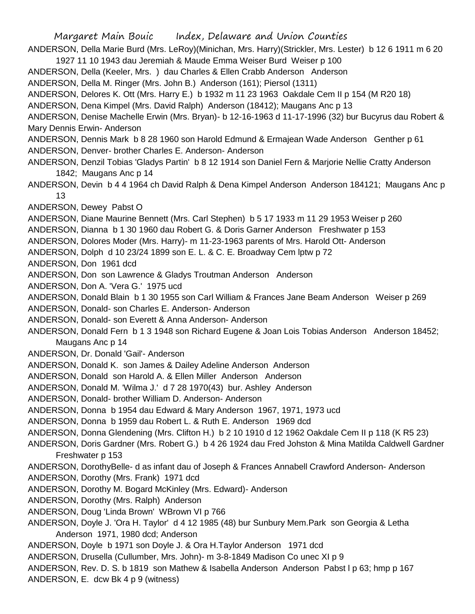Margaret Main Bouic Index, Delaware and Union Counties ANDERSON, Della Marie Burd (Mrs. LeRoy)(Minichan, Mrs. Harry)(Strickler, Mrs. Lester) b 12 6 1911 m 6 20 1927 11 10 1943 dau Jeremiah & Maude Emma Weiser Burd Weiser p 100 ANDERSON, Della (Keeler, Mrs. ) dau Charles & Ellen Crabb Anderson Anderson ANDERSON, Della M. Ringer (Mrs. John B.) Anderson (161); Piersol (1311) ANDERSON, Delores K. Ott (Mrs. Harry E.) b 1932 m 11 23 1963 Oakdale Cem II p 154 (M R20 18) ANDERSON, Dena Kimpel (Mrs. David Ralph) Anderson (18412); Maugans Anc p 13 ANDERSON, Denise Machelle Erwin (Mrs. Bryan)- b 12-16-1963 d 11-17-1996 (32) bur Bucyrus dau Robert & Mary Dennis Erwin- Anderson ANDERSON, Dennis Mark b 8 28 1960 son Harold Edmund & Ermajean Wade Anderson Genther p 61 ANDERSON, Denver- brother Charles E. Anderson- Anderson ANDERSON, Denzil Tobias 'Gladys Partin' b 8 12 1914 son Daniel Fern & Marjorie Nellie Cratty Anderson 1842; Maugans Anc p 14 ANDERSON, Devin b 4 4 1964 ch David Ralph & Dena Kimpel Anderson Anderson 184121; Maugans Anc p 13 ANDERSON, Dewey Pabst O ANDERSON, Diane Maurine Bennett (Mrs. Carl Stephen) b 5 17 1933 m 11 29 1953 Weiser p 260 ANDERSON, Dianna b 1 30 1960 dau Robert G. & Doris Garner Anderson Freshwater p 153 ANDERSON, Dolores Moder (Mrs. Harry)- m 11-23-1963 parents of Mrs. Harold Ott- Anderson ANDERSON, Dolph d 10 23/24 1899 son E. L. & C. E. Broadway Cem lptw p 72 ANDERSON, Don 1961 dcd ANDERSON, Don son Lawrence & Gladys Troutman Anderson Anderson ANDERSON, Don A. 'Vera G.' 1975 ucd ANDERSON, Donald Blain b 1 30 1955 son Carl William & Frances Jane Beam Anderson Weiser p 269 ANDERSON, Donald- son Charles E. Anderson- Anderson ANDERSON, Donald- son Everett & Anna Anderson- Anderson ANDERSON, Donald Fern b 1 3 1948 son Richard Eugene & Joan Lois Tobias Anderson Anderson 18452; Maugans Anc p 14 ANDERSON, Dr. Donald 'Gail'- Anderson ANDERSON, Donald K. son James & Dailey Adeline Anderson Anderson ANDERSON, Donald son Harold A. & Ellen Miller Anderson Anderson ANDERSON, Donald M. 'Wilma J.' d 7 28 1970(43) bur. Ashley Anderson ANDERSON, Donald- brother William D. Anderson- Anderson ANDERSON, Donna b 1954 dau Edward & Mary Anderson 1967, 1971, 1973 ucd ANDERSON, Donna b 1959 dau Robert L. & Ruth E. Anderson 1969 dcd ANDERSON, Donna Glendening (Mrs. Clifton H.) b 2 10 1910 d 12 1962 Oakdale Cem II p 118 (K R5 23) ANDERSON, Doris Gardner (Mrs. Robert G.) b 4 26 1924 dau Fred Johston & Mina Matilda Caldwell Gardner Freshwater p 153 ANDERSON, DorothyBelle- d as infant dau of Joseph & Frances Annabell Crawford Anderson- Anderson ANDERSON, Dorothy (Mrs. Frank) 1971 dcd ANDERSON, Dorothy M. Bogard McKinley (Mrs. Edward)- Anderson ANDERSON, Dorothy (Mrs. Ralph) Anderson ANDERSON, Doug 'Linda Brown' WBrown VI p 766 ANDERSON, Doyle J. 'Ora H. Taylor' d 4 12 1985 (48) bur Sunbury Mem.Park son Georgia & Letha Anderson 1971, 1980 dcd; Anderson ANDERSON, Doyle b 1971 son Doyle J. & Ora H.Taylor Anderson 1971 dcd ANDERSON, Drusella (Cullumber, Mrs. John)- m 3-8-1849 Madison Co unec XI p 9 ANDERSON, Rev. D. S. b 1819 son Mathew & Isabella Anderson Anderson Pabst l p 63; hmp p 167 ANDERSON, E. dcw Bk 4 p 9 (witness)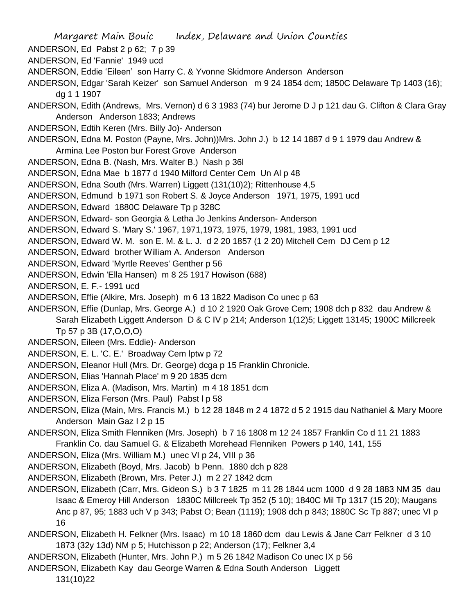- Margaret Main Bouic Index, Delaware and Union Counties
- ANDERSON, Ed Pabst 2 p 62; 7 p 39
- ANDERSON, Ed 'Fannie' 1949 ucd
- ANDERSON, Eddie 'Eileen' son Harry C. & Yvonne Skidmore Anderson Anderson
- ANDERSON, Edgar 'Sarah Keizer' son Samuel Anderson m 9 24 1854 dcm; 1850C Delaware Tp 1403 (16); dg 1 1 1907
- ANDERSON, Edith (Andrews, Mrs. Vernon) d 6 3 1983 (74) bur Jerome D J p 121 dau G. Clifton & Clara Gray Anderson Anderson 1833; Andrews
- ANDERSON, Edtih Keren (Mrs. Billy Jo)- Anderson
- ANDERSON, Edna M. Poston (Payne, Mrs. John))Mrs. John J.) b 12 14 1887 d 9 1 1979 dau Andrew & Armina Lee Poston bur Forest Grove Anderson
- ANDERSON, Edna B. (Nash, Mrs. Walter B.) Nash p 36l
- ANDERSON, Edna Mae b 1877 d 1940 Milford Center Cem Un Al p 48
- ANDERSON, Edna South (Mrs. Warren) Liggett (131(10)2); Rittenhouse 4,5
- ANDERSON, Edmund b 1971 son Robert S. & Joyce Anderson 1971, 1975, 1991 ucd
- ANDERSON, Edward 1880C Delaware Tp p 328C
- ANDERSON, Edward- son Georgia & Letha Jo Jenkins Anderson- Anderson
- ANDERSON, Edward S. 'Mary S.' 1967, 1971,1973, 1975, 1979, 1981, 1983, 1991 ucd
- ANDERSON, Edward W. M. son E. M. & L. J. d 2 20 1857 (1 2 20) Mitchell Cem DJ Cem p 12
- ANDERSON, Edward brother William A. Anderson Anderson
- ANDERSON, Edward 'Myrtle Reeves' Genther p 56
- ANDERSON, Edwin 'Ella Hansen) m 8 25 1917 Howison (688)
- ANDERSON, E. F.- 1991 ucd
- ANDERSON, Effie (Alkire, Mrs. Joseph) m 6 13 1822 Madison Co unec p 63
- ANDERSON, Effie (Dunlap, Mrs. George A.) d 10 2 1920 Oak Grove Cem; 1908 dch p 832 dau Andrew & Sarah Elizabeth Liggett Anderson D & C IV p 214; Anderson 1(12)5; Liggett 13145; 1900C Millcreek Tp 57 p 3B (17,O,O,O)
- ANDERSON, Eileen (Mrs. Eddie)- Anderson
- ANDERSON, E. L. 'C. E.' Broadway Cem lptw p 72
- ANDERSON, Eleanor Hull (Mrs. Dr. George) dcga p 15 Franklin Chronicle.
- ANDERSON, Elias 'Hannah Place' m 9 20 1835 dcm
- ANDERSON, Eliza A. (Madison, Mrs. Martin) m 4 18 1851 dcm
- ANDERSON, Eliza Ferson (Mrs. Paul) Pabst l p 58
- ANDERSON, Eliza (Main, Mrs. Francis M.) b 12 28 1848 m 2 4 1872 d 5 2 1915 dau Nathaniel & Mary Moore Anderson Main Gaz I 2 p 15
- ANDERSON, Eliza Smith Flenniken (Mrs. Joseph) b 7 16 1808 m 12 24 1857 Franklin Co d 11 21 1883 Franklin Co. dau Samuel G. & Elizabeth Morehead Flenniken Powers p 140, 141, 155
- ANDERSON, Eliza (Mrs. William M.) unec VI p 24, VIII p 36
- ANDERSON, Elizabeth (Boyd, Mrs. Jacob) b Penn. 1880 dch p 828
- ANDERSON, Elizabeth (Brown, Mrs. Peter J.) m 2 27 1842 dcm
- ANDERSON, Elizabeth (Carr, Mrs. Gideon S.) b 3 7 1825 m 11 28 1844 ucm 1000 d 9 28 1883 NM 35 dau Isaac & Emeroy Hill Anderson 1830C Millcreek Tp 352 (5 10); 1840C Mil Tp 1317 (15 20); Maugans Anc p 87, 95; 1883 uch V p 343; Pabst O; Bean (1119); 1908 dch p 843; 1880C Sc Tp 887; unec VI p 16
- ANDERSON, Elizabeth H. Felkner (Mrs. Isaac) m 10 18 1860 dcm dau Lewis & Jane Carr Felkner d 3 10 1873 (32y 13d) NM p 5; Hutchisson p 22; Anderson (17); Felkner 3,4
- ANDERSON, Elizabeth (Hunter, Mrs. John P.) m 5 26 1842 Madison Co unec IX p 56
- ANDERSON, Elizabeth Kay dau George Warren & Edna South Anderson Liggett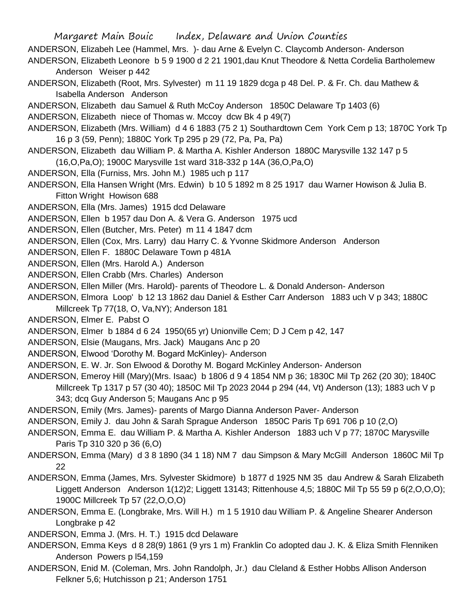Margaret Main Bouic Index, Delaware and Union Counties ANDERSON, Elizabeh Lee (Hammel, Mrs. )- dau Arne & Evelyn C. Claycomb Anderson- Anderson ANDERSON, Elizabeth Leonore b 5 9 1900 d 2 21 1901,dau Knut Theodore & Netta Cordelia Bartholemew Anderson Weiser p 442 ANDERSON, Elizabeth (Root, Mrs. Sylvester) m 11 19 1829 dcga p 48 Del. P. & Fr. Ch. dau Mathew & Isabella Anderson Anderson ANDERSON, Elizabeth dau Samuel & Ruth McCoy Anderson 1850C Delaware Tp 1403 (6) ANDERSON, Elizabeth niece of Thomas w. Mccoy dcw Bk 4 p 49(7) ANDERSON, Elizabeth (Mrs. William) d 4 6 1883 (75 2 1) Southardtown Cem York Cem p 13; 1870C York Tp 16 p 3 (59, Penn); 1880C York Tp 295 p 29 (72, Pa, Pa, Pa) ANDERSON, Elizabeth dau William P. & Martha A. Kishler Anderson 1880C Marysville 132 147 p 5 (16,O,Pa,O); 1900C Marysville 1st ward 318-332 p 14A (36,O,Pa,O) ANDERSON, Ella (Furniss, Mrs. John M.) 1985 uch p 117 ANDERSON, Ella Hansen Wright (Mrs. Edwin) b 10 5 1892 m 8 25 1917 dau Warner Howison & Julia B. Fitton Wright Howison 688 ANDERSON, Ella (Mrs. James) 1915 dcd Delaware ANDERSON, Ellen b 1957 dau Don A. & Vera G. Anderson 1975 ucd ANDERSON, Ellen (Butcher, Mrs. Peter) m 11 4 1847 dcm

ANDERSON, Ellen (Cox, Mrs. Larry) dau Harry C. & Yvonne Skidmore Anderson Anderson

ANDERSON, Ellen F. 1880C Delaware Town p 481A

ANDERSON, Ellen (Mrs. Harold A.) Anderson

ANDERSON, Ellen Crabb (Mrs. Charles) Anderson

ANDERSON, Ellen Miller (Mrs. Harold)- parents of Theodore L. & Donald Anderson- Anderson

ANDERSON, Elmora Loop' b 12 13 1862 dau Daniel & Esther Carr Anderson 1883 uch V p 343; 1880C Millcreek Tp 77(18, O, Va,NY); Anderson 181

ANDERSON, Elmer E. Pabst O

ANDERSON, Elmer b 1884 d 6 24 1950(65 yr) Unionville Cem; D J Cem p 42, 147

ANDERSON, Elsie (Maugans, Mrs. Jack) Maugans Anc p 20

ANDERSON, Elwood 'Dorothy M. Bogard McKinley)- Anderson

ANDERSON, E. W. Jr. Son Elwood & Dorothy M. Bogard McKinley Anderson- Anderson

ANDERSON, Emeroy Hill (Mary)(Mrs. Isaac) b 1806 d 9 4 1854 NM p 36; 1830C Mil Tp 262 (20 30); 1840C Millcreek Tp 1317 p 57 (30 40); 1850C Mil Tp 2023 2044 p 294 (44, Vt) Anderson (13); 1883 uch V p 343; dcq Guy Anderson 5; Maugans Anc p 95

ANDERSON, Emily (Mrs. James)- parents of Margo Dianna Anderson Paver- Anderson

ANDERSON, Emily J. dau John & Sarah Sprague Anderson 1850C Paris Tp 691 706 p 10 (2,O)

ANDERSON, Emma E. dau William P. & Martha A. Kishler Anderson 1883 uch V p 77; 1870C Marysville Paris Tp 310 320 p 36 (6,O)

ANDERSON, Emma (Mary) d 3 8 1890 (34 1 18) NM 7 dau Simpson & Mary McGill Anderson 1860C Mil Tp 22

- ANDERSON, Emma (James, Mrs. Sylvester Skidmore) b 1877 d 1925 NM 35 dau Andrew & Sarah Elizabeth Liggett Anderson Anderson 1(12)2; Liggett 13143; Rittenhouse 4,5; 1880C Mil Tp 55 59 p 6(2,O,O,O); 1900C Millcreek Tp 57 (22,O,O,O)
- ANDERSON, Emma E. (Longbrake, Mrs. Will H.) m 1 5 1910 dau William P. & Angeline Shearer Anderson Longbrake p 42

ANDERSON, Emma J. (Mrs. H. T.) 1915 dcd Delaware

ANDERSON, Emma Keys d 8 28(9) 1861 (9 yrs 1 m) Franklin Co adopted dau J. K. & Eliza Smith Flenniken Anderson Powers p l54,159

ANDERSON, Enid M. (Coleman, Mrs. John Randolph, Jr.) dau Cleland & Esther Hobbs Allison Anderson Felkner 5,6; Hutchisson p 21; Anderson 1751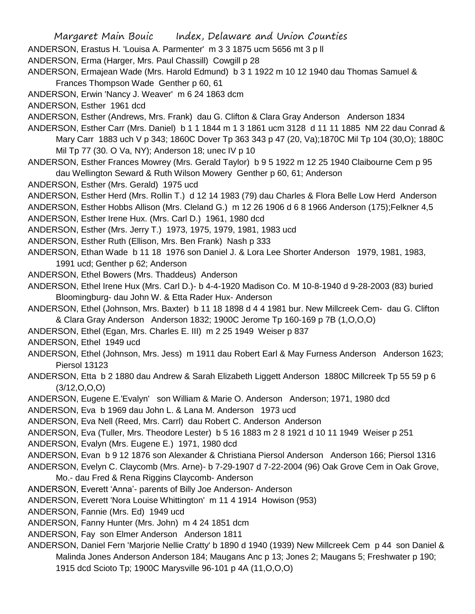ANDERSON, Erastus H. 'Louisa A. Parmenter' m 3 3 1875 ucm 5656 mt 3 p ll

ANDERSON, Erma (Harger, Mrs. Paul Chassill) Cowgill p 28

ANDERSON, Ermajean Wade (Mrs. Harold Edmund) b 3 1 1922 m 10 12 1940 dau Thomas Samuel & Frances Thompson Wade Genther p 60, 61

ANDERSON, Erwin 'Nancy J. Weaver' m 6 24 1863 dcm

ANDERSON, Esther 1961 dcd

ANDERSON, Esther (Andrews, Mrs. Frank) dau G. Clifton & Clara Gray Anderson Anderson 1834

- ANDERSON, Esther Carr (Mrs. Daniel) b 1 1 1844 m 1 3 1861 ucm 3128 d 11 11 1885 NM 22 dau Conrad & Mary Carr 1883 uch V p 343; 1860C Dover Tp 363 343 p 47 (20, Va);1870C Mil Tp 104 (30,O); 1880C Mil Tp 77 (30. O Va, NY); Anderson 18; unec IV p 10
- ANDERSON, Esther Frances Mowrey (Mrs. Gerald Taylor) b 9 5 1922 m 12 25 1940 Claibourne Cem p 95 dau Wellington Seward & Ruth Wilson Mowery Genther p 60, 61; Anderson

ANDERSON, Esther (Mrs. Gerald) 1975 ucd

ANDERSON, Esther Herd (Mrs. Rollin T.) d 12 14 1983 (79) dau Charles & Flora Belle Low Herd Anderson

ANDERSON, Esther Hobbs Allison (Mrs. Cleland G.) m 12 26 1906 d 6 8 1966 Anderson (175);Felkner 4,5

ANDERSON, Esther Irene Hux. (Mrs. Carl D.) 1961, 1980 dcd

ANDERSON, Esther (Mrs. Jerry T.) 1973, 1975, 1979, 1981, 1983 ucd

ANDERSON, Esther Ruth (Ellison, Mrs. Ben Frank) Nash p 333

ANDERSON, Ethan Wade b 11 18 1976 son Daniel J. & Lora Lee Shorter Anderson 1979, 1981, 1983, 1991 ucd; Genther p 62; Anderson

- ANDERSON, Ethel Bowers (Mrs. Thaddeus) Anderson
- ANDERSON, Ethel Irene Hux (Mrs. Carl D.)- b 4-4-1920 Madison Co. M 10-8-1940 d 9-28-2003 (83) buried Bloomingburg- dau John W. & Etta Rader Hux- Anderson
- ANDERSON, Ethel (Johnson, Mrs. Baxter) b 11 18 1898 d 4 4 1981 bur. New Millcreek Cem- dau G. Clifton & Clara Gray Anderson Anderson 1832; 1900C Jerome Tp 160-169 p 7B (1,O,O,O)
- ANDERSON, Ethel (Egan, Mrs. Charles E. III) m 2 25 1949 Weiser p 837

ANDERSON, Ethel 1949 ucd

- ANDERSON, Ethel (Johnson, Mrs. Jess) m 1911 dau Robert Earl & May Furness Anderson Anderson 1623; Piersol 13123
- ANDERSON, Etta b 2 1880 dau Andrew & Sarah Elizabeth Liggett Anderson 1880C Millcreek Tp 55 59 p 6 (3/12,O,O,O)
- ANDERSON, Eugene E.'Evalyn' son William & Marie O. Anderson Anderson; 1971, 1980 dcd

ANDERSON, Eva b 1969 dau John L. & Lana M. Anderson 1973 ucd

ANDERSON, Eva Nell (Reed, Mrs. Carrl) dau Robert C. Anderson Anderson

ANDERSON, Eva (Tuller, Mrs. Theodore Lester) b 5 16 1883 m 2 8 1921 d 10 11 1949 Weiser p 251

ANDERSON, Evalyn (Mrs. Eugene E.) 1971, 1980 dcd

ANDERSON, Evan b 9 12 1876 son Alexander & Christiana Piersol Anderson Anderson 166; Piersol 1316

- ANDERSON, Evelyn C. Claycomb (Mrs. Arne)- b 7-29-1907 d 7-22-2004 (96) Oak Grove Cem in Oak Grove,
	- Mo.- dau Fred & Rena Riggins Claycomb- Anderson
- ANDERSON, Everett 'Anna'- parents of Billy Joe Anderson- Anderson

ANDERSON, Everett 'Nora Louise Whittington' m 11 4 1914 Howison (953)

ANDERSON, Fannie (Mrs. Ed) 1949 ucd

ANDERSON, Fanny Hunter (Mrs. John) m 4 24 1851 dcm

ANDERSON, Fay son Elmer Anderson Anderson 1811

ANDERSON, Daniel Fern 'Marjorie Nellie Cratty' b 1890 d 1940 (1939) New Millcreek Cem p 44 son Daniel & Malinda Jones Anderson Anderson 184; Maugans Anc p 13; Jones 2; Maugans 5; Freshwater p 190; 1915 dcd Scioto Tp; 1900C Marysville 96-101 p 4A (11,O,O,O)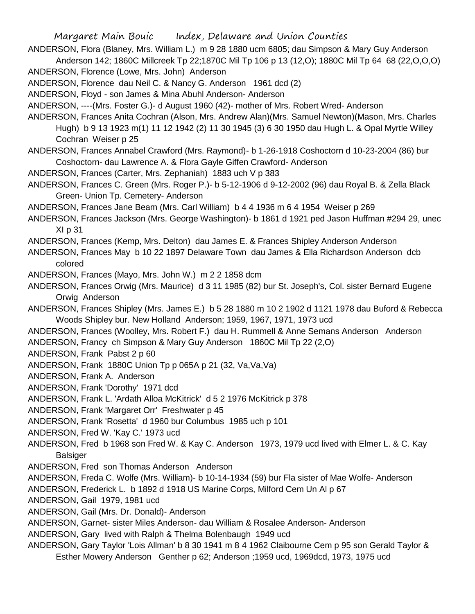ANDERSON, Flora (Blaney, Mrs. William L.) m 9 28 1880 ucm 6805; dau Simpson & Mary Guy Anderson Anderson 142; 1860C Millcreek Tp 22;1870C Mil Tp 106 p 13 (12,O); 1880C Mil Tp 64 68 (22,O,O,O)

ANDERSON, Florence (Lowe, Mrs. John) Anderson

ANDERSON, Florence dau Neil C. & Nancy G. Anderson 1961 dcd (2)

ANDERSON, Floyd - son James & Mina Abuhl Anderson- Anderson

ANDERSON, ----(Mrs. Foster G.)- d August 1960 (42)- mother of Mrs. Robert Wred- Anderson

ANDERSON, Frances Anita Cochran (Alson, Mrs. Andrew Alan)(Mrs. Samuel Newton)(Mason, Mrs. Charles Hugh) b 9 13 1923 m(1) 11 12 1942 (2) 11 30 1945 (3) 6 30 1950 dau Hugh L. & Opal Myrtle Willey Cochran Weiser p 25

ANDERSON, Frances Annabel Crawford (Mrs. Raymond)- b 1-26-1918 Coshoctorn d 10-23-2004 (86) bur Coshoctorn- dau Lawrence A. & Flora Gayle Giffen Crawford- Anderson

ANDERSON, Frances (Carter, Mrs. Zephaniah) 1883 uch V p 383

ANDERSON, Frances C. Green (Mrs. Roger P.)- b 5-12-1906 d 9-12-2002 (96) dau Royal B. & Zella Black Green- Union Tp. Cemetery- Anderson

ANDERSON, Frances Jane Beam (Mrs. Carl William) b 4 4 1936 m 6 4 1954 Weiser p 269

ANDERSON, Frances Jackson (Mrs. George Washington)- b 1861 d 1921 ped Jason Huffman #294 29, unec XI p 31

ANDERSON, Frances (Kemp, Mrs. Delton) dau James E. & Frances Shipley Anderson Anderson

ANDERSON, Frances May b 10 22 1897 Delaware Town dau James & Ella Richardson Anderson dcb colored

ANDERSON, Frances (Mayo, Mrs. John W.) m 2 2 1858 dcm

ANDERSON, Frances Orwig (Mrs. Maurice) d 3 11 1985 (82) bur St. Joseph's, Col. sister Bernard Eugene Orwig Anderson

ANDERSON, Frances Shipley (Mrs. James E.) b 5 28 1880 m 10 2 1902 d 1121 1978 dau Buford & Rebecca Woods Shipley bur. New Holland Anderson; 1959, 1967, 1971, 1973 ucd

ANDERSON, Frances (Woolley, Mrs. Robert F.) dau H. Rummell & Anne Semans Anderson Anderson

ANDERSON, Francy ch Simpson & Mary Guy Anderson 1860C Mil Tp 22 (2,O)

ANDERSON, Frank Pabst 2 p 60

ANDERSON, Frank 1880C Union Tp p 065A p 21 (32, Va,Va,Va)

ANDERSON, Frank A. Anderson

ANDERSON, Frank 'Dorothy' 1971 dcd

ANDERSON, Frank L. 'Ardath Alloa McKitrick' d 5 2 1976 McKitrick p 378

ANDERSON, Frank 'Margaret Orr' Freshwater p 45

ANDERSON, Frank 'Rosetta' d 1960 bur Columbus 1985 uch p 101

ANDERSON, Fred W. 'Kay C.' 1973 ucd

ANDERSON, Fred b 1968 son Fred W. & Kay C. Anderson 1973, 1979 ucd lived with Elmer L. & C. Kay **Balsiger** 

ANDERSON, Fred son Thomas Anderson Anderson

ANDERSON, Freda C. Wolfe (Mrs. William)- b 10-14-1934 (59) bur Fla sister of Mae Wolfe- Anderson

ANDERSON, Frederick L. b 1892 d 1918 US Marine Corps, Milford Cem Un Al p 67

ANDERSON, Gail 1979, 1981 ucd

ANDERSON, Gail (Mrs. Dr. Donald)- Anderson

ANDERSON, Garnet- sister Miles Anderson- dau William & Rosalee Anderson- Anderson

ANDERSON, Gary lived with Ralph & Thelma Bolenbaugh 1949 ucd

ANDERSON, Gary Taylor 'Lois Allman' b 8 30 1941 m 8 4 1962 Claibourne Cem p 95 son Gerald Taylor & Esther Mowery Anderson Genther p 62; Anderson ;1959 ucd, 1969dcd, 1973, 1975 ucd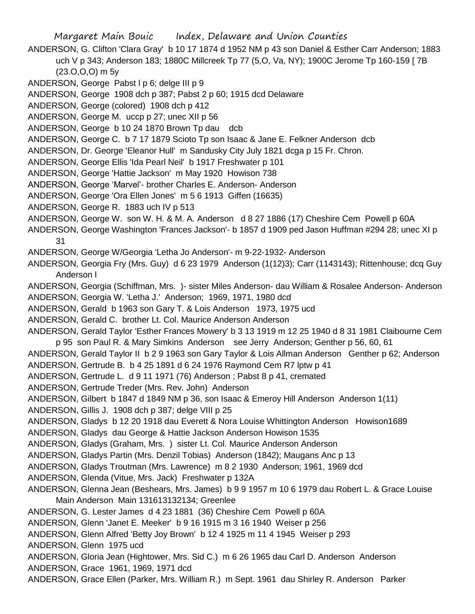Margaret Main Bouic Index, Delaware and Union Counties ANDERSON, G. Clifton 'Clara Gray' b 10 17 1874 d 1952 NM p 43 son Daniel & Esther Carr Anderson; 1883 uch V p 343; Anderson 183; 1880C Millcreek Tp 77 (5,O, Va, NY); 1900C Jerome Tp 160-159 [ 7B (23.O,O,O) m 5y ANDERSON, George Pabst I p 6; delge III p 9 ANDERSON, George 1908 dch p 387; Pabst 2 p 60; 1915 dcd Delaware ANDERSON, George (colored) 1908 dch p 412 ANDERSON, George M. uccp p 27; unec XII p 56 ANDERSON, George b 10 24 1870 Brown Tp dau dcb ANDERSON, George C. b 7 17 1879 Scioto Tp son Isaac & Jane E. Felkner Anderson dcb ANDERSON, Dr. George 'Eleanor Hull' m Sandusky City July 1821 dcga p 15 Fr. Chron. ANDERSON, George Ellis 'Ida Pearl Neil' b 1917 Freshwater p 101 ANDERSON, George 'Hattie Jackson' m May 1920 Howison 738 ANDERSON, George 'Marvel'- brother Charles E. Anderson- Anderson ANDERSON, George 'Ora Ellen Jones' m 5 6 1913 Giffen (16635) ANDERSON, George R. 1883 uch IV p 513 ANDERSON, George W. son W. H. & M. A. Anderson d 8 27 1886 (17) Cheshire Cem Powell p 60A ANDERSON, George Washington 'Frances Jackson'- b 1857 d 1909 ped Jason Huffman #294 28; unec XI p 31 ANDERSON, George W/Georgia 'Letha Jo Anderson'- m 9-22-1932- Anderson ANDERSON, Georgia Fry (Mrs. Guy) d 6 23 1979 Anderson (1(12)3); Carr (1143143); Rittenhouse; dcq Guy Anderson l ANDERSON, Georgia (Schiffman, Mrs. )- sister Miles Anderson- dau William & Rosalee Anderson- Anderson ANDERSON, Georgia W. 'Letha J.' Anderson; 1969, 1971, 1980 dcd ANDERSON, Gerald b 1963 son Gary T. & Lois Anderson 1973, 1975 ucd ANDERSON, Gerald C. brother Lt. Col. Maurice Anderson Anderson ANDERSON, Gerald Taylor 'Esther Frances Mowery' b 3 13 1919 m 12 25 1940 d 8 31 1981 Claibourne Cem p 95 son Paul R. & Mary Simkins Anderson see Jerry Anderson; Genther p 56, 60, 61 ANDERSON, Gerald Taylor II b 2 9 1963 son Gary Taylor & Lois Allman Anderson Genther p 62; Anderson ANDERSON, Gertrude B. b 4 25 1891 d 6 24 1976 Raymond Cem R7 lptw p 41 ANDERSON, Gertrude L. d 9 11 1971 (76) Anderson ; Pabst 8 p 41, cremated ANDERSON, Gertrude Treder (Mrs. Rev. John) Anderson ANDERSON, Gilbert b 1847 d 1849 NM p 36, son Isaac & Emeroy Hill Anderson Anderson 1(11) ANDERSON, Gillis J. 1908 dch p 387; delge VIII p 25 ANDERSON, Gladys b 12 20 1918 dau Everett & Nora Louise Whittington Anderson Howison1689 ANDERSON, Gladys dau George & Hattie Jackson Anderson Howison 1535 ANDERSON, Gladys (Graham, Mrs. ) sister Lt. Col. Maurice Anderson Anderson ANDERSON, Gladys Partin (Mrs. Denzil Tobias) Anderson (1842); Maugans Anc p 13 ANDERSON, Gladys Troutman (Mrs. Lawrence) m 8 2 1930 Anderson; 1961, 1969 dcd ANDERSON, Glenda (Vitue, Mrs. Jack) Freshwater p 132A ANDERSON, Glenna Jean (Beshears, Mrs. James) b 9 9 1957 m 10 6 1979 dau Robert L. & Grace Louise Main Anderson Main 131613132134; Greenlee ANDERSON, G. Lester James d 4 23 1881 (36) Cheshire Cem Powell p 60A ANDERSON, Glenn 'Janet E. Meeker' b 9 16 1915 m 3 16 1940 Weiser p 256 ANDERSON, Glenn Alfred 'Betty Joy Brown' b 12 4 1925 m 11 4 1945 Weiser p 293 ANDERSON, Glenn 1975 ucd ANDERSON, Gloria Jean (Hightower, Mrs. Sid C.) m 6 26 1965 dau Carl D. Anderson Anderson ANDERSON, Grace 1961, 1969, 1971 dcd ANDERSON, Grace Ellen (Parker, Mrs. William R.) m Sept. 1961 dau Shirley R. Anderson Parker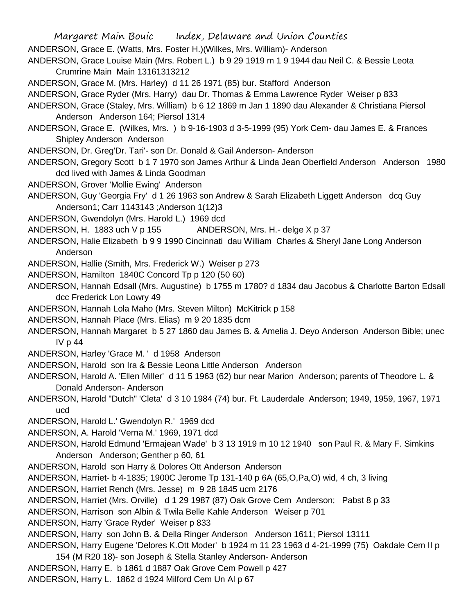Margaret Main Bouic Index, Delaware and Union Counties ANDERSON, Grace E. (Watts, Mrs. Foster H.)(Wilkes, Mrs. William)- Anderson ANDERSON, Grace Louise Main (Mrs. Robert L.) b 9 29 1919 m 1 9 1944 dau Neil C. & Bessie Leota Crumrine Main Main 13161313212 ANDERSON, Grace M. (Mrs. Harley) d 11 26 1971 (85) bur. Stafford Anderson ANDERSON, Grace Ryder (Mrs. Harry) dau Dr. Thomas & Emma Lawrence Ryder Weiser p 833 ANDERSON, Grace (Staley, Mrs. William) b 6 12 1869 m Jan 1 1890 dau Alexander & Christiana Piersol Anderson Anderson 164; Piersol 1314 ANDERSON, Grace E. (Wilkes, Mrs. ) b 9-16-1903 d 3-5-1999 (95) York Cem- dau James E. & Frances Shipley Anderson Anderson ANDERSON, Dr. Greg'Dr. Tari'- son Dr. Donald & Gail Anderson- Anderson ANDERSON, Gregory Scott b 1 7 1970 son James Arthur & Linda Jean Oberfield Anderson Anderson 1980 dcd lived with James & Linda Goodman ANDERSON, Grover 'Mollie Ewing' Anderson ANDERSON, Guy 'Georgia Fry' d 1 26 1963 son Andrew & Sarah Elizabeth Liggett Anderson dcq Guy Anderson1; Carr 1143143 ;Anderson 1(12)3 ANDERSON, Gwendolyn (Mrs. Harold L.) 1969 dcd ANDERSON, H. 1883 uch V p 155 ANDERSON, Mrs. H.- delge X p 37 ANDERSON, Halie Elizabeth b 9 9 1990 Cincinnati dau William Charles & Sheryl Jane Long Anderson Anderson ANDERSON, Hallie (Smith, Mrs. Frederick W.) Weiser p 273 ANDERSON, Hamilton 1840C Concord Tp p 120 (50 60) ANDERSON, Hannah Edsall (Mrs. Augustine) b 1755 m 1780? d 1834 dau Jacobus & Charlotte Barton Edsall dcc Frederick Lon Lowry 49 ANDERSON, Hannah Lola Maho (Mrs. Steven Milton) McKitrick p 158 ANDERSON, Hannah Place (Mrs. Elias) m 9 20 1835 dcm ANDERSON, Hannah Margaret b 5 27 1860 dau James B. & Amelia J. Deyo Anderson Anderson Bible; unec IV p 44 ANDERSON, Harley 'Grace M. ' d 1958 Anderson ANDERSON, Harold son Ira & Bessie Leona Little Anderson Anderson ANDERSON, Harold A. 'Ellen Miller' d 11 5 1963 (62) bur near Marion Anderson; parents of Theodore L. & Donald Anderson- Anderson ANDERSON, Harold "Dutch" 'Cleta' d 3 10 1984 (74) bur. Ft. Lauderdale Anderson; 1949, 1959, 1967, 1971 ucd ANDERSON, Harold L.' Gwendolyn R.' 1969 dcd ANDERSON, A. Harold 'Verna M.' 1969, 1971 dcd ANDERSON, Harold Edmund 'Ermajean Wade' b 3 13 1919 m 10 12 1940 son Paul R. & Mary F. Simkins Anderson Anderson; Genther p 60, 61 ANDERSON, Harold son Harry & Dolores Ott Anderson Anderson ANDERSON, Harriet- b 4-1835; 1900C Jerome Tp 131-140 p 6A (65,O,Pa,O) wid, 4 ch, 3 living ANDERSON, Harriet Rench (Mrs. Jesse) m 9 28 1845 ucm 2176 ANDERSON, Harriet (Mrs. Orville) d 1 29 1987 (87) Oak Grove Cem Anderson; Pabst 8 p 33 ANDERSON, Harrison son Albin & Twila Belle Kahle Anderson Weiser p 701 ANDERSON, Harry 'Grace Ryder' Weiser p 833 ANDERSON, Harry son John B. & Della Ringer Anderson Anderson 1611; Piersol 13111 ANDERSON, Harry Eugene 'Delores K.Ott Moder' b 1924 m 11 23 1963 d 4-21-1999 (75) Oakdale Cem II p 154 (M R20 18)- son Joseph & Stella Stanley Anderson- Anderson ANDERSON, Harry E. b 1861 d 1887 Oak Grove Cem Powell p 427

ANDERSON, Harry L. 1862 d 1924 Milford Cem Un Al p 67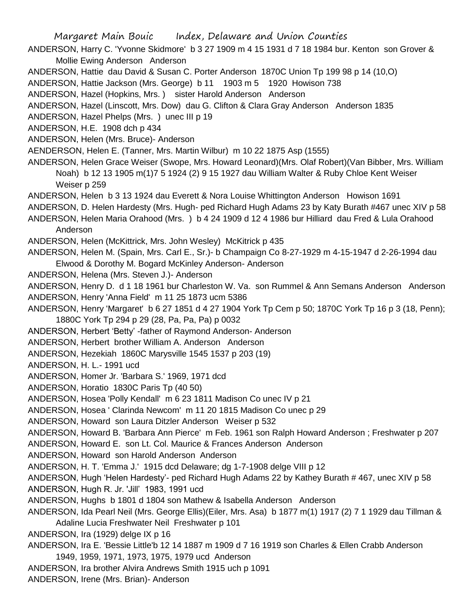Margaret Main Bouic Index, Delaware and Union Counties ANDERSON, Harry C. 'Yvonne Skidmore' b 3 27 1909 m 4 15 1931 d 7 18 1984 bur. Kenton son Grover & Mollie Ewing Anderson Anderson ANDERSON, Hattie dau David & Susan C. Porter Anderson 1870C Union Tp 199 98 p 14 (10,O) ANDERSON, Hattie Jackson (Mrs. George) b 11 1903 m 5 1920 Howison 738 ANDERSON, Hazel (Hopkins, Mrs. ) sister Harold Anderson Anderson ANDERSON, Hazel (Linscott, Mrs. Dow) dau G. Clifton & Clara Gray Anderson Anderson 1835 ANDERSON, Hazel Phelps (Mrs. ) unec III p 19 ANDERSON, H.E. 1908 dch p 434 ANDERSON, Helen (Mrs. Bruce)- Anderson AENDERSON, Helen E. (Tanner, Mrs. Martin Wilbur) m 10 22 1875 Asp (1555) ANDERSON, Helen Grace Weiser (Swope, Mrs. Howard Leonard)(Mrs. Olaf Robert)(Van Bibber, Mrs. William Noah) b 12 13 1905 m(1)7 5 1924 (2) 9 15 1927 dau William Walter & Ruby Chloe Kent Weiser Weiser p 259 ANDERSON, Helen b 3 13 1924 dau Everett & Nora Louise Whittington Anderson Howison 1691 ANDERSON, D. Helen Hardesty (Mrs. Hugh- ped Richard Hugh Adams 23 by Katy Burath #467 unec XIV p 58 ANDERSON, Helen Maria Orahood (Mrs. ) b 4 24 1909 d 12 4 1986 bur Hilliard dau Fred & Lula Orahood Anderson ANDERSON, Helen (McKittrick, Mrs. John Wesley) McKitrick p 435 ANDERSON, Helen M. (Spain, Mrs. Carl E., Sr.)- b Champaign Co 8-27-1929 m 4-15-1947 d 2-26-1994 dau Elwood & Dorothy M. Bogard McKinley Anderson- Anderson ANDERSON, Helena (Mrs. Steven J.)- Anderson ANDERSON, Henry D. d 1 18 1961 bur Charleston W. Va. son Rummel & Ann Semans Anderson Anderson ANDERSON, Henry 'Anna Field' m 11 25 1873 ucm 5386 ANDERSON, Henry 'Margaret' b 6 27 1851 d 4 27 1904 York Tp Cem p 50; 1870C York Tp 16 p 3 (18, Penn); 1880C York Tp 294 p 29 (28, Pa, Pa, Pa) p 0032 ANDERSON, Herbert 'Betty' -father of Raymond Anderson- Anderson ANDERSON, Herbert brother William A. Anderson Anderson ANDERSON, Hezekiah 1860C Marysville 1545 1537 p 203 (19) ANDERSON, H. L.- 1991 ucd ANDERSON, Homer Jr. 'Barbara S.' 1969, 1971 dcd ANDERSON, Horatio 1830C Paris Tp (40 50) ANDERSON, Hosea 'Polly Kendall' m 6 23 1811 Madison Co unec IV p 21 ANDERSON, Hosea ' Clarinda Newcom' m 11 20 1815 Madison Co unec p 29 ANDERSON, Howard son Laura Ditzler Anderson Weiser p 532 ANDERSON, Howard B. 'Barbara Ann Pierce' m Feb. 1961 son Ralph Howard Anderson ; Freshwater p 207 ANDERSON, Howard E. son Lt. Col. Maurice & Frances Anderson Anderson ANDERSON, Howard son Harold Anderson Anderson ANDERSON, H. T. 'Emma J.' 1915 dcd Delaware; dg 1-7-1908 delge VIII p 12 ANDERSON, Hugh 'Helen Hardesty'- ped Richard Hugh Adams 22 by Kathey Burath # 467, unec XIV p 58 ANDERSON, Hugh R. Jr. 'Jill' 1983, 1991 ucd ANDERSON, Hughs b 1801 d 1804 son Mathew & Isabella Anderson Anderson ANDERSON, Ida Pearl Neil (Mrs. George Ellis)(Eiler, Mrs. Asa) b 1877 m(1) 1917 (2) 7 1 1929 dau Tillman & Adaline Lucia Freshwater Neil Freshwater p 101 ANDERSON, Ira (1929) delge IX p 16 ANDERSON, Ira E. 'Bessie Little'b 12 14 1887 m 1909 d 7 16 1919 son Charles & Ellen Crabb Anderson 1949, 1959, 1971, 1973, 1975, 1979 ucd Anderson ANDERSON, Ira brother Alvira Andrews Smith 1915 uch p 1091

ANDERSON, Irene (Mrs. Brian)- Anderson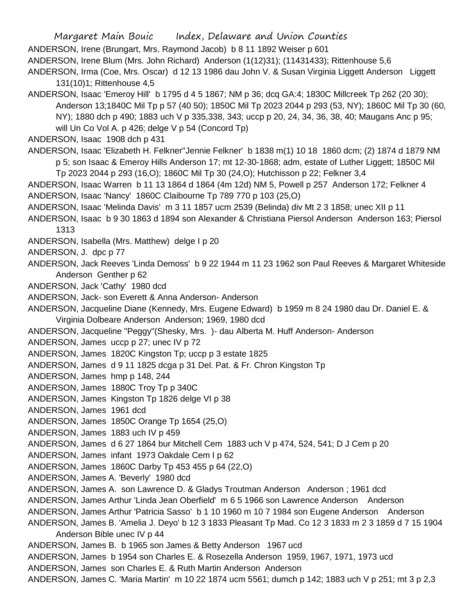Margaret Main Bouic Index, Delaware and Union Counties ANDERSON, Irene (Brungart, Mrs. Raymond Jacob) b 8 11 1892 Weiser p 601 ANDERSON, Irene Blum (Mrs. John Richard) Anderson (1(12)31); (11431433); Rittenhouse 5,6 ANDERSON, Irma (Coe, Mrs. Oscar) d 12 13 1986 dau John V. & Susan Virginia Liggett Anderson Liggett 131(10)1; Rittenhouse 4,5 ANDERSON, Isaac 'Emeroy Hill' b 1795 d 4 5 1867; NM p 36; dcq GA:4; 1830C Millcreek Tp 262 (20 30); Anderson 13;1840C Mil Tp p 57 (40 50); 1850C Mil Tp 2023 2044 p 293 (53, NY); 1860C Mil Tp 30 (60, NY); 1880 dch p 490; 1883 uch V p 335,338, 343; uccp p 20, 24, 34, 36, 38, 40; Maugans Anc p 95; will Un Co Vol A. p 426; delge V p 54 (Concord Tp) ANDERSON, Isaac 1908 dch p 431 ANDERSON, Isaac 'Elizabeth H. Felkner''Jennie Felkner' b 1838 m(1) 10 18 1860 dcm; (2) 1874 d 1879 NM p 5; son Isaac & Emeroy Hills Anderson 17; mt 12-30-1868; adm, estate of Luther Liggett; 1850C Mil Tp 2023 2044 p 293 (16,O); 1860C Mil Tp 30 (24,O); Hutchisson p 22; Felkner 3,4 ANDERSON, Isaac Warren b 11 13 1864 d 1864 (4m 12d) NM 5, Powell p 257 Anderson 172; Felkner 4 ANDERSON, Isaac 'Nancy' 1860C Claibourne Tp 789 770 p 103 (25,O) ANDERSON, Isaac 'Melinda Davis' m 3 11 1857 ucm 2539 (Belinda) div Mt 2 3 1858; unec XII p 11 ANDERSON, Isaac b 9 30 1863 d 1894 son Alexander & Christiana Piersol Anderson Anderson 163; Piersol 1313 ANDERSON, Isabella (Mrs. Matthew) delge I p 20 ANDERSON, J. dpc p 77 ANDERSON, Jack Reeves 'Linda Demoss' b 9 22 1944 m 11 23 1962 son Paul Reeves & Margaret Whiteside Anderson Genther p 62 ANDERSON, Jack 'Cathy' 1980 dcd ANDERSON, Jack- son Everett & Anna Anderson- Anderson ANDERSON, Jacqueline Diane (Kennedy, Mrs. Eugene Edward) b 1959 m 8 24 1980 dau Dr. Daniel E. & Virginia Dolbeare Anderson Anderson; 1969, 1980 dcd ANDERSON, Jacqueline "Peggy"(Shesky, Mrs. )- dau Alberta M. Huff Anderson- Anderson ANDERSON, James uccp p 27; unec IV p 72 ANDERSON, James 1820C Kingston Tp; uccp p 3 estate 1825 ANDERSON, James d 9 11 1825 dcga p 31 Del. Pat. & Fr. Chron Kingston Tp ANDERSON, James hmp p 148, 244 ANDERSON, James 1880C Troy Tp p 340C ANDERSON, James Kingston Tp 1826 delge VI p 38 ANDERSON, James 1961 dcd ANDERSON, James 1850C Orange Tp 1654 (25,O) ANDERSON, James 1883 uch IV p 459 ANDERSON, James d 6 27 1864 bur Mitchell Cem 1883 uch V p 474, 524, 541; D J Cem p 20 ANDERSON, James infant 1973 Oakdale Cem I p 62 ANDERSON, James 1860C Darby Tp 453 455 p 64 (22,O) ANDERSON, James A. 'Beverly' 1980 dcd ANDERSON, James A. son Lawrence D. & Gladys Troutman Anderson Anderson ; 1961 dcd ANDERSON, James Arthur 'Linda Jean Oberfield' m 6 5 1966 son Lawrence Anderson Anderson ANDERSON, James Arthur 'Patricia Sasso' b 1 10 1960 m 10 7 1984 son Eugene Anderson Anderson ANDERSON, James B. 'Amelia J. Deyo' b 12 3 1833 Pleasant Tp Mad. Co 12 3 1833 m 2 3 1859 d 7 15 1904 Anderson Bible unec IV p 44 ANDERSON, James B. b 1965 son James & Betty Anderson 1967 ucd ANDERSON, James b 1954 son Charles E. & Rosezella Anderson 1959, 1967, 1971, 1973 ucd ANDERSON, James son Charles E. & Ruth Martin Anderson Anderson ANDERSON, James C. 'Maria Martin' m 10 22 1874 ucm 5561; dumch p 142; 1883 uch V p 251; mt 3 p 2,3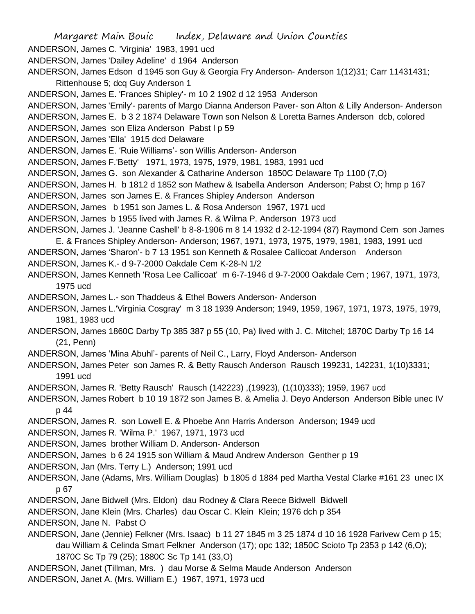Margaret Main Bouic Index, Delaware and Union Counties ANDERSON, James C. 'Virginia' 1983, 1991 ucd ANDERSON, James 'Dailey Adeline' d 1964 Anderson ANDERSON, James Edson d 1945 son Guy & Georgia Fry Anderson- Anderson 1(12)31; Carr 11431431; Rittenhouse 5; dcq Guy Anderson 1 ANDERSON, James E. 'Frances Shipley'- m 10 2 1902 d 12 1953 Anderson ANDERSON, James 'Emily'- parents of Margo Dianna Anderson Paver- son Alton & Lilly Anderson- Anderson ANDERSON, James E. b 3 2 1874 Delaware Town son Nelson & Loretta Barnes Anderson dcb, colored ANDERSON, James son Eliza Anderson Pabst l p 59 ANDERSON, James 'Ella' 1915 dcd Delaware ANDERSON, James E. 'Ruie Williams'- son Willis Anderson- Anderson ANDERSON, James F.'Betty' 1971, 1973, 1975, 1979, 1981, 1983, 1991 ucd ANDERSON, James G. son Alexander & Catharine Anderson 1850C Delaware Tp 1100 (7,O) ANDERSON, James H. b 1812 d 1852 son Mathew & Isabella Anderson Anderson; Pabst O; hmp p 167 ANDERSON, James son James E. & Frances Shipley Anderson Anderson ANDERSON, James b 1951 son James L. & Rosa Anderson 1967, 1971 ucd ANDERSON, James b 1955 lived with James R. & Wilma P. Anderson 1973 ucd ANDERSON, James J. 'Jeanne Cashell' b 8-8-1906 m 8 14 1932 d 2-12-1994 (87) Raymond Cem son James E. & Frances Shipley Anderson- Anderson; 1967, 1971, 1973, 1975, 1979, 1981, 1983, 1991 ucd ANDERSON, James 'Sharon'- b 7 13 1951 son Kenneth & Rosalee Callicoat Anderson Anderson ANDERSON, James K.- d 9-7-2000 Oakdale Cem K-28-N 1/2 ANDERSON, James Kenneth 'Rosa Lee Callicoat' m 6-7-1946 d 9-7-2000 Oakdale Cem ; 1967, 1971, 1973, 1975 ucd ANDERSON, James L.- son Thaddeus & Ethel Bowers Anderson- Anderson ANDERSON, James L.'Virginia Cosgray' m 3 18 1939 Anderson; 1949, 1959, 1967, 1971, 1973, 1975, 1979, 1981, 1983 ucd ANDERSON, James 1860C Darby Tp 385 387 p 55 (10, Pa) lived with J. C. Mitchel; 1870C Darby Tp 16 14 (21, Penn) ANDERSON, James 'Mina Abuhl'- parents of Neil C., Larry, Floyd Anderson- Anderson ANDERSON, James Peter son James R. & Betty Rausch Anderson Rausch 199231, 142231, 1(10)3331; 1991 ucd ANDERSON, James R. 'Betty Rausch' Rausch (142223) ,(19923), (1(10)333); 1959, 1967 ucd ANDERSON, James Robert b 10 19 1872 son James B. & Amelia J. Deyo Anderson Anderson Bible unec IV p 44 ANDERSON, James R. son Lowell E. & Phoebe Ann Harris Anderson Anderson; 1949 ucd ANDERSON, James R. 'Wilma P.' 1967, 1971, 1973 ucd ANDERSON, James brother William D. Anderson- Anderson ANDERSON, James b 6 24 1915 son William & Maud Andrew Anderson Genther p 19 ANDERSON, Jan (Mrs. Terry L.) Anderson; 1991 ucd ANDERSON, Jane (Adams, Mrs. William Douglas) b 1805 d 1884 ped Martha Vestal Clarke #161 23 unec IX p 67 ANDERSON, Jane Bidwell (Mrs. Eldon) dau Rodney & Clara Reece Bidwell Bidwell ANDERSON, Jane Klein (Mrs. Charles) dau Oscar C. Klein Klein; 1976 dch p 354 ANDERSON, Jane N. Pabst O ANDERSON, Jane (Jennie) Felkner (Mrs. Isaac) b 11 27 1845 m 3 25 1874 d 10 16 1928 Farivew Cem p 15; dau William & Celinda Smart Felkner Anderson (17); opc 132; 1850C Scioto Tp 2353 p 142 (6,O); 1870C Sc Tp 79 (25); 1880C Sc Tp 141 (33,O) ANDERSON, Janet (Tillman, Mrs. ) dau Morse & Selma Maude Anderson Anderson ANDERSON, Janet A. (Mrs. William E.) 1967, 1971, 1973 ucd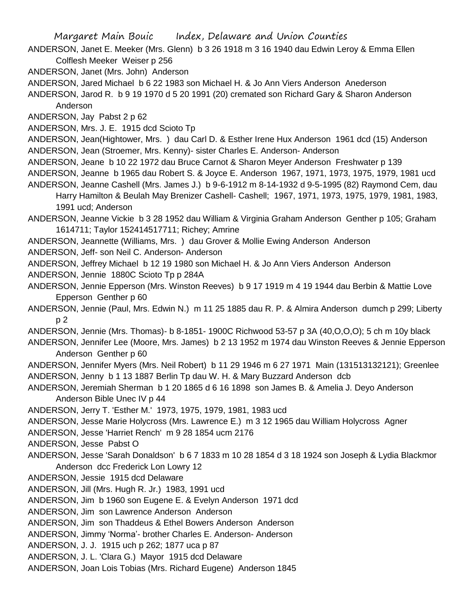- ANDERSON, Janet E. Meeker (Mrs. Glenn) b 3 26 1918 m 3 16 1940 dau Edwin Leroy & Emma Ellen Colflesh Meeker Weiser p 256
- ANDERSON, Janet (Mrs. John) Anderson

ANDERSON, Jared Michael b 6 22 1983 son Michael H. & Jo Ann Viers Anderson Anederson

ANDERSON, Jarod R. b 9 19 1970 d 5 20 1991 (20) cremated son Richard Gary & Sharon Anderson Anderson

ANDERSON, Jay Pabst 2 p 62

ANDERSON, Mrs. J. E. 1915 dcd Scioto Tp

ANDERSON, Jean(Hightower, Mrs. ) dau Carl D. & Esther Irene Hux Anderson 1961 dcd (15) Anderson ANDERSON, Jean (Stroemer, Mrs. Kenny)- sister Charles E. Anderson- Anderson

ANDERSON, Jeane b 10 22 1972 dau Bruce Carnot & Sharon Meyer Anderson Freshwater p 139

ANDERSON, Jeanne b 1965 dau Robert S. & Joyce E. Anderson 1967, 1971, 1973, 1975, 1979, 1981 ucd ANDERSON, Jeanne Cashell (Mrs. James J.) b 9-6-1912 m 8-14-1932 d 9-5-1995 (82) Raymond Cem, dau

Harry Hamilton & Beulah May Brenizer Cashell- Cashell; 1967, 1971, 1973, 1975, 1979, 1981, 1983, 1991 ucd; Anderson

ANDERSON, Jeanne Vickie b 3 28 1952 dau William & Virginia Graham Anderson Genther p 105; Graham 1614711; Taylor 152414517711; Richey; Amrine

ANDERSON, Jeannette (Williams, Mrs. ) dau Grover & Mollie Ewing Anderson Anderson

ANDERSON, Jeff- son Neil C. Anderson- Anderson

ANDERSON, Jeffrey Michael b 12 19 1980 son Michael H. & Jo Ann Viers Anderson Anderson

ANDERSON, Jennie 1880C Scioto Tp p 284A

- ANDERSON, Jennie Epperson (Mrs. Winston Reeves) b 9 17 1919 m 4 19 1944 dau Berbin & Mattie Love Epperson Genther p 60
- ANDERSON, Jennie (Paul, Mrs. Edwin N.) m 11 25 1885 dau R. P. & Almira Anderson dumch p 299; Liberty p 2

ANDERSON, Jennie (Mrs. Thomas)- b 8-1851- 1900C Richwood 53-57 p 3A (40,O,O,O); 5 ch m 10y black

ANDERSON, Jennifer Lee (Moore, Mrs. James) b 2 13 1952 m 1974 dau Winston Reeves & Jennie Epperson Anderson Genther p 60

ANDERSON, Jennifer Myers (Mrs. Neil Robert) b 11 29 1946 m 6 27 1971 Main (131513132121); Greenlee ANDERSON, Jenny b 1 13 1887 Berlin Tp dau W. H. & Mary Buzzard Anderson dcb

- ANDERSON, Jeremiah Sherman b 1 20 1865 d 6 16 1898 son James B. & Amelia J. Deyo Anderson Anderson Bible Unec IV p 44
- ANDERSON, Jerry T. 'Esther M.' 1973, 1975, 1979, 1981, 1983 ucd

ANDERSON, Jesse Marie Holycross (Mrs. Lawrence E.) m 3 12 1965 dau William Holycross Agner

ANDERSON, Jesse 'Harriet Rench' m 9 28 1854 ucm 2176

ANDERSON, Jesse Pabst O

ANDERSON, Jesse 'Sarah Donaldson' b 6 7 1833 m 10 28 1854 d 3 18 1924 son Joseph & Lydia Blackmor Anderson dcc Frederick Lon Lowry 12

ANDERSON, Jessie 1915 dcd Delaware

ANDERSON, Jill (Mrs. Hugh R. Jr.) 1983, 1991 ucd

ANDERSON, Jim b 1960 son Eugene E. & Evelyn Anderson 1971 dcd

ANDERSON, Jim son Lawrence Anderson Anderson

ANDERSON, Jim son Thaddeus & Ethel Bowers Anderson Anderson

ANDERSON, Jimmy 'Norma'- brother Charles E. Anderson- Anderson

ANDERSON, J. J. 1915 uch p 262; 1877 uca p 87

ANDERSON, J. L. 'Clara G.) Mayor 1915 dcd Delaware

ANDERSON, Joan Lois Tobias (Mrs. Richard Eugene) Anderson 1845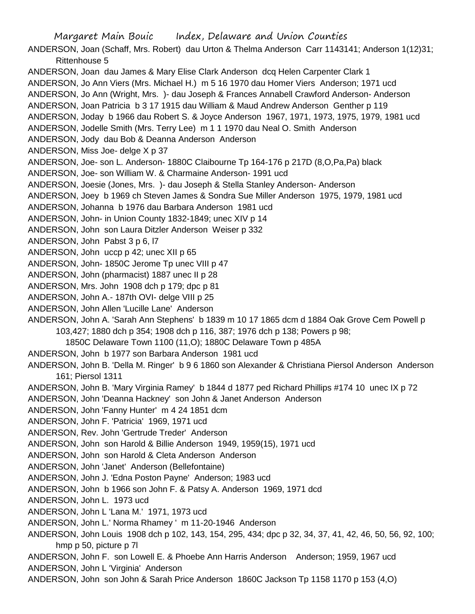Margaret Main Bouic Index, Delaware and Union Counties ANDERSON, Joan (Schaff, Mrs. Robert) dau Urton & Thelma Anderson Carr 1143141; Anderson 1(12)31; Rittenhouse 5 ANDERSON, Joan dau James & Mary Elise Clark Anderson dcq Helen Carpenter Clark 1 ANDERSON, Jo Ann Viers (Mrs. Michael H.) m 5 16 1970 dau Homer Viers Anderson; 1971 ucd ANDERSON, Jo Ann (Wright, Mrs. )- dau Joseph & Frances Annabell Crawford Anderson- Anderson ANDERSON, Joan Patricia b 3 17 1915 dau William & Maud Andrew Anderson Genther p 119 ANDERSON, Joday b 1966 dau Robert S. & Joyce Anderson 1967, 1971, 1973, 1975, 1979, 1981 ucd ANDERSON, Jodelle Smith (Mrs. Terry Lee) m 1 1 1970 dau Neal O. Smith Anderson ANDERSON, Jody dau Bob & Deanna Anderson Anderson ANDERSON, Miss Joe- delge X p 37 ANDERSON, Joe- son L. Anderson- 1880C Claibourne Tp 164-176 p 217D (8,O,Pa,Pa) black ANDERSON, Joe- son William W. & Charmaine Anderson- 1991 ucd ANDERSON, Joesie (Jones, Mrs. )- dau Joseph & Stella Stanley Anderson- Anderson ANDERSON, Joey b 1969 ch Steven James & Sondra Sue Miller Anderson 1975, 1979, 1981 ucd ANDERSON, Johanna b 1976 dau Barbara Anderson 1981 ucd ANDERSON, John- in Union County 1832-1849; unec XIV p 14 ANDERSON, John son Laura Ditzler Anderson Weiser p 332 ANDERSON, John Pabst 3 p 6, l7 ANDERSON, John uccp p 42; unec XII p 65 ANDERSON, John- 1850C Jerome Tp unec VIII p 47 ANDERSON, John (pharmacist) 1887 unec II p 28 ANDERSON, Mrs. John 1908 dch p 179; dpc p 81 ANDERSON, John A.- 187th OVI- delge VIII p 25 ANDERSON, John Allen 'Lucille Lane' Anderson ANDERSON, John A. 'Sarah Ann Stephens' b 1839 m 10 17 1865 dcm d 1884 Oak Grove Cem Powell p 103,427; 1880 dch p 354; 1908 dch p 116, 387; 1976 dch p 138; Powers p 98; 1850C Delaware Town 1100 (11,O); 1880C Delaware Town p 485A ANDERSON, John b 1977 son Barbara Anderson 1981 ucd ANDERSON, John B. 'Della M. Ringer' b 9 6 1860 son Alexander & Christiana Piersol Anderson Anderson 161; Piersol 1311 ANDERSON, John B. 'Mary Virginia Ramey' b 1844 d 1877 ped Richard Phillips #174 10 unec IX p 72 ANDERSON, John 'Deanna Hackney' son John & Janet Anderson Anderson ANDERSON, John 'Fanny Hunter' m 4 24 1851 dcm ANDERSON, John F. 'Patricia' 1969, 1971 ucd ANDERSON, Rev. John 'Gertrude Treder' Anderson ANDERSON, John son Harold & Billie Anderson 1949, 1959(15), 1971 ucd ANDERSON, John son Harold & Cleta Anderson Anderson ANDERSON, John 'Janet' Anderson (Bellefontaine) ANDERSON, John J. 'Edna Poston Payne' Anderson; 1983 ucd ANDERSON, John b 1966 son John F. & Patsy A. Anderson 1969, 1971 dcd ANDERSON, John L. 1973 ucd ANDERSON, John L 'Lana M.' 1971, 1973 ucd ANDERSON, John L.' Norma Rhamey ' m 11-20-1946 Anderson ANDERSON, John Louis 1908 dch p 102, 143, 154, 295, 434; dpc p 32, 34, 37, 41, 42, 46, 50, 56, 92, 100; hmp p 50, picture p 7l ANDERSON, John F. son Lowell E. & Phoebe Ann Harris Anderson Anderson; 1959, 1967 ucd ANDERSON, John L 'Virginia' Anderson ANDERSON, John son John & Sarah Price Anderson 1860C Jackson Tp 1158 1170 p 153 (4,O)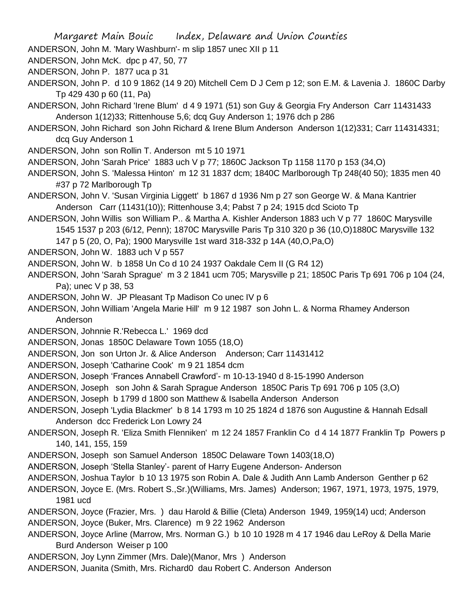- ANDERSON, John M. 'Mary Washburn'- m slip 1857 unec XII p 11
- ANDERSON, John McK. dpc p 47, 50, 77
- ANDERSON, John P. 1877 uca p 31
- ANDERSON, John P. d 10 9 1862 (14 9 20) Mitchell Cem D J Cem p 12; son E.M. & Lavenia J. 1860C Darby Tp 429 430 p 60 (11, Pa)
- ANDERSON, John Richard 'Irene Blum' d 4 9 1971 (51) son Guy & Georgia Fry Anderson Carr 11431433 Anderson 1(12)33; Rittenhouse 5,6; dcq Guy Anderson 1; 1976 dch p 286
- ANDERSON, John Richard son John Richard & Irene Blum Anderson Anderson 1(12)331; Carr 114314331; dcq Guy Anderson 1
- ANDERSON, John son Rollin T. Anderson mt 5 10 1971
- ANDERSON, John 'Sarah Price' 1883 uch V p 77; 1860C Jackson Tp 1158 1170 p 153 (34,O)
- ANDERSON, John S. 'Malessa Hinton' m 12 31 1837 dcm; 1840C Marlborough Tp 248(40 50); 1835 men 40 #37 p 72 Marlborough Tp
- ANDERSON, John V. 'Susan Virginia Liggett' b 1867 d 1936 Nm p 27 son George W. & Mana Kantrier Anderson Carr (11431(10)); Rittenhouse 3,4; Pabst 7 p 24; 1915 dcd Scioto Tp
- ANDERSON, John Willis son William P.. & Martha A. Kishler Anderson 1883 uch V p 77 1860C Marysville 1545 1537 p 203 (6/12, Penn); 1870C Marysville Paris Tp 310 320 p 36 (10,O)1880C Marysville 132
	- 147 p 5 (20, O, Pa); 1900 Marysville 1st ward 318-332 p 14A (40,O,Pa,O)
- ANDERSON, John W. 1883 uch V p 557
- ANDERSON, John W. b 1858 Un Co d 10 24 1937 Oakdale Cem II (G R4 12)
- ANDERSON, John 'Sarah Sprague' m 3 2 1841 ucm 705; Marysville p 21; 1850C Paris Tp 691 706 p 104 (24, Pa); unec V p 38, 53
- ANDERSON, John W. JP Pleasant Tp Madison Co unec IV p 6
- ANDERSON, John William 'Angela Marie Hill' m 9 12 1987 son John L. & Norma Rhamey Anderson Anderson
- ANDERSON, Johnnie R.'Rebecca L.' 1969 dcd
- ANDERSON, Jonas 1850C Delaware Town 1055 (18,O)
- ANDERSON, Jon son Urton Jr. & Alice Anderson Anderson; Carr 11431412
- ANDERSON, Joseph 'Catharine Cook' m 9 21 1854 dcm
- ANDERSON, Joseph 'Frances Annabell Crawford'- m 10-13-1940 d 8-15-1990 Anderson
- ANDERSON, Joseph son John & Sarah Sprague Anderson 1850C Paris Tp 691 706 p 105 (3,O)
- ANDERSON, Joseph b 1799 d 1800 son Matthew & Isabella Anderson Anderson
- ANDERSON, Joseph 'Lydia Blackmer' b 8 14 1793 m 10 25 1824 d 1876 son Augustine & Hannah Edsall Anderson dcc Frederick Lon Lowry 24
- ANDERSON, Joseph R. 'Eliza Smith Flenniken' m 12 24 1857 Franklin Co d 4 14 1877 Franklin Tp Powers p 140, 141, 155, 159
- ANDERSON, Joseph son Samuel Anderson 1850C Delaware Town 1403(18,O)
- ANDERSON, Joseph 'Stella Stanley'- parent of Harry Eugene Anderson- Anderson
- ANDERSON, Joshua Taylor b 10 13 1975 son Robin A. Dale & Judith Ann Lamb Anderson Genther p 62
- ANDERSON, Joyce E. (Mrs. Robert S.,Sr.)(Williams, Mrs. James) Anderson; 1967, 1971, 1973, 1975, 1979, 1981 ucd
- ANDERSON, Joyce (Frazier, Mrs. ) dau Harold & Billie (Cleta) Anderson 1949, 1959(14) ucd; Anderson ANDERSON, Joyce (Buker, Mrs. Clarence) m 9 22 1962 Anderson
- ANDERSON, Joyce Arline (Marrow, Mrs. Norman G.) b 10 10 1928 m 4 17 1946 dau LeRoy & Della Marie Burd Anderson Weiser p 100
- ANDERSON, Joy Lynn Zimmer (Mrs. Dale)(Manor, Mrs ) Anderson
- ANDERSON, Juanita (Smith, Mrs. Richard0 dau Robert C. Anderson Anderson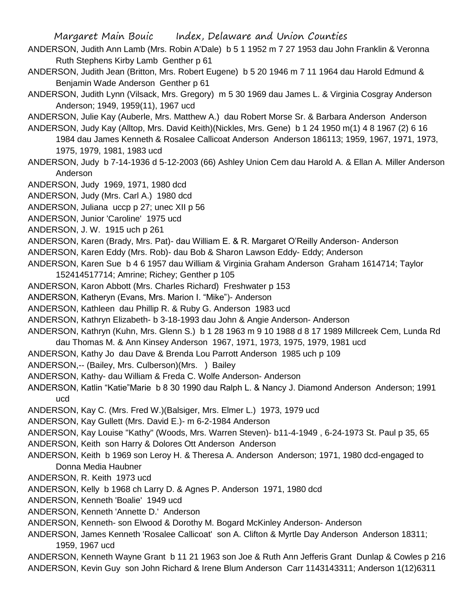- ANDERSON, Judith Ann Lamb (Mrs. Robin A'Dale) b 5 1 1952 m 7 27 1953 dau John Franklin & Veronna Ruth Stephens Kirby Lamb Genther p 61
- ANDERSON, Judith Jean (Britton, Mrs. Robert Eugene) b 5 20 1946 m 7 11 1964 dau Harold Edmund & Benjamin Wade Anderson Genther p 61
- ANDERSON, Judith Lynn (Vilsack, Mrs. Gregory) m 5 30 1969 dau James L. & Virginia Cosgray Anderson Anderson; 1949, 1959(11), 1967 ucd
- ANDERSON, Julie Kay (Auberle, Mrs. Matthew A.) dau Robert Morse Sr. & Barbara Anderson Anderson
- ANDERSON, Judy Kay (Alltop, Mrs. David Keith)(Nickles, Mrs. Gene) b 1 24 1950 m(1) 4 8 1967 (2) 6 16 1984 dau James Kenneth & Rosalee Callicoat Anderson Anderson 186113; 1959, 1967, 1971, 1973, 1975, 1979, 1981, 1983 ucd
- ANDERSON, Judy b 7-14-1936 d 5-12-2003 (66) Ashley Union Cem dau Harold A. & Ellan A. Miller Anderson Anderson
- ANDERSON, Judy 1969, 1971, 1980 dcd
- ANDERSON, Judy (Mrs. Carl A.) 1980 dcd
- ANDERSON, Juliana uccp p 27; unec XII p 56
- ANDERSON, Junior 'Caroline' 1975 ucd
- ANDERSON, J. W. 1915 uch p 261
- ANDERSON, Karen (Brady, Mrs. Pat)- dau William E. & R. Margaret O'Reilly Anderson- Anderson
- ANDERSON, Karen Eddy (Mrs. Rob)- dau Bob & Sharon Lawson Eddy- Eddy; Anderson
- ANDERSON, Karen Sue b 4 6 1957 dau William & Virginia Graham Anderson Graham 1614714; Taylor
	- 152414517714; Amrine; Richey; Genther p 105
- ANDERSON, Karon Abbott (Mrs. Charles Richard) Freshwater p 153
- ANDERSON, Katheryn (Evans, Mrs. Marion I. "Mike")- Anderson
- ANDERSON, Kathleen dau Phillip R. & Ruby G. Anderson 1983 ucd
- ANDERSON, Kathryn Elizabeth- b 3-18-1993 dau John & Angie Anderson- Anderson
- ANDERSON, Kathryn (Kuhn, Mrs. Glenn S.) b 1 28 1963 m 9 10 1988 d 8 17 1989 Millcreek Cem, Lunda Rd dau Thomas M. & Ann Kinsey Anderson 1967, 1971, 1973, 1975, 1979, 1981 ucd
- ANDERSON, Kathy Jo dau Dave & Brenda Lou Parrott Anderson 1985 uch p 109
- ANDERSON,-- (Bailey, Mrs. Culberson)(Mrs. ) Bailey
- ANDERSON, Kathy- dau William & Freda C. Wolfe Anderson- Anderson
- ANDERSON, Katlin "Katie"Marie b 8 30 1990 dau Ralph L. & Nancy J. Diamond Anderson Anderson; 1991 ucd
- ANDERSON, Kay C. (Mrs. Fred W.)(Balsiger, Mrs. Elmer L.) 1973, 1979 ucd
- ANDERSON, Kay Gullett (Mrs. David E.)- m 6-2-1984 Anderson
- ANDERSON, Kay Louise "Kathy" (Woods, Mrs. Warren Steven)- b11-4-1949 , 6-24-1973 St. Paul p 35, 65 ANDERSON, Keith son Harry & Dolores Ott Anderson Anderson
- ANDERSON, Keith b 1969 son Leroy H. & Theresa A. Anderson Anderson; 1971, 1980 dcd-engaged to Donna Media Haubner
- ANDERSON, R. Keith 1973 ucd
- ANDERSON, Kelly b 1968 ch Larry D. & Agnes P. Anderson 1971, 1980 dcd
- ANDERSON, Kenneth 'Boalie' 1949 ucd
- ANDERSON, Kenneth 'Annette D.' Anderson
- ANDERSON, Kenneth- son Elwood & Dorothy M. Bogard McKinley Anderson- Anderson
- ANDERSON, James Kenneth 'Rosalee Callicoat' son A. Clifton & Myrtle Day Anderson Anderson 18311; 1959, 1967 ucd
- ANDERSON, Kenneth Wayne Grant b 11 21 1963 son Joe & Ruth Ann Jefferis Grant Dunlap & Cowles p 216 ANDERSON, Kevin Guy son John Richard & Irene Blum Anderson Carr 1143143311; Anderson 1(12)6311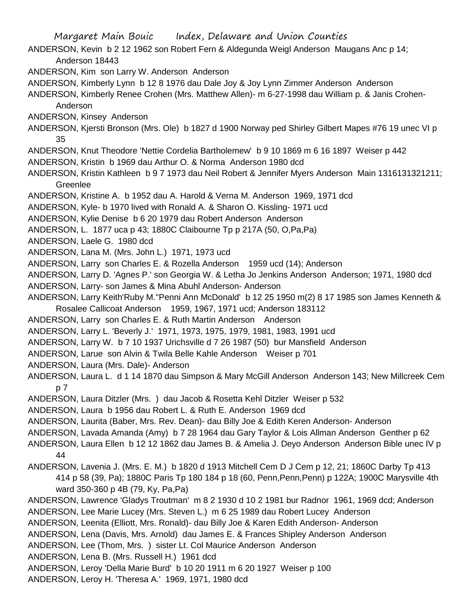ANDERSON, Kevin b 2 12 1962 son Robert Fern & Aldegunda Weigl Anderson Maugans Anc p 14; Anderson 18443

ANDERSON, Kim son Larry W. Anderson Anderson

ANDERSON, Kimberly Lynn b 12 8 1976 dau Dale Joy & Joy Lynn Zimmer Anderson Anderson

ANDERSON, Kimberly Renee Crohen (Mrs. Matthew Allen)- m 6-27-1998 dau William p. & Janis Crohen-

Anderson

ANDERSON, Kinsey Anderson

ANDERSON, Kjersti Bronson (Mrs. Ole) b 1827 d 1900 Norway ped Shirley Gilbert Mapes #76 19 unec VI p 35

- ANDERSON, Knut Theodore 'Nettie Cordelia Bartholemew' b 9 10 1869 m 6 16 1897 Weiser p 442
- ANDERSON, Kristin b 1969 dau Arthur O. & Norma Anderson 1980 dcd

ANDERSON, Kristin Kathleen b 9 7 1973 dau Neil Robert & Jennifer Myers Anderson Main 1316131321211; Greenlee

ANDERSON, Kristine A. b 1952 dau A. Harold & Verna M. Anderson 1969, 1971 dcd

ANDERSON, Kyle- b 1970 lived with Ronald A. & Sharon O. Kissling- 1971 ucd

ANDERSON, Kylie Denise b 6 20 1979 dau Robert Anderson Anderson

ANDERSON, L. 1877 uca p 43; 1880C Claibourne Tp p 217A (50, O,Pa,Pa)

ANDERSON, Laele G. 1980 dcd

ANDERSON, Lana M. (Mrs. John L.) 1971, 1973 ucd

ANDERSON, Larry son Charles E. & Rozella Anderson 1959 ucd (14); Anderson

ANDERSON, Larry D. 'Agnes P.' son Georgia W. & Letha Jo Jenkins Anderson Anderson; 1971, 1980 dcd

ANDERSON, Larry- son James & Mina Abuhl Anderson- Anderson

ANDERSON, Larry Keith'Ruby M.''Penni Ann McDonald' b 12 25 1950 m(2) 8 17 1985 son James Kenneth & Rosalee Callicoat Anderson 1959, 1967, 1971 ucd; Anderson 183112

ANDERSON, Larry son Charles E. & Ruth Martin Anderson Anderson

ANDERSON, Larry L. 'Beverly J.' 1971, 1973, 1975, 1979, 1981, 1983, 1991 ucd

ANDERSON, Larry W. b 7 10 1937 Urichsville d 7 26 1987 (50) bur Mansfield Anderson

ANDERSON, Larue son Alvin & Twila Belle Kahle Anderson Weiser p 701

ANDERSON, Laura (Mrs. Dale)- Anderson

ANDERSON, Laura L. d 1 14 1870 dau Simpson & Mary McGill Anderson Anderson 143; New Millcreek Cem p 7

ANDERSON, Laura Ditzler (Mrs. ) dau Jacob & Rosetta Kehl Ditzler Weiser p 532

ANDERSON, Laura b 1956 dau Robert L. & Ruth E. Anderson 1969 dcd

ANDERSON, Laurita (Baber, Mrs. Rev. Dean)- dau Billy Joe & Edith Keren Anderson- Anderson

ANDERSON, Lavada Amanda (Amy) b 7 28 1964 dau Gary Taylor & Lois Allman Anderson Genther p 62

ANDERSON, Laura Ellen b 12 12 1862 dau James B. & Amelia J. Deyo Anderson Anderson Bible unec IV p 44

ANDERSON, Lavenia J. (Mrs. E. M.) b 1820 d 1913 Mitchell Cem D J Cem p 12, 21; 1860C Darby Tp 413 414 p 58 (39, Pa); 1880C Paris Tp 180 184 p 18 (60, Penn,Penn,Penn) p 122A; 1900C Marysville 4th ward 350-360 p 4B (79, Ky, Pa,Pa)

ANDERSON, Lawrence 'Gladys Troutman' m 8 2 1930 d 10 2 1981 bur Radnor 1961, 1969 dcd; Anderson

ANDERSON, Lee Marie Lucey (Mrs. Steven L.) m 6 25 1989 dau Robert Lucey Anderson

ANDERSON, Leenita (Elliott, Mrs. Ronald)- dau Billy Joe & Karen Edith Anderson- Anderson

ANDERSON, Lena (Davis, Mrs. Arnold) dau James E. & Frances Shipley Anderson Anderson

ANDERSON, Lee (Thom, Mrs. ) sister Lt. Col Maurice Anderson Anderson

ANDERSON, Lena B. (Mrs. Russell H.) 1961 dcd

ANDERSON, Leroy 'Della Marie Burd' b 10 20 1911 m 6 20 1927 Weiser p 100

ANDERSON, Leroy H. 'Theresa A.' 1969, 1971, 1980 dcd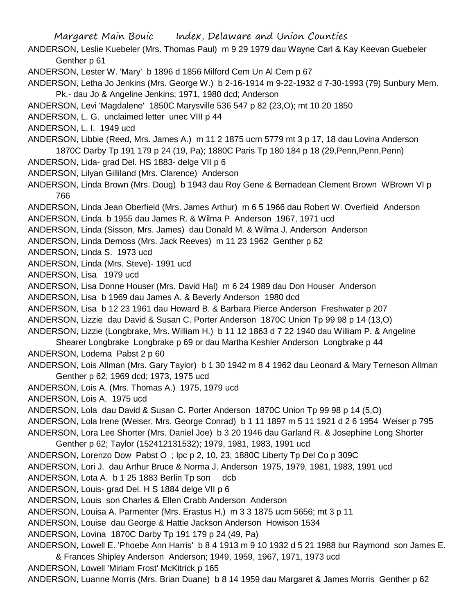ANDERSON, Leslie Kuebeler (Mrs. Thomas Paul) m 9 29 1979 dau Wayne Carl & Kay Keevan Guebeler Genther p 61

ANDERSON, Lester W. 'Mary' b 1896 d 1856 Milford Cem Un Al Cem p 67

ANDERSON, Letha Jo Jenkins (Mrs. George W.) b 2-16-1914 m 9-22-1932 d 7-30-1993 (79) Sunbury Mem. Pk.- dau Jo & Angeline Jenkins; 1971, 1980 dcd; Anderson

- ANDERSON, Levi 'Magdalene' 1850C Marysville 536 547 p 82 (23,O); mt 10 20 1850
- ANDERSON, L. G. unclaimed letter unec VIII p 44
- ANDERSON, L. I. 1949 ucd

ANDERSON, Libbie (Reed, Mrs. James A.) m 11 2 1875 ucm 5779 mt 3 p 17, 18 dau Lovina Anderson 1870C Darby Tp 191 179 p 24 (19, Pa); 1880C Paris Tp 180 184 p 18 (29,Penn,Penn,Penn)

- ANDERSON, Lida- grad Del. HS 1883- delge VII p 6
- ANDERSON, Lilyan Gilliland (Mrs. Clarence) Anderson

ANDERSON, Linda Brown (Mrs. Doug) b 1943 dau Roy Gene & Bernadean Clement Brown WBrown VI p 766

ANDERSON, Linda Jean Oberfield (Mrs. James Arthur) m 6 5 1966 dau Robert W. Overfield Anderson ANDERSON, Linda b 1955 dau James R. & Wilma P. Anderson 1967, 1971 ucd

ANDERSON, Linda (Sisson, Mrs. James) dau Donald M. & Wilma J. Anderson Anderson

ANDERSON, Linda Demoss (Mrs. Jack Reeves) m 11 23 1962 Genther p 62

- ANDERSON, Linda S. 1973 ucd
- ANDERSON, Linda (Mrs. Steve)- 1991 ucd

ANDERSON, Lisa 1979 ucd

ANDERSON, Lisa Donne Houser (Mrs. David Hal) m 6 24 1989 dau Don Houser Anderson

ANDERSON, Lisa b 1969 dau James A. & Beverly Anderson 1980 dcd

ANDERSON, Lisa b 12 23 1961 dau Howard B. & Barbara Pierce Anderson Freshwater p 207

ANDERSON, Lizzie dau David & Susan C. Porter Anderson 1870C Union Tp 99 98 p 14 (13,O)

ANDERSON, Lizzie (Longbrake, Mrs. William H.) b 11 12 1863 d 7 22 1940 dau William P. & Angeline

Shearer Longbrake Longbrake p 69 or dau Martha Keshler Anderson Longbrake p 44

ANDERSON, Lodema Pabst 2 p 60

ANDERSON, Lois Allman (Mrs. Gary Taylor) b 1 30 1942 m 8 4 1962 dau Leonard & Mary Terneson Allman Genther p 62; 1969 dcd; 1973, 1975 ucd

ANDERSON, Lois A. (Mrs. Thomas A.) 1975, 1979 ucd

ANDERSON, Lois A. 1975 ucd

ANDERSON, Lola dau David & Susan C. Porter Anderson 1870C Union Tp 99 98 p 14 (5,O)

ANDERSON, Lola Irene (Weiser, Mrs. George Conrad) b 1 11 1897 m 5 11 1921 d 2 6 1954 Weiser p 795

ANDERSON, Lora Lee Shorter (Mrs. Daniel Joe) b 3 20 1946 dau Garland R. & Josephine Long Shorter

Genther p 62; Taylor (152412131532); 1979, 1981, 1983, 1991 ucd

ANDERSON, Lorenzo Dow Pabst O ; lpc p 2, 10, 23; 1880C Liberty Tp Del Co p 309C

ANDERSON, Lori J. dau Arthur Bruce & Norma J. Anderson 1975, 1979, 1981, 1983, 1991 ucd

ANDERSON, Lota A. b 1 25 1883 Berlin Tp son dcb

ANDERSON, Louis- grad Del. H S 1884 delge VII p 6

ANDERSON, Louis son Charles & Ellen Crabb Anderson Anderson

ANDERSON, Louisa A. Parmenter (Mrs. Erastus H.) m 3 3 1875 ucm 5656; mt 3 p 11

ANDERSON, Louise dau George & Hattie Jackson Anderson Howison 1534

ANDERSON, Lovina 1870C Darby Tp 191 179 p 24 (49, Pa)

ANDERSON, Lowell E. 'Phoebe Ann Harris' b 8 4 1913 m 9 10 1932 d 5 21 1988 bur Raymond son James E.

& Frances Shipley Anderson Anderson; 1949, 1959, 1967, 1971, 1973 ucd

ANDERSON, Lowell 'Miriam Frost' McKitrick p 165

ANDERSON, Luanne Morris (Mrs. Brian Duane) b 8 14 1959 dau Margaret & James Morris Genther p 62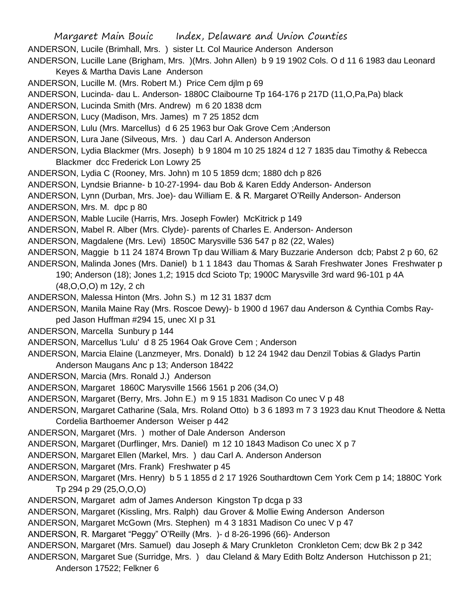Margaret Main Bouic Index, Delaware and Union Counties ANDERSON, Lucile (Brimhall, Mrs. ) sister Lt. Col Maurice Anderson Anderson ANDERSON, Lucille Lane (Brigham, Mrs. )(Mrs. John Allen) b 9 19 1902 Cols. O d 11 6 1983 dau Leonard Keyes & Martha Davis Lane Anderson ANDERSON, Lucille M. (Mrs. Robert M.) Price Cem djlm p 69 ANDERSON, Lucinda- dau L. Anderson- 1880C Claibourne Tp 164-176 p 217D (11,O,Pa,Pa) black ANDERSON, Lucinda Smith (Mrs. Andrew) m 6 20 1838 dcm ANDERSON, Lucy (Madison, Mrs. James) m 7 25 1852 dcm ANDERSON, Lulu (Mrs. Marcellus) d 6 25 1963 bur Oak Grove Cem ;Anderson ANDERSON, Lura Jane (Silveous, Mrs. ) dau Carl A. Anderson Anderson ANDERSON, Lydia Blackmer (Mrs. Joseph) b 9 1804 m 10 25 1824 d 12 7 1835 dau Timothy & Rebecca Blackmer dcc Frederick Lon Lowry 25 ANDERSON, Lydia C (Rooney, Mrs. John) m 10 5 1859 dcm; 1880 dch p 826 ANDERSON, Lyndsie Brianne- b 10-27-1994- dau Bob & Karen Eddy Anderson- Anderson ANDERSON, Lynn (Durban, Mrs. Joe)- dau William E. & R. Margaret O'Reilly Anderson- Anderson ANDERSON, Mrs. M. dpc p 80 ANDERSON, Mable Lucile (Harris, Mrs. Joseph Fowler) McKitrick p 149 ANDERSON, Mabel R. Alber (Mrs. Clyde)- parents of Charles E. Anderson- Anderson ANDERSON, Magdalene (Mrs. Levi) 1850C Marysville 536 547 p 82 (22, Wales) ANDERSON, Maggie b 11 24 1874 Brown Tp dau William & Mary Buzzarie Anderson dcb; Pabst 2 p 60, 62 ANDERSON, Malinda Jones (Mrs. Daniel) b 1 1 1843 dau Thomas & Sarah Freshwater Jones Freshwater p 190; Anderson (18); Jones 1,2; 1915 dcd Scioto Tp; 1900C Marysville 3rd ward 96-101 p 4A (48,O,O,O) m 12y, 2 ch ANDERSON, Malessa Hinton (Mrs. John S.) m 12 31 1837 dcm ANDERSON, Manila Maine Ray (Mrs. Roscoe Dewy)- b 1900 d 1967 dau Anderson & Cynthia Combs Rayped Jason Huffman #294 15, unec XI p 31 ANDERSON, Marcella Sunbury p 144 ANDERSON, Marcellus 'Lulu' d 8 25 1964 Oak Grove Cem ; Anderson ANDERSON, Marcia Elaine (Lanzmeyer, Mrs. Donald) b 12 24 1942 dau Denzil Tobias & Gladys Partin Anderson Maugans Anc p 13; Anderson 18422 ANDERSON, Marcia (Mrs. Ronald J.) Anderson ANDERSON, Margaret 1860C Marysville 1566 1561 p 206 (34,O) ANDERSON, Margaret (Berry, Mrs. John E.) m 9 15 1831 Madison Co unec V p 48 ANDERSON, Margaret Catharine (Sala, Mrs. Roland Otto) b 3 6 1893 m 7 3 1923 dau Knut Theodore & Netta Cordelia Barthoemer Anderson Weiser p 442 ANDERSON, Margaret (Mrs. ) mother of Dale Anderson Anderson ANDERSON, Margaret (Durflinger, Mrs. Daniel) m 12 10 1843 Madison Co unec X p 7 ANDERSON, Margaret Ellen (Markel, Mrs. ) dau Carl A. Anderson Anderson ANDERSON, Margaret (Mrs. Frank) Freshwater p 45 ANDERSON, Margaret (Mrs. Henry) b 5 1 1855 d 2 17 1926 Southardtown Cem York Cem p 14; 1880C York Tp 294 p 29 (25,O,O,O) ANDERSON, Margaret adm of James Anderson Kingston Tp dcga p 33 ANDERSON, Margaret (Kissling, Mrs. Ralph) dau Grover & Mollie Ewing Anderson Anderson ANDERSON, Margaret McGown (Mrs. Stephen) m 4 3 1831 Madison Co unec V p 47 ANDERSON, R. Margaret "Peggy" O'Reilly (Mrs. )- d 8-26-1996 (66)- Anderson ANDERSON, Margaret (Mrs. Samuel) dau Joseph & Mary Crunkleton Cronkleton Cem; dcw Bk 2 p 342 ANDERSON, Margaret Sue (Surridge, Mrs. ) dau Cleland & Mary Edith Boltz Anderson Hutchisson p 21; Anderson 17522; Felkner 6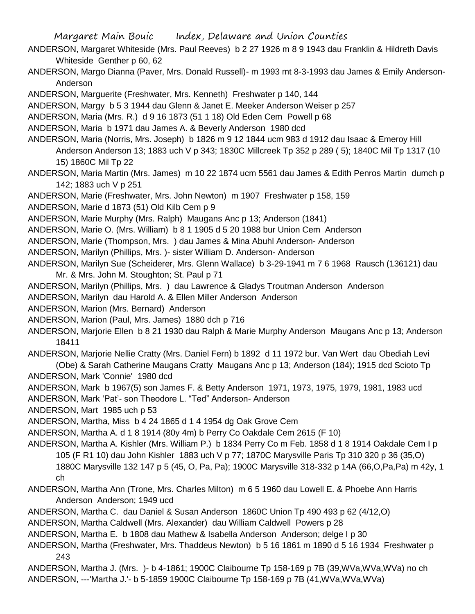ANDERSON, Margaret Whiteside (Mrs. Paul Reeves) b 2 27 1926 m 8 9 1943 dau Franklin & Hildreth Davis Whiteside Genther p 60, 62

ANDERSON, Margo Dianna (Paver, Mrs. Donald Russell)- m 1993 mt 8-3-1993 dau James & Emily Anderson-Anderson

ANDERSON, Marguerite (Freshwater, Mrs. Kenneth) Freshwater p 140, 144

ANDERSON, Margy b 5 3 1944 dau Glenn & Janet E. Meeker Anderson Weiser p 257

ANDERSON, Maria (Mrs. R.) d 9 16 1873 (51 1 18) Old Eden Cem Powell p 68

ANDERSON, Maria b 1971 dau James A. & Beverly Anderson 1980 dcd

ANDERSON, Maria (Norris, Mrs. Joseph) b 1826 m 9 12 1844 ucm 983 d 1912 dau Isaac & Emeroy Hill Anderson Anderson 13; 1883 uch V p 343; 1830C Millcreek Tp 352 p 289 ( 5); 1840C Mil Tp 1317 (10 15) 1860C Mil Tp 22

ANDERSON, Maria Martin (Mrs. James) m 10 22 1874 ucm 5561 dau James & Edith Penros Martin dumch p 142; 1883 uch V p 251

ANDERSON, Marie (Freshwater, Mrs. John Newton) m 1907 Freshwater p 158, 159

ANDERSON, Marie d 1873 (51) Old Kilb Cem p 9

ANDERSON, Marie Murphy (Mrs. Ralph) Maugans Anc p 13; Anderson (1841)

ANDERSON, Marie O. (Mrs. William) b 8 1 1905 d 5 20 1988 bur Union Cem Anderson

ANDERSON, Marie (Thompson, Mrs. ) dau James & Mina Abuhl Anderson- Anderson

ANDERSON, Marilyn (Phillips, Mrs. )- sister William D. Anderson- Anderson

ANDERSON, Marilyn Sue (Scheiderer, Mrs. Glenn Wallace) b 3-29-1941 m 7 6 1968 Rausch (136121) dau Mr. & Mrs. John M. Stoughton; St. Paul p 71

ANDERSON, Marilyn (Phillips, Mrs. ) dau Lawrence & Gladys Troutman Anderson Anderson

ANDERSON, Marilyn dau Harold A. & Ellen Miller Anderson Anderson

ANDERSON, Marion (Mrs. Bernard) Anderson

ANDERSON, Marion (Paul, Mrs. James) 1880 dch p 716

ANDERSON, Marjorie Ellen b 8 21 1930 dau Ralph & Marie Murphy Anderson Maugans Anc p 13; Anderson 18411

ANDERSON, Marjorie Nellie Cratty (Mrs. Daniel Fern) b 1892 d 11 1972 bur. Van Wert dau Obediah Levi (Obe) & Sarah Catherine Maugans Cratty Maugans Anc p 13; Anderson (184); 1915 dcd Scioto Tp ANDERSON, Mark 'Connie' 1980 dcd

ANDERSON, Mark b 1967(5) son James F. & Betty Anderson 1971, 1973, 1975, 1979, 1981, 1983 ucd

ANDERSON, Mark 'Pat'- son Theodore L. "Ted" Anderson- Anderson

ANDERSON, Mart 1985 uch p 53

ANDERSON, Martha, Miss b 4 24 1865 d 1 4 1954 dg Oak Grove Cem

ANDERSON, Martha A. d 1 8 1914 (80y 4m) b Perry Co Oakdale Cem 2615 (F 10)

ANDERSON, Martha A. Kishler (Mrs. William P.) b 1834 Perry Co m Feb. 1858 d 1 8 1914 Oakdale Cem I p 105 (F R1 10) dau John Kishler 1883 uch V p 77; 1870C Marysville Paris Tp 310 320 p 36 (35,O) 1880C Marysville 132 147 p 5 (45, O, Pa, Pa); 1900C Marysville 318-332 p 14A (66,O,Pa,Pa) m 42y, 1 ch

ANDERSON, Martha Ann (Trone, Mrs. Charles Milton) m 6 5 1960 dau Lowell E. & Phoebe Ann Harris Anderson Anderson; 1949 ucd

ANDERSON, Martha C. dau Daniel & Susan Anderson 1860C Union Tp 490 493 p 62 (4/12,O)

ANDERSON, Martha Caldwell (Mrs. Alexander) dau William Caldwell Powers p 28

ANDERSON, Martha E. b 1808 dau Mathew & Isabella Anderson Anderson; delge I p 30

ANDERSON, Martha (Freshwater, Mrs. Thaddeus Newton) b 5 16 1861 m 1890 d 5 16 1934 Freshwater p 243

ANDERSON, Martha J. (Mrs. )- b 4-1861; 1900C Claibourne Tp 158-169 p 7B (39,WVa,WVa,WVa) no ch ANDERSON, ---'Martha J.'- b 5-1859 1900C Claibourne Tp 158-169 p 7B (41,WVa,WVa,WVa)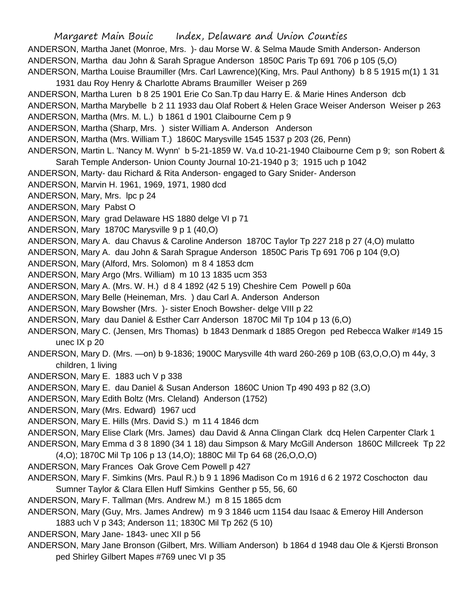Margaret Main Bouic Index, Delaware and Union Counties ANDERSON, Martha Janet (Monroe, Mrs. )- dau Morse W. & Selma Maude Smith Anderson- Anderson ANDERSON, Martha dau John & Sarah Sprague Anderson 1850C Paris Tp 691 706 p 105 (5,O) ANDERSON, Martha Louise Braumiller (Mrs. Carl Lawrence)(King, Mrs. Paul Anthony) b 8 5 1915 m(1) 1 31 1931 dau Roy Henry & Charlotte Abrams Braumiller Weiser p 269 ANDERSON, Martha Luren b 8 25 1901 Erie Co San.Tp dau Harry E. & Marie Hines Anderson dcb ANDERSON, Martha Marybelle b 2 11 1933 dau Olaf Robert & Helen Grace Weiser Anderson Weiser p 263 ANDERSON, Martha (Mrs. M. L.) b 1861 d 1901 Claibourne Cem p 9 ANDERSON, Martha (Sharp, Mrs. ) sister William A. Anderson Anderson ANDERSON, Martha (Mrs. William T.) 1860C Marysville 1545 1537 p 203 (26, Penn) ANDERSON, Martin L. 'Nancy M. Wynn' b 5-21-1859 W. Va.d 10-21-1940 Claibourne Cem p 9; son Robert & Sarah Temple Anderson- Union County Journal 10-21-1940 p 3; 1915 uch p 1042 ANDERSON, Marty- dau Richard & Rita Anderson- engaged to Gary Snider- Anderson ANDERSON, Marvin H. 1961, 1969, 1971, 1980 dcd ANDERSON, Mary, Mrs. lpc p 24 ANDERSON, Mary Pabst O ANDERSON, Mary grad Delaware HS 1880 delge VI p 71 ANDERSON, Mary 1870C Marysville 9 p 1 (40,O) ANDERSON, Mary A. dau Chavus & Caroline Anderson 1870C Taylor Tp 227 218 p 27 (4,O) mulatto ANDERSON, Mary A. dau John & Sarah Sprague Anderson 1850C Paris Tp 691 706 p 104 (9,O) ANDERSON, Mary (Alford, Mrs. Solomon) m 8 4 1853 dcm ANDERSON, Mary Argo (Mrs. William) m 10 13 1835 ucm 353 ANDERSON, Mary A. (Mrs. W. H.) d 8 4 1892 (42 5 19) Cheshire Cem Powell p 60a ANDERSON, Mary Belle (Heineman, Mrs. ) dau Carl A. Anderson Anderson ANDERSON, Mary Bowsher (Mrs. )- sister Enoch Bowsher- delge VIII p 22 ANDERSON, Mary dau Daniel & Esther Carr Anderson 1870C Mil Tp 104 p 13 (6,O) ANDERSON, Mary C. (Jensen, Mrs Thomas) b 1843 Denmark d 1885 Oregon ped Rebecca Walker #149 15 unec IX p 20 ANDERSON, Mary D. (Mrs. —on) b 9-1836; 1900C Marysville 4th ward 260-269 p 10B (63,O,O,O) m 44y, 3 children, 1 living ANDERSON, Mary E. 1883 uch V p 338 ANDERSON, Mary E. dau Daniel & Susan Anderson 1860C Union Tp 490 493 p 82 (3,O) ANDERSON, Mary Edith Boltz (Mrs. Cleland) Anderson (1752) ANDERSON, Mary (Mrs. Edward) 1967 ucd ANDERSON, Mary E. Hills (Mrs. David S.) m 11 4 1846 dcm ANDERSON, Mary Elise Clark (Mrs. James) dau David & Anna Clingan Clark dcq Helen Carpenter Clark 1 ANDERSON, Mary Emma d 3 8 1890 (34 1 18) dau Simpson & Mary McGill Anderson 1860C Millcreek Tp 22 (4,O); 1870C Mil Tp 106 p 13 (14,O); 1880C Mil Tp 64 68 (26,O,O,O) ANDERSON, Mary Frances Oak Grove Cem Powell p 427 ANDERSON, Mary F. Simkins (Mrs. Paul R.) b 9 1 1896 Madison Co m 1916 d 6 2 1972 Coschocton dau Sumner Taylor & Clara Ellen Huff Simkins Genther p 55, 56, 60 ANDERSON, Mary F. Tallman (Mrs. Andrew M.) m 8 15 1865 dcm ANDERSON, Mary (Guy, Mrs. James Andrew) m 9 3 1846 ucm 1154 dau Isaac & Emeroy Hill Anderson 1883 uch V p 343; Anderson 11; 1830C Mil Tp 262 (5 10) ANDERSON, Mary Jane- 1843- unec XII p 56

ANDERSON, Mary Jane Bronson (Gilbert, Mrs. William Anderson) b 1864 d 1948 dau Ole & Kjersti Bronson ped Shirley Gilbert Mapes #769 unec VI p 35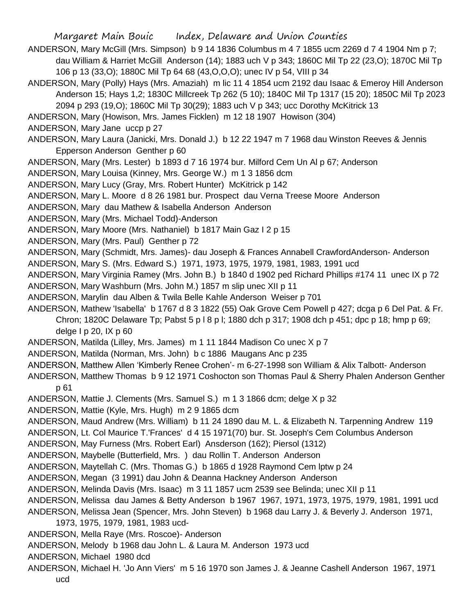- ANDERSON, Mary McGill (Mrs. Simpson) b 9 14 1836 Columbus m 4 7 1855 ucm 2269 d 7 4 1904 Nm p 7; dau William & Harriet McGill Anderson (14); 1883 uch V p 343; 1860C Mil Tp 22 (23,O); 1870C Mil Tp 106 p 13 (33,O); 1880C Mil Tp 64 68 (43,O,O,O); unec IV p 54, VIII p 34
- ANDERSON, Mary (Polly) Hays (Mrs. Amaziah) m lic 11 4 1854 ucm 2192 dau Isaac & Emeroy Hill Anderson Anderson 15; Hays 1,2; 1830C Millcreek Tp 262 (5 10); 1840C Mil Tp 1317 (15 20); 1850C Mil Tp 2023 2094 p 293 (19,O); 1860C Mil Tp 30(29); 1883 uch V p 343; ucc Dorothy McKitrick 13
- ANDERSON, Mary (Howison, Mrs. James Ficklen) m 12 18 1907 Howison (304)
- ANDERSON, Mary Jane uccp p 27
- ANDERSON, Mary Laura (Janicki, Mrs. Donald J.) b 12 22 1947 m 7 1968 dau Winston Reeves & Jennis Epperson Anderson Genther p 60
- ANDERSON, Mary (Mrs. Lester) b 1893 d 7 16 1974 bur. Milford Cem Un Al p 67; Anderson
- ANDERSON, Mary Louisa (Kinney, Mrs. George W.) m 1 3 1856 dcm
- ANDERSON, Mary Lucy (Gray, Mrs. Robert Hunter) McKitrick p 142
- ANDERSON, Mary L. Moore d 8 26 1981 bur. Prospect dau Verna Treese Moore Anderson
- ANDERSON, Mary dau Mathew & Isabella Anderson Anderson
- ANDERSON, Mary (Mrs. Michael Todd)-Anderson
- ANDERSON, Mary Moore (Mrs. Nathaniel) b 1817 Main Gaz I 2 p 15
- ANDERSON, Mary (Mrs. Paul) Genther p 72

ANDERSON, Mary (Schmidt, Mrs. James)- dau Joseph & Frances Annabell CrawfordAnderson- Anderson

- ANDERSON, Mary S. (Mrs. Edward S.) 1971, 1973, 1975, 1979, 1981, 1983, 1991 ucd
- ANDERSON, Mary Virginia Ramey (Mrs. John B.) b 1840 d 1902 ped Richard Phillips #174 11 unec IX p 72
- ANDERSON, Mary Washburn (Mrs. John M.) 1857 m slip unec XII p 11
- ANDERSON, Marylin dau Alben & Twila Belle Kahle Anderson Weiser p 701
- ANDERSON, Mathew 'Isabella' b 1767 d 8 3 1822 (55) Oak Grove Cem Powell p 427; dcga p 6 Del Pat. & Fr. Chron; 1820C Delaware Tp; Pabst 5 p l 8 p l; 1880 dch p 317; 1908 dch p 451; dpc p 18; hmp p 69; delge I p  $20$ . IX p  $60$
- ANDERSON, Matilda (Lilley, Mrs. James) m 1 11 1844 Madison Co unec X p 7
- ANDERSON, Matilda (Norman, Mrs. John) b c 1886 Maugans Anc p 235
- ANDERSON, Matthew Allen 'Kimberly Renee Crohen'- m 6-27-1998 son William & Alix Talbott- Anderson

ANDERSON, Matthew Thomas b 9 12 1971 Coshocton son Thomas Paul & Sherry Phalen Anderson Genther p 61

- ANDERSON, Mattie J. Clements (Mrs. Samuel S.) m 1 3 1866 dcm; delge X p 32
- ANDERSON, Mattie (Kyle, Mrs. Hugh) m 2 9 1865 dcm
- ANDERSON, Maud Andrew (Mrs. William) b 11 24 1890 dau M. L. & Elizabeth N. Tarpenning Andrew 119
- ANDERSON, Lt. Col Maurice T.'Frances' d 4 15 1971(70) bur. St. Joseph's Cem Columbus Anderson
- ANDERSON, May Furness (Mrs. Robert Earl) Ansderson (162); Piersol (1312)
- ANDERSON, Maybelle (Butterfield, Mrs. ) dau Rollin T. Anderson Anderson
- ANDERSON, Maytellah C. (Mrs. Thomas G.) b 1865 d 1928 Raymond Cem lptw p 24
- ANDERSON, Megan (3 1991) dau John & Deanna Hackney Anderson Anderson
- ANDERSON, Melinda Davis (Mrs. Isaac) m 3 11 1857 ucm 2539 see Belinda; unec XII p 11
- ANDERSON, Melissa dau James & Betty Anderson b 1967 1967, 1971, 1973, 1975, 1979, 1981, 1991 ucd
- ANDERSON, Melissa Jean (Spencer, Mrs. John Steven) b 1968 dau Larry J. & Beverly J. Anderson 1971,
	- 1973, 1975, 1979, 1981, 1983 ucd-
- ANDERSON, Mella Raye (Mrs. Roscoe)- Anderson
- ANDERSON, Melody b 1968 dau John L. & Laura M. Anderson 1973 ucd
- ANDERSON, Michael 1980 dcd
- ANDERSON, Michael H. 'Jo Ann Viers' m 5 16 1970 son James J. & Jeanne Cashell Anderson 1967, 1971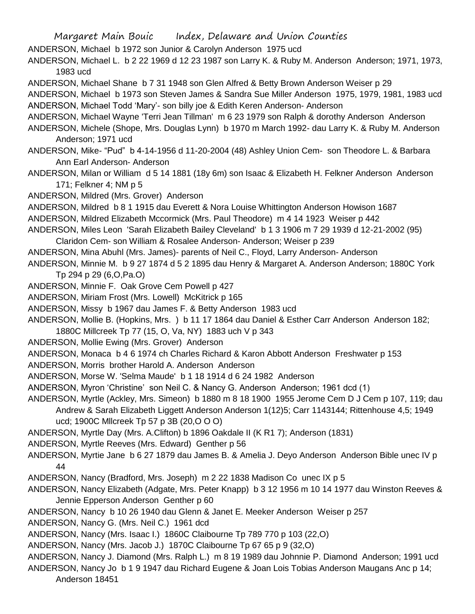Margaret Main Bouic Index, Delaware and Union Counties ANDERSON, Michael b 1972 son Junior & Carolyn Anderson 1975 ucd ANDERSON, Michael L. b 2 22 1969 d 12 23 1987 son Larry K. & Ruby M. Anderson Anderson; 1971, 1973, 1983 ucd ANDERSON, Michael Shane b 7 31 1948 son Glen Alfred & Betty Brown Anderson Weiser p 29 ANDERSON, Michael b 1973 son Steven James & Sandra Sue Miller Anderson 1975, 1979, 1981, 1983 ucd ANDERSON, Michael Todd 'Mary'- son billy joe & Edith Keren Anderson- Anderson ANDERSON, Michael Wayne 'Terri Jean Tillman' m 6 23 1979 son Ralph & dorothy Anderson Anderson ANDERSON, Michele (Shope, Mrs. Douglas Lynn) b 1970 m March 1992- dau Larry K. & Ruby M. Anderson Anderson; 1971 ucd ANDERSON, Mike- "Pud" b 4-14-1956 d 11-20-2004 (48) Ashley Union Cem- son Theodore L. & Barbara Ann Earl Anderson- Anderson ANDERSON, Milan or William d 5 14 1881 (18y 6m) son Isaac & Elizabeth H. Felkner Anderson Anderson 171; Felkner 4; NM p 5 ANDERSON, Mildred (Mrs. Grover) Anderson ANDERSON, Mildred b 8 1 1915 dau Everett & Nora Louise Whittington Anderson Howison 1687 ANDERSON, Mildred Elizabeth Mccormick (Mrs. Paul Theodore) m 4 14 1923 Weiser p 442 ANDERSON, Miles Leon 'Sarah Elizabeth Bailey Cleveland' b 1 3 1906 m 7 29 1939 d 12-21-2002 (95) Claridon Cem- son William & Rosalee Anderson- Anderson; Weiser p 239 ANDERSON, Mina Abuhl (Mrs. James)- parents of Neil C., Floyd, Larry Anderson- Anderson ANDERSON, Minnie M. b 9 27 1874 d 5 2 1895 dau Henry & Margaret A. Anderson Anderson; 1880C York Tp 294 p 29 (6,O,Pa.O) ANDERSON, Minnie F. Oak Grove Cem Powell p 427 ANDERSON, Miriam Frost (Mrs. Lowell) McKitrick p 165 ANDERSON, Missy b 1967 dau James F. & Betty Anderson 1983 ucd ANDERSON, Mollie B. (Hopkins, Mrs. ) b 11 17 1864 dau Daniel & Esther Carr Anderson Anderson 182; 1880C Millcreek Tp 77 (15, O, Va, NY) 1883 uch V p 343 ANDERSON, Mollie Ewing (Mrs. Grover) Anderson ANDERSON, Monaca b 4 6 1974 ch Charles Richard & Karon Abbott Anderson Freshwater p 153 ANDERSON, Morris brother Harold A. Anderson Anderson ANDERSON, Morse W. 'Selma Maude' b 1 18 1914 d 6 24 1982 Anderson ANDERSON, Myron 'Christine' son Neil C. & Nancy G. Anderson Anderson; 1961 dcd (1) ANDERSON, Myrtle (Ackley, Mrs. Simeon) b 1880 m 8 18 1900 1955 Jerome Cem D J Cem p 107, 119; dau Andrew & Sarah Elizabeth Liggett Anderson Anderson 1(12)5; Carr 1143144; Rittenhouse 4,5; 1949 ucd; 1900C Mllcreek Tp 57 p 3B (20,O O O) ANDERSON, Myrtle Day (Mrs. A.Clifton) b 1896 Oakdale II (K R1 7); Anderson (1831) ANDERSON, Myrtle Reeves (Mrs. Edward) Genther p 56 ANDERSON, Myrtie Jane b 6 27 1879 dau James B. & Amelia J. Deyo Anderson Anderson Bible unec IV p 44 ANDERSON, Nancy (Bradford, Mrs. Joseph) m 2 22 1838 Madison Co unec IX p 5 ANDERSON, Nancy Elizabeth (Adgate, Mrs. Peter Knapp) b 3 12 1956 m 10 14 1977 dau Winston Reeves & Jennie Epperson Anderson Genther p 60 ANDERSON, Nancy b 10 26 1940 dau Glenn & Janet E. Meeker Anderson Weiser p 257 ANDERSON, Nancy G. (Mrs. Neil C.) 1961 dcd ANDERSON, Nancy (Mrs. Isaac I.) 1860C Claibourne Tp 789 770 p 103 (22,O) ANDERSON, Nancy (Mrs. Jacob J.) 1870C Claibourne Tp 67 65 p 9 (32,O) ANDERSON, Nancy J. Diamond (Mrs. Ralph L.) m 8 19 1989 dau Johnnie P. Diamond Anderson; 1991 ucd ANDERSON, Nancy Jo b 1 9 1947 dau Richard Eugene & Joan Lois Tobias Anderson Maugans Anc p 14;

Anderson 18451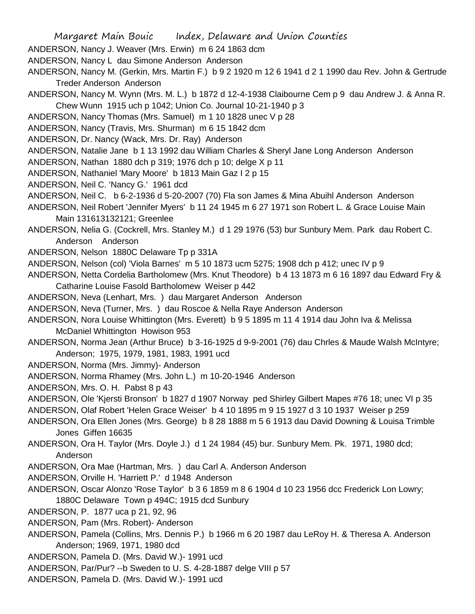- ANDERSON, Nancy J. Weaver (Mrs. Erwin) m 6 24 1863 dcm
- ANDERSON, Nancy L dau Simone Anderson Anderson
- ANDERSON, Nancy M. (Gerkin, Mrs. Martin F.) b 9 2 1920 m 12 6 1941 d 2 1 1990 dau Rev. John & Gertrude Treder Anderson Anderson
- ANDERSON, Nancy M. Wynn (Mrs. M. L.) b 1872 d 12-4-1938 Claibourne Cem p 9 dau Andrew J. & Anna R. Chew Wunn 1915 uch p 1042; Union Co. Journal 10-21-1940 p 3
- ANDERSON, Nancy Thomas (Mrs. Samuel) m 1 10 1828 unec V p 28
- ANDERSON, Nancy (Travis, Mrs. Shurman) m 6 15 1842 dcm
- ANDERSON, Dr. Nancy (Wack, Mrs. Dr. Ray) Anderson
- ANDERSON, Natalie Jane b 1 13 1992 dau William Charles & Sheryl Jane Long Anderson Anderson
- ANDERSON, Nathan 1880 dch p 319; 1976 dch p 10; delge X p 11
- ANDERSON, Nathaniel 'Mary Moore' b 1813 Main Gaz I 2 p 15
- ANDERSON, Neil C. 'Nancy G.' 1961 dcd
- ANDERSON, Neil C. b 6-2-1936 d 5-20-2007 (70) Fla son James & Mina Abuihl Anderson Anderson
- ANDERSON, Neil Robert 'Jennifer Myers' b 11 24 1945 m 6 27 1971 son Robert L. & Grace Louise Main Main 131613132121; Greenlee
- ANDERSON, Nelia G. (Cockrell, Mrs. Stanley M.) d 1 29 1976 (53) bur Sunbury Mem. Park dau Robert C. Anderson Anderson
- ANDERSON, Nelson 1880C Delaware Tp p 331A
- ANDERSON, Nelson (col) 'Viola Barnes' m 5 10 1873 ucm 5275; 1908 dch p 412; unec IV p 9
- ANDERSON, Netta Cordelia Bartholomew (Mrs. Knut Theodore) b 4 13 1873 m 6 16 1897 dau Edward Fry & Catharine Louise Fasold Bartholomew Weiser p 442
- ANDERSON, Neva (Lenhart, Mrs. ) dau Margaret Anderson Anderson
- ANDERSON, Neva (Turner, Mrs. ) dau Roscoe & Nella Raye Anderson Anderson
- ANDERSON, Nora Louise Whittington (Mrs. Everett) b 9 5 1895 m 11 4 1914 dau John Iva & Melissa McDaniel Whittington Howison 953
- ANDERSON, Norma Jean (Arthur Bruce) b 3-16-1925 d 9-9-2001 (76) dau Chrles & Maude Walsh McIntyre; Anderson; 1975, 1979, 1981, 1983, 1991 ucd
- ANDERSON, Norma (Mrs. Jimmy)- Anderson
- ANDERSON, Norma Rhamey (Mrs. John L.) m 10-20-1946 Anderson
- ANDERSON, Mrs. O. H. Pabst 8 p 43
- ANDERSON, Ole 'Kjersti Bronson' b 1827 d 1907 Norway ped Shirley Gilbert Mapes #76 18; unec VI p 35
- ANDERSON, Olaf Robert 'Helen Grace Weiser' b 4 10 1895 m 9 15 1927 d 3 10 1937 Weiser p 259
- ANDERSON, Ora Ellen Jones (Mrs. George) b 8 28 1888 m 5 6 1913 dau David Downing & Louisa Trimble Jones Giffen 16635
- ANDERSON, Ora H. Taylor (Mrs. Doyle J.) d 1 24 1984 (45) bur. Sunbury Mem. Pk. 1971, 1980 dcd; Anderson
- ANDERSON, Ora Mae (Hartman, Mrs. ) dau Carl A. Anderson Anderson
- ANDERSON, Orville H. 'Harriett P.' d 1948 Anderson
- ANDERSON, Oscar Alonzo 'Rose Taylor' b 3 6 1859 m 8 6 1904 d 10 23 1956 dcc Frederick Lon Lowry; 1880C Delaware Town p 494C; 1915 dcd Sunbury
- ANDERSON, P. 1877 uca p 21, 92, 96
- ANDERSON, Pam (Mrs. Robert)- Anderson
- ANDERSON, Pamela (Collins, Mrs. Dennis P.) b 1966 m 6 20 1987 dau LeRoy H. & Theresa A. Anderson Anderson; 1969, 1971, 1980 dcd
- ANDERSON, Pamela D. (Mrs. David W.)- 1991 ucd
- ANDERSON, Par/Pur? --b Sweden to U. S. 4-28-1887 delge VIII p 57
- ANDERSON, Pamela D. (Mrs. David W.)- 1991 ucd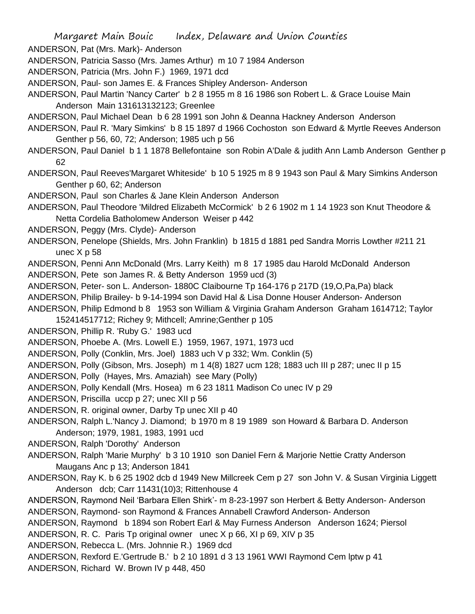ANDERSON, Pat (Mrs. Mark)- Anderson

ANDERSON, Patricia Sasso (Mrs. James Arthur) m 10 7 1984 Anderson

ANDERSON, Patricia (Mrs. John F.) 1969, 1971 dcd

ANDERSON, Paul- son James E. & Frances Shipley Anderson- Anderson

ANDERSON, Paul Martin 'Nancy Carter' b 2 8 1955 m 8 16 1986 son Robert L. & Grace Louise Main Anderson Main 131613132123; Greenlee

ANDERSON, Paul Michael Dean b 6 28 1991 son John & Deanna Hackney Anderson Anderson

ANDERSON, Paul R. 'Mary Simkins' b 8 15 1897 d 1966 Cochoston son Edward & Myrtle Reeves Anderson Genther p 56, 60, 72; Anderson; 1985 uch p 56

ANDERSON, Paul Daniel b 1 1 1878 Bellefontaine son Robin A'Dale & judith Ann Lamb Anderson Genther p 62

ANDERSON, Paul Reeves'Margaret Whiteside' b 10 5 1925 m 8 9 1943 son Paul & Mary Simkins Anderson Genther p 60, 62; Anderson

ANDERSON, Paul son Charles & Jane Klein Anderson Anderson

ANDERSON, Paul Theodore 'Mildred Elizabeth McCormick' b 2 6 1902 m 1 14 1923 son Knut Theodore & Netta Cordelia Batholomew Anderson Weiser p 442

ANDERSON, Peggy (Mrs. Clyde)- Anderson

ANDERSON, Penelope (Shields, Mrs. John Franklin) b 1815 d 1881 ped Sandra Morris Lowther #211 21 unec X p 58

ANDERSON, Penni Ann McDonald (Mrs. Larry Keith) m 8 17 1985 dau Harold McDonald Anderson

ANDERSON, Pete son James R. & Betty Anderson 1959 ucd (3)

ANDERSON, Peter- son L. Anderson- 1880C Claibourne Tp 164-176 p 217D (19,O,Pa,Pa) black

ANDERSON, Philip Brailey- b 9-14-1994 son David Hal & Lisa Donne Houser Anderson- Anderson

ANDERSON, Philip Edmond b 8 1953 son William & Virginia Graham Anderson Graham 1614712; Taylor 152414517712; Richey 9; Mithcell; Amrine;Genther p 105

ANDERSON, Phillip R. 'Ruby G.' 1983 ucd

ANDERSON, Phoebe A. (Mrs. Lowell E.) 1959, 1967, 1971, 1973 ucd

ANDERSON, Polly (Conklin, Mrs. Joel) 1883 uch V p 332; Wm. Conklin (5)

ANDERSON, Polly (Gibson, Mrs. Joseph) m 1 4(8) 1827 ucm 128; 1883 uch III p 287; unec II p 15

ANDERSON, Polly (Hayes, Mrs. Amaziah) see Mary (Polly)

ANDERSON, Polly Kendall (Mrs. Hosea) m 6 23 1811 Madison Co unec IV p 29

ANDERSON, Priscilla uccp p 27; unec XII p 56

ANDERSON, R. original owner, Darby Tp unec XII p 40

ANDERSON, Ralph L.'Nancy J. Diamond; b 1970 m 8 19 1989 son Howard & Barbara D. Anderson Anderson; 1979, 1981, 1983, 1991 ucd

ANDERSON, Ralph 'Dorothy' Anderson

ANDERSON, Ralph 'Marie Murphy' b 3 10 1910 son Daniel Fern & Marjorie Nettie Cratty Anderson Maugans Anc p 13; Anderson 1841

ANDERSON, Ray K. b 6 25 1902 dcb d 1949 New Millcreek Cem p 27 son John V. & Susan Virginia Liggett Anderson dcb; Carr 11431(10)3; Rittenhouse 4

ANDERSON, Raymond Neil 'Barbara Ellen Shirk'- m 8-23-1997 son Herbert & Betty Anderson- Anderson ANDERSON, Raymond- son Raymond & Frances Annabell Crawford Anderson- Anderson

ANDERSON, Raymond b 1894 son Robert Earl & May Furness Anderson Anderson 1624; Piersol ANDERSON, R. C. Paris Tp original owner unec X p 66, XI p 69, XIV p 35

ANDERSON, Rebecca L. (Mrs. Johnnie R.) 1969 dcd

ANDERSON, Rexford E.'Gertrude B.' b 2 10 1891 d 3 13 1961 WWI Raymond Cem lptw p 41 ANDERSON, Richard W. Brown IV p 448, 450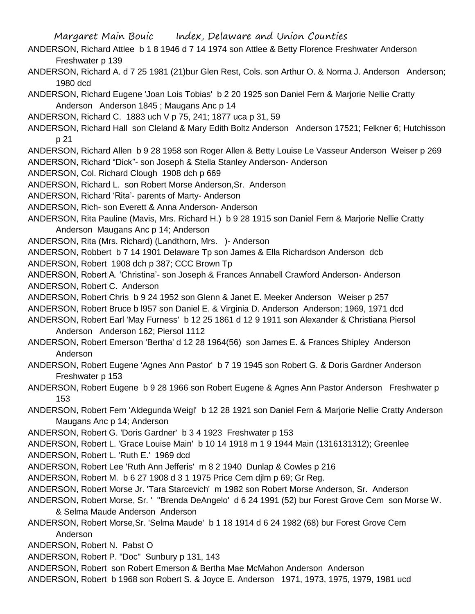- ANDERSON, Richard Attlee b 1 8 1946 d 7 14 1974 son Attlee & Betty Florence Freshwater Anderson Freshwater p 139
- ANDERSON, Richard A. d 7 25 1981 (21)bur Glen Rest, Cols. son Arthur O. & Norma J. Anderson Anderson; 1980 dcd
- ANDERSON, Richard Eugene 'Joan Lois Tobias' b 2 20 1925 son Daniel Fern & Marjorie Nellie Cratty Anderson Anderson 1845 ; Maugans Anc p 14
- ANDERSON, Richard C. 1883 uch V p 75, 241; 1877 uca p 31, 59
- ANDERSON, Richard Hall son Cleland & Mary Edith Boltz Anderson Anderson 17521; Felkner 6; Hutchisson p 21
- ANDERSON, Richard Allen b 9 28 1958 son Roger Allen & Betty Louise Le Vasseur Anderson Weiser p 269
- ANDERSON, Richard "Dick"- son Joseph & Stella Stanley Anderson- Anderson
- ANDERSON, Col. Richard Clough 1908 dch p 669
- ANDERSON, Richard L. son Robert Morse Anderson,Sr. Anderson
- ANDERSON, Richard 'Rita'- parents of Marty- Anderson
- ANDERSON, Rich- son Everett & Anna Anderson- Anderson
- ANDERSON, Rita Pauline (Mavis, Mrs. Richard H.) b 9 28 1915 son Daniel Fern & Marjorie Nellie Cratty Anderson Maugans Anc p 14; Anderson
- ANDERSON, Rita (Mrs. Richard) (Landthorn, Mrs. )- Anderson
- ANDERSON, Robbert b 7 14 1901 Delaware Tp son James & Ella Richardson Anderson dcb
- ANDERSON, Robert 1908 dch p 387; CCC Brown Tp
- ANDERSON, Robert A. 'Christina'- son Joseph & Frances Annabell Crawford Anderson- Anderson ANDERSON, Robert C. Anderson
- ANDERSON, Robert Chris b 9 24 1952 son Glenn & Janet E. Meeker Anderson Weiser p 257
- ANDERSON, Robert Bruce b l957 son Daniel E. & Virginia D. Anderson Anderson; 1969, 1971 dcd
- ANDERSON, Robert Earl 'May Furness' b 12 25 1861 d 12 9 1911 son Alexander & Christiana Piersol Anderson Anderson 162; Piersol 1112
- ANDERSON, Robert Emerson 'Bertha' d 12 28 1964(56) son James E. & Frances Shipley Anderson Anderson
- ANDERSON, Robert Eugene 'Agnes Ann Pastor' b 7 19 1945 son Robert G. & Doris Gardner Anderson Freshwater p 153
- ANDERSON, Robert Eugene b 9 28 1966 son Robert Eugene & Agnes Ann Pastor Anderson Freshwater p 153
- ANDERSON, Robert Fern 'Aldegunda Weigl' b 12 28 1921 son Daniel Fern & Marjorie Nellie Cratty Anderson Maugans Anc p 14; Anderson
- ANDERSON, Robert G. 'Doris Gardner' b 3 4 1923 Freshwater p 153
- ANDERSON, Robert L. 'Grace Louise Main' b 10 14 1918 m 1 9 1944 Main (1316131312); Greenlee
- ANDERSON, Robert L. 'Ruth E.' 1969 dcd
- ANDERSON, Robert Lee 'Ruth Ann Jefferis' m 8 2 1940 Dunlap & Cowles p 216
- ANDERSON, Robert M. b 6 27 1908 d 3 1 1975 Price Cem djlm p 69; Gr Reg.
- ANDERSON, Robert Morse Jr. 'Tara Starcevich' m 1982 son Robert Morse Anderson, Sr. Anderson
- ANDERSON, Robert Morse, Sr. ' ''Brenda DeAngelo' d 6 24 1991 (52) bur Forest Grove Cem son Morse W. & Selma Maude Anderson Anderson
- ANDERSON, Robert Morse,Sr. 'Selma Maude' b 1 18 1914 d 6 24 1982 (68) bur Forest Grove Cem Anderson
- ANDERSON, Robert N. Pabst O
- ANDERSON, Robert P. "Doc" Sunbury p 131, 143
- ANDERSON, Robert son Robert Emerson & Bertha Mae McMahon Anderson Anderson
- ANDERSON, Robert b 1968 son Robert S. & Joyce E. Anderson 1971, 1973, 1975, 1979, 1981 ucd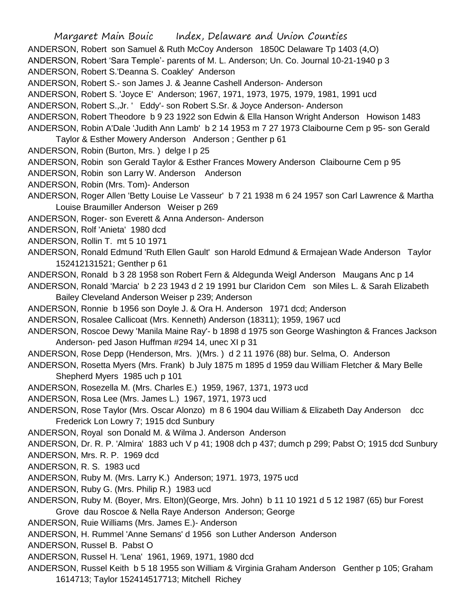Margaret Main Bouic Index, Delaware and Union Counties ANDERSON, Robert son Samuel & Ruth McCoy Anderson 1850C Delaware Tp 1403 (4,O) ANDERSON, Robert 'Sara Temple'- parents of M. L. Anderson; Un. Co. Journal 10-21-1940 p 3 ANDERSON, Robert S.'Deanna S. Coakley' Anderson ANDERSON, Robert S.- son James J. & Jeanne Cashell Anderson- Anderson ANDERSON, Robert S. 'Joyce E' Anderson; 1967, 1971, 1973, 1975, 1979, 1981, 1991 ucd ANDERSON, Robert S.,Jr. ' Eddy'- son Robert S.Sr. & Joyce Anderson- Anderson ANDERSON, Robert Theodore b 9 23 1922 son Edwin & Ella Hanson Wright Anderson Howison 1483 ANDERSON, Robin A'Dale 'Judith Ann Lamb' b 2 14 1953 m 7 27 1973 Claibourne Cem p 95- son Gerald Taylor & Esther Mowery Anderson Anderson ; Genther p 61 ANDERSON, Robin (Burton, Mrs. ) delge I p 25 ANDERSON, Robin son Gerald Taylor & Esther Frances Mowery Anderson Claibourne Cem p 95 ANDERSON, Robin son Larry W. Anderson Anderson ANDERSON, Robin (Mrs. Tom)- Anderson ANDERSON, Roger Allen 'Betty Louise Le Vasseur' b 7 21 1938 m 6 24 1957 son Carl Lawrence & Martha Louise Braumiller Anderson Weiser p 269 ANDERSON, Roger- son Everett & Anna Anderson- Anderson ANDERSON, Rolf 'Anieta' 1980 dcd ANDERSON, Rollin T. mt 5 10 1971 ANDERSON, Ronald Edmund 'Ruth Ellen Gault' son Harold Edmund & Ermajean Wade Anderson Taylor 152412131521; Genther p 61 ANDERSON, Ronald b 3 28 1958 son Robert Fern & Aldegunda Weigl Anderson Maugans Anc p 14 ANDERSON, Ronald 'Marcia' b 2 23 1943 d 2 19 1991 bur Claridon Cem son Miles L. & Sarah Elizabeth Bailey Cleveland Anderson Weiser p 239; Anderson ANDERSON, Ronnie b 1956 son Doyle J. & Ora H. Anderson 1971 dcd; Anderson ANDERSON, Rosalee Callicoat (Mrs. Kenneth) Anderson (18311); 1959, 1967 ucd ANDERSON, Roscoe Dewy 'Manila Maine Ray'- b 1898 d 1975 son George Washington & Frances Jackson Anderson- ped Jason Huffman #294 14, unec XI p 31 ANDERSON, Rose Depp (Henderson, Mrs. )(Mrs. ) d 2 11 1976 (88) bur. Selma, O. Anderson ANDERSON, Rosetta Myers (Mrs. Frank) b July 1875 m 1895 d 1959 dau William Fletcher & Mary Belle Shepherd Myers 1985 uch p 101 ANDERSON, Rosezella M. (Mrs. Charles E.) 1959, 1967, 1371, 1973 ucd ANDERSON, Rosa Lee (Mrs. James L.) 1967, 1971, 1973 ucd ANDERSON, Rose Taylor (Mrs. Oscar Alonzo) m 8 6 1904 dau William & Elizabeth Day Anderson dcc Frederick Lon Lowry 7; 1915 dcd Sunbury ANDERSON, Royal son Donald M. & Wilma J. Anderson Anderson ANDERSON, Dr. R. P. 'Almira' 1883 uch V p 41; 1908 dch p 437; dumch p 299; Pabst O; 1915 dcd Sunbury ANDERSON, Mrs. R. P. 1969 dcd ANDERSON, R. S. 1983 ucd ANDERSON, Ruby M. (Mrs. Larry K.) Anderson; 1971. 1973, 1975 ucd ANDERSON, Ruby G. (Mrs. Philip R.) 1983 ucd ANDERSON, Ruby M. (Boyer, Mrs. Elton)(George, Mrs. John) b 11 10 1921 d 5 12 1987 (65) bur Forest

Grove dau Roscoe & Nella Raye Anderson Anderson; George

ANDERSON, Ruie Williams (Mrs. James E.)- Anderson

ANDERSON, H. Rummel 'Anne Semans' d 1956 son Luther Anderson Anderson

ANDERSON, Russel B. Pabst O

ANDERSON, Russel H. 'Lena' 1961, 1969, 1971, 1980 dcd

ANDERSON, Russel Keith b 5 18 1955 son William & Virginia Graham Anderson Genther p 105; Graham 1614713; Taylor 152414517713; Mitchell Richey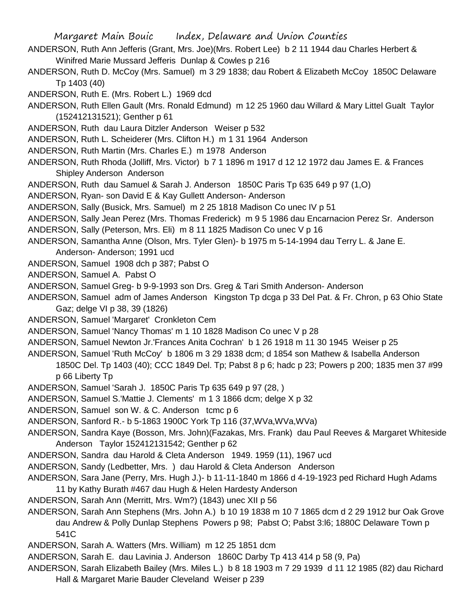- ANDERSON, Ruth Ann Jefferis (Grant, Mrs. Joe)(Mrs. Robert Lee) b 2 11 1944 dau Charles Herbert & Winifred Marie Mussard Jefferis Dunlap & Cowles p 216
- ANDERSON, Ruth D. McCoy (Mrs. Samuel) m 3 29 1838; dau Robert & Elizabeth McCoy 1850C Delaware Tp 1403 (40)
- ANDERSON, Ruth E. (Mrs. Robert L.) 1969 dcd
- ANDERSON, Ruth Ellen Gault (Mrs. Ronald Edmund) m 12 25 1960 dau Willard & Mary Littel Gualt Taylor (152412131521); Genther p 61
- ANDERSON, Ruth dau Laura Ditzler Anderson Weiser p 532
- ANDERSON, Ruth L. Scheiderer (Mrs. Clifton H.) m 1 31 1964 Anderson
- ANDERSON, Ruth Martin (Mrs. Charles E.) m 1978 Anderson
- ANDERSON, Ruth Rhoda (Jolliff, Mrs. Victor) b 7 1 1896 m 1917 d 12 12 1972 dau James E. & Frances Shipley Anderson Anderson
- ANDERSON, Ruth dau Samuel & Sarah J. Anderson 1850C Paris Tp 635 649 p 97 (1,O)
- ANDERSON, Ryan- son David E & Kay Gullett Anderson- Anderson
- ANDERSON, Sally (Busick, Mrs. Samuel) m 2 25 1818 Madison Co unec IV p 51
- ANDERSON, Sally Jean Perez (Mrs. Thomas Frederick) m 9 5 1986 dau Encarnacion Perez Sr. Anderson
- ANDERSON, Sally (Peterson, Mrs. Eli) m 8 11 1825 Madison Co unec V p 16
- ANDERSON, Samantha Anne (Olson, Mrs. Tyler Glen)- b 1975 m 5-14-1994 dau Terry L. & Jane E. Anderson- Anderson; 1991 ucd
- ANDERSON, Samuel 1908 dch p 387; Pabst O
- ANDERSON, Samuel A. Pabst O
- ANDERSON, Samuel Greg- b 9-9-1993 son Drs. Greg & Tari Smith Anderson- Anderson
- ANDERSON, Samuel adm of James Anderson Kingston Tp dcga p 33 Del Pat. & Fr. Chron, p 63 Ohio State Gaz; delge VI p 38, 39 (1826)
- ANDERSON, Samuel 'Margaret' Cronkleton Cem
- ANDERSON, Samuel 'Nancy Thomas' m 1 10 1828 Madison Co unec V p 28
- ANDERSON, Samuel Newton Jr.'Frances Anita Cochran' b 1 26 1918 m 11 30 1945 Weiser p 25
- ANDERSON, Samuel 'Ruth McCoy' b 1806 m 3 29 1838 dcm; d 1854 son Mathew & Isabella Anderson 1850C Del. Tp 1403 (40); CCC 1849 Del. Tp; Pabst 8 p 6; hadc p 23; Powers p 200; 1835 men 37 #99 p 66 Liberty Tp
- ANDERSON, Samuel 'Sarah J. 1850C Paris Tp 635 649 p 97 (28, )
- ANDERSON, Samuel S.'Mattie J. Clements' m 1 3 1866 dcm; delge X p 32
- ANDERSON, Samuel son W. & C. Anderson tcmc p 6
- ANDERSON, Sanford R.- b 5-1863 1900C York Tp 116 (37,WVa,WVa,WVa)
- ANDERSON, Sandra Kaye (Bosson, Mrs. John)(Fazakas, Mrs. Frank) dau Paul Reeves & Margaret Whiteside Anderson Taylor 152412131542; Genther p 62
- ANDERSON, Sandra dau Harold & Cleta Anderson 1949. 1959 (11), 1967 ucd
- ANDERSON, Sandy (Ledbetter, Mrs. ) dau Harold & Cleta Anderson Anderson
- ANDERSON, Sara Jane (Perry, Mrs. Hugh J.)- b 11-11-1840 m 1866 d 4-19-1923 ped Richard Hugh Adams 11 by Kathy Burath #467 dau Hugh & Helen Hardesty Anderson
- ANDERSON, Sarah Ann (Merritt, Mrs. Wm?) (1843) unec XII p 56
- ANDERSON, Sarah Ann Stephens (Mrs. John A.) b 10 19 1838 m 10 7 1865 dcm d 2 29 1912 bur Oak Grove dau Andrew & Polly Dunlap Stephens Powers p 98; Pabst O; Pabst 3:l6; 1880C Delaware Town p 541C
- ANDERSON, Sarah A. Watters (Mrs. William) m 12 25 1851 dcm
- ANDERSON, Sarah E. dau Lavinia J. Anderson 1860C Darby Tp 413 414 p 58 (9, Pa)
- ANDERSON, Sarah Elizabeth Bailey (Mrs. Miles L.) b 8 18 1903 m 7 29 1939 d 11 12 1985 (82) dau Richard
	- Hall & Margaret Marie Bauder Cleveland Weiser p 239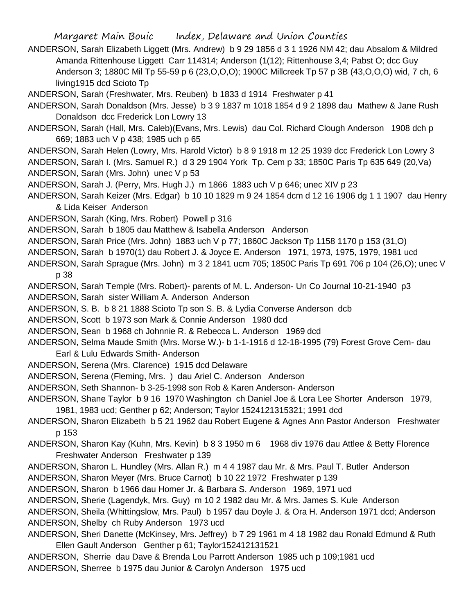- ANDERSON, Sarah Elizabeth Liggett (Mrs. Andrew) b 9 29 1856 d 3 1 1926 NM 42; dau Absalom & Mildred Amanda Rittenhouse Liggett Carr 114314; Anderson (1(12); Rittenhouse 3,4; Pabst O; dcc Guy Anderson 3; 1880C Mil Tp 55-59 p 6 (23,O,O,O); 1900C Millcreek Tp 57 p 3B (43,O,O,O) wid, 7 ch, 6 living1915 dcd Scioto Tp
- ANDERSON, Sarah (Freshwater, Mrs. Reuben) b 1833 d 1914 Freshwater p 41
- ANDERSON, Sarah Donaldson (Mrs. Jesse) b 3 9 1837 m 1018 1854 d 9 2 1898 dau Mathew & Jane Rush Donaldson dcc Frederick Lon Lowry 13
- ANDERSON, Sarah (Hall, Mrs. Caleb)(Evans, Mrs. Lewis) dau Col. Richard Clough Anderson 1908 dch p 669; 1883 uch V p 438; 1985 uch p 65
- ANDERSON, Sarah Helen (Lowry, Mrs. Harold Victor) b 8 9 1918 m 12 25 1939 dcc Frederick Lon Lowry 3
- ANDERSON, Sarah I. (Mrs. Samuel R.) d 3 29 1904 York Tp. Cem p 33; 1850C Paris Tp 635 649 (20,Va)
- ANDERSON, Sarah (Mrs. John) unec V p 53
- ANDERSON, Sarah J. (Perry, Mrs. Hugh J.) m 1866 1883 uch V p 646; unec XIV p 23
- ANDERSON, Sarah Keizer (Mrs. Edgar) b 10 10 1829 m 9 24 1854 dcm d 12 16 1906 dg 1 1 1907 dau Henry & Lida Keiser Anderson
- ANDERSON, Sarah (King, Mrs. Robert) Powell p 316
- ANDERSON, Sarah b 1805 dau Matthew & Isabella Anderson Anderson
- ANDERSON, Sarah Price (Mrs. John) 1883 uch V p 77; 1860C Jackson Tp 1158 1170 p 153 (31,O)
- ANDERSON, Sarah b 1970(1) dau Robert J. & Joyce E. Anderson 1971, 1973, 1975, 1979, 1981 ucd
- ANDERSON, Sarah Sprague (Mrs. John) m 3 2 1841 ucm 705; 1850C Paris Tp 691 706 p 104 (26,O); unec V p 38
- ANDERSON, Sarah Temple (Mrs. Robert)- parents of M. L. Anderson- Un Co Journal 10-21-1940 p3
- ANDERSON, Sarah sister William A. Anderson Anderson
- ANDERSON, S. B. b 8 21 1888 Scioto Tp son S. B. & Lydia Converse Anderson dcb
- ANDERSON, Scott b 1973 son Mark & Connie Anderson 1980 dcd
- ANDERSON, Sean b 1968 ch Johnnie R. & Rebecca L. Anderson 1969 dcd
- ANDERSON, Selma Maude Smith (Mrs. Morse W.)- b 1-1-1916 d 12-18-1995 (79) Forest Grove Cem- dau
	- Earl & Lulu Edwards Smith- Anderson
- ANDERSON, Serena (Mrs. Clarence) 1915 dcd Delaware
- ANDERSON, Serena (Fleming, Mrs. ) dau Ariel C. Anderson Anderson
- ANDERSON, Seth Shannon- b 3-25-1998 son Rob & Karen Anderson- Anderson
- ANDERSON, Shane Taylor b 9 16 1970 Washington ch Daniel Joe & Lora Lee Shorter Anderson 1979, 1981, 1983 ucd; Genther p 62; Anderson; Taylor 1524121315321; 1991 dcd
- ANDERSON, Sharon Elizabeth b 5 21 1962 dau Robert Eugene & Agnes Ann Pastor Anderson Freshwater p 153
- ANDERSON, Sharon Kay (Kuhn, Mrs. Kevin) b 8 3 1950 m 6 1968 div 1976 dau Attlee & Betty Florence Freshwater Anderson Freshwater p 139
- ANDERSON, Sharon L. Hundley (Mrs. Allan R.) m 4 4 1987 dau Mr. & Mrs. Paul T. Butler Anderson
- ANDERSON, Sharon Meyer (Mrs. Bruce Carnot) b 10 22 1972 Freshwater p 139
- ANDERSON, Sharon b 1966 dau Homer Jr. & Barbara S. Anderson 1969, 1971 ucd
- ANDERSON, Sherie (Lagendyk, Mrs. Guy) m 10 2 1982 dau Mr. & Mrs. James S. Kule Anderson
- ANDERSON, Sheila (Whittingslow, Mrs. Paul) b 1957 dau Doyle J. & Ora H. Anderson 1971 dcd; Anderson ANDERSON, Shelby ch Ruby Anderson 1973 ucd
- ANDERSON, Sheri Danette (McKinsey, Mrs. Jeffrey) b 7 29 1961 m 4 18 1982 dau Ronald Edmund & Ruth Ellen Gault Anderson Genther p 61; Taylor152412131521
- ANDERSON, Sherrie dau Dave & Brenda Lou Parrott Anderson 1985 uch p 109;1981 ucd ANDERSON, Sherree b 1975 dau Junior & Carolyn Anderson 1975 ucd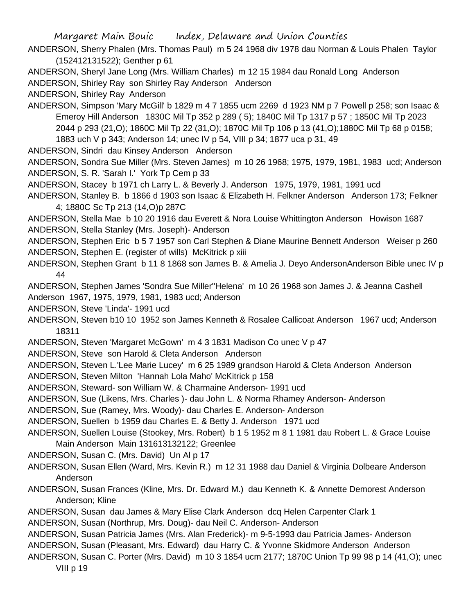ANDERSON, Sherry Phalen (Mrs. Thomas Paul) m 5 24 1968 div 1978 dau Norman & Louis Phalen Taylor (152412131522); Genther p 61

ANDERSON, Sheryl Jane Long (Mrs. William Charles) m 12 15 1984 dau Ronald Long Anderson

ANDERSON, Shirley Ray son Shirley Ray Anderson Anderson

ANDERSON, Shirley Ray Anderson

ANDERSON, Simpson 'Mary McGill' b 1829 m 4 7 1855 ucm 2269 d 1923 NM p 7 Powell p 258; son Isaac & Emeroy Hill Anderson 1830C Mil Tp 352 p 289 ( 5); 1840C Mil Tp 1317 p 57 ; 1850C Mil Tp 2023 2044 p 293 (21,O); 1860C Mil Tp 22 (31,O); 1870C Mil Tp 106 p 13 (41,O);1880C Mil Tp 68 p 0158; 1883 uch V p 343; Anderson 14; unec IV p 54, VIII p 34; 1877 uca p 31, 49

ANDERSON, Sindri dau Kinsey Anderson Anderson

ANDERSON, Sondra Sue Miller (Mrs. Steven James) m 10 26 1968; 1975, 1979, 1981, 1983 ucd; Anderson ANDERSON, S. R. 'Sarah I.' York Tp Cem p 33

ANDERSON, Stacey b 1971 ch Larry L. & Beverly J. Anderson 1975, 1979, 1981, 1991 ucd

ANDERSON, Stanley B. b 1866 d 1903 son Isaac & Elizabeth H. Felkner Anderson Anderson 173; Felkner 4; 1880C Sc Tp 213 (14,O)p 287C

ANDERSON, Stella Mae b 10 20 1916 dau Everett & Nora Louise Whittington Anderson Howison 1687 ANDERSON, Stella Stanley (Mrs. Joseph)- Anderson

ANDERSON, Stephen Eric b 5 7 1957 son Carl Stephen & Diane Maurine Bennett Anderson Weiser p 260 ANDERSON, Stephen E. (register of wills) McKitrick p xiii

- ANDERSON, Stephen Grant b 11 8 1868 son James B. & Amelia J. Devo AndersonAnderson Bible unec IV p 44
- ANDERSON, Stephen James 'Sondra Sue Miller''Helena' m 10 26 1968 son James J. & Jeanna Cashell Anderson 1967, 1975, 1979, 1981, 1983 ucd; Anderson

ANDERSON, Steve 'Linda'- 1991 ucd

- ANDERSON, Steven b10 10 1952 son James Kenneth & Rosalee Callicoat Anderson 1967 ucd; Anderson 18311
- ANDERSON, Steven 'Margaret McGown' m 4 3 1831 Madison Co unec V p 47
- ANDERSON, Steve son Harold & Cleta Anderson Anderson
- ANDERSON, Steven L.'Lee Marie Lucey' m 6 25 1989 grandson Harold & Cleta Anderson Anderson
- ANDERSON, Steven Milton 'Hannah Lola Maho' McKitrick p 158
- ANDERSON, Steward- son William W. & Charmaine Anderson- 1991 ucd
- ANDERSON, Sue (Likens, Mrs. Charles )- dau John L. & Norma Rhamey Anderson- Anderson
- ANDERSON, Sue (Ramey, Mrs. Woody)- dau Charles E. Anderson- Anderson
- ANDERSON, Suellen b 1959 dau Charles E. & Betty J. Anderson 1971 ucd
- ANDERSON, Suellen Louise (Stookey, Mrs. Robert) b 1 5 1952 m 8 1 1981 dau Robert L. & Grace Louise Main Anderson Main 131613132122; Greenlee

ANDERSON, Susan C. (Mrs. David) Un Al p 17

- ANDERSON, Susan Ellen (Ward, Mrs. Kevin R.) m 12 31 1988 dau Daniel & Virginia Dolbeare Anderson Anderson
- ANDERSON, Susan Frances (Kline, Mrs. Dr. Edward M.) dau Kenneth K. & Annette Demorest Anderson Anderson; Kline
- ANDERSON, Susan dau James & Mary Elise Clark Anderson dcq Helen Carpenter Clark 1
- ANDERSON, Susan (Northrup, Mrs. Doug)- dau Neil C. Anderson- Anderson
- ANDERSON, Susan Patricia James (Mrs. Alan Frederick)- m 9-5-1993 dau Patricia James- Anderson
- ANDERSON, Susan (Pleasant, Mrs. Edward) dau Harry C. & Yvonne Skidmore Anderson Anderson
- ANDERSON, Susan C. Porter (Mrs. David) m 10 3 1854 ucm 2177; 1870C Union Tp 99 98 p 14 (41,O); unec VIII p 19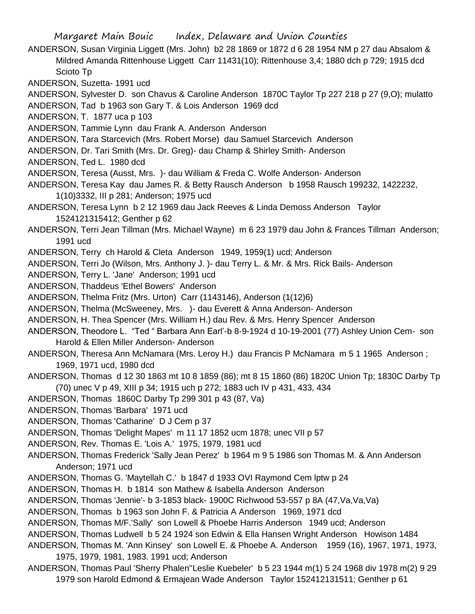Margaret Main Bouic Index, Delaware and Union Counties ANDERSON, Susan Virginia Liggett (Mrs. John) b2 28 1869 or 1872 d 6 28 1954 NM p 27 dau Absalom & Mildred Amanda Rittenhouse Liggett Carr 11431(10); Rittenhouse 3,4; 1880 dch p 729; 1915 dcd Scioto Tp ANDERSON, Suzetta- 1991 ucd ANDERSON, Sylvester D. son Chavus & Caroline Anderson 1870C Taylor Tp 227 218 p 27 (9,O); mulatto ANDERSON, Tad b 1963 son Gary T. & Lois Anderson 1969 dcd ANDERSON, T. 1877 uca p 103 ANDERSON, Tammie Lynn dau Frank A. Anderson Anderson ANDERSON, Tara Starcevich (Mrs. Robert Morse) dau Samuel Starcevich Anderson ANDERSON, Dr. Tari Smith (Mrs. Dr. Greg)- dau Champ & Shirley Smith- Anderson ANDERSON, Ted L. 1980 dcd ANDERSON, Teresa (Ausst, Mrs. )- dau William & Freda C. Wolfe Anderson- Anderson ANDERSON, Teresa Kay dau James R. & Betty Rausch Anderson b 1958 Rausch 199232, 1422232, 1(10)3332, III p 281; Anderson; 1975 ucd ANDERSON, Teresa Lynn b 2 12 1969 dau Jack Reeves & Linda Demoss Anderson Taylor 1524121315412; Genther p 62 ANDERSON, Terri Jean Tillman (Mrs. Michael Wayne) m 6 23 1979 dau John & Frances Tillman Anderson; 1991 ucd ANDERSON, Terry ch Harold & Cleta Anderson 1949, 1959(1) ucd; Anderson ANDERSON, Terri Jo (Wilson, Mrs. Anthony J. )- dau Terry L. & Mr. & Mrs. Rick Bails- Anderson ANDERSON, Terry L. 'Jane' Anderson; 1991 ucd ANDERSON, Thaddeus 'Ethel Bowers' Anderson ANDERSON, Thelma Fritz (Mrs. Urton) Carr (1143146), Anderson (1(12)6) ANDERSON, Thelma (McSweeney, Mrs. )- dau Everett & Anna Anderson- Anderson ANDERSON, H. Thea Spencer (Mrs. William H.) dau Rev. & Mrs. Henry Spencer Anderson ANDERSON, Theodore L. "Ted " Barbara Ann Earl'-b 8-9-1924 d 10-19-2001 (77) Ashley Union Cem- son Harold & Ellen Miller Anderson- Anderson ANDERSON, Theresa Ann McNamara (Mrs. Leroy H.) dau Francis P McNamara m 5 1 1965 Anderson ; 1969, 1971 ucd, 1980 dcd ANDERSON, Thomas d 12 30 1863 mt 10 8 1859 (86); mt 8 15 1860 (86) 1820C Union Tp; 1830C Darby Tp (70) unec V p 49, XIII p 34; 1915 uch p 272; 1883 uch IV p 431, 433, 434 ANDERSON, Thomas 1860C Darby Tp 299 301 p 43 (87, Va) ANDERSON, Thomas 'Barbara' 1971 ucd ANDERSON, Thomas 'Catharine' D J Cem p 37 ANDERSON, Thomas 'Delight Mapes' m 11 17 1852 ucm 1878; unec VII p 57 ANDERSON, Rev. Thomas E. 'Lois A.' 1975, 1979, 1981 ucd ANDERSON, Thomas Frederick 'Sally Jean Perez' b 1964 m 9 5 1986 son Thomas M. & Ann Anderson Anderson; 1971 ucd ANDERSON, Thomas G. 'Maytellah C.' b 1847 d 1933 OVI Raymond Cem lptw p 24 ANDERSON, Thomas H. b 1814 son Mathew & Isabella Anderson Anderson ANDERSON, Thomas 'Jennie'- b 3-1853 black- 1900C Richwood 53-557 p 8A (47,Va,Va,Va) ANDERSON, Thomas b 1963 son John F. & Patricia A Anderson 1969, 1971 dcd ANDERSON, Thomas M/F.'Sally' son Lowell & Phoebe Harris Anderson 1949 ucd; Anderson ANDERSON, Thomas Ludwell b 5 24 1924 son Edwin & Ella Hansen Wright Anderson Howison 1484 ANDERSON, Thomas M. 'Ann Kinsey' son Lowell E. & Phoebe A. Anderson 1959 (16), 1967, 1971, 1973,

- 1975, 1979, 1981, 1983. 1991 ucd; Anderson
- ANDERSON, Thomas Paul 'Sherry Phalen''Leslie Kuebeler' b 5 23 1944 m(1) 5 24 1968 div 1978 m(2) 9 29 1979 son Harold Edmond & Ermajean Wade Anderson Taylor 152412131511; Genther p 61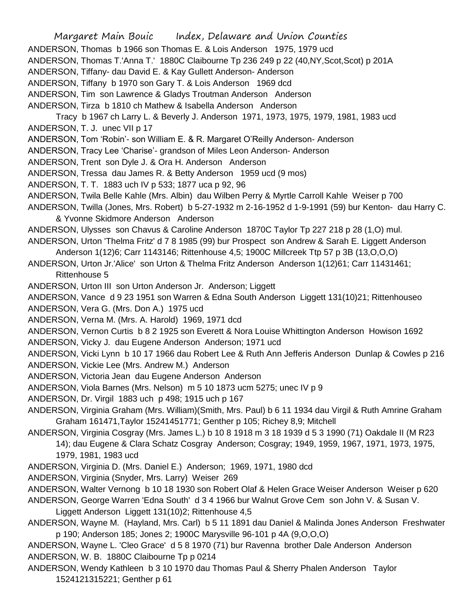Margaret Main Bouic Index, Delaware and Union Counties ANDERSON, Thomas b 1966 son Thomas E. & Lois Anderson 1975, 1979 ucd ANDERSON, Thomas T.'Anna T.' 1880C Claibourne Tp 236 249 p 22 (40,NY,Scot,Scot) p 201A ANDERSON, Tiffany- dau David E. & Kay Gullett Anderson- Anderson ANDERSON, Tiffany b 1970 son Gary T. & Lois Anderson 1969 dcd ANDERSON, Tim son Lawrence & Gladys Troutman Anderson Anderson ANDERSON, Tirza b 1810 ch Mathew & Isabella Anderson Anderson Tracy b 1967 ch Larry L. & Beverly J. Anderson 1971, 1973, 1975, 1979, 1981, 1983 ucd ANDERSON, T. J. unec VII p 17 ANDERSON, Tom 'Robin'- son William E. & R. Margaret O'Reilly Anderson- Anderson ANDERSON, Tracy Lee 'Charise'- grandson of Miles Leon Anderson- Anderson ANDERSON, Trent son Dyle J. & Ora H. Anderson Anderson ANDERSON, Tressa dau James R. & Betty Anderson 1959 ucd (9 mos) ANDERSON, T. T. 1883 uch IV p 533; 1877 uca p 92, 96 ANDERSON, Twila Belle Kahle (Mrs. Albin) dau Wilben Perry & Myrtle Carroll Kahle Weiser p 700 ANDERSON, Twilla (Jones, Mrs. Robert) b 5-27-1932 m 2-16-1952 d 1-9-1991 (59) bur Kenton- dau Harry C. & Yvonne Skidmore Anderson Anderson ANDERSON, Ulysses son Chavus & Caroline Anderson 1870C Taylor Tp 227 218 p 28 (1,O) mul. ANDERSON, Urton 'Thelma Fritz' d 7 8 1985 (99) bur Prospect son Andrew & Sarah E. Liggett Anderson Anderson 1(12)6; Carr 1143146; Rittenhouse 4,5; 1900C Millcreek Ttp 57 p 3B (13,O,O,O) ANDERSON, Urton Jr.'Alice' son Urton & Thelma Fritz Anderson Anderson 1(12)61; Carr 11431461; Rittenhouse 5 ANDERSON, Urton III son Urton Anderson Jr. Anderson; Liggett ANDERSON, Vance d 9 23 1951 son Warren & Edna South Anderson Liggett 131(10)21; Rittenhouseo ANDERSON, Vera G. (Mrs. Don A.) 1975 ucd ANDERSON, Verna M. (Mrs. A. Harold) 1969, 1971 dcd ANDERSON, Vernon Curtis b 8 2 1925 son Everett & Nora Louise Whittington Anderson Howison 1692 ANDERSON, Vicky J. dau Eugene Anderson Anderson; 1971 ucd ANDERSON, Vicki Lynn b 10 17 1966 dau Robert Lee & Ruth Ann Jefferis Anderson Dunlap & Cowles p 216 ANDERSON, Vickie Lee (Mrs. Andrew M.) Anderson ANDERSON, Victoria Jean dau Eugene Anderson Anderson ANDERSON, Viola Barnes (Mrs. Nelson) m 5 10 1873 ucm 5275; unec IV p 9 ANDERSON, Dr. Virgil 1883 uch p 498; 1915 uch p 167 ANDERSON, Virginia Graham (Mrs. William)(Smith, Mrs. Paul) b 6 11 1934 dau Virgil & Ruth Amrine Graham Graham 161471,Taylor 15241451771; Genther p 105; Richey 8,9; Mitchell ANDERSON, Virginia Cosgray (Mrs. James L.) b 10 8 1918 m 3 18 1939 d 5 3 1990 (71) Oakdale II (M R23 14); dau Eugene & Clara Schatz Cosgray Anderson; Cosgray; 1949, 1959, 1967, 1971, 1973, 1975, 1979, 1981, 1983 ucd ANDERSON, Virginia D. (Mrs. Daniel E.) Anderson; 1969, 1971, 1980 dcd ANDERSON, Virginia (Snyder, Mrs. Larry) Weiser 269 ANDERSON, Walter Vernong b 10 18 1930 son Robert Olaf & Helen Grace Weiser Anderson Weiser p 620 ANDERSON, George Warren 'Edna South' d 3 4 1966 bur Walnut Grove Cem son John V. & Susan V. Liggett Anderson Liggett 131(10)2; Rittenhouse 4,5 ANDERSON, Wayne M. (Hayland, Mrs. Carl) b 5 11 1891 dau Daniel & Malinda Jones Anderson Freshwater p 190; Anderson 185; Jones 2; 1900C Marysville 96-101 p 4A (9,O,O,O) ANDERSON, Wayne L. 'Cleo Grace' d 5 8 1970 (71) bur Ravenna brother Dale Anderson Anderson

ANDERSON, W. B. 1880C Claibourne Tp p 0214

ANDERSON, Wendy Kathleen b 3 10 1970 dau Thomas Paul & Sherry Phalen Anderson Taylor 1524121315221; Genther p 61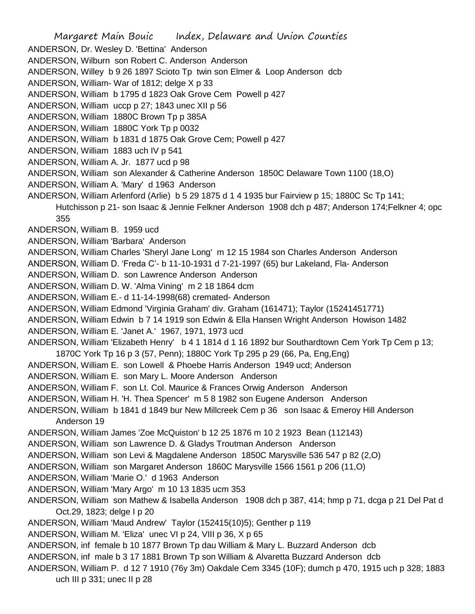Margaret Main Bouic Index, Delaware and Union Counties ANDERSON, Dr. Wesley D. 'Bettina' Anderson ANDERSON, Wilburn son Robert C. Anderson Anderson ANDERSON, Willey b 9 26 1897 Scioto Tp twin son Elmer & Loop Anderson dcb ANDERSON, William- War of 1812; delge X p 33 ANDERSON, William b 1795 d 1823 Oak Grove Cem Powell p 427 ANDERSON, William uccp p 27; 1843 unec XII p 56 ANDERSON, William 1880C Brown Tp p 385A ANDERSON, William 1880C York Tp p 0032 ANDERSON, William b 1831 d 1875 Oak Grove Cem; Powell p 427 ANDERSON, William 1883 uch IV p 541 ANDERSON, William A. Jr. 1877 ucd p 98 ANDERSON, William son Alexander & Catherine Anderson 1850C Delaware Town 1100 (18,O) ANDERSON, William A. 'Mary' d 1963 Anderson ANDERSON, William Arlenford (Arlie) b 5 29 1875 d 1 4 1935 bur Fairview p 15; 1880C Sc Tp 141; Hutchisson p 21- son Isaac & Jennie Felkner Anderson 1908 dch p 487; Anderson 174;Felkner 4; opc 355 ANDERSON, William B. 1959 ucd ANDERSON, William 'Barbara' Anderson ANDERSON, William Charles 'Sheryl Jane Long' m 12 15 1984 son Charles Anderson Anderson ANDERSON, William D. 'Freda C'- b 11-10-1931 d 7-21-1997 (65) bur Lakeland, Fla- Anderson ANDERSON, William D. son Lawrence Anderson Anderson ANDERSON, William D. W. 'Alma Vining' m 2 18 1864 dcm ANDERSON, William E.- d 11-14-1998(68) cremated- Anderson ANDERSON, William Edmond 'Virginia Graham' div. Graham (161471); Taylor (15241451771) ANDERSON, William Edwin b 7 14 1919 son Edwin & Ella Hansen Wright Anderson Howison 1482 ANDERSON, William E. 'Janet A.' 1967, 1971, 1973 ucd ANDERSON, William 'Elizabeth Henry' b 4 1 1814 d 1 16 1892 bur Southardtown Cem York Tp Cem p 13; 1870C York Tp 16 p 3 (57, Penn); 1880C York Tp 295 p 29 (66, Pa, Eng,Eng) ANDERSON, William E. son Lowell & Phoebe Harris Anderson 1949 ucd; Anderson ANDERSON, William E. son Mary L. Moore Anderson Anderson ANDERSON, William F. son Lt. Col. Maurice & Frances Orwig Anderson Anderson ANDERSON, William H. 'H. Thea Spencer' m 5 8 1982 son Eugene Anderson Anderson ANDERSON, William b 1841 d 1849 bur New Millcreek Cem p 36 son Isaac & Emeroy Hill Anderson Anderson 19 ANDERSON, William James 'Zoe McQuiston' b 12 25 1876 m 10 2 1923 Bean (112143) ANDERSON, William son Lawrence D. & Gladys Troutman Anderson Anderson ANDERSON, William son Levi & Magdalene Anderson 1850C Marysville 536 547 p 82 (2,O) ANDERSON, William son Margaret Anderson 1860C Marysville 1566 1561 p 206 (11,O) ANDERSON, William 'Marie O.' d 1963 Anderson ANDERSON, William 'Mary Argo' m 10 13 1835 ucm 353 ANDERSON, William son Mathew & Isabella Anderson 1908 dch p 387, 414; hmp p 71, dcga p 21 Del Pat d Oct.29, 1823; delge I p 20 ANDERSON, William 'Maud Andrew' Taylor (152415(10)5); Genther p 119 ANDERSON, William M. 'Eliza' unec VI p 24, VIII p 36, X p 65 ANDERSON, inf female b 10 1877 Brown Tp dau William & Mary L. Buzzard Anderson dcb ANDERSON, inf male b 3 17 1881 Brown Tp son William & Alvaretta Buzzard Anderson dcb ANDERSON, William P. d 12 7 1910 (76y 3m) Oakdale Cem 3345 (10F); dumch p 470, 1915 uch p 328; 1883 uch III p 331; unec II p 28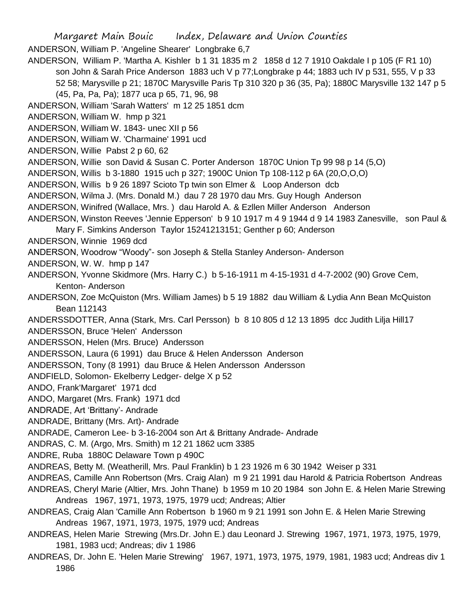Margaret Main Bouic Index, Delaware and Union Counties ANDERSON, William P. 'Angeline Shearer' Longbrake 6,7 ANDERSON, William P. 'Martha A. Kishler b 1 31 1835 m 2 1858 d 12 7 1910 Oakdale I p 105 (F R1 10) son John & Sarah Price Anderson 1883 uch V p 77;Longbrake p 44; 1883 uch IV p 531, 555, V p 33 52 58; Marysville p 21; 1870C Marysville Paris Tp 310 320 p 36 (35, Pa); 1880C Marysville 132 147 p 5 (45, Pa, Pa, Pa); 1877 uca p 65, 71, 96, 98 ANDERSON, William 'Sarah Watters' m 12 25 1851 dcm ANDERSON, William W. hmp p 321 ANDERSON, William W. 1843- unec XII p 56 ANDERSON, William W. 'Charmaine' 1991 ucd ANDERSON, Willie Pabst 2 p 60, 62 ANDERSON, Willie son David & Susan C. Porter Anderson 1870C Union Tp 99 98 p 14 (5,O) ANDERSON, Willis b 3-1880 1915 uch p 327; 1900C Union Tp 108-112 p 6A (20,O,O,O) ANDERSON, Willis b 9 26 1897 Scioto Tp twin son Elmer & Loop Anderson dcb ANDERSON, Wilma J. (Mrs. Donald M.) dau 7 28 1970 dau Mrs. Guy Hough Anderson ANDERSON, Winifred (Wallace, Mrs. ) dau Harold A. & Ezllen Miller Anderson Anderson ANDERSON, Winston Reeves 'Jennie Epperson' b 9 10 1917 m 4 9 1944 d 9 14 1983 Zanesville, son Paul & Mary F. Simkins Anderson Taylor 15241213151; Genther p 60; Anderson ANDERSON, Winnie 1969 dcd ANDERSON, Woodrow "Woody"- son Joseph & Stella Stanley Anderson- Anderson ANDERSON, W. W. hmp p 147 ANDERSON, Yvonne Skidmore (Mrs. Harry C.) b 5-16-1911 m 4-15-1931 d 4-7-2002 (90) Grove Cem, Kenton- Anderson ANDERSON, Zoe McQuiston (Mrs. William James) b 5 19 1882 dau William & Lydia Ann Bean McQuiston Bean 112143 ANDERSSDOTTER, Anna (Stark, Mrs. Carl Persson) b 8 10 805 d 12 13 1895 dcc Judith Lilja Hill17 ANDERSSON, Bruce 'Helen' Andersson ANDERSSON, Helen (Mrs. Bruce) Andersson ANDERSSON, Laura (6 1991) dau Bruce & Helen Andersson Anderson ANDERSSON, Tony (8 1991) dau Bruce & Helen Andersson Andersson ANDFIELD, Solomon- Ekelberry Ledger- delge X p 52 ANDO, Frank'Margaret' 1971 dcd ANDO, Margaret (Mrs. Frank) 1971 dcd ANDRADE, Art 'Brittany'- Andrade ANDRADE, Brittany (Mrs. Art)- Andrade ANDRADE, Cameron Lee- b 3-16-2004 son Art & Brittany Andrade- Andrade ANDRAS, C. M. (Argo, Mrs. Smith) m 12 21 1862 ucm 3385 ANDRE, Ruba 1880C Delaware Town p 490C ANDREAS, Betty M. (Weatherill, Mrs. Paul Franklin) b 1 23 1926 m 6 30 1942 Weiser p 331 ANDREAS, Camille Ann Robertson (Mrs. Craig Alan) m 9 21 1991 dau Harold & Patricia Robertson Andreas ANDREAS, Cheryl Marie (Altier, Mrs. John Thane) b 1959 m 10 20 1984 son John E. & Helen Marie Strewing Andreas 1967, 1971, 1973, 1975, 1979 ucd; Andreas; Altier ANDREAS, Craig Alan 'Camille Ann Robertson b 1960 m 9 21 1991 son John E. & Helen Marie Strewing Andreas 1967, 1971, 1973, 1975, 1979 ucd; Andreas ANDREAS, Helen Marie Strewing (Mrs.Dr. John E.) dau Leonard J. Strewing 1967, 1971, 1973, 1975, 1979, 1981, 1983 ucd; Andreas; div 1 1986 ANDREAS, Dr. John E. 'Helen Marie Strewing' 1967, 1971, 1973, 1975, 1979, 1981, 1983 ucd; Andreas div 1

1986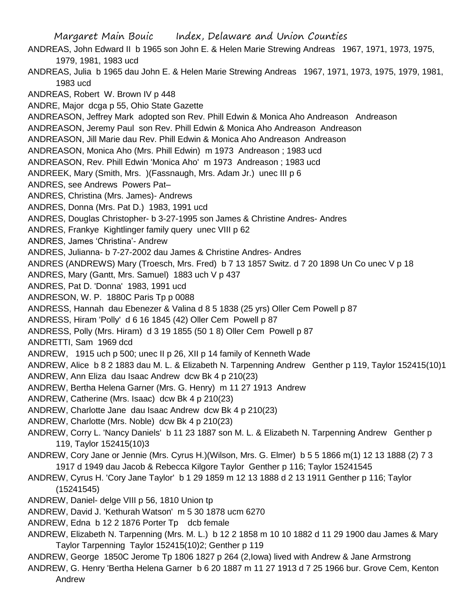Margaret Main Bouic Index, Delaware and Union Counties ANDREAS, John Edward II b 1965 son John E. & Helen Marie Strewing Andreas 1967, 1971, 1973, 1975, 1979, 1981, 1983 ucd ANDREAS, Julia b 1965 dau John E. & Helen Marie Strewing Andreas 1967, 1971, 1973, 1975, 1979, 1981, 1983 ucd ANDREAS, Robert W. Brown IV p 448 ANDRE, Major dcga p 55, Ohio State Gazette ANDREASON, Jeffrey Mark adopted son Rev. Phill Edwin & Monica Aho Andreason Andreason ANDREASON, Jeremy Paul son Rev. Phill Edwin & Monica Aho Andreason Andreason ANDREASON, Jill Marie dau Rev. Phill Edwin & Monica Aho Andreason Andreason ANDREASON, Monica Aho (Mrs. Phill Edwin) m 1973 Andreason ; 1983 ucd ANDREASON, Rev. Phill Edwin 'Monica Aho' m 1973 Andreason ; 1983 ucd ANDREEK, Mary (Smith, Mrs. )(Fassnaugh, Mrs. Adam Jr.) unec III p 6 ANDRES, see Andrews Powers Pat– ANDRES, Christina (Mrs. James)- Andrews ANDRES, Donna (Mrs. Pat D.) 1983, 1991 ucd ANDRES, Douglas Christopher- b 3-27-1995 son James & Christine Andres- Andres ANDRES, Frankye Kightlinger family query unec VIII p 62 ANDRES, James 'Christina'- Andrew ANDRES, Julianna- b 7-27-2002 dau James & Christine Andres- Andres ANDRES (ANDREWS) Mary (Troesch, Mrs. Fred) b 7 13 1857 Switz. d 7 20 1898 Un Co unec V p 18 ANDRES, Mary (Gantt, Mrs. Samuel) 1883 uch V p 437 ANDRES, Pat D. 'Donna' 1983, 1991 ucd ANDRESON, W. P. 1880C Paris Tp p 0088 ANDRESS, Hannah dau Ebenezer & Valina d 8 5 1838 (25 yrs) Oller Cem Powell p 87 ANDRESS, Hiram 'Polly' d 6 16 1845 (42) Oller Cem Powell p 87 ANDRESS, Polly (Mrs. Hiram) d 3 19 1855 (50 1 8) Oller Cem Powell p 87 ANDRETTI, Sam 1969 dcd ANDREW, 1915 uch p 500; unec II p 26, XII p 14 family of Kenneth Wade ANDREW, Alice b 8 2 1883 dau M. L. & Elizabeth N. Tarpenning Andrew Genther p 119, Taylor 152415(10)1 ANDREW, Ann Eliza dau Isaac Andrew dcw Bk 4 p 210(23) ANDREW, Bertha Helena Garner (Mrs. G. Henry) m 11 27 1913 Andrew ANDREW, Catherine (Mrs. Isaac) dcw Bk 4 p 210(23) ANDREW, Charlotte Jane dau Isaac Andrew dcw Bk 4 p 210(23) ANDREW, Charlotte (Mrs. Noble) dcw Bk 4 p 210(23) ANDREW, Corry L. 'Nancy Daniels' b 11 23 1887 son M. L. & Elizabeth N. Tarpenning Andrew Genther p 119, Taylor 152415(10)3 ANDREW, Cory Jane or Jennie (Mrs. Cyrus H.)(Wilson, Mrs. G. Elmer) b 5 5 1866 m(1) 12 13 1888 (2) 7 3 1917 d 1949 dau Jacob & Rebecca Kilgore Taylor Genther p 116; Taylor 15241545 ANDREW, Cyrus H. 'Cory Jane Taylor' b 1 29 1859 m 12 13 1888 d 2 13 1911 Genther p 116; Taylor (15241545) ANDREW, Daniel- delge VIII p 56, 1810 Union tp ANDREW, David J. 'Kethurah Watson' m 5 30 1878 ucm 6270 ANDREW, Edna b 12 2 1876 Porter Tp dcb female ANDREW, Elizabeth N. Tarpenning (Mrs. M. L.) b 12 2 1858 m 10 10 1882 d 11 29 1900 dau James & Mary Taylor Tarpenning Taylor 152415(10)2; Genther p 119 ANDREW, George 1850C Jerome Tp 1806 1827 p 264 (2,Iowa) lived with Andrew & Jane Armstrong ANDREW, G. Henry 'Bertha Helena Garner b 6 20 1887 m 11 27 1913 d 7 25 1966 bur. Grove Cem, Kenton

Andrew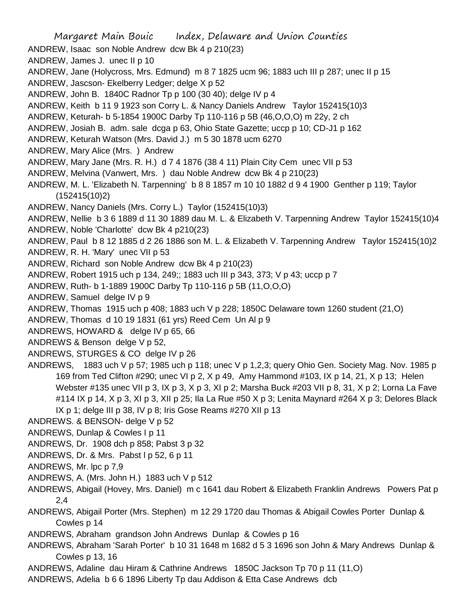Margaret Main Bouic Index, Delaware and Union Counties ANDREW, Isaac son Noble Andrew dcw Bk 4 p 210(23) ANDREW, James J. unec II p 10 ANDREW, Jane (Holycross, Mrs. Edmund) m 8 7 1825 ucm 96; 1883 uch III p 287; unec II p 15 ANDREW, Jascson- Ekelberry Ledger; delge X p 52 ANDREW, John B. 1840C Radnor Tp p 100 (30 40); delge IV p 4 ANDREW, Keith b 11 9 1923 son Corry L. & Nancy Daniels Andrew Taylor 152415(10)3 ANDREW, Keturah- b 5-1854 1900C Darby Tp 110-116 p 5B (46,O,O,O) m 22y, 2 ch ANDREW, Josiah B. adm. sale dcga p 63, Ohio State Gazette; uccp p 10; CD-J1 p 162 ANDREW, Keturah Watson (Mrs. David J.) m 5 30 1878 ucm 6270 ANDREW, Mary Alice (Mrs. ) Andrew ANDREW, Mary Jane (Mrs. R. H.) d 7 4 1876 (38 4 11) Plain City Cem unec VII p 53 ANDREW, Melvina (Vanwert, Mrs. ) dau Noble Andrew dcw Bk 4 p 210(23) ANDREW, M. L. 'Elizabeth N. Tarpenning' b 8 8 1857 m 10 10 1882 d 9 4 1900 Genther p 119; Taylor (152415(10)2) ANDREW, Nancy Daniels (Mrs. Corry L.) Taylor (152415(10)3) ANDREW, Nellie b 3 6 1889 d 11 30 1889 dau M. L. & Elizabeth V. Tarpenning Andrew Taylor 152415(10)4 ANDREW, Noble 'Charlotte' dcw Bk 4 p210(23) ANDREW, Paul b 8 12 1885 d 2 26 1886 son M. L. & Elizabeth V. Tarpenning Andrew Taylor 152415(10)2 ANDREW, R. H. 'Mary' unec VII p 53 ANDREW, Richard son Noble Andrew dcw Bk 4 p 210(23) ANDREW, Robert 1915 uch p 134, 249;; 1883 uch III p 343, 373; V p 43; uccp p 7 ANDREW, Ruth- b 1-1889 1900C Darby Tp 110-116 p 5B (11,O,O,O) ANDREW, Samuel delge IV p 9 ANDREW, Thomas 1915 uch p 408; 1883 uch V p 228; 1850C Delaware town 1260 student (21,O) ANDREW, Thomas d 10 19 1831 (61 yrs) Reed Cem Un Al p 9 ANDREWS, HOWARD & delge IV p 65, 66 ANDREWS & Benson delge V p 52, ANDREWS, STURGES & CO delge IV p 26 ANDREWS, 1883 uch V p 57; 1985 uch p 118; unec V p 1,2,3; query Ohio Gen. Society Mag. Nov. 1985 p 169 from Ted Clifton #290; unec VI p 2, X p 49, Amy Hammond #103, IX p 14, 21, X p 13; Helen Webster #135 unec VII p 3, IX p 3, X p 3, XI p 2; Marsha Buck #203 VII p 8, 31, X p 2; Lorna La Fave #114 IX p 14, X p 3, XI p 3, XII p 25; Ila La Rue #50 X p 3; Lenita Maynard #264 X p 3; Delores Black IX p 1; delge III p 38, IV p 8; Iris Gose Reams #270 XII p 13 ANDREWS. & BENSON- delge V p 52 ANDREWS, Dunlap & Cowles I p 11 ANDREWS, Dr. 1908 dch p 858; Pabst 3 p 32 ANDREWS, Dr. & Mrs. Pabst l p 52, 6 p 11 ANDREWS, Mr. lpc p 7,9 ANDREWS, A. (Mrs. John H.) 1883 uch V p 512 ANDREWS, Abigail (Hovey, Mrs. Daniel) m c 1641 dau Robert & Elizabeth Franklin Andrews Powers Pat p 2,4 ANDREWS, Abigail Porter (Mrs. Stephen) m 12 29 1720 dau Thomas & Abigail Cowles Porter Dunlap & Cowles p 14 ANDREWS, Abraham grandson John Andrews Dunlap & Cowles p 16 ANDREWS, Abraham 'Sarah Porter' b 10 31 1648 m 1682 d 5 3 1696 son John & Mary Andrews Dunlap & Cowles p 13, 16 ANDREWS, Adaline dau Hiram & Cathrine Andrews 1850C Jackson Tp 70 p 11 (11,O) ANDREWS, Adelia b 6 6 1896 Liberty Tp dau Addison & Etta Case Andrews dcb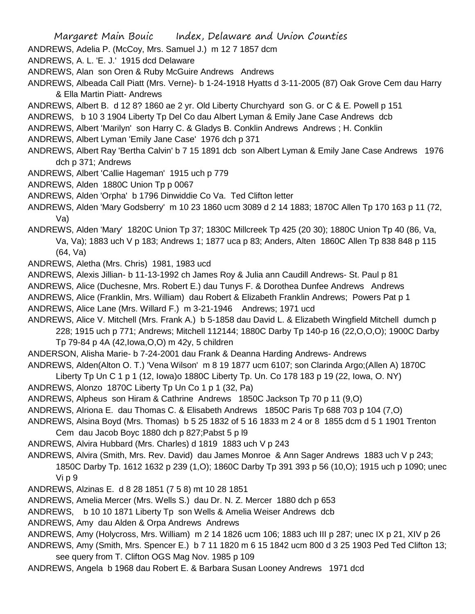ANDREWS, Adelia P. (McCoy, Mrs. Samuel J.) m 12 7 1857 dcm

ANDREWS, A. L. 'E. J.' 1915 dcd Delaware

- ANDREWS, Alan son Oren & Ruby McGuire Andrews Andrews
- ANDREWS, Albeada Call Piatt (Mrs. Verne)- b 1-24-1918 Hyatts d 3-11-2005 (87) Oak Grove Cem dau Harry & Ella Martin Piatt- Andrews
- ANDREWS, Albert B. d 12 8? 1860 ae 2 yr. Old Liberty Churchyard son G. or C & E. Powell p 151
- ANDREWS, b 10 3 1904 Liberty Tp Del Co dau Albert Lyman & Emily Jane Case Andrews dcb
- ANDREWS, Albert 'Marilyn' son Harry C. & Gladys B. Conklin Andrews Andrews ; H. Conklin

ANDREWS, Albert Lyman 'Emily Jane Case' 1976 dch p 371

ANDREWS, Albert Ray 'Bertha Calvin' b 7 15 1891 dcb son Albert Lyman & Emily Jane Case Andrews 1976 dch p 371; Andrews

- ANDREWS, Albert 'Callie Hageman' 1915 uch p 779
- ANDREWS, Alden 1880C Union Tp p 0067
- ANDREWS, Alden 'Orpha' b 1796 Dinwiddie Co Va. Ted Clifton letter
- ANDREWS, Alden 'Mary Godsberry' m 10 23 1860 ucm 3089 d 2 14 1883; 1870C Allen Tp 170 163 p 11 (72, Va)
- ANDREWS, Alden 'Mary' 1820C Union Tp 37; 1830C Millcreek Tp 425 (20 30); 1880C Union Tp 40 (86, Va, Va, Va); 1883 uch V p 183; Andrews 1; 1877 uca p 83; Anders, Alten 1860C Allen Tp 838 848 p 115 (64, Va)
- ANDREWS, Aletha (Mrs. Chris) 1981, 1983 ucd
- ANDREWS, Alexis Jillian- b 11-13-1992 ch James Roy & Julia ann Caudill Andrews- St. Paul p 81
- ANDREWS, Alice (Duchesne, Mrs. Robert E.) dau Tunys F. & Dorothea Dunfee Andrews Andrews
- ANDREWS, Alice (Franklin, Mrs. William) dau Robert & Elizabeth Franklin Andrews; Powers Pat p 1
- ANDREWS, Alice Lane (Mrs. Willard F.) m 3-21-1946 Andrews; 1971 ucd
- ANDREWS, Alice V. Mitchell (Mrs. Frank A.) b 5-1858 dau David L. & Elizabeth Wingfield Mitchell dumch p 228; 1915 uch p 771; Andrews; Mitchell 112144; 1880C Darby Tp 140-p 16 (22,O,O,O); 1900C Darby Tp 79-84 p 4A (42,Iowa,O,O) m 42y, 5 children
- ANDERSON, Alisha Marie- b 7-24-2001 dau Frank & Deanna Harding Andrews- Andrews
- ANDREWS, Alden(Alton O. T.) 'Vena Wilson' m 8 19 1877 ucm 6107; son Clarinda Argo;(Allen A) 1870C
- Liberty Tp Un C 1 p 1 (12, Iowa)o 1880C Liberty Tp. Un. Co 178 183 p 19 (22, Iowa, O. NY)
- ANDREWS, Alonzo 1870C Liberty Tp Un Co 1 p 1 (32, Pa)
- ANDREWS, Alpheus son Hiram & Cathrine Andrews 1850C Jackson Tp 70 p 11 (9,O)
- ANDREWS, Alriona E. dau Thomas C. & Elisabeth Andrews 1850C Paris Tp 688 703 p 104 (7,O)
- ANDREWS, Alsina Boyd (Mrs. Thomas) b 5 25 1832 of 5 16 1833 m 2 4 or 8 1855 dcm d 5 1 1901 Trenton Cem dau Jacob Boyc 1880 dch p 827;Pabst 5 p l9
- ANDREWS, Alvira Hubbard (Mrs. Charles) d 1819 1883 uch V p 243
- ANDREWS, Alvira (Smith, Mrs. Rev. David) dau James Monroe & Ann Sager Andrews 1883 uch V p 243;
	- 1850C Darby Tp. 1612 1632 p 239 (1,O); 1860C Darby Tp 391 393 p 56 (10,O); 1915 uch p 1090; unec Vi p 9
- ANDREWS, Alzinas E. d 8 28 1851 (7 5 8) mt 10 28 1851
- ANDREWS, Amelia Mercer (Mrs. Wells S.) dau Dr. N. Z. Mercer 1880 dch p 653
- ANDREWS, b 10 10 1871 Liberty Tp son Wells & Amelia Weiser Andrews dcb
- ANDREWS, Amy dau Alden & Orpa Andrews Andrews
- ANDREWS, Amy (Holycross, Mrs. William) m 2 14 1826 ucm 106; 1883 uch III p 287; unec IX p 21, XIV p 26
- ANDREWS, Amy (Smith, Mrs. Spencer E.) b 7 11 1820 m 6 15 1842 ucm 800 d 3 25 1903 Ped Ted Clifton 13; see query from T. Clifton OGS Mag Nov. 1985 p 109
- ANDREWS, Angela b 1968 dau Robert E. & Barbara Susan Looney Andrews 1971 dcd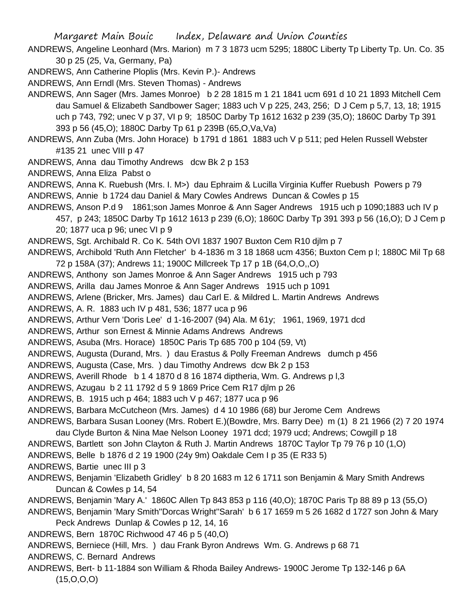ANDREWS, Angeline Leonhard (Mrs. Marion) m 7 3 1873 ucm 5295; 1880C Liberty Tp Liberty Tp. Un. Co. 35 30 p 25 (25, Va, Germany, Pa)

ANDREWS, Ann Catherine Ploplis (Mrs. Kevin P.)- Andrews

ANDREWS, Ann Erndl (Mrs. Steven Thomas) - Andrews

ANDREWS, Ann Sager (Mrs. James Monroe) b 2 28 1815 m 1 21 1841 ucm 691 d 10 21 1893 Mitchell Cem dau Samuel & Elizabeth Sandbower Sager; 1883 uch V p 225, 243, 256; D J Cem p 5,7, 13, 18; 1915 uch p 743, 792; unec V p 37, VI p 9; 1850C Darby Tp 1612 1632 p 239 (35,O); 1860C Darby Tp 391 393 p 56 (45,O); 1880C Darby Tp 61 p 239B (65,O,Va,Va)

ANDREWS, Ann Zuba (Mrs. John Horace) b 1791 d 1861 1883 uch V p 511; ped Helen Russell Webster #135 21 unec VIII p 47

ANDREWS, Anna dau Timothy Andrews dcw Bk 2 p 153

ANDREWS, Anna Eliza Pabst o

ANDREWS, Anna K. Ruebush (Mrs. I. M>) dau Ephraim & Lucilla Virginia Kuffer Ruebush Powers p 79 ANDREWS, Annie b 1724 dau Daniel & Mary Cowles Andrews Duncan & Cowles p 15

ANDREWS, Anson P.d 9 1861;son James Monroe & Ann Sager Andrews 1915 uch p 1090;1883 uch IV p 457, p 243; 1850C Darby Tp 1612 1613 p 239 (6,O); 1860C Darby Tp 391 393 p 56 (16,O); D J Cem p 20; 1877 uca p 96; unec VI p 9

ANDREWS, Sgt. Archibald R. Co K. 54th OVI 1837 1907 Buxton Cem R10 djlm p 7

ANDREWS, Archibold 'Ruth Ann Fletcher' b 4-1836 m 3 18 1868 ucm 4356; Buxton Cem p l; 1880C Mil Tp 68 72 p 158A (37); Andrews 11; 1900C Millcreek Tp 17 p 1B (64,O,O,,O)

ANDREWS, Anthony son James Monroe & Ann Sager Andrews 1915 uch p 793

ANDREWS, Arilla dau James Monroe & Ann Sager Andrews 1915 uch p 1091

ANDREWS, Arlene (Bricker, Mrs. James) dau Carl E. & Mildred L. Martin Andrews Andrews

ANDREWS, A. R. 1883 uch IV p 481, 536; 1877 uca p 96

ANDREWS, Arthur Vern 'Doris Lee' d 1-16-2007 (94) Ala. M 61y; 1961, 1969, 1971 dcd

ANDREWS, Arthur son Ernest & Minnie Adams Andrews Andrews

ANDREWS, Asuba (Mrs. Horace) 1850C Paris Tp 685 700 p 104 (59, Vt)

ANDREWS, Augusta (Durand, Mrs. ) dau Erastus & Polly Freeman Andrews dumch p 456

ANDREWS, Augusta (Case, Mrs. ) dau Timothy Andrews dcw Bk 2 p 153

ANDREWS, Averill Rhode b 1 4 1870 d 8 16 1874 diptheria, Wm. G. Andrews p l,3

ANDREWS, Azugau b 2 11 1792 d 5 9 1869 Price Cem R17 djlm p 26

ANDREWS, B. 1915 uch p 464; 1883 uch V p 467; 1877 uca p 96

ANDREWS, Barbara McCutcheon (Mrs. James) d 4 10 1986 (68) bur Jerome Cem Andrews

ANDREWS, Barbara Susan Looney (Mrs. Robert E.)(Bowdre, Mrs. Barry Dee) m (1) 8 21 1966 (2) 7 20 1974

dau Clyde Burton & Nina Mae Nelson Looney 1971 dcd; 1979 ucd; Andrews; Cowgill p 18

ANDREWS, Bartlett son John Clayton & Ruth J. Martin Andrews 1870C Taylor Tp 79 76 p 10 (1,O)

ANDREWS, Belle b 1876 d 2 19 1900 (24y 9m) Oakdale Cem I p 35 (E R33 5)

ANDREWS, Bartie unec III p 3

ANDREWS, Benjamin 'Elizabeth Gridley' b 8 20 1683 m 12 6 1711 son Benjamin & Mary Smith Andrews Duncan & Cowles p 14, 54

ANDREWS, Benjamin 'Mary A.' 1860C Allen Tp 843 853 p 116 (40,O); 1870C Paris Tp 88 89 p 13 (55,O)

ANDREWS, Benjamin 'Mary Smith''Dorcas Wright''Sarah' b 6 17 1659 m 5 26 1682 d 1727 son John & Mary

Peck Andrews Dunlap & Cowles p 12, 14, 16

ANDREWS, Bern 1870C Richwood 47 46 p 5 (40,O)

ANDREWS, Berniece (Hill, Mrs. ) dau Frank Byron Andrews Wm. G. Andrews p 68 71

ANDREWS, C. Bernard Andrews

ANDREWS, Bert- b 11-1884 son William & Rhoda Bailey Andrews- 1900C Jerome Tp 132-146 p 6A  $(15, O, O, O)$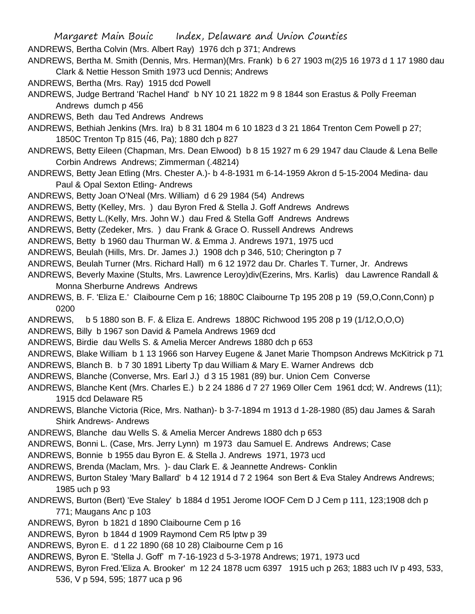Margaret Main Bouic Index, Delaware and Union Counties ANDREWS, Bertha Colvin (Mrs. Albert Ray) 1976 dch p 371; Andrews ANDREWS, Bertha M. Smith (Dennis, Mrs. Herman)(Mrs. Frank) b 6 27 1903 m(2)5 16 1973 d 1 17 1980 dau

- Clark & Nettie Hesson Smith 1973 ucd Dennis; Andrews
- ANDREWS, Bertha (Mrs. Ray) 1915 dcd Powell
- ANDREWS, Judge Bertrand 'Rachel Hand' b NY 10 21 1822 m 9 8 1844 son Erastus & Polly Freeman Andrews dumch p 456
- ANDREWS, Beth dau Ted Andrews Andrews
- ANDREWS, Bethiah Jenkins (Mrs. Ira) b 8 31 1804 m 6 10 1823 d 3 21 1864 Trenton Cem Powell p 27; 1850C Trenton Tp 815 (46, Pa); 1880 dch p 827
- ANDREWS, Betty Eileen (Chapman, Mrs. Dean Elwood) b 8 15 1927 m 6 29 1947 dau Claude & Lena Belle Corbin Andrews Andrews; Zimmerman (.48214)
- ANDREWS, Betty Jean Etling (Mrs. Chester A.)- b 4-8-1931 m 6-14-1959 Akron d 5-15-2004 Medina- dau Paul & Opal Sexton Etling- Andrews
- ANDREWS, Betty Joan O'Neal (Mrs. William) d 6 29 1984 (54) Andrews
- ANDREWS, Betty (Kelley, Mrs. ) dau Byron Fred & Stella J. Goff Andrews Andrews
- ANDREWS, Betty L.(Kelly, Mrs. John W.) dau Fred & Stella Goff Andrews Andrews
- ANDREWS, Betty (Zedeker, Mrs. ) dau Frank & Grace O. Russell Andrews Andrews
- ANDREWS, Betty b 1960 dau Thurman W. & Emma J. Andrews 1971, 1975 ucd
- ANDREWS, Beulah (Hills, Mrs. Dr. James J.) 1908 dch p 346, 510; Cherington p 7
- ANDREWS, Beulah Turner (Mrs. Richard Hall) m 6 12 1972 dau Dr. Charles T. Turner, Jr. Andrews
- ANDREWS, Beverly Maxine (Stults, Mrs. Lawrence Leroy)div(Ezerins, Mrs. Karlis) dau Lawrence Randall & Monna Sherburne Andrews Andrews
- ANDREWS, B. F. 'Eliza E.' Claibourne Cem p 16; 1880C Claibourne Tp 195 208 p 19 (59,O,Conn,Conn) p 0200
- ANDREWS, b 5 1880 son B. F. & Eliza E. Andrews 1880C Richwood 195 208 p 19 (1/12,O,O,O)
- ANDREWS, Billy b 1967 son David & Pamela Andrews 1969 dcd
- ANDREWS, Birdie dau Wells S. & Amelia Mercer Andrews 1880 dch p 653
- ANDREWS, Blake William b 1 13 1966 son Harvey Eugene & Janet Marie Thompson Andrews McKitrick p 71
- ANDREWS, Blanch B. b 7 30 1891 Liberty Tp dau William & Mary E. Warner Andrews dcb
- ANDREWS, Blanche (Converse, Mrs. Earl J.) d 3 15 1981 (89) bur. Union Cem Converse
- ANDREWS, Blanche Kent (Mrs. Charles E.) b 2 24 1886 d 7 27 1969 Oller Cem 1961 dcd; W. Andrews (11); 1915 dcd Delaware R5
- ANDREWS, Blanche Victoria (Rice, Mrs. Nathan)- b 3-7-1894 m 1913 d 1-28-1980 (85) dau James & Sarah Shirk Andrews- Andrews
- ANDREWS, Blanche dau Wells S. & Amelia Mercer Andrews 1880 dch p 653
- ANDREWS, Bonni L. (Case, Mrs. Jerry Lynn) m 1973 dau Samuel E. Andrews Andrews; Case
- ANDREWS, Bonnie b 1955 dau Byron E. & Stella J. Andrews 1971, 1973 ucd
- ANDREWS, Brenda (Maclam, Mrs. )- dau Clark E. & Jeannette Andrews- Conklin
- ANDREWS, Burton Staley 'Mary Ballard' b 4 12 1914 d 7 2 1964 son Bert & Eva Staley Andrews Andrews; 1985 uch p 93
- ANDREWS, Burton (Bert) 'Eve Staley' b 1884 d 1951 Jerome IOOF Cem D J Cem p 111, 123;1908 dch p 771; Maugans Anc p 103
- ANDREWS, Byron b 1821 d 1890 Claibourne Cem p 16
- ANDREWS, Byron b 1844 d 1909 Raymond Cem R5 lptw p 39
- ANDREWS, Byron E. d 1 22 1890 (68 10 28) Claibourne Cem p 16
- ANDREWS, Byron E. 'Stella J. Goff' m 7-16-1923 d 5-3-1978 Andrews; 1971, 1973 ucd
- ANDREWS, Byron Fred.'Eliza A. Brooker' m 12 24 1878 ucm 6397 1915 uch p 263; 1883 uch IV p 493, 533,
	- 536, V p 594, 595; 1877 uca p 96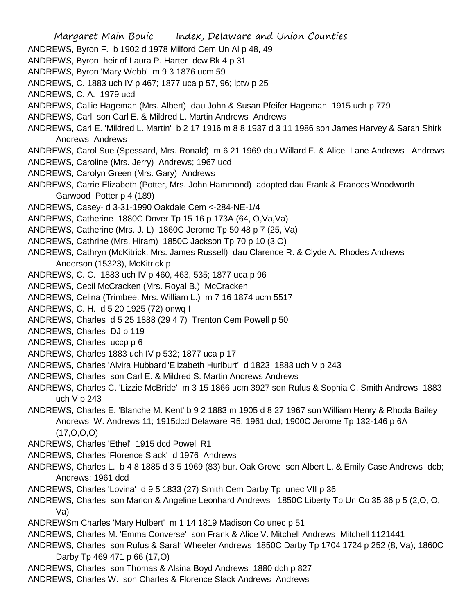- Margaret Main Bouic Index, Delaware and Union Counties ANDREWS, Byron F. b 1902 d 1978 Milford Cem Un Al p 48, 49 ANDREWS, Byron heir of Laura P. Harter dcw Bk 4 p 31 ANDREWS, Byron 'Mary Webb' m 9 3 1876 ucm 59 ANDREWS, C. 1883 uch IV p 467; 1877 uca p 57, 96; lptw p 25 ANDREWS, C. A. 1979 ucd ANDREWS, Callie Hageman (Mrs. Albert) dau John & Susan Pfeifer Hageman 1915 uch p 779 ANDREWS, Carl son Carl E. & Mildred L. Martin Andrews Andrews ANDREWS, Carl E. 'Mildred L. Martin' b 2 17 1916 m 8 8 1937 d 3 11 1986 son James Harvey & Sarah Shirk Andrews Andrews ANDREWS, Carol Sue (Spessard, Mrs. Ronald) m 6 21 1969 dau Willard F. & Alice Lane Andrews Andrews ANDREWS, Caroline (Mrs. Jerry) Andrews; 1967 ucd ANDREWS, Carolyn Green (Mrs. Gary) Andrews ANDREWS, Carrie Elizabeth (Potter, Mrs. John Hammond) adopted dau Frank & Frances Woodworth Garwood Potter p 4 (189) ANDREWS, Casey- d 3-31-1990 Oakdale Cem <-284-NE-1/4 ANDREWS, Catherine 1880C Dover Tp 15 16 p 173A (64, O,Va,Va) ANDREWS, Catherine (Mrs. J. L) 1860C Jerome Tp 50 48 p 7 (25, Va) ANDREWS, Cathrine (Mrs. Hiram) 1850C Jackson Tp 70 p 10 (3,O) ANDREWS, Cathryn (McKitrick, Mrs. James Russell) dau Clarence R. & Clyde A. Rhodes Andrews Anderson (15323), McKitrick p ANDREWS, C. C. 1883 uch IV p 460, 463, 535; 1877 uca p 96 ANDREWS, Cecil McCracken (Mrs. Royal B.) McCracken ANDREWS, Celina (Trimbee, Mrs. William L.) m 7 16 1874 ucm 5517 ANDREWS, C. H. d 5 20 1925 (72) onwq I ANDREWS, Charles d 5 25 1888 (29 4 7) Trenton Cem Powell p 50 ANDREWS, Charles DJ p 119 ANDREWS, Charles uccp p 6 ANDREWS, Charles 1883 uch IV p 532; 1877 uca p 17 ANDREWS, Charles 'Alvira Hubbard''Elizabeth Hurlburt' d 1823 1883 uch V p 243 ANDREWS, Charles son Carl E. & Mildred S. Martin Andrews Andrews ANDREWS, Charles C. 'Lizzie McBride' m 3 15 1866 ucm 3927 son Rufus & Sophia C. Smith Andrews 1883 uch V p 243 ANDREWS, Charles E. 'Blanche M. Kent' b 9 2 1883 m 1905 d 8 27 1967 son William Henry & Rhoda Bailey Andrews W. Andrews 11; 1915dcd Delaware R5; 1961 dcd; 1900C Jerome Tp 132-146 p 6A  $(17, 0, 0, 0)$ ANDREWS, Charles 'Ethel' 1915 dcd Powell R1 ANDREWS, Charles 'Florence Slack' d 1976 Andrews ANDREWS, Charles L. b 4 8 1885 d 3 5 1969 (83) bur. Oak Grove son Albert L. & Emily Case Andrews dcb; Andrews; 1961 dcd ANDREWS, Charles 'Lovina' d 9 5 1833 (27) Smith Cem Darby Tp unec VII p 36 ANDREWS, Charles son Marion & Angeline Leonhard Andrews 1850C Liberty Tp Un Co 35 36 p 5 (2,O, O,
	- Va)
	- ANDREWSm Charles 'Mary Hulbert' m 1 14 1819 Madison Co unec p 51
	- ANDREWS, Charles M. 'Emma Converse' son Frank & Alice V. Mitchell Andrews Mitchell 1121441
	- ANDREWS, Charles son Rufus & Sarah Wheeler Andrews 1850C Darby Tp 1704 1724 p 252 (8, Va); 1860C Darby Tp 469 471 p 66 (17,O)
	- ANDREWS, Charles son Thomas & Alsina Boyd Andrews 1880 dch p 827
	- ANDREWS, Charles W. son Charles & Florence Slack Andrews Andrews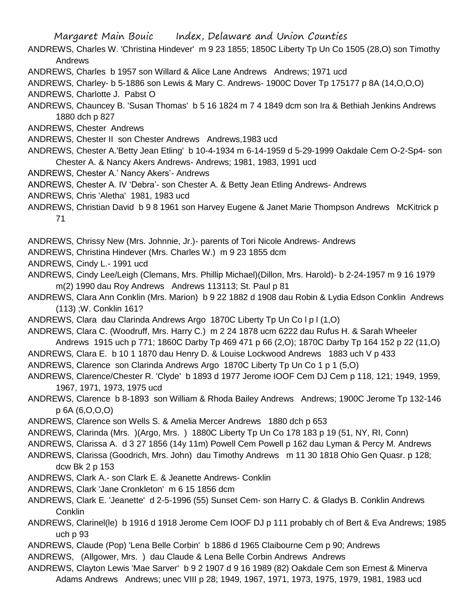- ANDREWS, Charles W. 'Christina Hindever' m 9 23 1855; 1850C Liberty Tp Un Co 1505 (28,O) son Timothy Andrews
- ANDREWS, Charles b 1957 son Willard & Alice Lane Andrews Andrews; 1971 ucd
- ANDREWS, Charley- b 5-1886 son Lewis & Mary C. Andrews- 1900C Dover Tp 175177 p 8A (14,O,O,O)
- ANDREWS, Charlotte J. Pabst O
- ANDREWS, Chauncey B. 'Susan Thomas' b 5 16 1824 m 7 4 1849 dcm son Ira & Bethiah Jenkins Andrews 1880 dch p 827

ANDREWS, Chester Andrews

- ANDREWS, Chester II son Chester Andrews Andrews,1983 ucd
- ANDREWS, Chester A.'Betty Jean Etling' b 10-4-1934 m 6-14-1959 d 5-29-1999 Oakdale Cem O-2-Sp4- son Chester A. & Nancy Akers Andrews- Andrews; 1981, 1983, 1991 ucd
- ANDREWS, Chester A.' Nancy Akers'- Andrews
- ANDREWS, Chester A. IV 'Debra'- son Chester A. & Betty Jean Etling Andrews- Andrews
- ANDREWS, Chris 'Aletha' 1981, 1983 ucd
- ANDREWS, Christian David b 9 8 1961 son Harvey Eugene & Janet Marie Thompson Andrews McKitrick p 71

ANDREWS, Chrissy New (Mrs. Johnnie, Jr.)- parents of Tori Nicole Andrews- Andrews

- ANDREWS, Christina Hindever (Mrs. Charles W.) m 9 23 1855 dcm
- ANDREWS, Cindy L.- 1991 ucd
- ANDREWS, Cindy Lee/Leigh (Clemans, Mrs. Phillip Michael)(Dillon, Mrs. Harold)- b 2-24-1957 m 9 16 1979 m(2) 1990 dau Roy Andrews Andrews 113113; St. Paul p 81
- ANDREWS, Clara Ann Conklin (Mrs. Marion) b 9 22 1882 d 1908 dau Robin & Lydia Edson Conklin Andrews (113) ;W. Conklin 161?
- ANDREWS, Clara dau Clarinda Andrews Argo 1870C Liberty Tp Un Co l p l (1,O)
- ANDREWS, Clara C. (Woodruff, Mrs. Harry C.) m 2 24 1878 ucm 6222 dau Rufus H. & Sarah Wheeler Andrews 1915 uch p 771; 1860C Darby Tp 469 471 p 66 (2,O); 1870C Darby Tp 164 152 p 22 (11,O)
- ANDREWS, Clara E. b 10 1 1870 dau Henry D. & Louise Lockwood Andrews 1883 uch V p 433
- ANDREWS, Clarence son Clarinda Andrews Argo 1870C Liberty Tp Un Co 1 p 1 (5,O)
- ANDREWS, Clarence/Chester R. 'Clyde' b 1893 d 1977 Jerome IOOF Cem DJ Cem p 118, 121; 1949, 1959, 1967, 1971, 1973, 1975 ucd
- ANDREWS, Clarence b 8-1893 son William & Rhoda Bailey Andrews Andrews; 1900C Jerome Tp 132-146 p 6A (6,O,O,O)
- ANDREWS, Clarence son Wells S. & Amelia Mercer Andrews 1880 dch p 653
- ANDREWS, Clarinda (Mrs. )(Argo, Mrs. ) 1880C Liberty Tp Un Co 178 183 p 19 (51, NY, RI, Conn)
- ANDREWS, Clarissa A. d 3 27 1856 (14y 11m) Powell Cem Powell p 162 dau Lyman & Percy M. Andrews
- ANDREWS, Clarissa (Goodrich, Mrs. John) dau Timothy Andrews m 11 30 1818 Ohio Gen Quasr. p 128; dcw Bk 2 p 153
- ANDREWS, Clark A.- son Clark E. & Jeanette Andrews- Conklin
- ANDREWS, Clark 'Jane Cronkleton' m 6 15 1856 dcm
- ANDREWS, Clark E. 'Jeanette' d 2-5-1996 (55) Sunset Cem- son Harry C. & Gladys B. Conklin Andrews **Conklin**
- ANDREWS, Clarinel(le) b 1916 d 1918 Jerome Cem IOOF DJ p 111 probably ch of Bert & Eva Andrews; 1985 uch p 93
- ANDREWS, Claude (Pop) 'Lena Belle Corbin' b 1886 d 1965 Claibourne Cem p 90; Andrews
- ANDREWS, (Allgower, Mrs. ) dau Claude & Lena Belle Corbin Andrews Andrews
- ANDREWS, Clayton Lewis 'Mae Sarver' b 9 2 1907 d 9 16 1989 (82) Oakdale Cem son Ernest & Minerva Adams Andrews Andrews; unec VIII p 28; 1949, 1967, 1971, 1973, 1975, 1979, 1981, 1983 ucd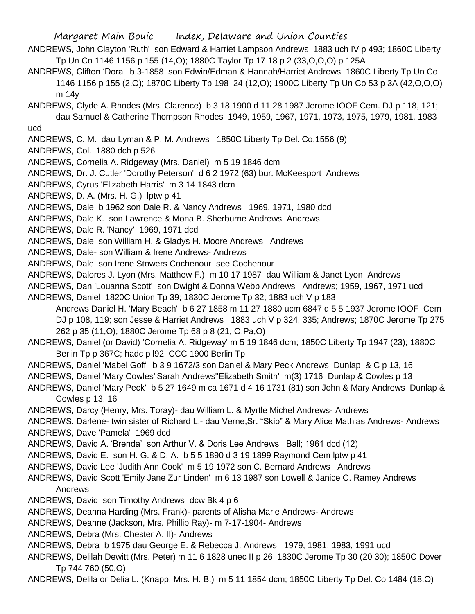- ANDREWS, John Clayton 'Ruth' son Edward & Harriet Lampson Andrews 1883 uch IV p 493; 1860C Liberty Tp Un Co 1146 1156 p 155 (14,O); 1880C Taylor Tp 17 18 p 2 (33,O,O,O) p 125A
- ANDREWS, Clifton 'Dora' b 3-1858 son Edwin/Edman & Hannah/Harriet Andrews 1860C Liberty Tp Un Co 1146 1156 p 155 (2,O); 1870C Liberty Tp 198 24 (12,O); 1900C Liberty Tp Un Co 53 p 3A (42,O,O,O) m 14y
- ANDREWS, Clyde A. Rhodes (Mrs. Clarence) b 3 18 1900 d 11 28 1987 Jerome IOOF Cem. DJ p 118, 121; dau Samuel & Catherine Thompson Rhodes 1949, 1959, 1967, 1971, 1973, 1975, 1979, 1981, 1983 ucd
- ANDREWS, C. M. dau Lyman & P. M. Andrews 1850C Liberty Tp Del. Co.1556 (9)
- ANDREWS, Col. 1880 dch p 526
- ANDREWS, Cornelia A. Ridgeway (Mrs. Daniel) m 5 19 1846 dcm
- ANDREWS, Dr. J. Cutler 'Dorothy Peterson' d 6 2 1972 (63) bur. McKeesport Andrews
- ANDREWS, Cyrus 'Elizabeth Harris' m 3 14 1843 dcm
- ANDREWS, D. A. (Mrs. H. G.) lptw p 41
- ANDREWS, Dale b 1962 son Dale R. & Nancy Andrews 1969, 1971, 1980 dcd
- ANDREWS, Dale K. son Lawrence & Mona B. Sherburne Andrews Andrews
- ANDREWS, Dale R. 'Nancy' 1969, 1971 dcd
- ANDREWS, Dale son William H. & Gladys H. Moore Andrews Andrews
- ANDREWS, Dale- son William & Irene Andrews- Andrews
- ANDREWS, Dale son Irene Stowers Cochenour see Cochenour
- ANDREWS, Dalores J. Lyon (Mrs. Matthew F.) m 10 17 1987 dau William & Janet Lyon Andrews
- ANDREWS, Dan 'Louanna Scott' son Dwight & Donna Webb Andrews Andrews; 1959, 1967, 1971 ucd
- ANDREWS, Daniel 1820C Union Tp 39; 1830C Jerome Tp 32; 1883 uch V p 183 Andrews Daniel H. 'Mary Beach' b 6 27 1858 m 11 27 1880 ucm 6847 d 5 5 1937 Jerome IOOF Cem DJ p 108, 119; son Jesse & Harriet Andrews 1883 uch V p 324, 335; Andrews; 1870C Jerome Tp 275 262 p 35 (11,O); 1880C Jerome Tp 68 p 8 (21, O,Pa,O)
- ANDREWS, Daniel (or David) 'Cornelia A. Ridgeway' m 5 19 1846 dcm; 1850C Liberty Tp 1947 (23); 1880C Berlin Tp p 367C; hadc p l92 CCC 1900 Berlin Tp
- ANDREWS, Daniel 'Mabel Goff' b 3 9 1672/3 son Daniel & Mary Peck Andrews Dunlap & C p 13, 16
- ANDREWS, Daniel 'Mary Cowles''Sarah Andrews''Elizabeth Smith' m(3) 1716 Dunlap & Cowles p 13
- ANDREWS, Daniel 'Mary Peck' b 5 27 1649 m ca 1671 d 4 16 1731 (81) son John & Mary Andrews Dunlap & Cowles p 13, 16
- ANDREWS, Darcy (Henry, Mrs. Toray)- dau William L. & Myrtle Michel Andrews- Andrews
- ANDREWS. Darlene- twin sister of Richard L.- dau Verne,Sr. "Skip" & Mary Alice Mathias Andrews- Andrews ANDREWS, Dave 'Pamela' 1969 dcd
- ANDREWS, David A. 'Brenda' son Arthur V. & Doris Lee Andrews Ball; 1961 dcd (12)
- ANDREWS, David E. son H. G. & D. A. b 5 5 1890 d 3 19 1899 Raymond Cem lptw p 41
- ANDREWS, David Lee 'Judith Ann Cook' m 5 19 1972 son C. Bernard Andrews Andrews
- ANDREWS, David Scott 'Emily Jane Zur Linden' m 6 13 1987 son Lowell & Janice C. Ramey Andrews Andrews
- ANDREWS, David son Timothy Andrews dcw Bk 4 p 6
- ANDREWS, Deanna Harding (Mrs. Frank)- parents of Alisha Marie Andrews- Andrews
- ANDREWS, Deanne (Jackson, Mrs. Phillip Ray)- m 7-17-1904- Andrews
- ANDREWS, Debra (Mrs. Chester A. II)- Andrews
- ANDREWS, Debra b 1975 dau George E. & Rebecca J. Andrews 1979, 1981, 1983, 1991 ucd
- ANDREWS, Delilah Dewitt (Mrs. Peter) m 11 6 1828 unec II p 26 1830C Jerome Tp 30 (20 30); 1850C Dover Tp 744 760 (50,O)
- ANDREWS, Delila or Delia L. (Knapp, Mrs. H. B.) m 5 11 1854 dcm; 1850C Liberty Tp Del. Co 1484 (18,O)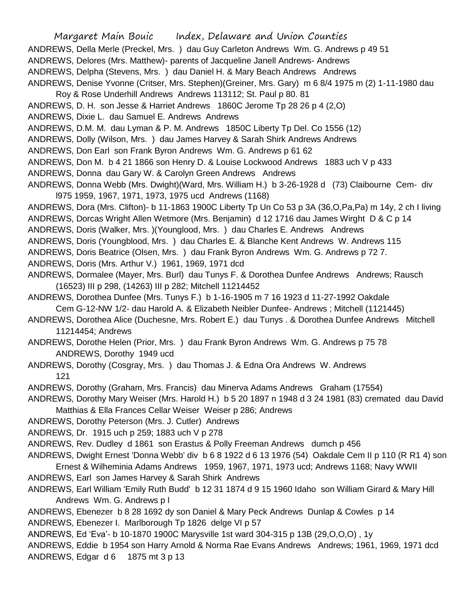Margaret Main Bouic Index, Delaware and Union Counties ANDREWS, Della Merle (Preckel, Mrs. ) dau Guy Carleton Andrews Wm. G. Andrews p 49 51 ANDREWS, Delores (Mrs. Matthew)- parents of Jacqueline Janell Andrews- Andrews ANDREWS, Delpha (Stevens, Mrs. ) dau Daniel H. & Mary Beach Andrews Andrews ANDREWS, Denise Yvonne (Critser, Mrs. Stephen)(Greiner, Mrs. Gary) m 6 8/4 1975 m (2) 1-11-1980 dau Roy & Rose Underhill Andrews Andrews 113112; St. Paul p 80. 81 ANDREWS, D. H. son Jesse & Harriet Andrews 1860C Jerome Tp 28 26 p 4 (2,O) ANDREWS, Dixie L. dau Samuel E. Andrews Andrews ANDREWS, D.M. M. dau Lyman & P. M. Andrews 1850C Liberty Tp Del. Co 1556 (12) ANDREWS, Dolly (Wilson, Mrs. ) dau James Harvey & Sarah Shirk Andrews Andrews ANDREWS, Don Earl son Frank Byron Andrews Wm. G. Andrews p 61 62 ANDREWS, Don M. b 4 21 1866 son Henry D. & Louise Lockwood Andrews 1883 uch V p 433 ANDREWS, Donna dau Gary W. & Carolyn Green Andrews Andrews ANDREWS, Donna Webb (Mrs. Dwight)(Ward, Mrs. William H.) b 3-26-1928 d (73) Claibourne Cem- div l975 1959, 1967, 1971, 1973, 1975 ucd Andrews (1168) ANDREWS, Dora (Mrs. Clifton)- b 11-1863 1900C Liberty Tp Un Co 53 p 3A (36,O,Pa,Pa) m 14y, 2 ch I living ANDREWS, Dorcas Wright Allen Wetmore (Mrs. Benjamin) d 12 1716 dau James Wirght D & C p 14 ANDREWS, Doris (Walker, Mrs. )(Younglood, Mrs. ) dau Charles E. Andrews Andrews ANDREWS, Doris (Youngblood, Mrs. ) dau Charles E. & Blanche Kent Andrews W. Andrews 115 ANDREWS, Doris Beatrice (Olsen, Mrs. ) dau Frank Byron Andrews Wm. G. Andrews p 72 7. ANDREWS, Doris (Mrs. Arthur V.) 1961, 1969, 1971 dcd ANDREWS, Dormalee (Mayer, Mrs. Burl) dau Tunys F. & Dorothea Dunfee Andrews Andrews; Rausch (16523) III p 298, (14263) III p 282; Mitchell 11214452 ANDREWS, Dorothea Dunfee (Mrs. Tunys F.) b 1-16-1905 m 7 16 1923 d 11-27-1992 Oakdale Cem G-12-NW 1/2- dau Harold A. & Elizabeth Neibler Dunfee- Andrews ; Mitchell (1121445) ANDREWS, Dorothea Alice (Duchesne, Mrs. Robert E.) dau Tunys . & Dorothea Dunfee Andrews Mitchell 11214454; Andrews ANDREWS, Dorothe Helen (Prior, Mrs. ) dau Frank Byron Andrews Wm. G. Andrews p 75 78 ANDREWS, Dorothy 1949 ucd ANDREWS, Dorothy (Cosgray, Mrs. ) dau Thomas J. & Edna Ora Andrews W. Andrews 121 ANDREWS, Dorothy (Graham, Mrs. Francis) dau Minerva Adams Andrews Graham (17554) ANDREWS, Dorothy Mary Weiser (Mrs. Harold H.) b 5 20 1897 n 1948 d 3 24 1981 (83) cremated dau David Matthias & Ella Frances Cellar Weiser Weiser p 286; Andrews ANDREWS, Dorothy Peterson (Mrs. J. Cutler) Andrews ANDREWS, Dr. 1915 uch p 259; 1883 uch V p 278 ANDREWS, Rev. Dudley d 1861 son Erastus & Polly Freeman Andrews dumch p 456 ANDREWS, Dwight Ernest 'Donna Webb' div b 6 8 1922 d 6 13 1976 (54) Oakdale Cem II p 110 (R R1 4) son Ernest & Wilheminia Adams Andrews 1959, 1967, 1971, 1973 ucd; Andrews 1168; Navy WWII ANDREWS, Earl son James Harvey & Sarah Shirk Andrews ANDREWS, Earl William 'Emily Ruth Budd' b 12 31 1874 d 9 15 1960 Idaho son William Girard & Mary Hill Andrews Wm. G. Andrews p l ANDREWS, Ebenezer b 8 28 1692 dy son Daniel & Mary Peck Andrews Dunlap & Cowles p 14 ANDREWS, Ebenezer I. Marlborough Tp 1826 delge VI p 57 ANDREWS, Ed 'Eva'- b 10-1870 1900C Marysville 1st ward 304-315 p 13B (29,O,O,O) , 1y

ANDREWS, Eddie b 1954 son Harry Arnold & Norma Rae Evans Andrews Andrews; 1961, 1969, 1971 dcd ANDREWS, Edgar d 6 1875 mt 3 p 13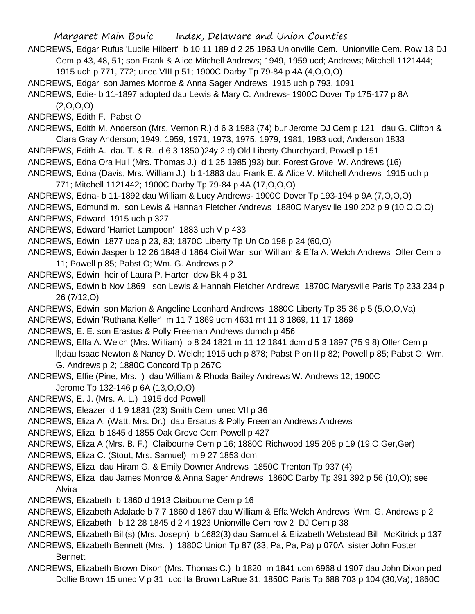ANDREWS, Edgar Rufus 'Lucile Hilbert' b 10 11 189 d 2 25 1963 Unionville Cem. Unionville Cem. Row 13 DJ Cem p 43, 48, 51; son Frank & Alice Mitchell Andrews; 1949, 1959 ucd; Andrews; Mitchell 1121444;

1915 uch p 771, 772; unec VIII p 51; 1900C Darby Tp 79-84 p 4A (4,O,O,O)

ANDREWS, Edgar son James Monroe & Anna Sager Andrews 1915 uch p 793, 1091

ANDREWS, Edie- b 11-1897 adopted dau Lewis & Mary C. Andrews- 1900C Dover Tp 175-177 p 8A  $(2,0,0,0)$ 

ANDREWS, Edith F. Pabst O

- ANDREWS, Edith M. Anderson (Mrs. Vernon R.) d 6 3 1983 (74) bur Jerome DJ Cem p 121 dau G. Clifton & Clara Gray Anderson; 1949, 1959, 1971, 1973, 1975, 1979, 1981, 1983 ucd; Anderson 1833
- ANDREWS, Edith A. dau T. & R. d 6 3 1850 )24y 2 d) Old Liberty Churchyard, Powell p 151
- ANDREWS, Edna Ora Hull (Mrs. Thomas J.) d 1 25 1985 )93) bur. Forest Grove W. Andrews (16)

ANDREWS, Edna (Davis, Mrs. William J.) b 1-1883 dau Frank E. & Alice V. Mitchell Andrews 1915 uch p 771; Mitchell 1121442; 1900C Darby Tp 79-84 p 4A (17,O,O,O)

ANDREWS, Edna- b 11-1892 dau William & Lucy Andrews- 1900C Dover Tp 193-194 p 9A (7,O,O,O) ANDREWS, Edmund m. son Lewis & Hannah Fletcher Andrews 1880C Marysville 190 202 p 9 (10,O,O,O) ANDREWS, Edward 1915 uch p 327

ANDREWS, Edward 'Harriet Lampoon' 1883 uch V p 433

ANDREWS, Edwin 1877 uca p 23, 83; 1870C Liberty Tp Un Co 198 p 24 (60,O)

ANDREWS, Edwin Jasper b 12 26 1848 d 1864 Civil War son William & Effa A. Welch Andrews Oller Cem p 11; Powell p 85; Pabst O; Wm. G. Andrews p 2

- ANDREWS, Edwin heir of Laura P. Harter dcw Bk 4 p 31
- ANDREWS, Edwin b Nov 1869 son Lewis & Hannah Fletcher Andrews 1870C Marysville Paris Tp 233 234 p 26 (7/12,O)
- ANDREWS, Edwin son Marion & Angeline Leonhard Andrews 1880C Liberty Tp 35 36 p 5 (5,O,O,Va)
- ANDREWS, Edwin 'Ruthana Keller' m 11 7 1869 ucm 4631 mt 11 3 1869, 11 17 1869
- ANDREWS, E. E. son Erastus & Polly Freeman Andrews dumch p 456

ANDREWS, Effa A. Welch (Mrs. William) b 8 24 1821 m 11 12 1841 dcm d 5 3 1897 (75 9 8) Oller Cem p

ll;dau Isaac Newton & Nancy D. Welch; 1915 uch p 878; Pabst Pion II p 82; Powell p 85; Pabst O; Wm. G. Andrews p 2; 1880C Concord Tp p 267C

- ANDREWS, Effie (Pine, Mrs. ) dau William & Rhoda Bailey Andrews W. Andrews 12; 1900C Jerome Tp 132-146 p 6A (13,O,O,O)
- ANDREWS, E. J. (Mrs. A. L.) 1915 dcd Powell
- ANDREWS, Eleazer d 1 9 1831 (23) Smith Cem unec VII p 36
- ANDREWS, Eliza A. (Watt, Mrs. Dr.) dau Ersatus & Polly Freeman Andrews Andrews
- ANDREWS, Eliza b 1845 d 1855 Oak Grove Cem Powell p 427

ANDREWS, Eliza A (Mrs. B. F.) Claibourne Cem p 16; 1880C Richwood 195 208 p 19 (19,O,Ger,Ger)

- ANDREWS, Eliza C. (Stout, Mrs. Samuel) m 9 27 1853 dcm
- ANDREWS, Eliza dau Hiram G. & Emily Downer Andrews 1850C Trenton Tp 937 (4)
- ANDREWS, Eliza dau James Monroe & Anna Sager Andrews 1860C Darby Tp 391 392 p 56 (10,O); see Alvira
- ANDREWS, Elizabeth b 1860 d 1913 Claibourne Cem p 16
- ANDREWS, Elizabeth Adalade b 7 7 1860 d 1867 dau William & Effa Welch Andrews Wm. G. Andrews p 2
- ANDREWS, Elizabeth b 12 28 1845 d 2 4 1923 Unionville Cem row 2 DJ Cem p 38

ANDREWS, Elizabeth Bill(s) (Mrs. Joseph) b 1682(3) dau Samuel & Elizabeth Webstead Bill McKitrick p 137

- ANDREWS, Elizabeth Bennett (Mrs. ) 1880C Union Tp 87 (33, Pa, Pa, Pa) p 070A sister John Foster Bennett
- ANDREWS, Elizabeth Brown Dixon (Mrs. Thomas C.) b 1820 m 1841 ucm 6968 d 1907 dau John Dixon ped Dollie Brown 15 unec V p 31 ucc Ila Brown LaRue 31; 1850C Paris Tp 688 703 p 104 (30,Va); 1860C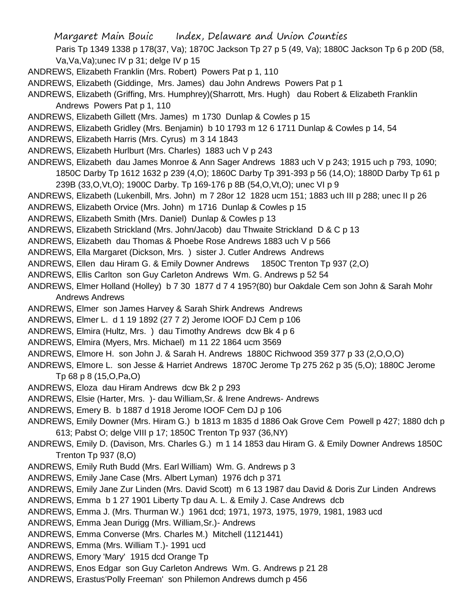Paris Tp 1349 1338 p 178(37, Va); 1870C Jackson Tp 27 p 5 (49, Va); 1880C Jackson Tp 6 p 20D (58, Va,Va,Va);unec IV p 31; delge IV p 15

- ANDREWS, Elizabeth Franklin (Mrs. Robert) Powers Pat p 1, 110
- ANDREWS, Elizabeth (Giddinge, Mrs. James) dau John Andrews Powers Pat p 1
- ANDREWS, Elizabeth (Griffing, Mrs. Humphrey)(Sharrott, Mrs. Hugh) dau Robert & Elizabeth Franklin Andrews Powers Pat p 1, 110
- ANDREWS, Elizabeth Gillett (Mrs. James) m 1730 Dunlap & Cowles p 15
- ANDREWS, Elizabeth Gridley (Mrs. Benjamin) b 10 1793 m 12 6 1711 Dunlap & Cowles p 14, 54
- ANDREWS, Elizabeth Harris (Mrs. Cyrus) m 3 14 1843
- ANDREWS, Elizabeth Hurlburt (Mrs. Charles) 1883 uch V p 243
- ANDREWS, Elizabeth dau James Monroe & Ann Sager Andrews 1883 uch V p 243; 1915 uch p 793, 1090; 1850C Darby Tp 1612 1632 p 239 (4,O); 1860C Darby Tp 391-393 p 56 (14,O); 1880D Darby Tp 61 p 239B (33,O,Vt,O); 1900C Darby. Tp 169-176 p 8B (54,O,Vt,O); unec VI p 9
- ANDREWS, Elizabeth (Lukenbill, Mrs. John) m 7 28or 12 1828 ucm 151; 1883 uch III p 288; unec II p 26
- ANDREWS, Elizabeth Orvice (Mrs. John) m 1716 Dunlap & Cowles p 15
- ANDREWS, Elizabeth Smith (Mrs. Daniel) Dunlap & Cowles p 13
- ANDREWS, Elizabeth Strickland (Mrs. John/Jacob) dau Thwaite Strickland D & C p 13
- ANDREWS, Elizabeth dau Thomas & Phoebe Rose Andrews 1883 uch V p 566
- ANDREWS, Ella Margaret (Dickson, Mrs. ) sister J. Cutler Andrews Andrews
- ANDREWS, Ellen dau Hiram G. & Emily Downer Andrews 1850C Trenton Tp 937 (2,O)
- ANDREWS, Ellis Carlton son Guy Carleton Andrews Wm. G. Andrews p 52 54
- ANDREWS, Elmer Holland (Holley) b 7 30 1877 d 7 4 195?(80) bur Oakdale Cem son John & Sarah Mohr Andrews Andrews
- ANDREWS, Elmer son James Harvey & Sarah Shirk Andrews Andrews
- ANDREWS, Elmer L. d 1 19 1892 (27 7 2) Jerome IOOF DJ Cem p 106
- ANDREWS, Elmira (Hultz, Mrs. ) dau Timothy Andrews dcw Bk 4 p 6
- ANDREWS, Elmira (Myers, Mrs. Michael) m 11 22 1864 ucm 3569
- ANDREWS, Elmore H. son John J. & Sarah H. Andrews 1880C Richwood 359 377 p 33 (2,O,O,O)
- ANDREWS, Elmore L. son Jesse & Harriet Andrews 1870C Jerome Tp 275 262 p 35 (5,O); 1880C Jerome Tp 68 p 8 (15,O,Pa,O)
- ANDREWS, Eloza dau Hiram Andrews dcw Bk 2 p 293
- ANDREWS, Elsie (Harter, Mrs. )- dau William,Sr. & Irene Andrews- Andrews
- ANDREWS, Emery B. b 1887 d 1918 Jerome IOOF Cem DJ p 106
- ANDREWS, Emily Downer (Mrs. Hiram G.) b 1813 m 1835 d 1886 Oak Grove Cem Powell p 427; 1880 dch p 613; Pabst O; delge VIII p 17; 1850C Trenton Tp 937 (36,NY)
- ANDREWS, Emily D. (Davison, Mrs. Charles G.) m 1 14 1853 dau Hiram G. & Emily Downer Andrews 1850C Trenton Tp 937 (8,O)
- ANDREWS, Emily Ruth Budd (Mrs. Earl William) Wm. G. Andrews p 3
- ANDREWS, Emily Jane Case (Mrs. Albert Lyman) 1976 dch p 371
- ANDREWS, Emily Jane Zur Linden (Mrs. David Scott) m 6 13 1987 dau David & Doris Zur Linden Andrews
- ANDREWS, Emma b 1 27 1901 Liberty Tp dau A. L. & Emily J. Case Andrews dcb
- ANDREWS, Emma J. (Mrs. Thurman W.) 1961 dcd; 1971, 1973, 1975, 1979, 1981, 1983 ucd
- ANDREWS, Emma Jean Durigg (Mrs. William,Sr.)- Andrews
- ANDREWS, Emma Converse (Mrs. Charles M.) Mitchell (1121441)
- ANDREWS, Emma (Mrs. William T.)- 1991 ucd
- ANDREWS, Emory 'Mary' 1915 dcd Orange Tp
- ANDREWS, Enos Edgar son Guy Carleton Andrews Wm. G. Andrews p 21 28
- ANDREWS, Erastus'Polly Freeman' son Philemon Andrews dumch p 456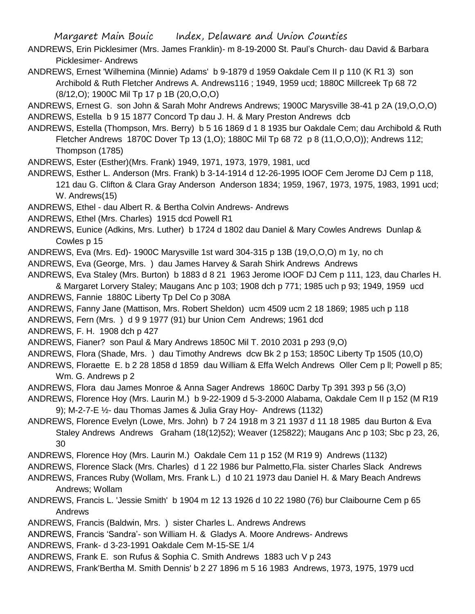ANDREWS, Erin Picklesimer (Mrs. James Franklin)- m 8-19-2000 St. Paul's Church- dau David & Barbara Picklesimer- Andrews

ANDREWS, Ernest 'Wilhemina (Minnie) Adams' b 9-1879 d 1959 Oakdale Cem II p 110 (K R1 3) son Archibold & Ruth Fletcher Andrews A. Andrews116 ; 1949, 1959 ucd; 1880C Millcreek Tp 68 72 (8/12,O); 1900C Mil Tp 17 p 1B (20,O,O,O)

ANDREWS, Ernest G. son John & Sarah Mohr Andrews Andrews; 1900C Marysville 38-41 p 2A (19,O,O,O) ANDREWS, Estella b 9 15 1877 Concord Tp dau J. H. & Mary Preston Andrews dcb

ANDREWS, Estella (Thompson, Mrs. Berry) b 5 16 1869 d 1 8 1935 bur Oakdale Cem; dau Archibold & Ruth Fletcher Andrews 1870C Dover Tp 13 (1,O); 1880C Mil Tp 68 72 p 8 (11,O,O,O)); Andrews 112; Thompson (1785)

ANDREWS, Ester (Esther)(Mrs. Frank) 1949, 1971, 1973, 1979, 1981, ucd

ANDREWS, Esther L. Anderson (Mrs. Frank) b 3-14-1914 d 12-26-1995 IOOF Cem Jerome DJ Cem p 118, 121 dau G. Clifton & Clara Gray Anderson Anderson 1834; 1959, 1967, 1973, 1975, 1983, 1991 ucd; W. Andrews(15)

ANDREWS, Ethel - dau Albert R. & Bertha Colvin Andrews- Andrews

ANDREWS, Ethel (Mrs. Charles) 1915 dcd Powell R1

ANDREWS, Eunice (Adkins, Mrs. Luther) b 1724 d 1802 dau Daniel & Mary Cowles Andrews Dunlap & Cowles p 15

ANDREWS, Eva (Mrs. Ed)- 1900C Marysville 1st ward 304-315 p 13B (19,O,O,O) m 1y, no ch

ANDREWS, Eva (George, Mrs. ) dau James Harvey & Sarah Shirk Andrews Andrews

ANDREWS, Eva Staley (Mrs. Burton) b 1883 d 8 21 1963 Jerome IOOF DJ Cem p 111, 123, dau Charles H.

& Margaret Lorvery Staley; Maugans Anc p 103; 1908 dch p 771; 1985 uch p 93; 1949, 1959 ucd ANDREWS, Fannie 1880C Liberty Tp Del Co p 308A

ANDREWS, Fanny Jane (Mattison, Mrs. Robert Sheldon) ucm 4509 ucm 2 18 1869; 1985 uch p 118

ANDREWS, Fern (Mrs. ) d 9 9 1977 (91) bur Union Cem Andrews; 1961 dcd

ANDREWS, F. H. 1908 dch p 427

ANDREWS, Fianer? son Paul & Mary Andrews 1850C Mil T. 2010 2031 p 293 (9,O)

ANDREWS, Flora (Shade, Mrs. ) dau Timothy Andrews dcw Bk 2 p 153; 1850C Liberty Tp 1505 (10,O)

ANDREWS, Floraette E. b 2 28 1858 d 1859 dau William & Effa Welch Andrews Oller Cem p ll; Powell p 85; Wm. G. Andrews p 2

ANDREWS, Flora dau James Monroe & Anna Sager Andrews 1860C Darby Tp 391 393 p 56 (3,O)

ANDREWS, Florence Hoy (Mrs. Laurin M.) b 9-22-1909 d 5-3-2000 Alabama, Oakdale Cem II p 152 (M R19 9); M-2-7-E ½- dau Thomas James & Julia Gray Hoy- Andrews (1132)

ANDREWS, Florence Evelyn (Lowe, Mrs. John) b 7 24 1918 m 3 21 1937 d 11 18 1985 dau Burton & Eva Staley Andrews Andrews Graham (18(12)52); Weaver (125822); Maugans Anc p 103; Sbc p 23, 26, 30

ANDREWS, Florence Hoy (Mrs. Laurin M.) Oakdale Cem 11 p 152 (M R19 9) Andrews (1132)

ANDREWS, Florence Slack (Mrs. Charles) d 1 22 1986 bur Palmetto,Fla. sister Charles Slack Andrews

ANDREWS, Frances Ruby (Wollam, Mrs. Frank L.) d 10 21 1973 dau Daniel H. & Mary Beach Andrews Andrews; Wollam

ANDREWS, Francis L. 'Jessie Smith' b 1904 m 12 13 1926 d 10 22 1980 (76) bur Claibourne Cem p 65 Andrews

ANDREWS, Francis (Baldwin, Mrs. ) sister Charles L. Andrews Andrews

ANDREWS, Francis 'Sandra'- son William H. & Gladys A. Moore Andrews- Andrews

ANDREWS, Frank- d 3-23-1991 Oakdale Cem M-15-SE 1/4

ANDREWS, Frank E. son Rufus & Sophia C. Smith Andrews 1883 uch V p 243

ANDREWS, Frank'Bertha M. Smith Dennis' b 2 27 1896 m 5 16 1983 Andrews, 1973, 1975, 1979 ucd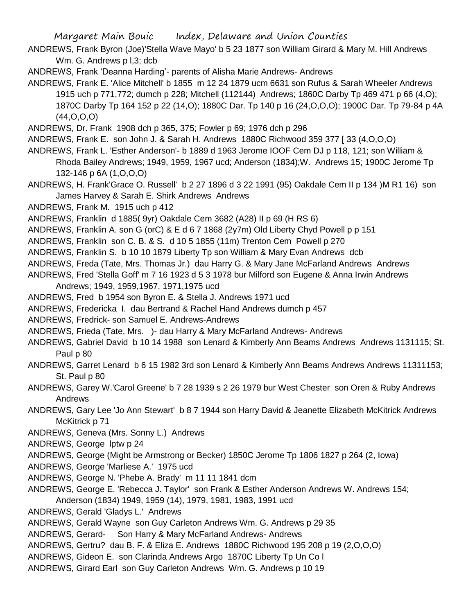ANDREWS, Frank Byron (Joe)'Stella Wave Mayo' b 5 23 1877 son William Girard & Mary M. Hill Andrews Wm. G. Andrews p I, 3; dcb

ANDREWS, Frank 'Deanna Harding'- parents of Alisha Marie Andrews- Andrews

- ANDREWS, Frank E. 'Alice Mitchell' b 1855 m 12 24 1879 ucm 6631 son Rufus & Sarah Wheeler Andrews 1915 uch p 771,772; dumch p 228; Mitchell (112144) Andrews; 1860C Darby Tp 469 471 p 66 (4,O); 1870C Darby Tp 164 152 p 22 (14,O); 1880C Dar. Tp 140 p 16 (24,O,O,O); 1900C Dar. Tp 79-84 p 4A (44,O,O,O)
- ANDREWS, Dr. Frank 1908 dch p 365, 375; Fowler p 69; 1976 dch p 296
- ANDREWS, Frank E. son John J. & Sarah H. Andrews 1880C Richwood 359 377 [ 33 (4,O,O,O)
- ANDREWS, Frank L. 'Esther Anderson'- b 1889 d 1963 Jerome IOOF Cem DJ p 118, 121; son William & Rhoda Bailey Andrews; 1949, 1959, 1967 ucd; Anderson (1834);W. Andrews 15; 1900C Jerome Tp 132-146 p 6A (1,O,O,O)
- ANDREWS, H. Frank'Grace O. Russell' b 2 27 1896 d 3 22 1991 (95) Oakdale Cem II p 134 )M R1 16) son James Harvey & Sarah E. Shirk Andrews Andrews
- ANDREWS, Frank M. 1915 uch p 412

ANDREWS, Franklin d 1885( 9yr) Oakdale Cem 3682 (A28) II p 69 (H RS 6)

- ANDREWS, Franklin A. son G (orC) & E d 6 7 1868 (2y7m) Old Liberty Chyd Powell p p 151
- ANDREWS, Franklin son C. B. & S. d 10 5 1855 (11m) Trenton Cem Powell p 270
- ANDREWS, Franklin S. b 10 10 1879 Liberty Tp son William & Mary Evan Andrews dcb
- ANDREWS, Freda (Tate, Mrs. Thomas Jr.) dau Harry G. & Mary Jane McFarland Andrews Andrews
- ANDREWS, Fred 'Stella Goff' m 7 16 1923 d 5 3 1978 bur Milford son Eugene & Anna Irwin Andrews Andrews; 1949, 1959,1967, 1971,1975 ucd
- ANDREWS, Fred b 1954 son Byron E. & Stella J. Andrews 1971 ucd
- ANDREWS, Fredericka I. dau Bertrand & Rachel Hand Andrews dumch p 457
- ANDREWS, Fredrick- son Samuel E. Andrews-Andrews
- ANDREWS, Frieda (Tate, Mrs. )- dau Harry & Mary McFarland Andrews- Andrews
- ANDREWS, Gabriel David b 10 14 1988 son Lenard & Kimberly Ann Beams Andrews Andrews 1131115; St. Paul p 80
- ANDREWS, Garret Lenard b 6 15 1982 3rd son Lenard & Kimberly Ann Beams Andrews Andrews 11311153; St. Paul p 80
- ANDREWS, Garey W.'Carol Greene' b 7 28 1939 s 2 26 1979 bur West Chester son Oren & Ruby Andrews Andrews
- ANDREWS, Gary Lee 'Jo Ann Stewart' b 8 7 1944 son Harry David & Jeanette Elizabeth McKitrick Andrews McKitrick p 71
- ANDREWS, Geneva (Mrs. Sonny L.) Andrews
- ANDREWS, George lptw p 24
- ANDREWS, George (Might be Armstrong or Becker) 1850C Jerome Tp 1806 1827 p 264 (2, Iowa)

ANDREWS, George 'Marliese A.' 1975 ucd

- ANDREWS, George N. 'Phebe A. Brady' m 11 11 1841 dcm
- ANDREWS, George E. 'Rebecca J. Taylor' son Frank & Esther Anderson Andrews W. Andrews 154; Anderson (1834) 1949, 1959 (14), 1979, 1981, 1983, 1991 ucd
- ANDREWS, Gerald 'Gladys L.' Andrews
- ANDREWS, Gerald Wayne son Guy Carleton Andrews Wm. G. Andrews p 29 35
- ANDREWS, Gerard- Son Harry & Mary McFarland Andrews- Andrews
- ANDREWS, Gertru? dau B. F. & Eliza E. Andrews 1880C Richwood 195 208 p 19 (2,O,O,O)
- ANDREWS, Gideon E. son Clarinda Andrews Argo 1870C Liberty Tp Un Co l
- ANDREWS, Girard Earl son Guy Carleton Andrews Wm. G. Andrews p 10 19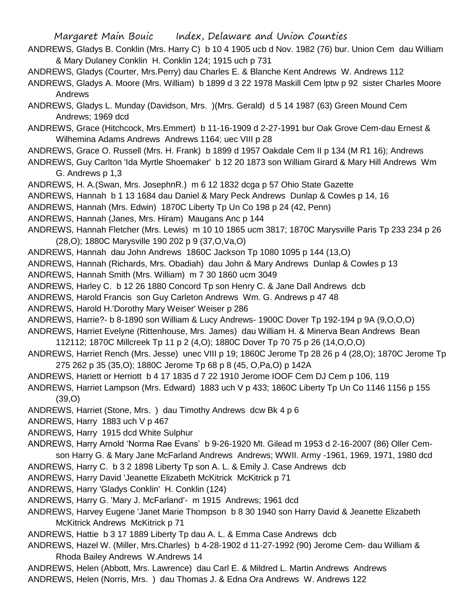- ANDREWS, Gladys B. Conklin (Mrs. Harry C) b 10 4 1905 ucb d Nov. 1982 (76) bur. Union Cem dau William & Mary Dulaney Conklin H. Conklin 124; 1915 uch p 731 ANDREWS, Gladys (Courter, Mrs.Perry) dau Charles E. & Blanche Kent Andrews W. Andrews 112 ANDREWS, Gladys A. Moore (Mrs. William) b 1899 d 3 22 1978 Maskill Cem lptw p 92 sister Charles Moore Andrews ANDREWS, Gladys L. Munday (Davidson, Mrs. )(Mrs. Gerald) d 5 14 1987 (63) Green Mound Cem Andrews; 1969 dcd ANDREWS, Grace (Hitchcock, Mrs.Emmert) b 11-16-1909 d 2-27-1991 bur Oak Grove Cem-dau Ernest & Wilhemina Adams Andrews Andrews 1164; uec VIII p 28 ANDREWS, Grace O. Russell (Mrs. H. Frank) b 1899 d 1957 Oakdale Cem II p 134 (M R1 16); Andrews ANDREWS, Guy Carlton 'Ida Myrtle Shoemaker' b 12 20 1873 son William Girard & Mary Hill Andrews Wm G. Andrews p 1,3 ANDREWS, H. A.(Swan, Mrs. JosephnR.) m 6 12 1832 dcga p 57 Ohio State Gazette ANDREWS, Hannah b 1 13 1684 dau Daniel & Mary Peck Andrews Dunlap & Cowles p 14, 16 ANDREWS, Hannah (Mrs. Edwin) 1870C Liberty Tp Un Co 198 p 24 (42, Penn) ANDREWS, Hannah (Janes, Mrs. Hiram) Maugans Anc p 144 ANDREWS, Hannah Fletcher (Mrs. Lewis) m 10 10 1865 ucm 3817; 1870C Marysville Paris Tp 233 234 p 26 (28,O); 1880C Marysville 190 202 p 9 (37,O,Va,O) ANDREWS, Hannah dau John Andrews 1860C Jackson Tp 1080 1095 p 144 (13,O) ANDREWS, Hannah (Richards, Mrs. Obadiah) dau John & Mary Andrews Dunlap & Cowles p 13 ANDREWS, Hannah Smith (Mrs. William) m 7 30 1860 ucm 3049 ANDREWS, Harley C. b 12 26 1880 Concord Tp son Henry C. & Jane Dall Andrews dcb ANDREWS, Harold Francis son Guy Carleton Andrews Wm. G. Andrews p 47 48 ANDREWS, Harold H.'Dorothy Mary Weiser' Weiser p 286 ANDREWS, Harrie?- b 8-1890 son William & Lucy Andrews- 1900C Dover Tp 192-194 p 9A (9,O,O,O) ANDREWS, Harriet Evelyne (Rittenhouse, Mrs. James) dau William H. & Minerva Bean Andrews Bean 112112; 1870C Millcreek Tp 11 p 2 (4,O); 1880C Dover Tp 70 75 p 26 (14,O,O,O) ANDREWS, Harriet Rench (Mrs. Jesse) unec VIII p 19; 1860C Jerome Tp 28 26 p 4 (28,O); 1870C Jerome Tp 275 262 p 35 (35,O); 1880C Jerome Tp 68 p 8 (45, O,Pa,O) p 142A ANDREWS, Hariett or Herriott b 4 17 1835 d 7 22 1910 Jerome IOOF Cem DJ Cem p 106, 119 ANDREWS, Harriet Lampson (Mrs. Edward) 1883 uch V p 433; 1860C Liberty Tp Un Co 1146 1156 p 155 (39,O) ANDREWS, Harriet (Stone, Mrs. ) dau Timothy Andrews dcw Bk 4 p 6 ANDREWS, Harry 1883 uch V p 467 ANDREWS, Harry 1915 dcd White Sulphur ANDREWS, Harry Arnold 'Norma Rae Evans' b 9-26-1920 Mt. Gilead m 1953 d 2-16-2007 (86) Oller Cemson Harry G. & Mary Jane McFarland Andrews Andrews; WWII. Army -1961, 1969, 1971, 1980 dcd ANDREWS, Harry C. b 3 2 1898 Liberty Tp son A. L. & Emily J. Case Andrews dcb ANDREWS, Harry David 'Jeanette Elizabeth McKitrick McKitrick p 71 ANDREWS, Harry 'Gladys Conklin' H. Conklin (124) ANDREWS, Harry G. 'Mary J. McFarland'- m 1915 Andrews; 1961 dcd
- ANDREWS, Harvey Eugene 'Janet Marie Thompson b 8 30 1940 son Harry David & Jeanette Elizabeth McKitrick Andrews McKitrick p 71
- ANDREWS, Hattie b 3 17 1889 Liberty Tp dau A. L. & Emma Case Andrews dcb
- ANDREWS, Hazel W. (Miller, Mrs.Charles) b 4-28-1902 d 11-27-1992 (90) Jerome Cem- dau William & Rhoda Bailey Andrews W.Andrews 14
- ANDREWS, Helen (Abbott, Mrs. Lawrence) dau Carl E. & Mildred L. Martin Andrews Andrews ANDREWS, Helen (Norris, Mrs. ) dau Thomas J. & Edna Ora Andrews W. Andrews 122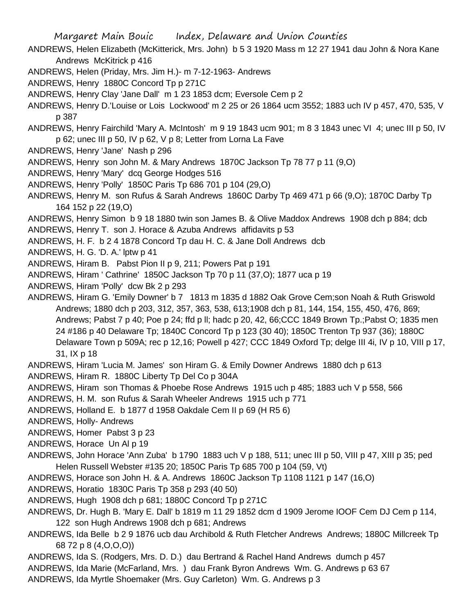- ANDREWS, Helen Elizabeth (McKitterick, Mrs. John) b 5 3 1920 Mass m 12 27 1941 dau John & Nora Kane Andrews McKitrick p 416
- ANDREWS, Helen (Priday, Mrs. Jim H.)- m 7-12-1963- Andrews
- ANDREWS, Henry 1880C Concord Tp p 271C
- ANDREWS, Henry Clay 'Jane Dall' m 1 23 1853 dcm; Eversole Cem p 2
- ANDREWS, Henry D.'Louise or Lois Lockwood' m 2 25 or 26 1864 ucm 3552; 1883 uch IV p 457, 470, 535, V p 387
- ANDREWS, Henry Fairchild 'Mary A. McIntosh' m 9 19 1843 ucm 901; m 8 3 1843 unec VI 4; unec III p 50, IV p 62; unec III p 50, IV p 62, V p 8; Letter from Lorna La Fave
- ANDREWS, Henry 'Jane' Nash p 296
- ANDREWS, Henry son John M. & Mary Andrews 1870C Jackson Tp 78 77 p 11 (9,O)
- ANDREWS, Henry 'Mary' dcq George Hodges 516
- ANDREWS, Henry 'Polly' 1850C Paris Tp 686 701 p 104 (29,O)
- ANDREWS, Henry M. son Rufus & Sarah Andrews 1860C Darby Tp 469 471 p 66 (9,O); 1870C Darby Tp 164 152 p 22 (19,O)
- ANDREWS, Henry Simon b 9 18 1880 twin son James B. & Olive Maddox Andrews 1908 dch p 884; dcb ANDREWS, Henry T. son J. Horace & Azuba Andrews affidavits p 53
- ANDREWS, H. F. b 2 4 1878 Concord Tp dau H. C. & Jane Doll Andrews dcb
- ANDREWS, H. G. 'D. A.' lptw p 41
- ANDREWS, Hiram B. Pabst Pion II p 9, 211; Powers Pat p 191
- ANDREWS, Hiram ' Cathrine' 1850C Jackson Tp 70 p 11 (37,O); 1877 uca p 19
- ANDREWS, Hiram 'Polly' dcw Bk 2 p 293
- ANDREWS, Hiram G. 'Emily Downer' b 7 1813 m 1835 d 1882 Oak Grove Cem;son Noah & Ruth Griswold Andrews; 1880 dch p 203, 312, 357, 363, 538, 613;1908 dch p 81, 144, 154, 155, 450, 476, 869; Andrews; Pabst 7 p 40; Poe p 24; ffd p ll; hadc p 20, 42, 66;CCC 1849 Brown Tp.;Pabst O; 1835 men 24 #186 p 40 Delaware Tp; 1840C Concord Tp p 123 (30 40); 1850C Trenton Tp 937 (36); 1880C Delaware Town p 509A; rec p 12,16; Powell p 427; CCC 1849 Oxford Tp; delge III 4i, IV p 10, VIII p 17, 31, IX p 18
- ANDREWS, Hiram 'Lucia M. James' son Hiram G. & Emily Downer Andrews 1880 dch p 613
- ANDREWS, Hiram R. 1880C Liberty Tp Del Co p 304A
- ANDREWS, Hiram son Thomas & Phoebe Rose Andrews 1915 uch p 485; 1883 uch V p 558, 566
- ANDREWS, H. M. son Rufus & Sarah Wheeler Andrews 1915 uch p 771
- ANDREWS, Holland E. b 1877 d 1958 Oakdale Cem II p 69 (H R5 6)
- ANDREWS, Holly- Andrews
- ANDREWS, Homer Pabst 3 p 23
- ANDREWS, Horace Un Al p 19
- ANDREWS, John Horace 'Ann Zuba' b 1790 1883 uch V p 188, 511; unec III p 50, VIII p 47, XIII p 35; ped Helen Russell Webster #135 20; 1850C Paris Tp 685 700 p 104 (59, Vt)
- ANDREWS, Horace son John H. & A. Andrews 1860C Jackson Tp 1108 1121 p 147 (16,O)
- ANDREWS, Horatio 1830C Paris Tp 358 p 293 (40 50)
- ANDREWS, Hugh 1908 dch p 681; 1880C Concord Tp p 271C
- ANDREWS, Dr. Hugh B. 'Mary E. Dall' b 1819 m 11 29 1852 dcm d 1909 Jerome IOOF Cem DJ Cem p 114, 122 son Hugh Andrews 1908 dch p 681; Andrews
- ANDREWS, Ida Belle b 2 9 1876 ucb dau Archibold & Ruth Fletcher Andrews Andrews; 1880C Millcreek Tp 68 72 p 8 (4,O,O,O))
- ANDREWS, Ida S. (Rodgers, Mrs. D. D.) dau Bertrand & Rachel Hand Andrews dumch p 457
- ANDREWS, Ida Marie (McFarland, Mrs. ) dau Frank Byron Andrews Wm. G. Andrews p 63 67
- ANDREWS, Ida Myrtle Shoemaker (Mrs. Guy Carleton) Wm. G. Andrews p 3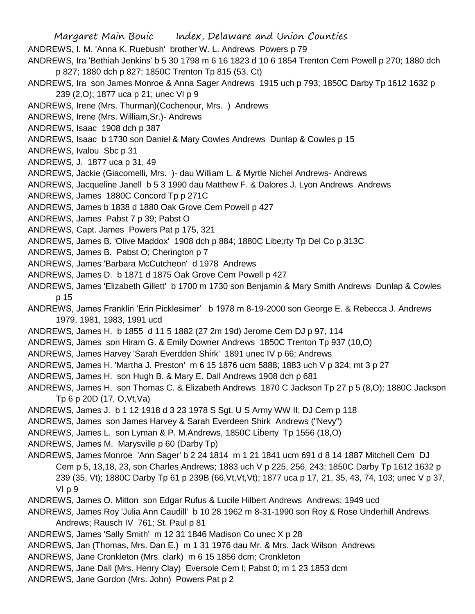Margaret Main Bouic Index, Delaware and Union Counties ANDREWS, I. M. 'Anna K. Ruebush' brother W. L. Andrews Powers p 79 ANDREWS, Ira 'Bethiah Jenkins' b 5 30 1798 m 6 16 1823 d 10 6 1854 Trenton Cem Powell p 270; 1880 dch p 827; 1880 dch p 827; 1850C Trenton Tp 815 (53, Ct)

- ANDREWS, Ira son James Monroe & Anna Sager Andrews 1915 uch p 793; 1850C Darby Tp 1612 1632 p 239 (2,O); 1877 uca p 21; unec VI p 9
- ANDREWS, Irene (Mrs. Thurman)(Cochenour, Mrs. ) Andrews
- ANDREWS, Irene (Mrs. William,Sr.)- Andrews
- ANDREWS, Isaac 1908 dch p 387
- ANDREWS, Isaac b 1730 son Daniel & Mary Cowles Andrews Dunlap & Cowles p 15
- ANDREWS, Ivalou Sbc p 31
- ANDREWS, J. 1877 uca p 31, 49
- ANDREWS, Jackie (Giacomelli, Mrs. )- dau William L. & Myrtle Nichel Andrews- Andrews
- ANDREWS, Jacqueline Janell b 5 3 1990 dau Matthew F. & Dalores J. Lyon Andrews Andrews
- ANDREWS, James 1880C Concord Tp p 271C
- ANDREWS, James b 1838 d 1880 Oak Grove Cem Powell p 427
- ANDREWS, James Pabst 7 p 39; Pabst O
- ANDREWS, Capt. James Powers Pat p 175, 321
- ANDREWS, James B. 'Olive Maddox' 1908 dch p 884; 1880C Libe;rty Tp Del Co p 313C
- ANDREWS, James B. Pabst O; Cherington p 7
- ANDREWS, James 'Barbara McCutcheon' d 1978 Andrews
- ANDREWS, James D. b 1871 d 1875 Oak Grove Cem Powell p 427
- ANDREWS, James 'Elizabeth Gillett' b 1700 m 1730 son Benjamin & Mary Smith Andrews Dunlap & Cowles p 15
- ANDREWS, James Franklin 'Erin Picklesimer' b 1978 m 8-19-2000 son George E. & Rebecca J. Andrews 1979, 1981, 1983, 1991 ucd
- ANDREWS, James H. b 1855 d 11 5 1882 (27 2m 19d) Jerome Cem DJ p 97, 114
- ANDREWS, James son Hiram G. & Emily Downer Andrews 1850C Trenton Tp 937 (10,O)
- ANDREWS, James Harvey 'Sarah Everdden Shirk' 1891 unec IV p 66; Andrews
- ANDREWS, James H. 'Martha J. Preston' m 6 15 1876 ucm 5888; 1883 uch V p 324; mt 3 p 27
- ANDREWS, James H. son Hugh B. & Mary E. Dall Andrews 1908 dch p 681
- ANDREWS, James H. son Thomas C. & Elizabeth Andrews 1870 C Jackson Tp 27 p 5 (8,O); 1880C Jackson Tp 6 p 20D (17, O,Vt,Va)
- ANDREWS, James J. b 1 12 1918 d 3 23 1978 S Sgt. U S Army WW II; DJ Cem p 118
- ANDREWS, James son James Harvey & Sarah Everdeen Shirk Andrews ("Nevy")
- ANDREWS, James L. son Lyman & P. M.Andrews, 1850C Liberty Tp 1556 (18,O)
- ANDREWS, James M. Marysville p 60 (Darby Tp)
- ANDREWS, James Monroe 'Ann Sager' b 2 24 1814 m 1 21 1841 ucm 691 d 8 14 1887 Mitchell Cem DJ Cem p 5, 13,18, 23, son Charles Andrews; 1883 uch V p 225, 256, 243; 1850C Darby Tp 1612 1632 p 239 (35, Vt); 1880C Darby Tp 61 p 239B (66, Vt, Vt); 1877 uca p 17, 21, 35, 43, 74, 103; unec V p 37, VI p 9
- ANDREWS, James O. Mitton son Edgar Rufus & Lucile Hilbert Andrews Andrews; 1949 ucd
- ANDREWS, James Roy 'Julia Ann Caudill' b 10 28 1962 m 8-31-1990 son Roy & Rose Underhill Andrews Andrews; Rausch IV 761; St. Paul p 81
- ANDREWS, James 'Sally Smith' m 12 31 1846 Madison Co unec X p 28
- ANDREWS, Jan (Thomas, Mrs. Dan E.) m 1 31 1976 dau Mr. & Mrs. Jack Wilson Andrews
- ANDREWS, Jane Cronkleton (Mrs. clark) m 6 15 1856 dcm; Cronkleton
- ANDREWS, Jane Dall (Mrs. Henry Clay) Eversole Cem l; Pabst 0; m 1 23 1853 dcm
- ANDREWS, Jane Gordon (Mrs. John) Powers Pat p 2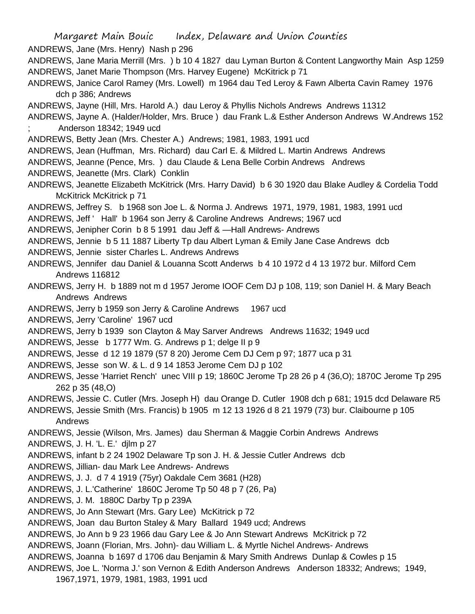Margaret Main Bouic Index, Delaware and Union Counties ANDREWS, Jane (Mrs. Henry) Nash p 296 ANDREWS, Jane Maria Merrill (Mrs. ) b 10 4 1827 dau Lyman Burton & Content Langworthy Main Asp 1259 ANDREWS, Janet Marie Thompson (Mrs. Harvey Eugene) McKitrick p 71 ANDREWS, Janice Carol Ramey (Mrs. Lowell) m 1964 dau Ted Leroy & Fawn Alberta Cavin Ramey 1976 dch p 386; Andrews ANDREWS, Jayne (Hill, Mrs. Harold A.) dau Leroy & Phyllis Nichols Andrews Andrews 11312 ANDREWS, Jayne A. (Halder/Holder, Mrs. Bruce ) dau Frank L.& Esther Anderson Andrews W.Andrews 152 ; Anderson 18342; 1949 ucd ANDREWS, Betty Jean (Mrs. Chester A.) Andrews; 1981, 1983, 1991 ucd ANDREWS, Jean (Huffman, Mrs. Richard) dau Carl E. & Mildred L. Martin Andrews Andrews ANDREWS, Jeanne (Pence, Mrs. ) dau Claude & Lena Belle Corbin Andrews Andrews ANDREWS, Jeanette (Mrs. Clark) Conklin ANDREWS, Jeanette Elizabeth McKitrick (Mrs. Harry David) b 6 30 1920 dau Blake Audley & Cordelia Todd McKitrick McKitrick p 71 ANDREWS, Jeffrey S. b 1968 son Joe L. & Norma J. Andrews 1971, 1979, 1981, 1983, 1991 ucd ANDREWS, Jeff ' Hall' b 1964 son Jerry & Caroline Andrews Andrews; 1967 ucd ANDREWS, Jenipher Corin b 8 5 1991 dau Jeff & —Hall Andrews- Andrews ANDREWS, Jennie b 5 11 1887 Liberty Tp dau Albert Lyman & Emily Jane Case Andrews dcb ANDREWS, Jennie sister Charles L. Andrews Andrews ANDREWS, Jennifer dau Daniel & Louanna Scott Anderws b 4 10 1972 d 4 13 1972 bur. Milford Cem Andrews 116812 ANDREWS, Jerry H. b 1889 not m d 1957 Jerome IOOF Cem DJ p 108, 119; son Daniel H. & Mary Beach Andrews Andrews ANDREWS, Jerry b 1959 son Jerry & Caroline Andrews 1967 ucd ANDREWS, Jerry 'Caroline' 1967 ucd ANDREWS, Jerry b 1939 son Clayton & May Sarver Andrews Andrews 11632; 1949 ucd ANDREWS, Jesse b 1777 Wm. G. Andrews p 1; delge II p 9 ANDREWS, Jesse d 12 19 1879 (57 8 20) Jerome Cem DJ Cem p 97; 1877 uca p 31 ANDREWS, Jesse son W. & L. d 9 14 1853 Jerome Cem DJ p 102 ANDREWS, Jesse 'Harriet Rench' unec VIII p 19; 1860C Jerome Tp 28 26 p 4 (36,O); 1870C Jerome Tp 295 262 p 35 (48,O) ANDREWS, Jessie C. Cutler (Mrs. Joseph H) dau Orange D. Cutler 1908 dch p 681; 1915 dcd Delaware R5 ANDREWS, Jessie Smith (Mrs. Francis) b 1905 m 12 13 1926 d 8 21 1979 (73) bur. Claibourne p 105 Andrews ANDREWS, Jessie (Wilson, Mrs. James) dau Sherman & Maggie Corbin Andrews Andrews ANDREWS, J. H. 'L. E.' djlm p 27 ANDREWS, infant b 2 24 1902 Delaware Tp son J. H. & Jessie Cutler Andrews dcb ANDREWS, Jillian- dau Mark Lee Andrews- Andrews ANDREWS, J. J. d 7 4 1919 (75yr) Oakdale Cem 3681 (H28) ANDREWS, J. L.'Catherine' 1860C Jerome Tp 50 48 p 7 (26, Pa) ANDREWS, J. M. 1880C Darby Tp p 239A ANDREWS, Jo Ann Stewart (Mrs. Gary Lee) McKitrick p 72 ANDREWS, Joan dau Burton Staley & Mary Ballard 1949 ucd; Andrews ANDREWS, Jo Ann b 9 23 1966 dau Gary Lee & Jo Ann Stewart Andrews McKitrick p 72 ANDREWS, Joann (Florian, Mrs. John)- dau William L. & Myrtle Nichel Andrews- Andrews ANDREWS, Joanna b 1697 d 1706 dau Benjamin & Mary Smith Andrews Dunlap & Cowles p 15 ANDREWS, Joe L. 'Norma J.' son Vernon & Edith Anderson Andrews Anderson 18332; Andrews; 1949, 1967,1971, 1979, 1981, 1983, 1991 ucd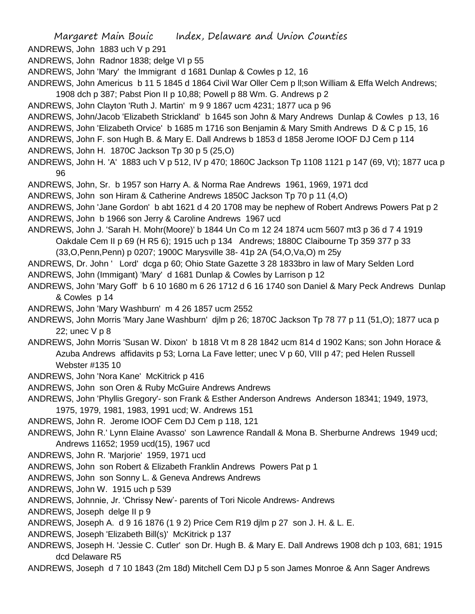ANDREWS, John 1883 uch V p 291

ANDREWS, John Radnor 1838; delge VI p 55

ANDREWS, John 'Mary' the Immigrant d 1681 Dunlap & Cowles p 12, 16

- ANDREWS, John Americus b 11 5 1845 d 1864 Civil War Oller Cem p ll;son William & Effa Welch Andrews; 1908 dch p 387; Pabst Pion II p 10,88; Powell p 88 Wm. G. Andrews p 2
- ANDREWS, John Clayton 'Ruth J. Martin' m 9 9 1867 ucm 4231; 1877 uca p 96
- ANDREWS, John/Jacob 'Elizabeth Strickland' b 1645 son John & Mary Andrews Dunlap & Cowles p 13, 16 ANDREWS, John 'Elizabeth Orvice' b 1685 m 1716 son Benjamin & Mary Smith Andrews D & C p 15, 16

ANDREWS, John F. son Hugh B. & Mary E. Dall Andrews b 1853 d 1858 Jerome IOOF DJ Cem p 114

ANDREWS, John H. 1870C Jackson Tp 30 p 5 (25,O)

ANDREWS, John H. 'A' 1883 uch V p 512, IV p 470; 1860C Jackson Tp 1108 1121 p 147 (69, Vt); 1877 uca p 96

ANDREWS, John, Sr. b 1957 son Harry A. & Norma Rae Andrews 1961, 1969, 1971 dcd

ANDREWS, John son Hiram & Catherine Andrews 1850C Jackson Tp 70 p 11 (4,O)

ANDREWS, John 'Jane Gordon' b abt 1621 d 4 20 1708 may be nephew of Robert Andrews Powers Pat p 2 ANDREWS, John b 1966 son Jerry & Caroline Andrews 1967 ucd

ANDREWS, John J. 'Sarah H. Mohr(Moore)' b 1844 Un Co m 12 24 1874 ucm 5607 mt3 p 36 d 7 4 1919 Oakdale Cem II p 69 (H R5 6); 1915 uch p 134 Andrews; 1880C Claibourne Tp 359 377 p 33

(33,O,Penn,Penn) p 0207; 1900C Marysville 38- 41p 2A (54,O,Va,O) m 25y

ANDREWS, Dr. John ' Lord' dcga p 60; Ohio State Gazette 3 28 1833bro in law of Mary Selden Lord ANDREWS, John (Immigant) 'Mary' d 1681 Dunlap & Cowles by Larrison p 12

- ANDREWS, John 'Mary Goff' b 6 10 1680 m 6 26 1712 d 6 16 1740 son Daniel & Mary Peck Andrews Dunlap & Cowles p 14
- ANDREWS, John 'Mary Washburn' m 4 26 1857 ucm 2552
- ANDREWS, John Morris 'Mary Jane Washburn' djlm p 26; 1870C Jackson Tp 78 77 p 11 (51,O); 1877 uca p 22; unec V p 8

ANDREWS, John Morris 'Susan W. Dixon' b 1818 Vt m 8 28 1842 ucm 814 d 1902 Kans; son John Horace & Azuba Andrews affidavits p 53; Lorna La Fave letter; unec V p 60, VIII p 47; ped Helen Russell Webster #135 10

- ANDREWS, John 'Nora Kane' McKitrick p 416
- ANDREWS, John son Oren & Ruby McGuire Andrews Andrews

ANDREWS, John 'Phyllis Gregory'- son Frank & Esther Anderson Andrews Anderson 18341; 1949, 1973,

1975, 1979, 1981, 1983, 1991 ucd; W. Andrews 151

ANDREWS, John R. Jerome IOOF Cem DJ Cem p 118, 121

ANDREWS, John R.' Lynn Elaine Avasso' son Lawrence Randall & Mona B. Sherburne Andrews 1949 ucd; Andrews 11652; 1959 ucd(15), 1967 ucd

- ANDREWS, John R. 'Marjorie' 1959, 1971 ucd
- ANDREWS, John son Robert & Elizabeth Franklin Andrews Powers Pat p 1
- ANDREWS, John son Sonny L. & Geneva Andrews Andrews
- ANDREWS, John W. 1915 uch p 539
- ANDREWS, Johnnie, Jr. 'Chrissy New'- parents of Tori Nicole Andrews- Andrews
- ANDREWS, Joseph delge II p 9
- ANDREWS, Joseph A. d 9 16 1876 (1 9 2) Price Cem R19 djlm p 27 son J. H. & L. E.

ANDREWS, Joseph 'Elizabeth Bill(s)' McKitrick p 137

- ANDREWS, Joseph H. 'Jessie C. Cutler' son Dr. Hugh B. & Mary E. Dall Andrews 1908 dch p 103, 681; 1915 dcd Delaware R5
- ANDREWS, Joseph d 7 10 1843 (2m 18d) Mitchell Cem DJ p 5 son James Monroe & Ann Sager Andrews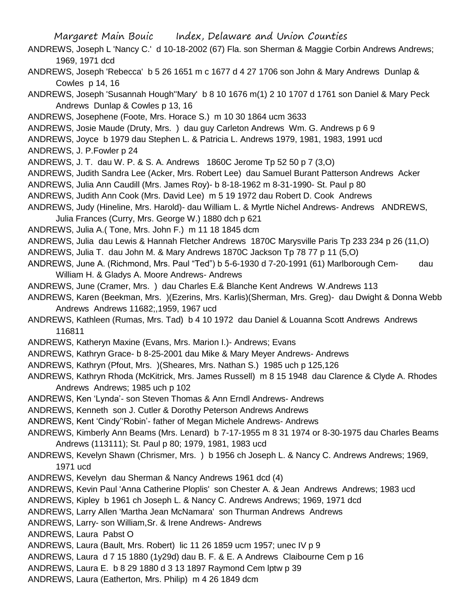- ANDREWS, Joseph L 'Nancy C.' d 10-18-2002 (67) Fla. son Sherman & Maggie Corbin Andrews Andrews; 1969, 1971 dcd
- ANDREWS, Joseph 'Rebecca' b 5 26 1651 m c 1677 d 4 27 1706 son John & Mary Andrews Dunlap & Cowles p 14, 16
- ANDREWS, Joseph 'Susannah Hough''Mary' b 8 10 1676 m(1) 2 10 1707 d 1761 son Daniel & Mary Peck Andrews Dunlap & Cowles p 13, 16
- ANDREWS, Josephene (Foote, Mrs. Horace S.) m 10 30 1864 ucm 3633
- ANDREWS, Josie Maude (Druty, Mrs. ) dau guy Carleton Andrews Wm. G. Andrews p 6 9
- ANDREWS, Joyce b 1979 dau Stephen L. & Patricia L. Andrews 1979, 1981, 1983, 1991 ucd ANDREWS, J. P.Fowler p 24
- ANDREWS, J. T. dau W. P. & S. A. Andrews 1860C Jerome Tp 52 50 p 7 (3,O)
- ANDREWS, Judith Sandra Lee (Acker, Mrs. Robert Lee) dau Samuel Burant Patterson Andrews Acker
- ANDREWS, Julia Ann Caudill (Mrs. James Roy)- b 8-18-1962 m 8-31-1990- St. Paul p 80
- ANDREWS, Judith Ann Cook (Mrs. David Lee) m 5 19 1972 dau Robert D. Cook Andrews
- ANDREWS, Judy (Hineline, Mrs. Harold)- dau William L. & Myrtle Nichel Andrews- Andrews ANDREWS, Julia Frances (Curry, Mrs. George W.) 1880 dch p 621
- ANDREWS, Julia A.( Tone, Mrs. John F.) m 11 18 1845 dcm
- ANDREWS, Julia dau Lewis & Hannah Fletcher Andrews 1870C Marysville Paris Tp 233 234 p 26 (11,O)
- ANDREWS, Julia T. dau John M. & Mary Andrews 1870C Jackson Tp 78 77 p 11 (5,O)
- ANDREWS, June A. (Richmond, Mrs. Paul "Ted") b 5-6-1930 d 7-20-1991 (61) Marlborough Cem- dau William H. & Gladys A. Moore Andrews- Andrews
- ANDREWS, June (Cramer, Mrs. ) dau Charles E.& Blanche Kent Andrews W.Andrews 113
- ANDREWS, Karen (Beekman, Mrs. )(Ezerins, Mrs. Karlis)(Sherman, Mrs. Greg)- dau Dwight & Donna Webb Andrews Andrews 11682;,1959, 1967 ucd
- ANDREWS, Kathleen (Rumas, Mrs. Tad) b 4 10 1972 dau Daniel & Louanna Scott Andrews Andrews 116811
- ANDREWS, Katheryn Maxine (Evans, Mrs. Marion I.)- Andrews; Evans
- ANDREWS, Kathryn Grace- b 8-25-2001 dau Mike & Mary Meyer Andrews- Andrews
- ANDREWS, Kathryn (Pfout, Mrs. )(Sheares, Mrs. Nathan S.) 1985 uch p 125,126
- ANDREWS, Kathryn Rhoda (McKitrick, Mrs. James Russell) m 8 15 1948 dau Clarence & Clyde A. Rhodes Andrews Andrews; 1985 uch p 102
- ANDREWS, Ken 'Lynda'- son Steven Thomas & Ann Erndl Andrews- Andrews
- ANDREWS, Kenneth son J. Cutler & Dorothy Peterson Andrews Andrews
- ANDREWS, Kent 'Cindy''Robin'- father of Megan Michele Andrews- Andrews
- ANDREWS, Kimberly Ann Beams (Mrs. Lenard) b 7-17-1955 m 8 31 1974 or 8-30-1975 dau Charles Beams Andrews (113111); St. Paul p 80; 1979, 1981, 1983 ucd
- ANDREWS, Kevelyn Shawn (Chrismer, Mrs. ) b 1956 ch Joseph L. & Nancy C. Andrews Andrews; 1969, 1971 ucd
- ANDREWS, Kevelyn dau Sherman & Nancy Andrews 1961 dcd (4)
- ANDREWS, Kevin Paul 'Anna Catherine Ploplis' son Chester A. & Jean Andrews Andrews; 1983 ucd
- ANDREWS, Kipley b 1961 ch Joseph L. & Nancy C. Andrews Andrews; 1969, 1971 dcd
- ANDREWS, Larry Allen 'Martha Jean McNamara' son Thurman Andrews Andrews
- ANDREWS, Larry- son William,Sr. & Irene Andrews- Andrews
- ANDREWS, Laura Pabst O
- ANDREWS, Laura (Bault, Mrs. Robert) lic 11 26 1859 ucm 1957; unec IV p 9
- ANDREWS, Laura d 7 15 1880 (1y29d) dau B. F. & E. A Andrews Claibourne Cem p 16
- ANDREWS, Laura E. b 8 29 1880 d 3 13 1897 Raymond Cem lptw p 39
- ANDREWS, Laura (Eatherton, Mrs. Philip) m 4 26 1849 dcm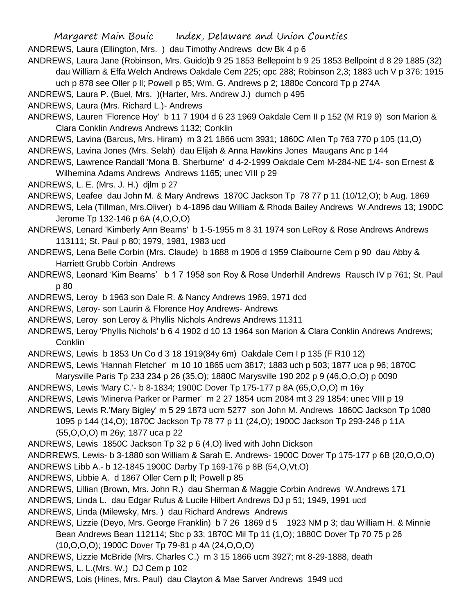ANDREWS, Laura (Ellington, Mrs. ) dau Timothy Andrews dcw Bk 4 p 6

- ANDREWS, Laura Jane (Robinson, Mrs. Guido)b 9 25 1853 Bellepoint b 9 25 1853 Bellpoint d 8 29 1885 (32) dau William & Effa Welch Andrews Oakdale Cem 225; opc 288; Robinson 2,3; 1883 uch V p 376; 1915 uch p 878 see Oller p ll; Powell p 85; Wm. G. Andrews p 2; 1880c Concord Tp p 274A
- ANDREWS, Laura P. (Buel, Mrs. )(Harter, Mrs. Andrew J.) dumch p 495
- ANDREWS, Laura (Mrs. Richard L.)- Andrews
- ANDREWS, Lauren 'Florence Hoy' b 11 7 1904 d 6 23 1969 Oakdale Cem II p 152 (M R19 9) son Marion & Clara Conklin Andrews Andrews 1132; Conklin
- ANDREWS, Lavina (Barcus, Mrs. Hiram) m 3 21 1866 ucm 3931; 1860C Allen Tp 763 770 p 105 (11,O) ANDREWS, Lavina Jones (Mrs. Selah) dau Elijah & Anna Hawkins Jones Maugans Anc p 144
- ANDREWS, Lawrence Randall 'Mona B. Sherburne' d 4-2-1999 Oakdale Cem M-284-NE 1/4- son Ernest & Wilhemina Adams Andrews Andrews 1165; unec VIII p 29

ANDREWS, L. E. (Mrs. J. H.) djlm p 27

- ANDREWS, Leafee dau John M. & Mary Andrews 1870C Jackson Tp 78 77 p 11 (10/12,O); b Aug. 1869
- ANDREWS, Lela (Tillman, Mrs.Oliver) b 4-1896 dau William & Rhoda Bailey Andrews W.Andrews 13; 1900C Jerome Tp 132-146 p 6A (4,O,O,O)
- ANDREWS, Lenard 'Kimberly Ann Beams' b 1-5-1955 m 8 31 1974 son LeRoy & Rose Andrews Andrews 113111; St. Paul p 80; 1979, 1981, 1983 ucd
- ANDREWS, Lena Belle Corbin (Mrs. Claude) b 1888 m 1906 d 1959 Claibourne Cem p 90 dau Abby & Harriett Grubb Corbin Andrews
- ANDREWS, Leonard 'Kim Beams' b 1 7 1958 son Roy & Rose Underhill Andrews Rausch IV p 761; St. Paul p 80
- ANDREWS, Leroy b 1963 son Dale R. & Nancy Andrews 1969, 1971 dcd
- ANDREWS, Leroy- son Laurin & Florence Hoy Andrews- Andrews
- ANDREWS, Leroy son Leroy & Phyllis Nichols Andrews Andrews 11311
- ANDREWS, Leroy 'Phyllis Nichols' b 6 4 1902 d 10 13 1964 son Marion & Clara Conklin Andrews Andrews; **Conklin**
- ANDREWS, Lewis b 1853 Un Co d 3 18 1919(84y 6m) Oakdale Cem I p 135 (F R10 12)
- ANDREWS, Lewis 'Hannah Fletcher' m 10 10 1865 ucm 3817; 1883 uch p 503; 1877 uca p 96; 1870C
- Marysville Paris Tp 233 234 p 26 (35,O); 1880C Marysville 190 202 p 9 (46,O,O,O) p 0090
- ANDREWS, Lewis 'Mary C.'- b 8-1834; 1900C Dover Tp 175-177 p 8A (65,O,O,O) m 16y
- ANDREWS, Lewis 'Minerva Parker or Parmer' m 2 27 1854 ucm 2084 mt 3 29 1854; unec VIII p 19
- ANDREWS, Lewis R.'Mary Bigley' m 5 29 1873 ucm 5277 son John M. Andrews 1860C Jackson Tp 1080
	- 1095 p 144 (14,O); 1870C Jackson Tp 78 77 p 11 (24,O); 1900C Jackson Tp 293-246 p 11A
	- (55,O,O,O) m 26y; 1877 uca p 22
- ANDREWS, Lewis 1850C Jackson Tp 32 p 6 (4,O) lived with John Dickson
- ANDRREWS, Lewis- b 3-1880 son William & Sarah E. Andrews- 1900C Dover Tp 175-177 p 6B (20,O,O,O)
- ANDREWS Libb A.- b 12-1845 1900C Darby Tp 169-176 p 8B (54,O,Vt,O)
- ANDREWS, Libbie A. d 1867 Oller Cem p ll; Powell p 85
- ANDREWS, Lillian (Brown, Mrs. John R.) dau Sherman & Maggie Corbin Andrews W.Andrews 171
- ANDREWS, Linda L. dau Edgar Rufus & Lucile Hilbert Andrews DJ p 51; 1949, 1991 ucd
- ANDREWS, Linda (Milewsky, Mrs. ) dau Richard Andrews Andrews
- ANDREWS, Lizzie (Deyo, Mrs. George Franklin) b 7 26 1869 d 5 1923 NM p 3; dau William H. & Minnie Bean Andrews Bean 112114; Sbc p 33; 1870C Mil Tp 11 (1,O); 1880C Dover Tp 70 75 p 26
	- (10,O,O,O); 1900C Dover Tp 79-81 p 4A (24,O,O,O)
- ANDREWS, Lizzie McBride (Mrs. Charles C.) m 3 15 1866 ucm 3927; mt 8-29-1888, death
- ANDREWS, L. L.(Mrs. W.) DJ Cem p 102
- ANDREWS, Lois (Hines, Mrs. Paul) dau Clayton & Mae Sarver Andrews 1949 ucd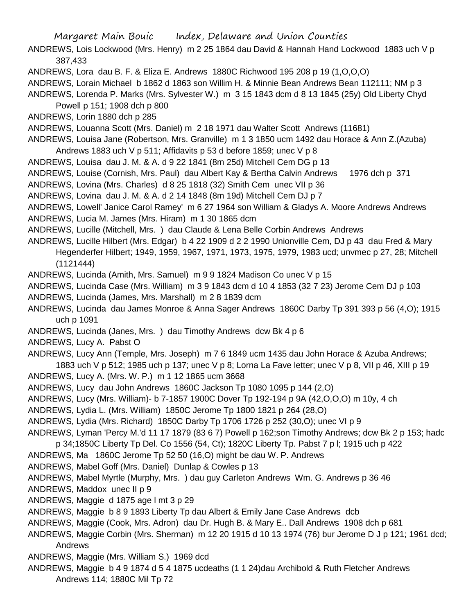- ANDREWS, Lois Lockwood (Mrs. Henry) m 2 25 1864 dau David & Hannah Hand Lockwood 1883 uch V p 387,433
- ANDREWS, Lora dau B. F. & Eliza E. Andrews 1880C Richwood 195 208 p 19 (1,O,O,O)
- ANDREWS, Lorain Michael b 1862 d 1863 son Willim H. & Minnie Bean Andrews Bean 112111; NM p 3
- ANDREWS, Lorenda P. Marks (Mrs. Sylvester W.) m 3 15 1843 dcm d 8 13 1845 (25y) Old Liberty Chyd
	- Powell p 151; 1908 dch p 800
- ANDREWS, Lorin 1880 dch p 285
- ANDREWS, Louanna Scott (Mrs. Daniel) m 2 18 1971 dau Walter Scott Andrews (11681)
- ANDREWS, Louisa Jane (Robertson, Mrs. Granville) m 1 3 1850 ucm 1492 dau Horace & Ann Z.(Azuba) Andrews 1883 uch V p 511; Affidavits p 53 d before 1859; unec V p 8
- ANDREWS, Louisa dau J. M. & A. d 9 22 1841 (8m 25d) Mitchell Cem DG p 13
- ANDREWS, Louise (Cornish, Mrs. Paul) dau Albert Kay & Bertha Calvin Andrews 1976 dch p 371
- ANDREWS, Lovina (Mrs. Charles) d 8 25 1818 (32) Smith Cem unec VII p 36
- ANDREWS, Lovina dau J. M. & A. d 2 14 1848 (8m 19d) Mitchell Cem DJ p 7
- ANDREWS, Lowell' Janice Carol Ramey' m 6 27 1964 son William & Gladys A. Moore Andrews Andrews
- ANDREWS, Lucia M. James (Mrs. Hiram) m 1 30 1865 dcm
- ANDREWS, Lucille (Mitchell, Mrs. ) dau Claude & Lena Belle Corbin Andrews Andrews
- ANDREWS, Lucille Hilbert (Mrs. Edgar) b 4 22 1909 d 2 2 1990 Unionville Cem, DJ p 43 dau Fred & Mary Hegenderfer Hilbert; 1949, 1959, 1967, 1971, 1973, 1975, 1979, 1983 ucd; unvmec p 27, 28; Mitchell  $(1121444)$
- ANDREWS, Lucinda (Amith, Mrs. Samuel) m 9 9 1824 Madison Co unec V p 15
- ANDREWS, Lucinda Case (Mrs. William) m 3 9 1843 dcm d 10 4 1853 (32 7 23) Jerome Cem DJ p 103
- ANDREWS, Lucinda (James, Mrs. Marshall) m 2 8 1839 dcm
- ANDREWS, Lucinda dau James Monroe & Anna Sager Andrews 1860C Darby Tp 391 393 p 56 (4,O); 1915 uch p 1091
- ANDREWS, Lucinda (Janes, Mrs. ) dau Timothy Andrews dcw Bk 4 p 6
- ANDREWS, Lucy A. Pabst O
- ANDREWS, Lucy Ann (Temple, Mrs. Joseph) m 7 6 1849 ucm 1435 dau John Horace & Azuba Andrews; 1883 uch V p 512; 1985 uch p 137; unec V p 8; Lorna La Fave letter; unec V p 8, VII p 46, XIII p 19
- ANDREWS, Lucy A. (Mrs. W. P.) m 1 12 1865 ucm 3668
- ANDREWS, Lucy dau John Andrews 1860C Jackson Tp 1080 1095 p 144 (2,O)
- ANDREWS, Lucy (Mrs. William)- b 7-1857 1900C Dover Tp 192-194 p 9A (42,O,O,O) m 10y, 4 ch
- ANDREWS, Lydia L. (Mrs. William) 1850C Jerome Tp 1800 1821 p 264 (28,O)
- ANDREWS, Lydia (Mrs. Richard) 1850C Darby Tp 1706 1726 p 252 (30,O); unec VI p 9
- ANDREWS, Lyman 'Percy M.'d 11 17 1879 (83 6 7) Powell p 162;son Timothy Andrews; dcw Bk 2 p 153; hadc
- p 34;1850C Liberty Tp Del. Co 1556 (54, Ct); 1820C Liberty Tp. Pabst 7 p l; 1915 uch p 422
- ANDREWS, Ma 1860C Jerome Tp 52 50 (16,O) might be dau W. P. Andrews
- ANDREWS, Mabel Goff (Mrs. Daniel) Dunlap & Cowles p 13
- ANDREWS, Mabel Myrtle (Murphy, Mrs. ) dau guy Carleton Andrews Wm. G. Andrews p 36 46
- ANDREWS, Maddox unec II p 9
- ANDREWS, Maggie d 1875 age l mt 3 p 29
- ANDREWS, Maggie b 8 9 1893 Liberty Tp dau Albert & Emily Jane Case Andrews dcb
- ANDREWS, Maggie (Cook, Mrs. Adron) dau Dr. Hugh B. & Mary E.. Dall Andrews 1908 dch p 681
- ANDREWS, Maggie Corbin (Mrs. Sherman) m 12 20 1915 d 10 13 1974 (76) bur Jerome D J p 121; 1961 dcd; Andrews
- ANDREWS, Maggie (Mrs. William S.) 1969 dcd
- ANDREWS, Maggie b 4 9 1874 d 5 4 1875 ucdeaths (1 1 24)dau Archibold & Ruth Fletcher Andrews Andrews 114; 1880C Mil Tp 72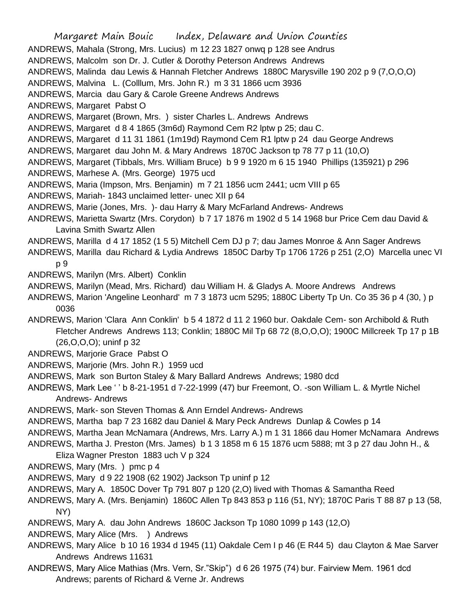Margaret Main Bouic Index, Delaware and Union Counties ANDREWS, Mahala (Strong, Mrs. Lucius) m 12 23 1827 onwq p 128 see Andrus ANDREWS, Malcolm son Dr. J. Cutler & Dorothy Peterson Andrews Andrews ANDREWS, Malinda dau Lewis & Hannah Fletcher Andrews 1880C Marysville 190 202 p 9 (7,O,O,O) ANDREWS, Malvina L. (Colllum, Mrs. John R.) m 3 31 1866 ucm 3936 ANDREWS, Marcia dau Gary & Carole Greene Andrews Andrews ANDREWS, Margaret Pabst O ANDREWS, Margaret (Brown, Mrs. ) sister Charles L. Andrews Andrews ANDREWS, Margaret d 8 4 1865 (3m6d) Raymond Cem R2 lptw p 25; dau C. ANDREWS, Margaret d 11 31 1861 (1m19d) Raymond Cem R1 lptw p 24 dau George Andrews ANDREWS, Margaret dau John M. & Mary Andrews 1870C Jackson tp 78 77 p 11 (10,O) ANDREWS, Margaret (Tibbals, Mrs. William Bruce) b 9 9 1920 m 6 15 1940 Phillips (135921) p 296 ANDREWS, Marhese A. (Mrs. George) 1975 ucd ANDREWS, Maria (Impson, Mrs. Benjamin) m 7 21 1856 ucm 2441; ucm VIII p 65 ANDREWS, Mariah- 1843 unclaimed letter- unec XII p 64 ANDREWS, Marie (Jones, Mrs. )- dau Harry & Mary McFarland Andrews- Andrews ANDREWS, Marietta Swartz (Mrs. Corydon) b 7 17 1876 m 1902 d 5 14 1968 bur Price Cem dau David & Lavina Smith Swartz Allen ANDREWS, Marilla d 4 17 1852 (1 5 5) Mitchell Cem DJ p 7; dau James Monroe & Ann Sager Andrews ANDREWS, Marilla dau Richard & Lydia Andrews 1850C Darby Tp 1706 1726 p 251 (2,O) Marcella unec VI p 9 ANDREWS, Marilyn (Mrs. Albert) Conklin ANDREWS, Marilyn (Mead, Mrs. Richard) dau William H. & Gladys A. Moore Andrews Andrews ANDREWS, Marion 'Angeline Leonhard' m 7 3 1873 ucm 5295; 1880C Liberty Tp Un. Co 35 36 p 4 (30, ) p 0036 ANDREWS, Marion 'Clara Ann Conklin' b 5 4 1872 d 11 2 1960 bur. Oakdale Cem- son Archibold & Ruth Fletcher Andrews Andrews 113; Conklin; 1880C Mil Tp 68 72 (8,O,O,O); 1900C Millcreek Tp 17 p 1B (26,O,O,O); uninf p 32 ANDREWS, Marjorie Grace Pabst O ANDREWS, Marjorie (Mrs. John R.) 1959 ucd ANDREWS, Mark son Burton Staley & Mary Ballard Andrews Andrews; 1980 dcd ANDREWS, Mark Lee ' ' b 8-21-1951 d 7-22-1999 (47) bur Freemont, O. -son William L. & Myrtle Nichel Andrews- Andrews ANDREWS, Mark- son Steven Thomas & Ann Erndel Andrews- Andrews ANDREWS, Martha bap 7 23 1682 dau Daniel & Mary Peck Andrews Dunlap & Cowles p 14 ANDREWS, Martha Jean McNamara (Andrews, Mrs. Larry A.) m 1 31 1866 dau Homer McNamara Andrews ANDREWS, Martha J. Preston (Mrs. James) b 1 3 1858 m 6 15 1876 ucm 5888; mt 3 p 27 dau John H., & Eliza Wagner Preston 1883 uch V p 324 ANDREWS, Mary (Mrs. ) pmc p 4 ANDREWS, Mary d 9 22 1908 (62 1902) Jackson Tp uninf p 12 ANDREWS, Mary A. 1850C Dover Tp 791 807 p 120 (2,O) lived with Thomas & Samantha Reed ANDREWS, Mary A. (Mrs. Benjamin) 1860C Allen Tp 843 853 p 116 (51, NY); 1870C Paris T 88 87 p 13 (58, NY) ANDREWS, Mary A. dau John Andrews 1860C Jackson Tp 1080 1099 p 143 (12,O) ANDREWS, Mary Alice (Mrs. ) Andrews

- ANDREWS, Mary Alice b 10 16 1934 d 1945 (11) Oakdale Cem I p 46 (E R44 5) dau Clayton & Mae Sarver Andrews Andrews 11631
- ANDREWS, Mary Alice Mathias (Mrs. Vern, Sr."Skip") d 6 26 1975 (74) bur. Fairview Mem. 1961 dcd Andrews; parents of Richard & Verne Jr. Andrews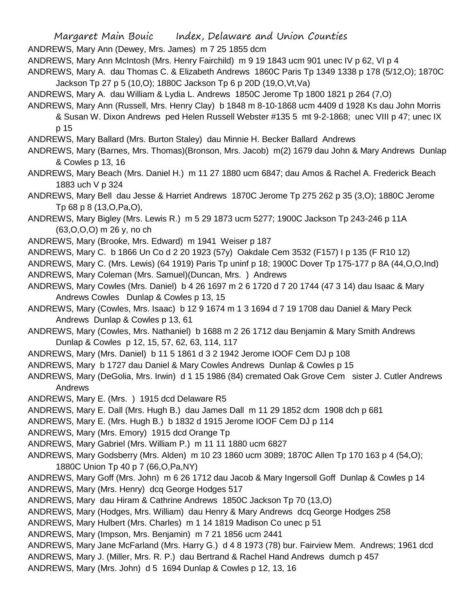ANDREWS, Mary Ann (Dewey, Mrs. James) m 7 25 1855 dcm

ANDREWS, Mary Ann McIntosh (Mrs. Henry Fairchild) m 9 19 1843 ucm 901 unec IV p 62, VI p 4

ANDREWS, Mary A. dau Thomas C. & Elizabeth Andrews 1860C Paris Tp 1349 1338 p 178 (5/12,O); 1870C Jackson Tp 27 p 5 (10,O); 1880C Jackson Tp 6 p 20D (19,O,Vt,Va)

ANDREWS, Mary A. dau William & Lydia L. Andrews 1850C Jerome Tp 1800 1821 p 264 (7,O)

ANDREWS, Mary Ann (Russell, Mrs. Henry Clay) b 1848 m 8-10-1868 ucm 4409 d 1928 Ks dau John Morris & Susan W. Dixon Andrews ped Helen Russell Webster #135 5 mt 9-2-1868; unec VIII p 47; unec IX p 15

ANDREWS, Mary Ballard (Mrs. Burton Staley) dau Minnie H. Becker Ballard Andrews

ANDREWS, Mary (Barnes, Mrs. Thomas)(Bronson, Mrs. Jacob) m(2) 1679 dau John & Mary Andrews Dunlap & Cowles p 13, 16

ANDREWS, Mary Beach (Mrs. Daniel H.) m 11 27 1880 ucm 6847; dau Amos & Rachel A. Frederick Beach 1883 uch V p 324

ANDREWS, Mary Bell dau Jesse & Harriet Andrews 1870C Jerome Tp 275 262 p 35 (3,O); 1880C Jerome Tp 68 p 8 (13,O,Pa,O),

ANDREWS, Mary Bigley (Mrs. Lewis R.) m 5 29 1873 ucm 5277; 1900C Jackson Tp 243-246 p 11A (63,O,O,O) m 26 y, no ch

- ANDREWS, Mary (Brooke, Mrs. Edward) m 1941 Weiser p 187
- ANDREWS, Mary C. b 1866 Un Co d 2 20 1923 (57y) Oakdale Cem 3532 (F157) I p 135 (F R10 12)

ANDREWS, Mary C. (Mrs. Lewis) (64 1919) Paris Tp uninf p 18; 1900C Dover Tp 175-177 p 8A (44,O,O,Ind) ANDREWS, Mary Coleman (Mrs. Samuel)(Duncan, Mrs. ) Andrews

- ANDREWS, Mary Cowles (Mrs. Daniel) b 4 26 1697 m 2 6 1720 d 7 20 1744 (47 3 14) dau Isaac & Mary Andrews Cowles Dunlap & Cowles p 13, 15
- ANDREWS, Mary (Cowles, Mrs. Isaac) b 12 9 1674 m 1 3 1694 d 7 19 1708 dau Daniel & Mary Peck Andrews Dunlap & Cowles p 13, 61
- ANDREWS, Mary (Cowles, Mrs. Nathaniel) b 1688 m 2 26 1712 dau Benjamin & Mary Smith Andrews Dunlap & Cowles p 12, 15, 57, 62, 63, 114, 117
- ANDREWS, Mary (Mrs. Daniel) b 11 5 1861 d 3 2 1942 Jerome IOOF Cem DJ p 108
- ANDREWS, Mary b 1727 dau Daniel & Mary Cowles Andrews Dunlap & Cowles p 15

ANDREWS, Mary (DeGolia, Mrs. Irwin) d 1 15 1986 (84) cremated Oak Grove Cem sister J. Cutler Andrews Andrews

- ANDREWS, Mary E. (Mrs. ) 1915 dcd Delaware R5
- ANDREWS, Mary E. Dall (Mrs. Hugh B.) dau James Dall m 11 29 1852 dcm 1908 dch p 681
- ANDREWS, Mary E. (Mrs. Hugh B.) b 1832 d 1915 Jerome IOOF Cem DJ p 114
- ANDREWS, Mary (Mrs. Emory) 1915 dcd Orange Tp

ANDREWS, Mary Gabriel (Mrs. William P.) m 11 11 1880 ucm 6827

- ANDREWS, Mary Godsberry (Mrs. Alden) m 10 23 1860 ucm 3089; 1870C Allen Tp 170 163 p 4 (54,O); 1880C Union Tp 40 p 7 (66,O,Pa,NY)
- ANDREWS, Mary Goff (Mrs. John) m 6 26 1712 dau Jacob & Mary Ingersoll Goff Dunlap & Cowles p 14 ANDREWS, Mary (Mrs. Henry) dcq George Hodges 517
- ANDREWS, Mary dau Hiram & Cathrine Andrews 1850C Jackson Tp 70 (13,O)
- ANDREWS, Mary (Hodges, Mrs. William) dau Henry & Mary Andrews dcq George Hodges 258
- ANDREWS, Mary Hulbert (Mrs. Charles) m 1 14 1819 Madison Co unec p 51
- ANDREWS, Mary (Impson, Mrs. Benjamin) m 7 21 1856 ucm 2441
- ANDREWS, Mary Jane McFarland (Mrs. Harry G.) d 4 8 1973 (78) bur. Fairview Mem. Andrews; 1961 dcd ANDREWS, Mary J. (Miller, Mrs. R. P.) dau Bertrand & Rachel Hand Andrews dumch p 457
- ANDREWS, Mary (Mrs. John) d 5 1694 Dunlap & Cowles p 12, 13, 16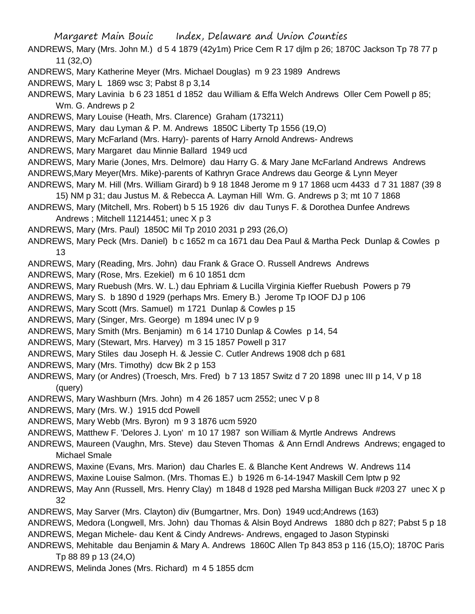ANDREWS, Mary (Mrs. John M.) d 5 4 1879 (42y1m) Price Cem R 17 djlm p 26; 1870C Jackson Tp 78 77 p 11 (32,O)

- ANDREWS, Mary Katherine Meyer (Mrs. Michael Douglas) m 9 23 1989 Andrews
- ANDREWS, Mary L 1869 wsc 3; Pabst 8 p 3,14

ANDREWS, Mary Lavinia b 6 23 1851 d 1852 dau William & Effa Welch Andrews Oller Cem Powell p 85; Wm. G. Andrews p 2

ANDREWS, Mary Louise (Heath, Mrs. Clarence) Graham (173211)

ANDREWS, Mary dau Lyman & P. M. Andrews 1850C Liberty Tp 1556 (19,O)

ANDREWS, Mary McFarland (Mrs. Harry)- parents of Harry Arnold Andrews- Andrews

- ANDREWS, Mary Margaret dau Minnie Ballard 1949 ucd
- ANDREWS, Mary Marie (Jones, Mrs. Delmore) dau Harry G. & Mary Jane McFarland Andrews Andrews ANDREWS,Mary Meyer(Mrs. Mike)-parents of Kathryn Grace Andrews dau George & Lynn Meyer
- ANDREWS, Mary M. Hill (Mrs. William Girard) b 9 18 1848 Jerome m 9 17 1868 ucm 4433 d 7 31 1887 (39 8
- 15) NM p 31; dau Justus M. & Rebecca A. Layman Hill Wm. G. Andrews p 3; mt 10 7 1868
- ANDREWS, Mary (Mitchell, Mrs. Robert) b 5 15 1926 div dau Tunys F. & Dorothea Dunfee Andrews Andrews ; Mitchell 11214451; unec X p 3
- ANDREWS, Mary (Mrs. Paul) 1850C Mil Tp 2010 2031 p 293 (26,O)

ANDREWS, Mary Peck (Mrs. Daniel) b c 1652 m ca 1671 dau Dea Paul & Martha Peck Dunlap & Cowles p 13

ANDREWS, Mary (Reading, Mrs. John) dau Frank & Grace O. Russell Andrews Andrews

ANDREWS, Mary (Rose, Mrs. Ezekiel) m 6 10 1851 dcm

ANDREWS, Mary Ruebush (Mrs. W. L.) dau Ephriam & Lucilla Virginia Kieffer Ruebush Powers p 79

ANDREWS, Mary S. b 1890 d 1929 (perhaps Mrs. Emery B.) Jerome Tp IOOF DJ p 106

- ANDREWS, Mary Scott (Mrs. Samuel) m 1721 Dunlap & Cowles p 15
- ANDREWS, Mary (Singer, Mrs. George) m 1894 unec IV p 9
- ANDREWS, Mary Smith (Mrs. Benjamin) m 6 14 1710 Dunlap & Cowles p 14, 54
- ANDREWS, Mary (Stewart, Mrs. Harvey) m 3 15 1857 Powell p 317
- ANDREWS, Mary Stiles dau Joseph H. & Jessie C. Cutler Andrews 1908 dch p 681
- ANDREWS, Mary (Mrs. Timothy) dcw Bk 2 p 153
- ANDREWS, Mary (or Andres) (Troesch, Mrs. Fred) b 7 13 1857 Switz d 7 20 1898 unec III p 14, V p 18 (query)
- ANDREWS, Mary Washburn (Mrs. John) m 4 26 1857 ucm 2552; unec V p 8
- ANDREWS, Mary (Mrs. W.) 1915 dcd Powell
- ANDREWS, Mary Webb (Mrs. Byron) m 9 3 1876 ucm 5920
- ANDREWS, Matthew F. 'Delores J. Lyon' m 10 17 1987 son William & Myrtle Andrews Andrews
- ANDREWS, Maureen (Vaughn, Mrs. Steve) dau Steven Thomas & Ann Erndl Andrews Andrews; engaged to Michael Smale
- ANDREWS, Maxine (Evans, Mrs. Marion) dau Charles E. & Blanche Kent Andrews W. Andrews 114
- ANDREWS, Maxine Louise Salmon. (Mrs. Thomas E.) b 1926 m 6-14-1947 Maskill Cem lptw p 92
- ANDREWS, May Ann (Russell, Mrs. Henry Clay) m 1848 d 1928 ped Marsha Milligan Buck #203 27 unec X p 32
- ANDREWS, May Sarver (Mrs. Clayton) div (Bumgartner, Mrs. Don) 1949 ucd;Andrews (163)
- ANDREWS, Medora (Longwell, Mrs. John) dau Thomas & Alsin Boyd Andrews 1880 dch p 827; Pabst 5 p 18 ANDREWS, Megan Michele- dau Kent & Cindy Andrews- Andrews, engaged to Jason Stypinski
- ANDREWS, Mehitable dau Benjamin & Mary A. Andrews 1860C Allen Tp 843 853 p 116 (15,O); 1870C Paris Tp 88 89 p 13 (24,O)
- ANDREWS, Melinda Jones (Mrs. Richard) m 4 5 1855 dcm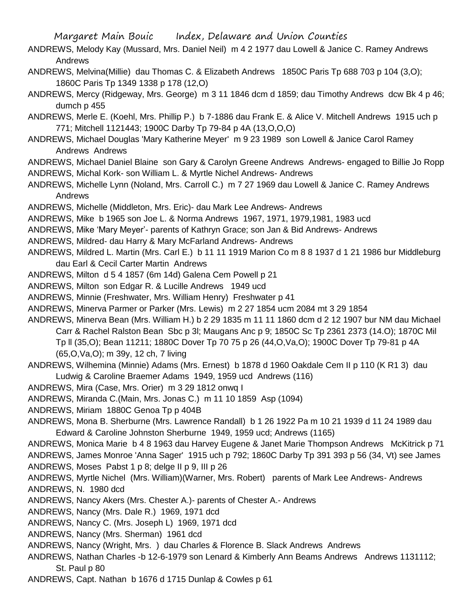- ANDREWS, Melody Kay (Mussard, Mrs. Daniel Neil) m 4 2 1977 dau Lowell & Janice C. Ramey Andrews Andrews
- ANDREWS, Melvina(Millie) dau Thomas C. & Elizabeth Andrews 1850C Paris Tp 688 703 p 104 (3,O); 1860C Paris Tp 1349 1338 p 178 (12,O)
- ANDREWS, Mercy (Ridgeway, Mrs. George) m 3 11 1846 dcm d 1859; dau Timothy Andrews dcw Bk 4 p 46; dumch p 455
- ANDREWS, Merle E. (Koehl, Mrs. Phillip P.) b 7-1886 dau Frank E. & Alice V. Mitchell Andrews 1915 uch p 771; Mitchell 1121443; 1900C Darby Tp 79-84 p 4A (13,O,O,O)
- ANDREWS, Michael Douglas 'Mary Katherine Meyer' m 9 23 1989 son Lowell & Janice Carol Ramey Andrews Andrews
- ANDREWS, Michael Daniel Blaine son Gary & Carolyn Greene Andrews Andrews- engaged to Billie Jo Ropp ANDREWS, Michal Kork- son William L. & Myrtle Nichel Andrews- Andrews
- ANDREWS, Michelle Lynn (Noland, Mrs. Carroll C.) m 7 27 1969 dau Lowell & Janice C. Ramey Andrews Andrews
- ANDREWS, Michelle (Middleton, Mrs. Eric)- dau Mark Lee Andrews- Andrews
- ANDREWS, Mike b 1965 son Joe L. & Norma Andrews 1967, 1971, 1979,1981, 1983 ucd
- ANDREWS, Mike 'Mary Meyer'- parents of Kathryn Grace; son Jan & Bid Andrews- Andrews
- ANDREWS, Mildred- dau Harry & Mary McFarland Andrews- Andrews
- ANDREWS, Mildred L. Martin (Mrs. Carl E.) b 11 11 1919 Marion Co m 8 8 1937 d 1 21 1986 bur Middleburg dau Earl & Cecil Carter Martin Andrews
- ANDREWS, Milton d 5 4 1857 (6m 14d) Galena Cem Powell p 21
- ANDREWS, Milton son Edgar R. & Lucille Andrews 1949 ucd
- ANDREWS, Minnie (Freshwater, Mrs. William Henry) Freshwater p 41
- ANDREWS, Minerva Parmer or Parker (Mrs. Lewis) m 2 27 1854 ucm 2084 mt 3 29 1854
- ANDREWS, Minerva Bean (Mrs. William H.) b 2 29 1835 m 11 11 1860 dcm d 2 12 1907 bur NM dau Michael Carr & Rachel Ralston Bean Sbc p 3l; Maugans Anc p 9; 1850C Sc Tp 2361 2373 (14.O); 1870C Mil Tp ll (35,O); Bean 11211; 1880C Dover Tp 70 75 p 26 (44,O,Va,O); 1900C Dover Tp 79-81 p 4A (65,O,Va,O); m 39y, 12 ch, 7 living
- ANDREWS, Wilhemina (Minnie) Adams (Mrs. Ernest) b 1878 d 1960 Oakdale Cem II p 110 (K R1 3) dau Ludwig & Caroline Braemer Adams 1949, 1959 ucd Andrews (116)
- ANDREWS, Mira (Case, Mrs. Orier) m 3 29 1812 onwq I
- ANDREWS, Miranda C.(Main, Mrs. Jonas C.) m 11 10 1859 Asp (1094)
- ANDREWS, Miriam 1880C Genoa Tp p 404B
- ANDREWS, Mona B. Sherburne (Mrs. Lawrence Randall) b 1 26 1922 Pa m 10 21 1939 d 11 24 1989 dau Edward & Caroline Johnston Sherburne 1949, 1959 ucd; Andrews (1165)
- ANDREWS, Monica Marie b 4 8 1963 dau Harvey Eugene & Janet Marie Thompson Andrews McKitrick p 71 ANDREWS, James Monroe 'Anna Sager' 1915 uch p 792; 1860C Darby Tp 391 393 p 56 (34, Vt) see James ANDREWS, Moses Pabst 1 p 8; delge II p 9, III p 26
- ANDREWS, Myrtle Nichel (Mrs. William)(Warner, Mrs. Robert) parents of Mark Lee Andrews- Andrews ANDREWS, N. 1980 dcd
- ANDREWS, Nancy Akers (Mrs. Chester A.)- parents of Chester A.- Andrews
- ANDREWS, Nancy (Mrs. Dale R.) 1969, 1971 dcd
- ANDREWS, Nancy C. (Mrs. Joseph L) 1969, 1971 dcd
- ANDREWS, Nancy (Mrs. Sherman) 1961 dcd
- ANDREWS, Nancy (Wright, Mrs. ) dau Charles & Florence B. Slack Andrews Andrews
- ANDREWS, Nathan Charles -b 12-6-1979 son Lenard & Kimberly Ann Beams Andrews Andrews 1131112; St. Paul p 80
- ANDREWS, Capt. Nathan b 1676 d 1715 Dunlap & Cowles p 61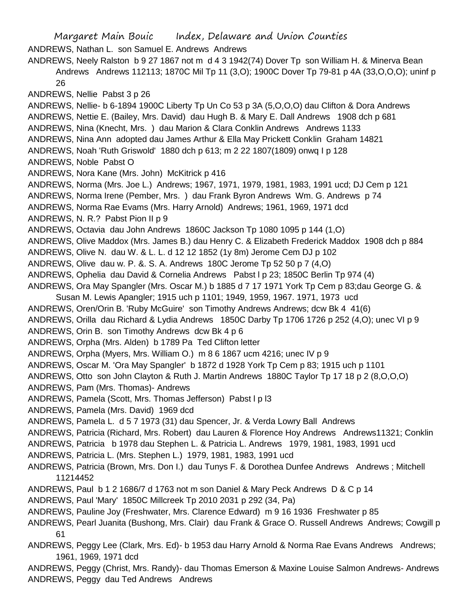Margaret Main Bouic Index, Delaware and Union Counties ANDREWS, Nathan L. son Samuel E. Andrews Andrews ANDREWS, Neely Ralston b 9 27 1867 not m d 4 3 1942(74) Dover Tp son William H. & Minerva Bean Andrews Andrews 112113; 1870C Mil Tp 11 (3,O); 1900C Dover Tp 79-81 p 4A (33,O,O,O); uninf p 26 ANDREWS, Nellie Pabst 3 p 26 ANDREWS, Nellie- b 6-1894 1900C Liberty Tp Un Co 53 p 3A (5,O,O,O) dau Clifton & Dora Andrews ANDREWS, Nettie E. (Bailey, Mrs. David) dau Hugh B. & Mary E. Dall Andrews 1908 dch p 681 ANDREWS, Nina (Knecht, Mrs. ) dau Marion & Clara Conklin Andrews Andrews 1133 ANDREWS, Nina Ann adopted dau James Arthur & Ella May Prickett Conklin Graham 14821 ANDREWS, Noah 'Ruth Griswold' 1880 dch p 613; m 2 22 1807(1809) onwq I p 128 ANDREWS, Noble Pabst O ANDREWS, Nora Kane (Mrs. John) McKitrick p 416 ANDREWS, Norma (Mrs. Joe L.) Andrews; 1967, 1971, 1979, 1981, 1983, 1991 ucd; DJ Cem p 121 ANDREWS, Norma Irene (Pember, Mrs. ) dau Frank Byron Andrews Wm. G. Andrews p 74 ANDREWS, Norma Rae Evams (Mrs. Harry Arnold) Andrews; 1961, 1969, 1971 dcd ANDREWS, N. R.? Pabst Pion II p 9 ANDREWS, Octavia dau John Andrews 1860C Jackson Tp 1080 1095 p 144 (1,O) ANDREWS, Olive Maddox (Mrs. James B.) dau Henry C. & Elizabeth Frederick Maddox 1908 dch p 884 ANDREWS, Olive N. dau W. & L. L. d 12 12 1852 (1y 8m) Jerome Cem DJ p 102 ANDREWS, Olive dau w. P. &. S. A. Andrews 180C Jerome Tp 52 50 p 7 (4,O) ANDREWS, Ophelia dau David & Cornelia Andrews Pabst l p 23; 1850C Berlin Tp 974 (4) ANDREWS, Ora May Spangler (Mrs. Oscar M.) b 1885 d 7 17 1971 York Tp Cem p 83;dau George G. & Susan M. Lewis Apangler; 1915 uch p 1101; 1949, 1959, 1967. 1971, 1973 ucd ANDREWS, Oren/Orin B. 'Ruby McGuire' son Timothy Andrews Andrews; dcw Bk 4 41(6) ANDREWS, Orilla dau Richard & Lydia Andrews 1850C Darby Tp 1706 1726 p 252 (4,O); unec VI p 9 ANDREWS, Orin B. son Timothy Andrews dcw Bk 4 p 6 ANDREWS, Orpha (Mrs. Alden) b 1789 Pa Ted Clifton letter ANDREWS, Orpha (Myers, Mrs. William O.) m 8 6 1867 ucm 4216; unec IV p 9 ANDREWS, Oscar M. 'Ora May Spangler' b 1872 d 1928 York Tp Cem p 83; 1915 uch p 1101 ANDREWS, Otto son John Clayton & Ruth J. Martin Andrews 1880C Taylor Tp 17 18 p 2 (8,O,O,O) ANDREWS, Pam (Mrs. Thomas)- Andrews ANDREWS, Pamela (Scott, Mrs. Thomas Jefferson) Pabst l p l3 ANDREWS, Pamela (Mrs. David) 1969 dcd ANDREWS, Pamela L. d 5 7 1973 (31) dau Spencer, Jr. & Verda Lowry Ball Andrews ANDREWS, Patricia (Richard, Mrs. Robert) dau Lauren & Florence Hoy Andrews Andrews11321; Conklin ANDREWS, Patricia b 1978 dau Stephen L. & Patricia L. Andrews 1979, 1981, 1983, 1991 ucd ANDREWS, Patricia L. (Mrs. Stephen L.) 1979, 1981, 1983, 1991 ucd ANDREWS, Patricia (Brown, Mrs. Don I.) dau Tunys F. & Dorothea Dunfee Andrews Andrews ; Mitchell 11214452 ANDREWS, Paul b 1 2 1686/7 d 1763 not m son Daniel & Mary Peck Andrews D & C p 14 ANDREWS, Paul 'Mary' 1850C Millcreek Tp 2010 2031 p 292 (34, Pa) ANDREWS, Pauline Joy (Freshwater, Mrs. Clarence Edward) m 9 16 1936 Freshwater p 85 ANDREWS, Pearl Juanita (Bushong, Mrs. Clair) dau Frank & Grace O. Russell Andrews Andrews; Cowgill p 61 ANDREWS, Peggy Lee (Clark, Mrs. Ed)- b 1953 dau Harry Arnold & Norma Rae Evans Andrews Andrews; 1961, 1969, 1971 dcd

ANDREWS, Peggy (Christ, Mrs. Randy)- dau Thomas Emerson & Maxine Louise Salmon Andrews- Andrews ANDREWS, Peggy dau Ted Andrews Andrews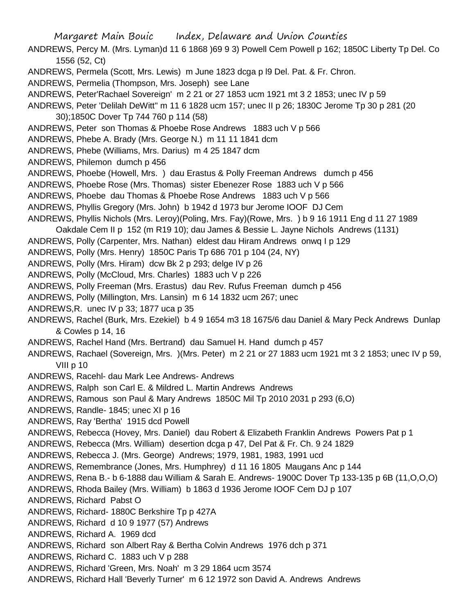ANDREWS, Percy M. (Mrs. Lyman)d 11 6 1868 )69 9 3) Powell Cem Powell p 162; 1850C Liberty Tp Del. Co 1556 (52, Ct)

- ANDREWS, Permela (Scott, Mrs. Lewis) m June 1823 dcga p l9 Del. Pat. & Fr. Chron.
- ANDREWS, Permelia (Thompson, Mrs. Joseph) see Lane
- ANDREWS, Peter'Rachael Sovereign' m 2 21 or 27 1853 ucm 1921 mt 3 2 1853; unec IV p 59
- ANDREWS, Peter 'Delilah DeWitt'' m 11 6 1828 ucm 157; unec II p 26; 1830C Jerome Tp 30 p 281 (20 30);1850C Dover Tp 744 760 p 114 (58)
- ANDREWS, Peter son Thomas & Phoebe Rose Andrews 1883 uch V p 566
- ANDREWS, Phebe A. Brady (Mrs. George N.) m 11 11 1841 dcm
- ANDREWS, Phebe (Williams, Mrs. Darius) m 4 25 1847 dcm
- ANDREWS, Philemon dumch p 456
- ANDREWS, Phoebe (Howell, Mrs. ) dau Erastus & Polly Freeman Andrews dumch p 456
- ANDREWS, Phoebe Rose (Mrs. Thomas) sister Ebenezer Rose 1883 uch V p 566
- ANDREWS, Phoebe dau Thomas & Phoebe Rose Andrews 1883 uch V p 566
- ANDREWS, Phyllis Gregory (Mrs. John) b 1942 d 1973 bur Jerome IOOF DJ Cem
- ANDREWS, Phyllis Nichols (Mrs. Leroy)(Poling, Mrs. Fay)(Rowe, Mrs. ) b 9 16 1911 Eng d 11 27 1989
- Oakdale Cem II p 152 (m R19 10); dau James & Bessie L. Jayne Nichols Andrews (1131)
- ANDREWS, Polly (Carpenter, Mrs. Nathan) eldest dau Hiram Andrews onwq I p 129
- ANDREWS, Polly (Mrs. Henry) 1850C Paris Tp 686 701 p 104 (24, NY)
- ANDREWS, Polly (Mrs. Hiram) dcw Bk 2 p 293; delge IV p 26
- ANDREWS, Polly (McCloud, Mrs. Charles) 1883 uch V p 226
- ANDREWS, Polly Freeman (Mrs. Erastus) dau Rev. Rufus Freeman dumch p 456
- ANDREWS, Polly (Millington, Mrs. Lansin) m 6 14 1832 ucm 267; unec
- ANDREWS,R. unec IV p 33; 1877 uca p 35
- ANDREWS, Rachel (Burk, Mrs. Ezekiel) b 4 9 1654 m3 18 1675/6 dau Daniel & Mary Peck Andrews Dunlap & Cowles p 14, 16
- ANDREWS, Rachel Hand (Mrs. Bertrand) dau Samuel H. Hand dumch p 457
- ANDREWS, Rachael (Sovereign, Mrs. )(Mrs. Peter) m 2 21 or 27 1883 ucm 1921 mt 3 2 1853; unec IV p 59, VIII p 10
- ANDREWS, Racehl- dau Mark Lee Andrews- Andrews
- ANDREWS, Ralph son Carl E. & Mildred L. Martin Andrews Andrews
- ANDREWS, Ramous son Paul & Mary Andrews 1850C Mil Tp 2010 2031 p 293 (6,O)
- ANDREWS, Randle- 1845; unec XI p 16
- ANDREWS, Ray 'Bertha' 1915 dcd Powell
- ANDREWS, Rebecca (Hovey, Mrs. Daniel) dau Robert & Elizabeth Franklin Andrews Powers Pat p 1
- ANDREWS, Rebecca (Mrs. William) desertion dcga p 47, Del Pat & Fr. Ch. 9 24 1829
- ANDREWS, Rebecca J. (Mrs. George) Andrews; 1979, 1981, 1983, 1991 ucd
- ANDREWS, Remembrance (Jones, Mrs. Humphrey) d 11 16 1805 Maugans Anc p 144
- ANDREWS, Rena B.- b 6-1888 dau William & Sarah E. Andrews- 1900C Dover Tp 133-135 p 6B (11,O,O,O)
- ANDREWS, Rhoda Bailey (Mrs. William) b 1863 d 1936 Jerome IOOF Cem DJ p 107
- ANDREWS, Richard Pabst O
- ANDREWS, Richard- 1880C Berkshire Tp p 427A
- ANDREWS, Richard d 10 9 1977 (57) Andrews
- ANDREWS, Richard A. 1969 dcd
- ANDREWS, Richard son Albert Ray & Bertha Colvin Andrews 1976 dch p 371
- ANDREWS, Richard C. 1883 uch V p 288
- ANDREWS, Richard 'Green, Mrs. Noah' m 3 29 1864 ucm 3574
- ANDREWS, Richard Hall 'Beverly Turner' m 6 12 1972 son David A. Andrews Andrews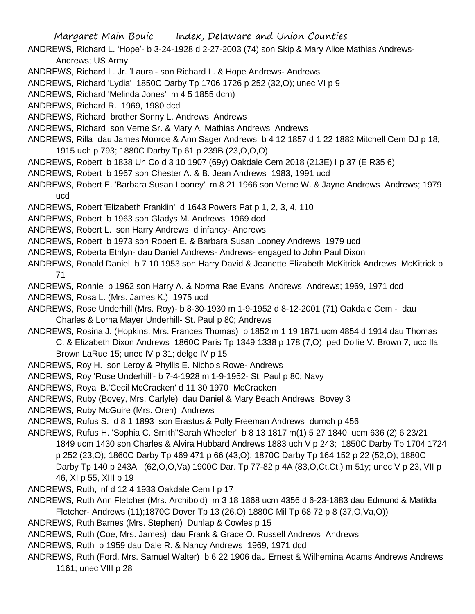- ANDREWS, Richard L. 'Hope'- b 3-24-1928 d 2-27-2003 (74) son Skip & Mary Alice Mathias Andrews-Andrews; US Army
- ANDREWS, Richard L. Jr. 'Laura'- son Richard L. & Hope Andrews- Andrews
- ANDREWS, Richard 'Lydia' 1850C Darby Tp 1706 1726 p 252 (32,O); unec VI p 9
- ANDREWS, Richard 'Melinda Jones' m 4 5 1855 dcm)
- ANDREWS, Richard R. 1969, 1980 dcd
- ANDREWS, Richard brother Sonny L. Andrews Andrews
- ANDREWS, Richard son Verne Sr. & Mary A. Mathias Andrews Andrews
- ANDREWS, Rilla dau James Monroe & Ann Sager Andrews b 4 12 1857 d 1 22 1882 Mitchell Cem DJ p 18; 1915 uch p 793; 1880C Darby Tp 61 p 239B (23,O,O,O)
- ANDREWS, Robert b 1838 Un Co d 3 10 1907 (69y) Oakdale Cem 2018 (213E) I p 37 (E R35 6)
- ANDREWS, Robert b 1967 son Chester A. & B. Jean Andrews 1983, 1991 ucd
- ANDREWS, Robert E. 'Barbara Susan Looney' m 8 21 1966 son Verne W. & Jayne Andrews Andrews; 1979 ucd
- ANDREWS, Robert 'Elizabeth Franklin' d 1643 Powers Pat p 1, 2, 3, 4, 110
- ANDREWS, Robert b 1963 son Gladys M. Andrews 1969 dcd
- ANDREWS, Robert L. son Harry Andrews d infancy- Andrews
- ANDREWS, Robert b 1973 son Robert E. & Barbara Susan Looney Andrews 1979 ucd
- ANDREWS, Roberta Ethlyn- dau Daniel Andrews- Andrews- engaged to John Paul Dixon
- ANDREWS, Ronald Daniel b 7 10 1953 son Harry David & Jeanette Elizabeth McKitrick Andrews McKitrick p 71
- ANDREWS, Ronnie b 1962 son Harry A. & Norma Rae Evans Andrews Andrews; 1969, 1971 dcd
- ANDREWS, Rosa L. (Mrs. James K.) 1975 ucd
- ANDREWS, Rose Underhill (Mrs. Roy)- b 8-30-1930 m 1-9-1952 d 8-12-2001 (71) Oakdale Cem dau Charles & Lorna Mayer Underhill- St. Paul p 80; Andrews
- ANDREWS, Rosina J. (Hopkins, Mrs. Frances Thomas) b 1852 m 1 19 1871 ucm 4854 d 1914 dau Thomas C. & Elizabeth Dixon Andrews 1860C Paris Tp 1349 1338 p 178 (7,O); ped Dollie V. Brown 7; ucc Ila
	- Brown LaRue 15; unec IV p 31; delge IV p 15
- ANDREWS, Roy H. son Leroy & Phyllis E. Nichols Rowe- Andrews
- ANDREWS, Roy 'Rose Underhill'- b 7-4-1928 m 1-9-1952- St. Paul p 80; Navy
- ANDREWS, Royal B.'Cecil McCracken' d 11 30 1970 McCracken
- ANDREWS, Ruby (Bovey, Mrs. Carlyle) dau Daniel & Mary Beach Andrews Bovey 3
- ANDREWS, Ruby McGuire (Mrs. Oren) Andrews
- ANDREWS, Rufus S. d 8 1 1893 son Erastus & Polly Freeman Andrews dumch p 456
- ANDREWS, Rufus H. 'Sophia C. Smith''Sarah Wheeler' b 8 13 1817 m(1) 5 27 1840 ucm 636 (2) 6 23/21 1849 ucm 1430 son Charles & Alvira Hubbard Andrews 1883 uch V p 243; 1850C Darby Tp 1704 1724 p 252 (23,O); 1860C Darby Tp 469 471 p 66 (43,O); 1870C Darby Tp 164 152 p 22 (52,O); 1880C Darby Tp 140 p 243A (62,O,O,Va) 1900C Dar. Tp 77-82 p 4A (83,O,Ct.Ct.) m 51y; unec V p 23, VII p 46, XI p 55, XIII p 19
- ANDREWS, Ruth, inf d 12 4 1933 Oakdale Cem I p 17
- ANDREWS, Ruth Ann Fletcher (Mrs. Archibold) m 3 18 1868 ucm 4356 d 6-23-1883 dau Edmund & Matilda Fletcher- Andrews (11);1870C Dover Tp 13 (26,O) 1880C Mil Tp 68 72 p 8 (37,O,Va,O))
- ANDREWS, Ruth Barnes (Mrs. Stephen) Dunlap & Cowles p 15
- ANDREWS, Ruth (Coe, Mrs. James) dau Frank & Grace O. Russell Andrews Andrews
- ANDREWS, Ruth b 1959 dau Dale R. & Nancy Andrews 1969, 1971 dcd
- ANDREWS, Ruth (Ford, Mrs. Samuel Walter) b 6 22 1906 dau Ernest & Wilhemina Adams Andrews Andrews 1161; unec VIII p 28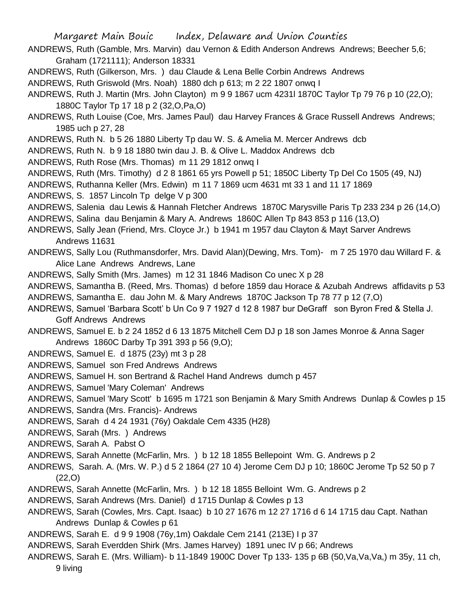- ANDREWS, Ruth (Gamble, Mrs. Marvin) dau Vernon & Edith Anderson Andrews Andrews; Beecher 5,6; Graham (1721111); Anderson 18331
- ANDREWS, Ruth (Gilkerson, Mrs. ) dau Claude & Lena Belle Corbin Andrews Andrews
- ANDREWS, Ruth Griswold (Mrs. Noah) 1880 dch p 613; m 2 22 1807 onwq I
- ANDREWS, Ruth J. Martin (Mrs. John Clayton) m 9 9 1867 ucm 4231l 1870C Taylor Tp 79 76 p 10 (22,O); 1880C Taylor Tp 17 18 p 2 (32,O,Pa,O)
- ANDREWS, Ruth Louise (Coe, Mrs. James Paul) dau Harvey Frances & Grace Russell Andrews Andrews; 1985 uch p 27, 28
- ANDREWS, Ruth N. b 5 26 1880 Liberty Tp dau W. S. & Amelia M. Mercer Andrews dcb
- ANDREWS, Ruth N. b 9 18 1880 twin dau J. B. & Olive L. Maddox Andrews dcb
- ANDREWS, Ruth Rose (Mrs. Thomas) m 11 29 1812 onwq I
- ANDREWS, Ruth (Mrs. Timothy) d 2 8 1861 65 yrs Powell p 51; 1850C Liberty Tp Del Co 1505 (49, NJ)
- ANDREWS, Ruthanna Keller (Mrs. Edwin) m 11 7 1869 ucm 4631 mt 33 1 and 11 17 1869
- ANDREWS, S. 1857 Lincoln Tp delge V p 300
- ANDREWS, Salenia dau Lewis & Hannah Fletcher Andrews 1870C Marysville Paris Tp 233 234 p 26 (14,O) ANDREWS, Salina dau Benjamin & Mary A. Andrews 1860C Allen Tp 843 853 p 116 (13,O)
- ANDREWS, Sally Jean (Friend, Mrs. Cloyce Jr.) b 1941 m 1957 dau Clayton & Mayt Sarver Andrews Andrews 11631
- ANDREWS, Sally Lou (Ruthmansdorfer, Mrs. David Alan)(Dewing, Mrs. Tom)- m 7 25 1970 dau Willard F. & Alice Lane Andrews Andrews, Lane
- ANDREWS, Sally Smith (Mrs. James) m 12 31 1846 Madison Co unec X p 28
- ANDREWS, Samantha B. (Reed, Mrs. Thomas) d before 1859 dau Horace & Azubah Andrews affidavits p 53
- ANDREWS, Samantha E. dau John M. & Mary Andrews 1870C Jackson Tp 78 77 p 12 (7,O)
- ANDREWS, Samuel 'Barbara Scott' b Un Co 9 7 1927 d 12 8 1987 bur DeGraff son Byron Fred & Stella J. Goff Andrews Andrews
- ANDREWS, Samuel E. b 2 24 1852 d 6 13 1875 Mitchell Cem DJ p 18 son James Monroe & Anna Sager Andrews 1860C Darby Tp 391 393 p 56 (9,O);
- ANDREWS, Samuel E. d 1875 (23y) mt 3 p 28
- ANDREWS, Samuel son Fred Andrews Andrews
- ANDREWS, Samuel H. son Bertrand & Rachel Hand Andrews dumch p 457
- ANDREWS, Samuel 'Mary Coleman' Andrews
- ANDREWS, Samuel 'Mary Scott' b 1695 m 1721 son Benjamin & Mary Smith Andrews Dunlap & Cowles p 15
- ANDREWS, Sandra (Mrs. Francis)- Andrews
- ANDREWS, Sarah d 4 24 1931 (76y) Oakdale Cem 4335 (H28)
- ANDREWS, Sarah (Mrs. ) Andrews
- ANDREWS, Sarah A. Pabst O

ANDREWS, Sarah Annette (McFarlin, Mrs. ) b 12 18 1855 Bellepoint Wm. G. Andrews p 2

- ANDREWS, Sarah. A. (Mrs. W. P.) d 5 2 1864 (27 10 4) Jerome Cem DJ p 10; 1860C Jerome Tp 52 50 p 7 (22,O)
- ANDREWS, Sarah Annette (McFarlin, Mrs. ) b 12 18 1855 Belloint Wm. G. Andrews p 2
- ANDREWS, Sarah Andrews (Mrs. Daniel) d 1715 Dunlap & Cowles p 13
- ANDREWS, Sarah (Cowles, Mrs. Capt. Isaac) b 10 27 1676 m 12 27 1716 d 6 14 1715 dau Capt. Nathan Andrews Dunlap & Cowles p 61
- ANDREWS, Sarah E. d 9 9 1908 (76y,1m) Oakdale Cem 2141 (213E) I p 37
- ANDREWS, Sarah Everdden Shirk (Mrs. James Harvey) 1891 unec IV p 66; Andrews
- ANDREWS, Sarah E. (Mrs. William)- b 11-1849 1900C Dover Tp 133- 135 p 6B (50,Va,Va,Va,) m 35y, 11 ch, 9 living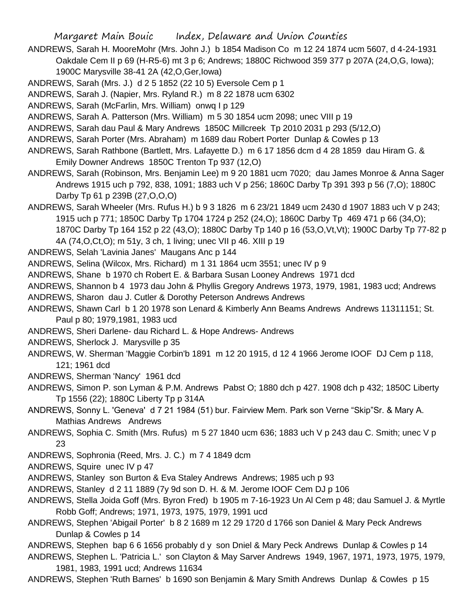- ANDREWS, Sarah H. MooreMohr (Mrs. John J.) b 1854 Madison Co m 12 24 1874 ucm 5607, d 4-24-1931 Oakdale Cem II p 69 (H-R5-6) mt 3 p 6; Andrews; 1880C Richwood 359 377 p 207A (24,O,G, Iowa); 1900C Marysville 38-41 2A (42,O,Ger,Iowa)
- ANDREWS, Sarah (Mrs. J.) d 2 5 1852 (22 10 5) Eversole Cem p 1
- ANDREWS, Sarah J. (Napier, Mrs. Ryland R.) m 8 22 1878 ucm 6302
- ANDREWS, Sarah (McFarlin, Mrs. William) onwq I p 129
- ANDREWS, Sarah A. Patterson (Mrs. William) m 5 30 1854 ucm 2098; unec VIII p 19
- ANDREWS, Sarah dau Paul & Mary Andrews 1850C Millcreek Tp 2010 2031 p 293 (5/12,O)
- ANDREWS, Sarah Porter (Mrs. Abraham) m 1689 dau Robert Porter Dunlap & Cowles p 13
- ANDREWS, Sarah Rathbone (Bartlett, Mrs. Lafayette D.) m 6 17 1856 dcm d 4 28 1859 dau Hiram G. & Emily Downer Andrews 1850C Trenton Tp 937 (12,O)
- ANDREWS, Sarah (Robinson, Mrs. Benjamin Lee) m 9 20 1881 ucm 7020; dau James Monroe & Anna Sager Andrews 1915 uch p 792, 838, 1091; 1883 uch V p 256; 1860C Darby Tp 391 393 p 56 (7,O); 1880C Darby Tp 61 p 239B (27,O,O,O)
- ANDREWS, Sarah Wheeler (Mrs. Rufus H.) b 9 3 1826 m 6 23/21 1849 ucm 2430 d 1907 1883 uch V p 243; 1915 uch p 771; 1850C Darby Tp 1704 1724 p 252 (24,O); 1860C Darby Tp 469 471 p 66 (34,O); 1870C Darby Tp 164 152 p 22 (43,O); 1880C Darby Tp 140 p 16 (53,O,Vt,Vt); 1900C Darby Tp 77-82 p 4A (74,O,Ct,O); m 51y, 3 ch, 1 living; unec VII p 46. XIII p 19
- ANDREWS, Selah 'Lavinia Janes' Maugans Anc p 144
- ANDREWS, Selina (Wilcox, Mrs. Richard) m 1 31 1864 ucm 3551; unec IV p 9
- ANDREWS, Shane b 1970 ch Robert E. & Barbara Susan Looney Andrews 1971 dcd
- ANDREWS, Shannon b 4 1973 dau John & Phyllis Gregory Andrews 1973, 1979, 1981, 1983 ucd; Andrews
- ANDREWS, Sharon dau J. Cutler & Dorothy Peterson Andrews Andrews
- ANDREWS, Shawn Carl b 1 20 1978 son Lenard & Kimberly Ann Beams Andrews Andrews 11311151; St. Paul p 80; 1979,1981, 1983 ucd
- ANDREWS, Sheri Darlene- dau Richard L. & Hope Andrews- Andrews
- ANDREWS, Sherlock J. Marysville p 35
- ANDREWS, W. Sherman 'Maggie Corbin'b 1891 m 12 20 1915, d 12 4 1966 Jerome IOOF DJ Cem p 118, 121; 1961 dcd
- ANDREWS, Sherman 'Nancy' 1961 dcd
- ANDREWS, Simon P. son Lyman & P.M. Andrews Pabst O; 1880 dch p 427. 1908 dch p 432; 1850C Liberty Tp 1556 (22); 1880C Liberty Tp p 314A
- ANDREWS, Sonny L. 'Geneva' d 7 21 1984 (51) bur. Fairview Mem. Park son Verne "Skip"Sr. & Mary A. Mathias Andrews Andrews
- ANDREWS, Sophia C. Smith (Mrs. Rufus) m 5 27 1840 ucm 636; 1883 uch V p 243 dau C. Smith; unec V p 23
- ANDREWS, Sophronia (Reed, Mrs. J. C.) m 7 4 1849 dcm
- ANDREWS, Squire unec IV p 47
- ANDREWS, Stanley son Burton & Eva Staley Andrews Andrews; 1985 uch p 93
- ANDREWS, Stanley d 2 11 1889 (7y 9d son D. H. & M. Jerome IOOF Cem DJ p 106
- ANDREWS, Stella Joida Goff (Mrs. Byron Fred) b 1905 m 7-16-1923 Un Al Cem p 48; dau Samuel J. & Myrtle Robb Goff; Andrews; 1971, 1973, 1975, 1979, 1991 ucd
- ANDREWS, Stephen 'Abigail Porter' b 8 2 1689 m 12 29 1720 d 1766 son Daniel & Mary Peck Andrews Dunlap & Cowles p 14
- ANDREWS, Stephen bap 6 6 1656 probably d y son Dniel & Mary Peck Andrews Dunlap & Cowles p 14
- ANDREWS, Stephen L. 'Patricia L.' son Clayton & May Sarver Andrews 1949, 1967, 1971, 1973, 1975, 1979, 1981, 1983, 1991 ucd; Andrews 11634
- ANDREWS, Stephen 'Ruth Barnes' b 1690 son Benjamin & Mary Smith Andrews Dunlap & Cowles p 15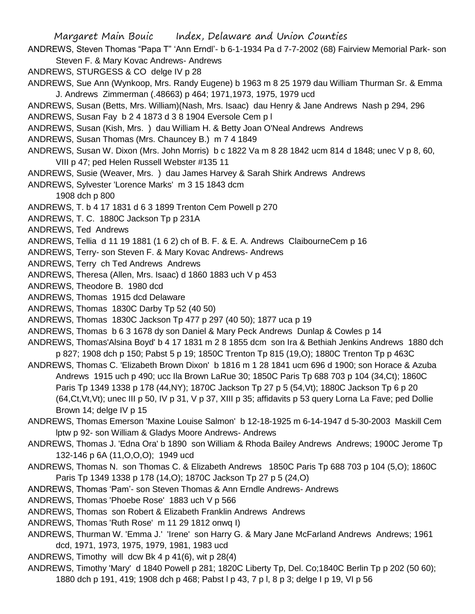Margaret Main Bouic Index, Delaware and Union Counties ANDREWS, Steven Thomas "Papa T" 'Ann Erndl'- b 6-1-1934 Pa d 7-7-2002 (68) Fairview Memorial Park- son Steven F. & Mary Kovac Andrews- Andrews ANDREWS, STURGESS & CO delge IV p 28 ANDREWS, Sue Ann (Wynkoop, Mrs. Randy Eugene) b 1963 m 8 25 1979 dau William Thurman Sr. & Emma J. Andrews Zimmerman (.48663) p 464; 1971,1973, 1975, 1979 ucd ANDREWS, Susan (Betts, Mrs. William)(Nash, Mrs. Isaac) dau Henry & Jane Andrews Nash p 294, 296 ANDREWS, Susan Fay b 2 4 1873 d 3 8 1904 Eversole Cem p l ANDREWS, Susan (Kish, Mrs. ) dau William H. & Betty Joan O'Neal Andrews Andrews ANDREWS, Susan Thomas (Mrs. Chauncey B.) m 7 4 1849 ANDREWS, Susan W. Dixon (Mrs. John Morris) b c 1822 Va m 8 28 1842 ucm 814 d 1848; unec V p 8, 60, VIII p 47; ped Helen Russell Webster #135 11 ANDREWS, Susie (Weaver, Mrs. ) dau James Harvey & Sarah Shirk Andrews Andrews ANDREWS, Sylvester 'Lorence Marks' m 3 15 1843 dcm 1908 dch p 800 ANDREWS, T. b 4 17 1831 d 6 3 1899 Trenton Cem Powell p 270 ANDREWS, T. C. 1880C Jackson Tp p 231A ANDREWS, Ted Andrews ANDREWS, Tellia d 11 19 1881 (1 6 2) ch of B. F. & E. A. Andrews ClaibourneCem p 16 ANDREWS, Terry- son Steven F. & Mary Kovac Andrews- Andrews ANDREWS, Terry ch Ted Andrews Andrews ANDREWS, Theresa (Allen, Mrs. Isaac) d 1860 1883 uch V p 453 ANDREWS, Theodore B. 1980 dcd ANDREWS, Thomas 1915 dcd Delaware ANDREWS, Thomas 1830C Darby Tp 52 (40 50) ANDREWS, Thomas 1830C Jackson Tp 477 p 297 (40 50); 1877 uca p 19 ANDREWS, Thomas b 6 3 1678 dy son Daniel & Mary Peck Andrews Dunlap & Cowles p 14 ANDREWS, Thomas'Alsina Boyd' b 4 17 1831 m 2 8 1855 dcm son Ira & Bethiah Jenkins Andrews 1880 dch p 827; 1908 dch p 150; Pabst 5 p 19; 1850C Trenton Tp 815 (19,O); 1880C Trenton Tp p 463C ANDREWS, Thomas C. 'Elizabeth Brown Dixon' b 1816 m 1 28 1841 ucm 696 d 1900; son Horace & Azuba Andrews 1915 uch p 490; ucc Ila Brown LaRue 30; 1850C Paris Tp 688 703 p 104 (34,Ct); 1860C Paris Tp 1349 1338 p 178 (44,NY); 1870C Jackson Tp 27 p 5 (54,Vt); 1880C Jackson Tp 6 p 20 (64,Ct,Vt,Vt); unec III p 50, IV p 31, V p 37, XIII p 35; affidavits p 53 query Lorna La Fave; ped Dollie Brown 14; delge IV p 15 ANDREWS, Thomas Emerson 'Maxine Louise Salmon' b 12-18-1925 m 6-14-1947 d 5-30-2003 Maskill Cem lptw p 92- son William & Gladys Moore Andrews- Andrews ANDREWS, Thomas J. 'Edna Ora' b 1890 son William & Rhoda Bailey Andrews Andrews; 1900C Jerome Tp 132-146 p 6A (11,O,O,O); 1949 ucd ANDREWS, Thomas N. son Thomas C. & Elizabeth Andrews 1850C Paris Tp 688 703 p 104 (5,O); 1860C Paris Tp 1349 1338 p 178 (14,O); 1870C Jackson Tp 27 p 5 (24,O) ANDREWS, Thomas 'Pam'- son Steven Thomas & Ann Erndle Andrews- Andrews ANDREWS, Thomas 'Phoebe Rose' 1883 uch V p 566 ANDREWS, Thomas son Robert & Elizabeth Franklin Andrews Andrews ANDREWS, Thomas 'Ruth Rose' m 11 29 1812 onwq I)

ANDREWS, Thurman W. 'Emma J.' 'Irene' son Harry G. & Mary Jane McFarland Andrews Andrews; 1961 dcd, 1971, 1973, 1975, 1979, 1981, 1983 ucd

ANDREWS, Timothy will dcw Bk 4 p 41(6), wit p 28(4)

ANDREWS, Timothy 'Mary' d 1840 Powell p 281; 1820C Liberty Tp, Del. Co;1840C Berlin Tp p 202 (50 60); 1880 dch p 191, 419; 1908 dch p 468; Pabst l p 43, 7 p l, 8 p 3; delge I p 19, VI p 56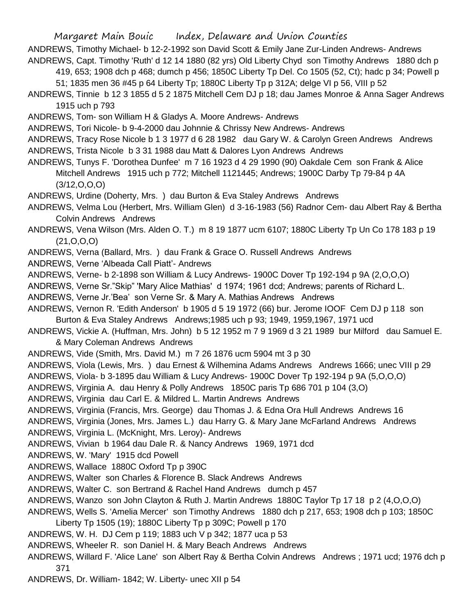ANDREWS, Timothy Michael- b 12-2-1992 son David Scott & Emily Jane Zur-Linden Andrews- Andrews ANDREWS, Capt. Timothy 'Ruth' d 12 14 1880 (82 yrs) Old Liberty Chyd son Timothy Andrews 1880 dch p

419, 653; 1908 dch p 468; dumch p 456; 1850C Liberty Tp Del. Co 1505 (52, Ct); hadc p 34; Powell p

51; 1835 men 36 #45 p 64 Liberty Tp; 1880C Liberty Tp p 312A; delge VI p 56, VIII p 52 ANDREWS, Tinnie b 12 3 1855 d 5 2 1875 Mitchell Cem DJ p 18; dau James Monroe & Anna Sager Andrews

1915 uch p 793

ANDREWS, Tom- son William H & Gladys A. Moore Andrews- Andrews

ANDREWS, Tori Nicole- b 9-4-2000 dau Johnnie & Chrissy New Andrews- Andrews

ANDREWS, Tracy Rose Nicole b 1 3 1977 d 6 28 1982 dau Gary W. & Carolyn Green Andrews Andrews ANDREWS, Trista Nicole b 3 31 1988 dau Matt & Dalores Lyon Andrews Andrews

ANDREWS, Tunys F. 'Dorothea Dunfee' m 7 16 1923 d 4 29 1990 (90) Oakdale Cem son Frank & Alice Mitchell Andrews 1915 uch p 772; Mitchell 1121445; Andrews; 1900C Darby Tp 79-84 p 4A (3/12,O,O,O)

ANDREWS, Urdine (Doherty, Mrs. ) dau Burton & Eva Staley Andrews Andrews

ANDREWS, Velma Lou (Herbert, Mrs. William Glen) d 3-16-1983 (56) Radnor Cem- dau Albert Ray & Bertha Colvin Andrews Andrews

ANDREWS, Vena Wilson (Mrs. Alden O. T.) m 8 19 1877 ucm 6107; 1880C Liberty Tp Un Co 178 183 p 19 (21,O,O,O)

ANDREWS, Verna (Ballard, Mrs. ) dau Frank & Grace O. Russell Andrews Andrews

ANDREWS, Verne 'Albeada Call Piatt'- Andrews

ANDREWS, Verne- b 2-1898 son William & Lucy Andrews- 1900C Dover Tp 192-194 p 9A (2,O,O,O)

ANDREWS, Verne Sr."Skip" 'Mary Alice Mathias' d 1974; 1961 dcd; Andrews; parents of Richard L.

ANDREWS, Verne Jr.'Bea' son Verne Sr. & Mary A. Mathias Andrews Andrews

ANDREWS, Vernon R. 'Edith Anderson' b 1905 d 5 19 1972 (66) bur. Jerome IOOF Cem DJ p 118 son Burton & Eva Staley Andrews Andrews;1985 uch p 93; 1949, 1959,1967, 1971 ucd

ANDREWS, Vickie A. (Huffman, Mrs. John) b 5 12 1952 m 7 9 1969 d 3 21 1989 bur Milford dau Samuel E. & Mary Coleman Andrews Andrews

ANDREWS, Vide (Smith, Mrs. David M.) m 7 26 1876 ucm 5904 mt 3 p 30

ANDREWS, Viola (Lewis, Mrs. ) dau Ernest & Wilhemina Adams Andrews Andrews 1666; unec VIII p 29

ANDREWS, Viola- b 3-1895 dau William & Lucy Andrews- 1900C Dover Tp 192-194 p 9A (5,O,O,O)

ANDREWS, Virginia A. dau Henry & Polly Andrews 1850C paris Tp 686 701 p 104 (3,O)

ANDREWS, Virginia dau Carl E. & Mildred L. Martin Andrews Andrews

ANDREWS, Virginia (Francis, Mrs. George) dau Thomas J. & Edna Ora Hull Andrews Andrews 16

ANDREWS, Virginia (Jones, Mrs. James L.) dau Harry G. & Mary Jane McFarland Andrews Andrews ANDREWS, Virginia L. (McKnight, Mrs. Leroy)- Andrews

ANDREWS, Vivian b 1964 dau Dale R. & Nancy Andrews 1969, 1971 dcd

ANDREWS, W. 'Mary' 1915 dcd Powell

ANDREWS, Wallace 1880C Oxford Tp p 390C

ANDREWS, Walter son Charles & Florence B. Slack Andrews Andrews

ANDREWS, Walter C. son Bertrand & Rachel Hand Andrews dumch p 457

ANDREWS, Wanzo son John Clayton & Ruth J. Martin Andrews 1880C Taylor Tp 17 18 p 2 (4,O,O,O)

ANDREWS, Wells S. 'Amelia Mercer' son Timothy Andrews 1880 dch p 217, 653; 1908 dch p 103; 1850C

Liberty Tp 1505 (19); 1880C Liberty Tp p 309C; Powell p 170

ANDREWS, W. H. DJ Cem p 119; 1883 uch V p 342; 1877 uca p 53

ANDREWS, Wheeler R. son Daniel H. & Mary Beach Andrews Andrews

ANDREWS, Willard F. 'Alice Lane' son Albert Ray & Bertha Colvin Andrews Andrews; 1971 ucd; 1976 dch p 371

ANDREWS, Dr. William- 1842; W. Liberty- unec XII p 54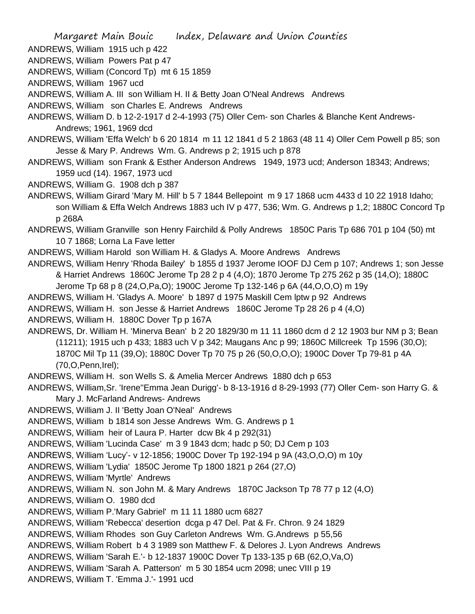ANDREWS, William 1915 uch p 422

ANDREWS, William Powers Pat p 47

ANDREWS, William (Concord Tp) mt 6 15 1859

ANDREWS, William 1967 ucd

ANDREWS, William A. III son William H. II & Betty Joan O'Neal Andrews Andrews

ANDREWS, William son Charles E. Andrews Andrews

ANDREWS, William D. b 12-2-1917 d 2-4-1993 (75) Oller Cem- son Charles & Blanche Kent Andrews-Andrews; 1961, 1969 dcd

ANDREWS, William 'Effa Welch' b 6 20 1814 m 11 12 1841 d 5 2 1863 (48 11 4) Oller Cem Powell p 85; son Jesse & Mary P. Andrews Wm. G. Andrews p 2; 1915 uch p 878

ANDREWS, William son Frank & Esther Anderson Andrews 1949, 1973 ucd; Anderson 18343; Andrews; 1959 ucd (14). 1967, 1973 ucd

ANDREWS, William G. 1908 dch p 387

ANDREWS, William Girard 'Mary M. Hill' b 5 7 1844 Bellepoint m 9 17 1868 ucm 4433 d 10 22 1918 Idaho; son William & Effa Welch Andrews 1883 uch IV p 477, 536; Wm. G. Andrews p 1,2; 1880C Concord Tp p 268A

ANDREWS, William Granville son Henry Fairchild & Polly Andrews 1850C Paris Tp 686 701 p 104 (50) mt 10 7 1868; Lorna La Fave letter

ANDREWS, William Harold son William H. & Gladys A. Moore Andrews Andrews

ANDREWS, William Henry 'Rhoda Bailey' b 1855 d 1937 Jerome IOOF DJ Cem p 107; Andrews 1; son Jesse & Harriet Andrews 1860C Jerome Tp 28 2 p 4 (4,O); 1870 Jerome Tp 275 262 p 35 (14,O); 1880C

Jerome Tp 68 p 8 (24,O,Pa,O); 1900C Jerome Tp 132-146 p 6A (44,O,O,O) m 19y

ANDREWS, William H. 'Gladys A. Moore' b 1897 d 1975 Maskill Cem lptw p 92 Andrews

ANDREWS, William H. son Jesse & Harriet Andrews 1860C Jerome Tp 28 26 p 4 (4,O)

ANDREWS, William H. 1880C Dover Tp p 167A

ANDREWS, Dr. William H. 'Minerva Bean' b 2 20 1829/30 m 11 11 1860 dcm d 2 12 1903 bur NM p 3; Bean (11211); 1915 uch p 433; 1883 uch V p 342; Maugans Anc p 99; 1860C Millcreek Tp 1596 (30,O); 1870C Mil Tp 11 (39,O); 1880C Dover Tp 70 75 p 26 (50,O,O,O); 1900C Dover Tp 79-81 p 4A (70,O,Penn,Irel);

ANDREWS, William H. son Wells S. & Amelia Mercer Andrews 1880 dch p 653

ANDREWS, William,Sr. 'Irene''Emma Jean Durigg'- b 8-13-1916 d 8-29-1993 (77) Oller Cem- son Harry G. & Mary J. McFarland Andrews- Andrews

ANDREWS, William J. II 'Betty Joan O'Neal' Andrews

ANDREWS, William b 1814 son Jesse Andrews Wm. G. Andrews p 1

ANDREWS, William heir of Laura P. Harter dcw Bk 4 p 292(31)

ANDREWS, William 'Lucinda Case' m 3 9 1843 dcm; hadc p 50; DJ Cem p 103

ANDREWS, William 'Lucy'- v 12-1856; 1900C Dover Tp 192-194 p 9A (43,O,O,O) m 10y

ANDREWS, William 'Lydia' 1850C Jerome Tp 1800 1821 p 264 (27,O)

ANDREWS, William 'Myrtle' Andrews

ANDREWS, William N. son John M. & Mary Andrews 1870C Jackson Tp 78 77 p 12 (4,O)

ANDREWS, William O. 1980 dcd

ANDREWS, William P.'Mary Gabriel' m 11 11 1880 ucm 6827

ANDREWS, William 'Rebecca' desertion dcga p 47 Del. Pat & Fr. Chron. 9 24 1829

ANDREWS, William Rhodes son Guy Carleton Andrews Wm. G.Andrews p 55,56

ANDREWS, William Robert b 4 3 1989 son Matthew F. & Delores J. Lyon Andrews Andrews

ANDREWS, William 'Sarah E.'- b 12-1837 1900C Dover Tp 133-135 p 6B (62,O,Va,O)

ANDREWS, William 'Sarah A. Patterson' m 5 30 1854 ucm 2098; unec VIII p 19

ANDREWS, William T. 'Emma J.'- 1991 ucd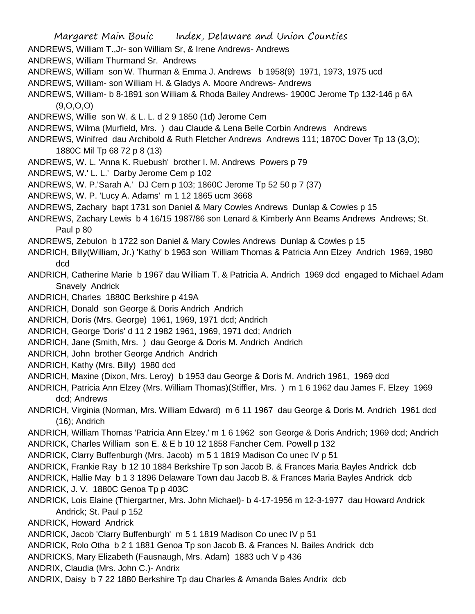Margaret Main Bouic Index, Delaware and Union Counties ANDREWS, William T.,Jr- son William Sr, & Irene Andrews- Andrews ANDREWS, William Thurmand Sr. Andrews ANDREWS, William son W. Thurman & Emma J. Andrews b 1958(9) 1971, 1973, 1975 ucd ANDREWS, William- son William H. & Gladys A. Moore Andrews- Andrews ANDREWS, William- b 8-1891 son William & Rhoda Bailey Andrews- 1900C Jerome Tp 132-146 p 6A (9,O,O,O) ANDREWS, Willie son W. & L. L. d 2 9 1850 (1d) Jerome Cem ANDREWS, Wilma (Murfield, Mrs. ) dau Claude & Lena Belle Corbin Andrews Andrews ANDREWS, Winifred dau Archibold & Ruth Fletcher Andrews Andrews 111; 1870C Dover Tp 13 (3,O); 1880C Mil Tp 68 72 p 8 (13) ANDREWS, W. L. 'Anna K. Ruebush' brother I. M. Andrews Powers p 79 ANDREWS, W.' L. L.' Darby Jerome Cem p 102 ANDREWS, W. P.'Sarah A.' DJ Cem p 103; 1860C Jerome Tp 52 50 p 7 (37) ANDREWS, W. P. 'Lucy A. Adams' m 1 12 1865 ucm 3668 ANDREWS, Zachary bapt 1731 son Daniel & Mary Cowles Andrews Dunlap & Cowles p 15 ANDREWS, Zachary Lewis b 4 16/15 1987/86 son Lenard & Kimberly Ann Beams Andrews Andrews; St. Paul p 80 ANDREWS, Zebulon b 1722 son Daniel & Mary Cowles Andrews Dunlap & Cowles p 15 ANDRICH, Billy(William, Jr.) 'Kathy' b 1963 son William Thomas & Patricia Ann Elzey Andrich 1969, 1980 dcd ANDRICH, Catherine Marie b 1967 dau William T. & Patricia A. Andrich 1969 dcd engaged to Michael Adam Snavely Andrick ANDRICH, Charles 1880C Berkshire p 419A ANDRICH, Donald son George & Doris Andrich Andrich ANDRICH, Doris (Mrs. George) 1961, 1969, 1971 dcd; Andrich ANDRICH, George 'Doris' d 11 2 1982 1961, 1969, 1971 dcd; Andrich ANDRICH, Jane (Smith, Mrs. ) dau George & Doris M. Andrich Andrich ANDRICH, John brother George Andrich Andrich ANDRICH, Kathy (Mrs. Billy) 1980 dcd ANDRICH, Maxine (Dixon, Mrs. Leroy) b 1953 dau George & Doris M. Andrich 1961, 1969 dcd ANDRICH, Patricia Ann Elzey (Mrs. William Thomas)(Stiffler, Mrs. ) m 1 6 1962 dau James F. Elzey 1969 dcd; Andrews ANDRICH, Virginia (Norman, Mrs. William Edward) m 6 11 1967 dau George & Doris M. Andrich 1961 dcd (16); Andrich ANDRICH, William Thomas 'Patricia Ann Elzey.' m 1 6 1962 son George & Doris Andrich; 1969 dcd; Andrich ANDRICK, Charles William son E. & E b 10 12 1858 Fancher Cem. Powell p 132 ANDRICK, Clarry Buffenburgh (Mrs. Jacob) m 5 1 1819 Madison Co unec IV p 51 ANDRICK, Frankie Ray b 12 10 1884 Berkshire Tp son Jacob B. & Frances Maria Bayles Andrick dcb ANDRICK, Hallie May b 1 3 1896 Delaware Town dau Jacob B. & Frances Maria Bayles Andrick dcb ANDRICK, J. V. 1880C Genoa Tp p 403C ANDRICK, Lois Elaine (Thiergartner, Mrs. John Michael)- b 4-17-1956 m 12-3-1977 dau Howard Andrick Andrick; St. Paul p 152 ANDRICK, Howard Andrick ANDRICK, Jacob 'Clarry Buffenburgh' m 5 1 1819 Madison Co unec IV p 51 ANDRICK, Rolo Otha b 2 1 1881 Genoa Tp son Jacob B. & Frances N. Bailes Andrick dcb ANDRICKS, Mary Elizabeth (Fausnaugh, Mrs. Adam) 1883 uch V p 436 ANDRIX, Claudia (Mrs. John C.)- Andrix ANDRIX, Daisy b 7 22 1880 Berkshire Tp dau Charles & Amanda Bales Andrix dcb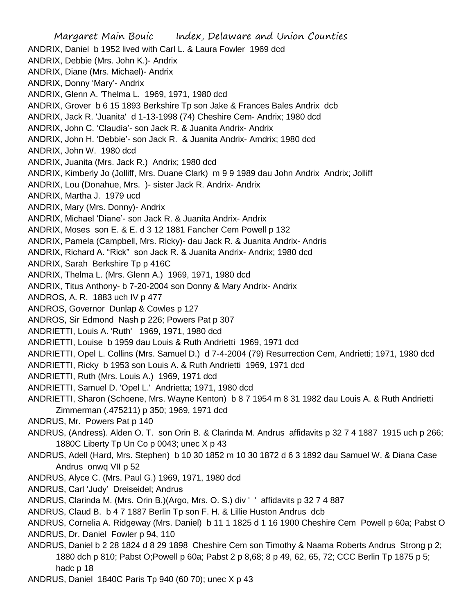Margaret Main Bouic Index, Delaware and Union Counties ANDRIX, Daniel b 1952 lived with Carl L. & Laura Fowler 1969 dcd ANDRIX, Debbie (Mrs. John K.)- Andrix ANDRIX, Diane (Mrs. Michael)- Andrix ANDRIX, Donny 'Mary'- Andrix ANDRIX, Glenn A. 'Thelma L. 1969, 1971, 1980 dcd ANDRIX, Grover b 6 15 1893 Berkshire Tp son Jake & Frances Bales Andrix dcb ANDRIX, Jack R. 'Juanita' d 1-13-1998 (74) Cheshire Cem- Andrix; 1980 dcd ANDRIX, John C. 'Claudia'- son Jack R. & Juanita Andrix- Andrix ANDRIX, John H. 'Debbie'- son Jack R. & Juanita Andrix- Amdrix; 1980 dcd ANDRIX, John W. 1980 dcd ANDRIX, Juanita (Mrs. Jack R.) Andrix; 1980 dcd ANDRIX, Kimberly Jo (Jolliff, Mrs. Duane Clark) m 9 9 1989 dau John Andrix Andrix; Jolliff ANDRIX, Lou (Donahue, Mrs. )- sister Jack R. Andrix- Andrix ANDRIX, Martha J. 1979 ucd ANDRIX, Mary (Mrs. Donny)- Andrix ANDRIX, Michael 'Diane'- son Jack R. & Juanita Andrix- Andrix ANDRIX, Moses son E. & E. d 3 12 1881 Fancher Cem Powell p 132 ANDRIX, Pamela (Campbell, Mrs. Ricky)- dau Jack R. & Juanita Andrix- Andris ANDRIX, Richard A. "Rick" son Jack R. & Juanita Andrix- Andrix; 1980 dcd ANDRIX, Sarah Berkshire Tp p 416C ANDRIX, Thelma L. (Mrs. Glenn A.) 1969, 1971, 1980 dcd ANDRIX, Titus Anthony- b 7-20-2004 son Donny & Mary Andrix- Andrix ANDROS, A. R. 1883 uch IV p 477 ANDROS, Governor Dunlap & Cowles p 127 ANDROS, Sir Edmond Nash p 226; Powers Pat p 307 ANDRIETTI, Louis A. 'Ruth' 1969, 1971, 1980 dcd ANDRIETTI, Louise b 1959 dau Louis & Ruth Andrietti 1969, 1971 dcd ANDRIETTI, Opel L. Collins (Mrs. Samuel D.) d 7-4-2004 (79) Resurrection Cem, Andrietti; 1971, 1980 dcd ANDRIETTI, Ricky b 1953 son Louis A. & Ruth Andrietti 1969, 1971 dcd ANDRIETTI, Ruth (Mrs. Louis A.) 1969, 1971 dcd ANDRIETTI, Samuel D. 'Opel L.' Andrietta; 1971, 1980 dcd ANDRIETTI, Sharon (Schoene, Mrs. Wayne Kenton) b 8 7 1954 m 8 31 1982 dau Louis A. & Ruth Andrietti Zimmerman (.475211) p 350; 1969, 1971 dcd ANDRUS, Mr. Powers Pat p 140 ANDRUS, (Andress). Alden O. T. son Orin B. & Clarinda M. Andrus affidavits p 32 7 4 1887 1915 uch p 266; 1880C Liberty Tp Un Co p 0043; unec X p 43 ANDRUS, Adell (Hard, Mrs. Stephen) b 10 30 1852 m 10 30 1872 d 6 3 1892 dau Samuel W. & Diana Case Andrus onwq VII p 52 ANDRUS, Alyce C. (Mrs. Paul G.) 1969, 1971, 1980 dcd ANDRUS, Carl 'Judy' Dreiseidel; Andrus ANDRUS, Clarinda M. (Mrs. Orin B.)(Argo, Mrs. O. S.) div ' ' affidavits p 32 7 4 887 ANDRUS, Claud B. b 4 7 1887 Berlin Tp son F. H. & Lillie Huston Andrus dcb ANDRUS, Cornelia A. Ridgeway (Mrs. Daniel) b 11 1 1825 d 1 16 1900 Cheshire Cem Powell p 60a; Pabst O ANDRUS, Dr. Daniel Fowler p 94, 110 ANDRUS, Daniel b 2 28 1824 d 8 29 1898 Cheshire Cem son Timothy & Naama Roberts Andrus Strong p 2; 1880 dch p 810; Pabst O;Powell p 60a; Pabst 2 p 8,68; 8 p 49, 62, 65, 72; CCC Berlin Tp 1875 p 5;

hadc p 18

ANDRUS, Daniel 1840C Paris Tp 940 (60 70); unec X p 43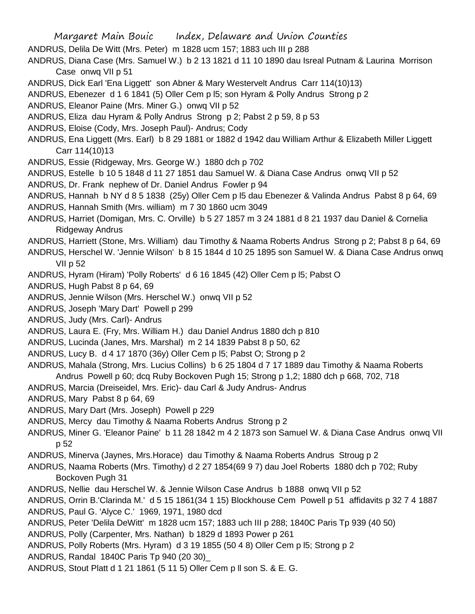- Margaret Main Bouic Index, Delaware and Union Counties
- ANDRUS, Delila De Witt (Mrs. Peter) m 1828 ucm 157; 1883 uch III p 288
- ANDRUS, Diana Case (Mrs. Samuel W.) b 2 13 1821 d 11 10 1890 dau Isreal Putnam & Laurina Morrison Case onwq VII p 51
- ANDRUS, Dick Earl 'Ena Liggett' son Abner & Mary Westervelt Andrus Carr 114(10)13)
- ANDRUS, Ebenezer d 1 6 1841 (5) Oller Cem p l5; son Hyram & Polly Andrus Strong p 2
- ANDRUS, Eleanor Paine (Mrs. Miner G.) onwq VII p 52
- ANDRUS, Eliza dau Hyram & Polly Andrus Strong p 2; Pabst 2 p 59, 8 p 53
- ANDRUS, Eloise (Cody, Mrs. Joseph Paul)- Andrus; Cody
- ANDRUS, Ena Liggett (Mrs. Earl) b 8 29 1881 or 1882 d 1942 dau William Arthur & Elizabeth Miller Liggett Carr 114(10)13
- ANDRUS, Essie (Ridgeway, Mrs. George W.) 1880 dch p 702
- ANDRUS, Estelle b 10 5 1848 d 11 27 1851 dau Samuel W. & Diana Case Andrus onwq VII p 52
- ANDRUS, Dr. Frank nephew of Dr. Daniel Andrus Fowler p 94
- ANDRUS, Hannah b NY d 8 5 1838 (25y) Oller Cem p l5 dau Ebenezer & Valinda Andrus Pabst 8 p 64, 69
- ANDRUS, Hannah Smith (Mrs. william) m 7 30 1860 ucm 3049
- ANDRUS, Harriet (Domigan, Mrs. C. Orville) b 5 27 1857 m 3 24 1881 d 8 21 1937 dau Daniel & Cornelia Ridgeway Andrus
- ANDRUS, Harriett (Stone, Mrs. William) dau Timothy & Naama Roberts Andrus Strong p 2; Pabst 8 p 64, 69
- ANDRUS, Herschel W. 'Jennie Wilson' b 8 15 1844 d 10 25 1895 son Samuel W. & Diana Case Andrus onwq VII p 52
- ANDRUS, Hyram (Hiram) 'Polly Roberts' d 6 16 1845 (42) Oller Cem p l5; Pabst O
- ANDRUS, Hugh Pabst 8 p 64, 69
- ANDRUS, Jennie Wilson (Mrs. Herschel W.) onwq VII p 52
- ANDRUS, Joseph 'Mary Dart' Powell p 299
- ANDRUS, Judy (Mrs. Carl)- Andrus
- ANDRUS, Laura E. (Fry, Mrs. William H.) dau Daniel Andrus 1880 dch p 810
- ANDRUS, Lucinda (Janes, Mrs. Marshal) m 2 14 1839 Pabst 8 p 50, 62
- ANDRUS, Lucy B. d 4 17 1870 (36y) Oller Cem p l5; Pabst O; Strong p 2
- ANDRUS, Mahala (Strong, Mrs. Lucius Collins) b 6 25 1804 d 7 17 1889 dau Timothy & Naama Roberts Andrus Powell p 60; dcq Ruby Bockoven Pugh 15; Strong p 1,2; 1880 dch p 668, 702, 718
- ANDRUS, Marcia (Dreiseidel, Mrs. Eric)- dau Carl & Judy Andrus- Andrus
- ANDRUS, Mary Pabst 8 p 64, 69
- ANDRUS, Mary Dart (Mrs. Joseph) Powell p 229
- ANDRUS, Mercy dau Timothy & Naama Roberts Andrus Strong p 2
- ANDRUS, Miner G. 'Eleanor Paine' b 11 28 1842 m 4 2 1873 son Samuel W. & Diana Case Andrus onwq VII p 52
- ANDRUS, Minerva (Jaynes, Mrs.Horace) dau Timothy & Naama Roberts Andrus Stroug p 2
- ANDRUS, Naama Roberts (Mrs. Timothy) d 2 27 1854(69 9 7) dau Joel Roberts 1880 dch p 702; Ruby Bockoven Pugh 31
- ANDRUS, Nellie dau Herschel W. & Jennie Wilson Case Andrus b 1888 onwq VII p 52
- ANDRUS, Orrin B.'Clarinda M.' d 5 15 1861(34 1 15) Blockhouse Cem Powell p 51 affidavits p 32 7 4 1887
- ANDRUS, Paul G. 'Alyce C.' 1969, 1971, 1980 dcd
- ANDRUS, Peter 'Delila DeWitt' m 1828 ucm 157; 1883 uch III p 288; 1840C Paris Tp 939 (40 50)
- ANDRUS, Polly (Carpenter, Mrs. Nathan) b 1829 d 1893 Power p 261
- ANDRUS, Polly Roberts (Mrs. Hyram) d 3 19 1855 (50 4 8) Oller Cem p l5; Strong p 2
- ANDRUS, Randal 1840C Paris Tp 940 (20 30)\_
- ANDRUS, Stout Platt d 1 21 1861 (5 11 5) Oller Cem p ll son S. & E. G.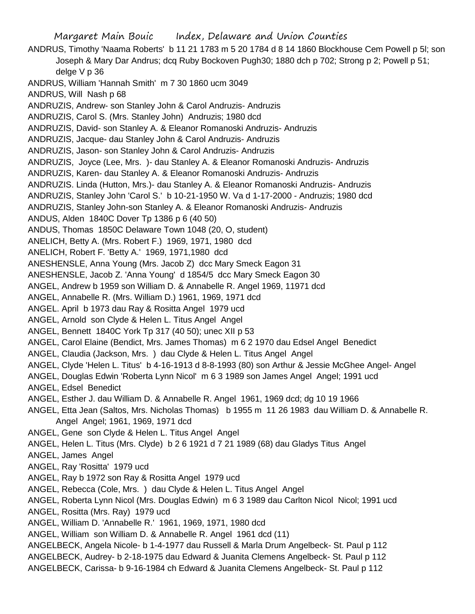Margaret Main Bouic Index, Delaware and Union Counties ANDRUS, Timothy 'Naama Roberts' b 11 21 1783 m 5 20 1784 d 8 14 1860 Blockhouse Cem Powell p 5l; son Joseph & Mary Dar Andrus; dcq Ruby Bockoven Pugh30; 1880 dch p 702; Strong p 2; Powell p 51; delge V p 36 ANDRUS, William 'Hannah Smith' m 7 30 1860 ucm 3049 ANDRUS, Will Nash p 68 ANDRUZIS, Andrew- son Stanley John & Carol Andruzis- Andruzis ANDRUZIS, Carol S. (Mrs. Stanley John) Andruzis; 1980 dcd ANDRUZIS, David- son Stanley A. & Eleanor Romanoski Andruzis- Andruzis ANDRUZIS, Jacque- dau Stanley John & Carol Andruzis- Andruzis ANDRUZIS, Jason- son Stanley John & Carol Andruzis- Andruzis ANDRUZIS, Joyce (Lee, Mrs. )- dau Stanley A. & Eleanor Romanoski Andruzis- Andruzis ANDRUZIS, Karen- dau Stanley A. & Eleanor Romanoski Andruzis- Andruzis ANDRUZIS. Linda (Hutton, Mrs.)- dau Stanley A. & Eleanor Romanoski Andruzis- Andruzis ANDRUZIS, Stanley John 'Carol S.' b 10-21-1950 W. Va d 1-17-2000 - Andruzis; 1980 dcd ANDRUZIS, Stanley John-son Stanley A. & Eleanor Romanoski Andruzis- Andruzis ANDUS, Alden 1840C Dover Tp 1386 p 6 (40 50) ANDUS, Thomas 1850C Delaware Town 1048 (20, O, student) ANELICH, Betty A. (Mrs. Robert F.) 1969, 1971, 1980 dcd ANELICH, Robert F. 'Betty A.' 1969, 1971,1980 dcd ANESHENSLE, Anna Young (Mrs. Jacob Z) dcc Mary Smeck Eagon 31 ANESHENSLE, Jacob Z. 'Anna Young' d 1854/5 dcc Mary Smeck Eagon 30 ANGEL, Andrew b 1959 son William D. & Annabelle R. Angel 1969, 11971 dcd ANGEL, Annabelle R. (Mrs. William D.) 1961, 1969, 1971 dcd ANGEL. April b 1973 dau Ray & Rositta Angel 1979 ucd ANGEL, Arnold son Clyde & Helen L. Titus Angel Angel ANGEL, Bennett 1840C York Tp 317 (40 50); unec XII p 53 ANGEL, Carol Elaine (Bendict, Mrs. James Thomas) m 6 2 1970 dau Edsel Angel Benedict ANGEL, Claudia (Jackson, Mrs. ) dau Clyde & Helen L. Titus Angel Angel ANGEL, Clyde 'Helen L. Titus' b 4-16-1913 d 8-8-1993 (80) son Arthur & Jessie McGhee Angel- Angel ANGEL, Douglas Edwin 'Roberta Lynn Nicol' m 6 3 1989 son James Angel Angel; 1991 ucd ANGEL, Edsel Benedict ANGEL, Esther J. dau William D. & Annabelle R. Angel 1961, 1969 dcd; dg 10 19 1966 ANGEL, Etta Jean (Saltos, Mrs. Nicholas Thomas) b 1955 m 11 26 1983 dau William D. & Annabelle R. Angel Angel; 1961, 1969, 1971 dcd ANGEL, Gene son Clyde & Helen L. Titus Angel Angel ANGEL, Helen L. Titus (Mrs. Clyde) b 2 6 1921 d 7 21 1989 (68) dau Gladys Titus Angel ANGEL, James Angel ANGEL, Ray 'Rositta' 1979 ucd ANGEL, Ray b 1972 son Ray & Rositta Angel 1979 ucd ANGEL, Rebecca (Cole, Mrs. ) dau Clyde & Helen L. Titus Angel Angel ANGEL, Roberta Lynn Nicol (Mrs. Douglas Edwin) m 6 3 1989 dau Carlton Nicol Nicol; 1991 ucd ANGEL, Rositta (Mrs. Ray) 1979 ucd ANGEL, William D. 'Annabelle R.' 1961, 1969, 1971, 1980 dcd ANGEL, William son William D. & Annabelle R. Angel 1961 dcd (11) ANGELBECK, Angela Nicole- b 1-4-1977 dau Russell & Marla Drum Angelbeck- St. Paul p 112 ANGELBECK, Audrey- b 2-18-1975 dau Edward & Juanita Clemens Angelbeck- St. Paul p 112 ANGELBECK, Carissa- b 9-16-1984 ch Edward & Juanita Clemens Angelbeck- St. Paul p 112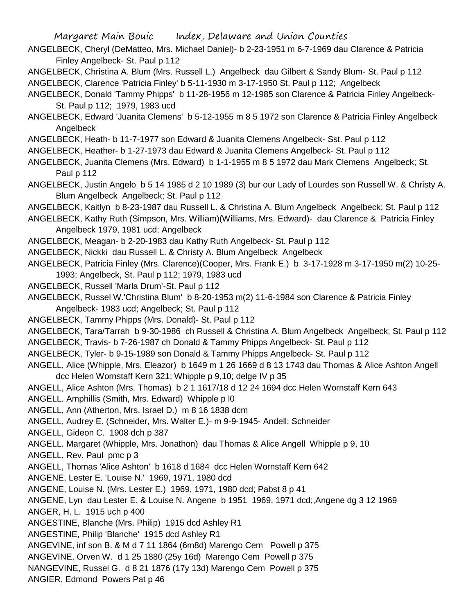- ANGELBECK, Cheryl (DeMatteo, Mrs. Michael Daniel)- b 2-23-1951 m 6-7-1969 dau Clarence & Patricia Finley Angelbeck- St. Paul p 112
- ANGELBECK, Christina A. Blum (Mrs. Russell L.) Angelbeck dau Gilbert & Sandy Blum- St. Paul p 112
- ANGELBECK, Clarence 'Patricia Finley' b 5-11-1930 m 3-17-1950 St. Paul p 112; Angelbeck
- ANGELBECK, Donald 'Tammy Phipps' b 11-28-1956 m 12-1985 son Clarence & Patricia Finley Angelbeck-St. Paul p 112; 1979, 1983 ucd
- ANGELBECK, Edward 'Juanita Clemens' b 5-12-1955 m 8 5 1972 son Clarence & Patricia Finley Angelbeck Angelbeck
- ANGELBECK, Heath- b 11-7-1977 son Edward & Juanita Clemens Angelbeck- Sst. Paul p 112
- ANGELBECK, Heather- b 1-27-1973 dau Edward & Juanita Clemens Angelbeck- St. Paul p 112
- ANGELBECK, Juanita Clemens (Mrs. Edward) b 1-1-1955 m 8 5 1972 dau Mark Clemens Angelbeck; St. Paul p 112
- ANGELBECK, Justin Angelo b 5 14 1985 d 2 10 1989 (3) bur our Lady of Lourdes son Russell W. & Christy A. Blum Angelbeck Angelbeck; St. Paul p 112
- ANGELBECK, Kaitlyn b 8-23-1987 dau Russell L. & Christina A. Blum Angelbeck Angelbeck; St. Paul p 112
- ANGELBECK, Kathy Ruth (Simpson, Mrs. William)(Williams, Mrs. Edward)- dau Clarence & Patricia Finley Angelbeck 1979, 1981 ucd; Angelbeck
- ANGELBECK, Meagan- b 2-20-1983 dau Kathy Ruth Angelbeck- St. Paul p 112
- ANGELBECK, Nickki dau Russell L. & Christy A. Blum Angelbeck Angelbeck
- ANGELBECK, Patricia Finley (Mrs. Clarence)(Cooper, Mrs. Frank E.) b 3-17-1928 m 3-17-1950 m(2) 10-25- 1993; Angelbeck, St. Paul p 112; 1979, 1983 ucd
- ANGELBECK, Russell 'Marla Drum'-St. Paul p 112
- ANGELBECK, Russel W.'Christina Blum' b 8-20-1953 m(2) 11-6-1984 son Clarence & Patricia Finley Angelbeck- 1983 ucd; Angelbeck; St. Paul p 112
- ANGELBECK, Tammy Phipps (Mrs. Donald)- St. Paul p 112
- ANGELBECK, Tara/Tarrah b 9-30-1986 ch Russell & Christina A. Blum Angelbeck Angelbeck; St. Paul p 112
- ANGELBECK, Travis- b 7-26-1987 ch Donald & Tammy Phipps Angelbeck- St. Paul p 112
- ANGELBECK, Tyler- b 9-15-1989 son Donald & Tammy Phipps Angelbeck- St. Paul p 112
- ANGELL, Alice (Whipple, Mrs. Eleazor) b 1649 m 1 26 1669 d 8 13 1743 dau Thomas & Alice Ashton Angell dcc Helen Wornstaff Kern 321; Whipple p 9,10; delge IV p 35
- ANGELL, Alice Ashton (Mrs. Thomas) b 2 1 1617/18 d 12 24 1694 dcc Helen Wornstaff Kern 643
- ANGELL. Amphillis (Smith, Mrs. Edward) Whipple p l0
- ANGELL, Ann (Atherton, Mrs. Israel D.) m 8 16 1838 dcm
- ANGELL, Audrey E. (Schneider, Mrs. Walter E.)- m 9-9-1945- Andell; Schneider
- ANGELL, Gideon C. 1908 dch p 387
- ANGELL. Margaret (Whipple, Mrs. Jonathon) dau Thomas & Alice Angell Whipple p 9, 10
- ANGELL, Rev. Paul pmc p 3
- ANGELL, Thomas 'Alice Ashton' b 1618 d 1684 dcc Helen Wornstaff Kern 642
- ANGENE, Lester E. 'Louise N.' 1969, 1971, 1980 dcd
- ANGENE, Louise N. (Mrs. Lester E.) 1969, 1971, 1980 dcd; Pabst 8 p 41
- ANGENE, Lyn dau Lester E. & Louise N. Angene b 1951 1969, 1971 dcd;,Angene dg 3 12 1969
- ANGER, H. L. 1915 uch p 400
- ANGESTINE, Blanche (Mrs. Philip) 1915 dcd Ashley R1
- ANGESTINE, Philip 'Blanche' 1915 dcd Ashley R1
- ANGEVINE, inf son B. & M d 7 11 1864 (6m8d) Marengo Cem Powell p 375
- ANGEVINE, Orven W. d 1 25 1880 (25y 16d) Marengo Cem Powell p 375
- NANGEVINE, Russel G. d 8 21 1876 (17y 13d) Marengo Cem Powell p 375
- ANGIER, Edmond Powers Pat p 46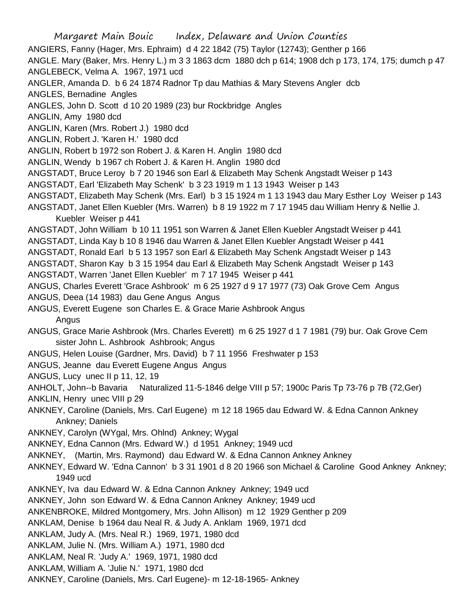Margaret Main Bouic Index, Delaware and Union Counties ANGIERS, Fanny (Hager, Mrs. Ephraim) d 4 22 1842 (75) Taylor (12743); Genther p 166 ANGLE. Mary (Baker, Mrs. Henry L.) m 3 3 1863 dcm 1880 dch p 614; 1908 dch p 173, 174, 175; dumch p 47 ANGLEBECK, Velma A. 1967, 1971 ucd ANGLER, Amanda D. b 6 24 1874 Radnor Tp dau Mathias & Mary Stevens Angler dcb ANGLES, Bernadine Angles ANGLES, John D. Scott d 10 20 1989 (23) bur Rockbridge Angles ANGLIN, Amy 1980 dcd ANGLIN, Karen (Mrs. Robert J.) 1980 dcd ANGLIN, Robert J. 'Karen H.' 1980 dcd ANGLIN, Robert b 1972 son Robert J. & Karen H. Anglin 1980 dcd ANGLIN, Wendy b 1967 ch Robert J. & Karen H. Anglin 1980 dcd ANGSTADT, Bruce Leroy b 7 20 1946 son Earl & Elizabeth May Schenk Angstadt Weiser p 143 ANGSTADT, Earl 'Elizabeth May Schenk' b 3 23 1919 m 1 13 1943 Weiser p 143 ANGSTADT, Elizabeth May Schenk (Mrs. Earl) b 3 15 1924 m 1 13 1943 dau Mary Esther Loy Weiser p 143 ANGSTADT, Janet Ellen Kuebler (Mrs. Warren) b 8 19 1922 m 7 17 1945 dau William Henry & Nellie J. Kuebler Weiser p 441 ANGSTADT, John William b 10 11 1951 son Warren & Janet Ellen Kuebler Angstadt Weiser p 441 ANGSTADT, Linda Kay b 10 8 1946 dau Warren & Janet Ellen Kuebler Angstadt Weiser p 441 ANGSTADT, Ronald Earl b 5 13 1957 son Earl & Elizabeth May Schenk Angstadt Weiser p 143 ANGSTADT, Sharon Kay b 3 15 1954 dau Earl & Elizabeth May Schenk Angstadt Weiser p 143 ANGSTADT, Warren 'Janet Ellen Kuebler' m 7 17 1945 Weiser p 441 ANGUS, Charles Everett 'Grace Ashbrook' m 6 25 1927 d 9 17 1977 (73) Oak Grove Cem Angus ANGUS, Deea (14 1983) dau Gene Angus Angus ANGUS, Everett Eugene son Charles E. & Grace Marie Ashbrook Angus Angus ANGUS, Grace Marie Ashbrook (Mrs. Charles Everett) m 6 25 1927 d 1 7 1981 (79) bur. Oak Grove Cem sister John L. Ashbrook Ashbrook; Angus ANGUS, Helen Louise (Gardner, Mrs. David) b 7 11 1956 Freshwater p 153 ANGUS, Jeanne dau Everett Eugene Angus Angus ANGUS, Lucy unec II p 11, 12, 19 ANHOLT, John--b Bavaria Naturalized 11-5-1846 delge VIII p 57; 1900c Paris Tp 73-76 p 7B (72,Ger) ANKLIN, Henry unec VIII p 29 ANKNEY, Caroline (Daniels, Mrs. Carl Eugene) m 12 18 1965 dau Edward W. & Edna Cannon Ankney Ankney; Daniels ANKNEY, Carolyn (WYgal, Mrs. Ohlnd) Ankney; Wygal ANKNEY, Edna Cannon (Mrs. Edward W.) d 1951 Ankney; 1949 ucd ANKNEY, (Martin, Mrs. Raymond) dau Edward W. & Edna Cannon Ankney Ankney ANKNEY, Edward W. 'Edna Cannon' b 3 31 1901 d 8 20 1966 son Michael & Caroline Good Ankney Ankney; 1949 ucd ANKNEY, Iva dau Edward W. & Edna Cannon Ankney Ankney; 1949 ucd ANKNEY, John son Edward W. & Edna Cannon Ankney Ankney; 1949 ucd ANKENBROKE, Mildred Montgomery, Mrs. John Allison) m 12 1929 Genther p 209 ANKLAM, Denise b 1964 dau Neal R. & Judy A. Anklam 1969, 1971 dcd ANKLAM, Judy A. (Mrs. Neal R.) 1969, 1971, 1980 dcd ANKLAM, Julie N. (Mrs. William A.) 1971, 1980 dcd ANKLAM, Neal R. 'Judy A.' 1969, 1971, 1980 dcd ANKLAM, William A. 'Julie N.' 1971, 1980 dcd ANKNEY, Caroline (Daniels, Mrs. Carl Eugene)- m 12-18-1965- Ankney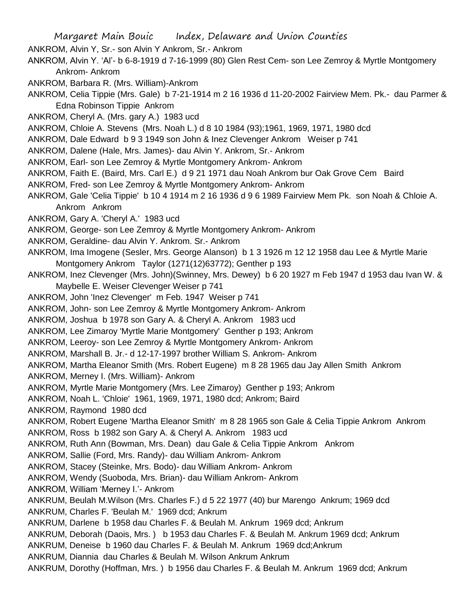ANKROM, Alvin Y, Sr.- son Alvin Y Ankrom, Sr.- Ankrom

- ANKROM, Alvin Y. 'Al'- b 6-8-1919 d 7-16-1999 (80) Glen Rest Cem- son Lee Zemroy & Myrtle Montgomery Ankrom- Ankrom
- ANKROM, Barbara R. (Mrs. William)-Ankrom
- ANKROM, Celia Tippie (Mrs. Gale) b 7-21-1914 m 2 16 1936 d 11-20-2002 Fairview Mem. Pk.- dau Parmer & Edna Robinson Tippie Ankrom
- ANKROM, Cheryl A. (Mrs. gary A.) 1983 ucd
- ANKROM, Chloie A. Stevens (Mrs. Noah L.) d 8 10 1984 (93);1961, 1969, 1971, 1980 dcd
- ANKROM, Dale Edward b 9 3 1949 son John & Inez Clevenger Ankrom Weiser p 741
- ANKROM, Dalene (Hale, Mrs. James)- dau Alvin Y. Ankrom, Sr.- Ankrom
- ANKROM, Earl- son Lee Zemroy & Myrtle Montgomery Ankrom- Ankrom
- ANKROM, Faith E. (Baird, Mrs. Carl E.) d 9 21 1971 dau Noah Ankrom bur Oak Grove Cem Baird
- ANKROM, Fred- son Lee Zemroy & Myrtle Montgomery Ankrom- Ankrom
- ANKROM, Gale 'Celia Tippie' b 10 4 1914 m 2 16 1936 d 9 6 1989 Fairview Mem Pk. son Noah & Chloie A. Ankrom Ankrom
- ANKROM, Gary A. 'Cheryl A.' 1983 ucd
- ANKROM, George- son Lee Zemroy & Myrtle Montgomery Ankrom- Ankrom
- ANKROM, Geraldine- dau Alvin Y. Ankrom. Sr.- Ankrom
- ANKROM, Ima Imogene (Sesler, Mrs. George Alanson) b 1 3 1926 m 12 12 1958 dau Lee & Myrtle Marie Montgomery Ankrom Taylor (1271(12)63772); Genther p 193
- ANKROM, Inez Clevenger (Mrs. John)(Swinney, Mrs. Dewey) b 6 20 1927 m Feb 1947 d 1953 dau Ivan W. & Maybelle E. Weiser Clevenger Weiser p 741
- ANKROM, John 'Inez Clevenger' m Feb. 1947 Weiser p 741
- ANKROM, John- son Lee Zemroy & Myrtle Montgomery Ankrom- Ankrom
- ANKROM, Joshua b 1978 son Gary A. & Cheryl A. Ankrom 1983 ucd
- ANKROM, Lee Zimaroy 'Myrtle Marie Montgomery' Genther p 193; Ankrom
- ANKROM, Leeroy- son Lee Zemroy & Myrtle Montgomery Ankrom- Ankrom
- ANKROM, Marshall B. Jr.- d 12-17-1997 brother William S. Ankrom- Ankrom
- ANKROM, Martha Eleanor Smith (Mrs. Robert Eugene) m 8 28 1965 dau Jay Allen Smith Ankrom
- ANKROM, Merney I. (Mrs. William)- Ankrom
- ANKROM, Myrtle Marie Montgomery (Mrs. Lee Zimaroy) Genther p 193; Ankrom
- ANKROM, Noah L. 'Chloie' 1961, 1969, 1971, 1980 dcd; Ankrom; Baird
- ANKROM, Raymond 1980 dcd
- ANKROM, Robert Eugene 'Martha Eleanor Smith' m 8 28 1965 son Gale & Celia Tippie Ankrom Ankrom ANKROM, Ross b 1982 son Gary A. & Cheryl A. Ankrom 1983 ucd
- ANKROM, Ruth Ann (Bowman, Mrs. Dean) dau Gale & Celia Tippie Ankrom Ankrom
- ANKROM, Sallie (Ford, Mrs. Randy)- dau William Ankrom- Ankrom
- ANKROM, Stacey (Steinke, Mrs. Bodo)- dau William Ankrom- Ankrom
- ANKROM, Wendy (Suoboda, Mrs. Brian)- dau William Ankrom- Ankrom
- ANKROM, William 'Merney I.'- Ankrom
- ANKRUM, Beulah M.Wilson (Mrs. Charles F.) d 5 22 1977 (40) bur Marengo Ankrum; 1969 dcd
- ANKRUM, Charles F. 'Beulah M.' 1969 dcd; Ankrum
- ANKRUM, Darlene b 1958 dau Charles F. & Beulah M. Ankrum 1969 dcd; Ankrum
- ANKRUM, Deborah (Daois, Mrs. ) b 1953 dau Charles F. & Beulah M. Ankrum 1969 dcd; Ankrum
- ANKRUM, Deneise b 1960 dau Charles F. & Beulah M. Ankrum 1969 dcd;Ankrum
- ANKRUM, Diannia dau Charles & Beulah M. Wilson Ankrum Ankrum
- ANKRUM, Dorothy (Hoffman, Mrs. ) b 1956 dau Charles F. & Beulah M. Ankrum 1969 dcd; Ankrum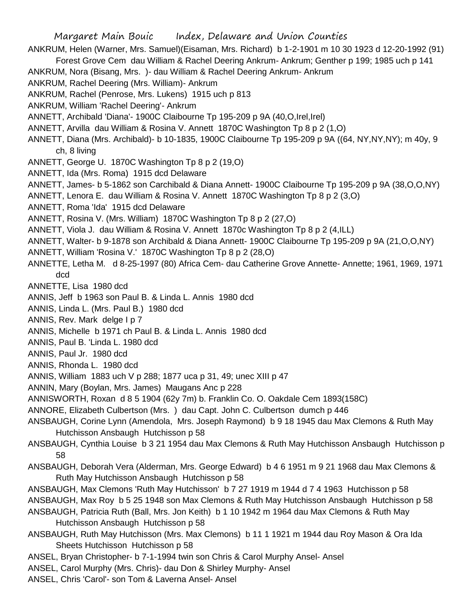Margaret Main Bouic Index, Delaware and Union Counties ANKRUM, Helen (Warner, Mrs. Samuel)(Eisaman, Mrs. Richard) b 1-2-1901 m 10 30 1923 d 12-20-1992 (91) Forest Grove Cem dau William & Rachel Deering Ankrum- Ankrum; Genther p 199; 1985 uch p 141 ANKRUM, Nora (Bisang, Mrs. )- dau William & Rachel Deering Ankrum- Ankrum ANKRUM, Rachel Deering (Mrs. William)- Ankrum ANKRUM, Rachel (Penrose, Mrs. Lukens) 1915 uch p 813 ANKRUM, William 'Rachel Deering'- Ankrum ANNETT, Archibald 'Diana'- 1900C Claibourne Tp 195-209 p 9A (40,O,Irel,Irel) ANNETT, Arvilla dau William & Rosina V. Annett 1870C Washington Tp 8 p 2 (1,O) ANNETT, Diana (Mrs. Archibald)- b 10-1835, 1900C Claibourne Tp 195-209 p 9A ((64, NY,NY,NY); m 40y, 9 ch, 8 living ANNETT, George U. 1870C Washington Tp 8 p 2 (19,O) ANNETT, Ida (Mrs. Roma) 1915 dcd Delaware ANNETT, James- b 5-1862 son Carchibald & Diana Annett- 1900C Claibourne Tp 195-209 p 9A (38,O,O,NY) ANNETT, Lenora E. dau William & Rosina V. Annett 1870C Washington Tp 8 p 2 (3,O) ANNETT, Roma 'Ida' 1915 dcd Delaware ANNETT, Rosina V. (Mrs. William) 1870C Washington Tp 8 p 2 (27,O) ANNETT, Viola J. dau William & Rosina V. Annett 1870c Washington Tp 8 p 2 (4,ILL) ANNETT, Walter- b 9-1878 son Archibald & Diana Annett- 1900C Claibourne Tp 195-209 p 9A (21,O,O,NY) ANNETT, William 'Rosina V.' 1870C Washington Tp 8 p 2 (28,O) ANNETTE, Letha M. d 8-25-1997 (80) Africa Cem- dau Catherine Grove Annette- Annette; 1961, 1969, 1971 dcd ANNETTE, Lisa 1980 dcd ANNIS, Jeff b 1963 son Paul B. & Linda L. Annis 1980 dcd ANNIS, Linda L. (Mrs. Paul B.) 1980 dcd ANNIS, Rev. Mark delge I p 7 ANNIS, Michelle b 1971 ch Paul B. & Linda L. Annis 1980 dcd ANNIS, Paul B. 'Linda L. 1980 dcd ANNIS, Paul Jr. 1980 dcd ANNIS, Rhonda L. 1980 dcd ANNIS, William 1883 uch V p 288; 1877 uca p 31, 49; unec XIII p 47 ANNIN, Mary (Boylan, Mrs. James) Maugans Anc p 228 ANNISWORTH, Roxan d 8 5 1904 (62y 7m) b. Franklin Co. O. Oakdale Cem 1893(158C) ANNORE, Elizabeth Culbertson (Mrs. ) dau Capt. John C. Culbertson dumch p 446 ANSBAUGH, Corine Lynn (Amendola, Mrs. Joseph Raymond) b 9 18 1945 dau Max Clemons & Ruth May Hutchisson Ansbaugh Hutchisson p 58 ANSBAUGH, Cynthia Louise b 3 21 1954 dau Max Clemons & Ruth May Hutchisson Ansbaugh Hutchisson p 58 ANSBAUGH, Deborah Vera (Alderman, Mrs. George Edward) b 4 6 1951 m 9 21 1968 dau Max Clemons & Ruth May Hutchisson Ansbaugh Hutchisson p 58 ANSBAUGH, Max Clemons 'Ruth May Hutchisson' b 7 27 1919 m 1944 d 7 4 1963 Hutchisson p 58 ANSBAUGH, Max Roy b 5 25 1948 son Max Clemons & Ruth May Hutchisson Ansbaugh Hutchisson p 58 ANSBAUGH, Patricia Ruth (Ball, Mrs. Jon Keith) b 1 10 1942 m 1964 dau Max Clemons & Ruth May Hutchisson Ansbaugh Hutchisson p 58 ANSBAUGH, Ruth May Hutchisson (Mrs. Max Clemons) b 11 1 1921 m 1944 dau Roy Mason & Ora Ida Sheets Hutchisson Hutchisson p 58 ANSEL, Bryan Christopher- b 7-1-1994 twin son Chris & Carol Murphy Ansel- Ansel ANSEL, Carol Murphy (Mrs. Chris)- dau Don & Shirley Murphy- Ansel ANSEL, Chris 'Carol'- son Tom & Laverna Ansel- Ansel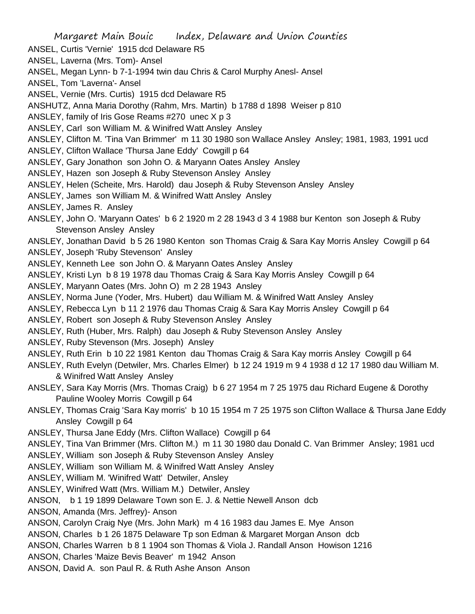Margaret Main Bouic Index, Delaware and Union Counties ANSEL, Curtis 'Vernie' 1915 dcd Delaware R5 ANSEL, Laverna (Mrs. Tom)- Ansel ANSEL, Megan Lynn- b 7-1-1994 twin dau Chris & Carol Murphy Anesl- Ansel ANSEL, Tom 'Laverna'- Ansel ANSEL, Vernie (Mrs. Curtis) 1915 dcd Delaware R5 ANSHUTZ, Anna Maria Dorothy (Rahm, Mrs. Martin) b 1788 d 1898 Weiser p 810 ANSLEY, family of Iris Gose Reams #270 unec X p 3 ANSLEY, Carl son William M. & Winifred Watt Ansley Ansley ANSLEY, Clifton M. 'Tina Van Brimmer' m 11 30 1980 son Wallace Ansley Ansley; 1981, 1983, 1991 ucd ANSLEY, Clifton Wallace 'Thursa Jane Eddy' Cowgill p 64 ANSLEY, Gary Jonathon son John O. & Maryann Oates Ansley Ansley ANSLEY, Hazen son Joseph & Ruby Stevenson Ansley Ansley ANSLEY, Helen (Scheite, Mrs. Harold) dau Joseph & Ruby Stevenson Ansley Ansley ANSLEY, James son William M. & Winifred Watt Ansley Ansley ANSLEY, James R. Ansley ANSLEY, John O. 'Maryann Oates' b 6 2 1920 m 2 28 1943 d 3 4 1988 bur Kenton son Joseph & Ruby Stevenson Ansley Ansley ANSLEY, Jonathan David b 5 26 1980 Kenton son Thomas Craig & Sara Kay Morris Ansley Cowgill p 64 ANSLEY, Joseph 'Ruby Stevenson' Ansley ANSLEY, Kenneth Lee son John O. & Maryann Oates Ansley Ansley ANSLEY, Kristi Lyn b 8 19 1978 dau Thomas Craig & Sara Kay Morris Ansley Cowgill p 64 ANSLEY, Maryann Oates (Mrs. John O) m 2 28 1943 Ansley ANSLEY, Norma June (Yoder, Mrs. Hubert) dau William M. & Winifred Watt Ansley Ansley ANSLEY, Rebecca Lyn b 11 2 1976 dau Thomas Craig & Sara Kay Morris Ansley Cowgill p 64 ANSLEY, Robert son Joseph & Ruby Stevenson Ansley Ansley ANSLEY, Ruth (Huber, Mrs. Ralph) dau Joseph & Ruby Stevenson Ansley Ansley ANSLEY, Ruby Stevenson (Mrs. Joseph) Ansley ANSLEY, Ruth Erin b 10 22 1981 Kenton dau Thomas Craig & Sara Kay morris Ansley Cowgill p 64 ANSLEY, Ruth Evelyn (Detwiler, Mrs. Charles Elmer) b 12 24 1919 m 9 4 1938 d 12 17 1980 dau William M. & Winifred Watt Ansley Ansley ANSLEY, Sara Kay Morris (Mrs. Thomas Craig) b 6 27 1954 m 7 25 1975 dau Richard Eugene & Dorothy Pauline Wooley Morris Cowgill p 64 ANSLEY, Thomas Craig 'Sara Kay morris' b 10 15 1954 m 7 25 1975 son Clifton Wallace & Thursa Jane Eddy Ansley Cowgill p 64 ANSLEY, Thursa Jane Eddy (Mrs. Clifton Wallace) Cowgill p 64 ANSLEY, Tina Van Brimmer (Mrs. Clifton M.) m 11 30 1980 dau Donald C. Van Brimmer Ansley; 1981 ucd ANSLEY, William son Joseph & Ruby Stevenson Ansley Ansley ANSLEY, William son William M. & Winifred Watt Ansley Ansley ANSLEY, William M. 'Winifred Watt' Detwiler, Ansley ANSLEY, Winifred Watt (Mrs. William M.) Detwiler, Ansley ANSON, b 1 19 1899 Delaware Town son E. J. & Nettie Newell Anson dcb ANSON, Amanda (Mrs. Jeffrey)- Anson ANSON, Carolyn Craig Nye (Mrs. John Mark) m 4 16 1983 dau James E. Mye Anson ANSON, Charles b 1 26 1875 Delaware Tp son Edman & Margaret Morgan Anson dcb ANSON, Charles Warren b 8 1 1904 son Thomas & Viola J. Randall Anson Howison 1216 ANSON, Charles 'Maize Bevis Beaver' m 1942 Anson ANSON, David A. son Paul R. & Ruth Ashe Anson Anson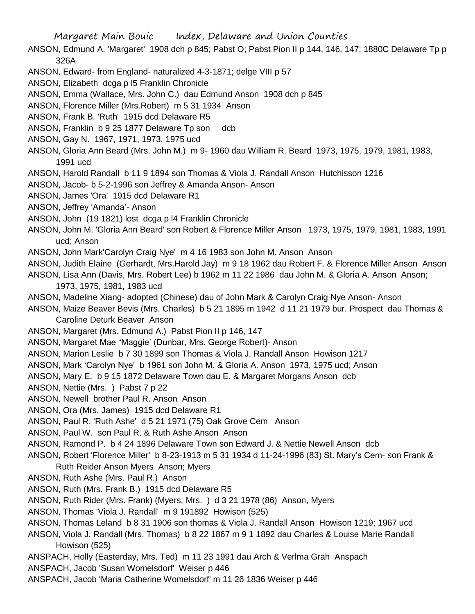- ANSON, Edmund A. 'Margaret' 1908 dch p 845; Pabst O; Pabst Pion II p 144, 146, 147; 1880C Delaware Tp p 326A
- ANSON, Edward- from England- naturalized 4-3-1871; delge VIII p 57
- ANSON, Elizabeth dcga p l5 Franklin Chronicle
- ANSON, Emma (Wallace, Mrs. John C.) dau Edmund Anson 1908 dch p 845
- ANSON, Florence Miller (Mrs.Robert) m 5 31 1934 Anson
- ANSON, Frank B. 'Ruth' 1915 dcd Delaware R5
- ANSON, Franklin b 9 25 1877 Delaware Tp son dcb
- ANSON, Gay N. 1967, 1971, 1973, 1975 ucd
- ANSON, Gloria Ann Beard (Mrs. John M.) m 9- 1960 dau William R. Beard 1973, 1975, 1979, 1981, 1983, 1991 ucd
- ANSON, Harold Randall b 11 9 1894 son Thomas & Viola J. Randall Anson Hutchisson 1216
- ANSON, Jacob- b 5-2-1996 son Jeffrey & Amanda Anson- Anson
- ANSON, James 'Ora' 1915 dcd Delaware R1
- ANSON, Jeffrey 'Amanda'- Anson
- ANSON, John (19 1821) lost dcga p l4 Franklin Chronicle
- ANSON, John M. 'Gloria Ann Beard' son Robert & Florence Miller Anson 1973, 1975, 1979, 1981, 1983, 1991 ucd; Anson
- ANSON, John Mark'Carolyn Craig Nye' m 4 16 1983 son John M. Anson Anson
- ANSON, Judith Elaine (Gerhardt, Mrs.Harold Jay) m 9 18 1962 dau Robert F. & Florence Miller Anson Anson
- ANSON, Lisa Ann (Davis, Mrs. Robert Lee) b 1962 m 11 22 1986 dau John M. & Gloria A. Anson Anson;
	- 1973, 1975, 1981, 1983 ucd
- ANSON, Madeline Xiang- adopted (Chinese) dau of John Mark & Carolyn Craig Nye Anson- Anson
- ANSON, Maize Beaver Bevis (Mrs. Charles) b 5 21 1895 m 1942 d 11 21 1979 bur. Prospect dau Thomas & Caroline Deturk Beaver Anson
- ANSON, Margaret (Mrs. Edmund A.) Pabst Pion II p 146, 147
- ANSON, Margaret Mae "Maggie' (Dunbar, Mrs. George Robert)- Anson
- ANSON, Marion Leslie b 7 30 1899 son Thomas & Viola J. Randall Anson Howison 1217
- ANSON, Mark 'Carolyn Nye' b 1961 son John M. & Gloria A. Anson 1973, 1975 ucd; Anson
- ANSON, Mary E. b 9 15 1872 Delaware Town dau E. & Margaret Morgans Anson dcb
- ANSON, Nettie (Mrs. ) Pabst 7 p 22
- ANSON, Newell brother Paul R. Anson Anson
- ANSON, Ora (Mrs. James) 1915 dcd Delaware R1
- ANSON, Paul R. 'Ruth Ashe' d 5 21 1971 (75) Oak Grove Cem Anson
- ANSON, Paul W. son Paul R. & Ruth Ashe Anson Anson
- ANSON, Ramond P. b 4 24 1896 Delaware Town son Edward J. & Nettie Newell Anson dcb
- ANSON, Robert 'Florence Miller' b 8-23-1913 m 5 31 1934 d 11-24-1996 (83) St. Mary's Cem- son Frank & Ruth Reider Anson Myers Anson; Myers
	-
- ANSON, Ruth Ashe (Mrs. Paul R.) Anson
- ANSON, Ruth (Mrs. Frank B.) 1915 dcd Delaware R5
- ANSON, Ruth Rider (Mrs. Frank) (Myers, Mrs. ) d 3 21 1978 (86) Anson, Myers
- ANSON, Thomas 'Viola J. Randall' m 9 191892 Howison (525)
- ANSON, Thomas Leland b 8 31 1906 son thomas & Viola J. Randall Anson Howison 1219; 1967 ucd
- ANSON, Viola J. Randall (Mrs. Thomas) b 8 22 1867 m 9 1 1892 dau Charles & Louise Marie Randall Howison (525)
- ANSPACH, Holly (Easterday, Mrs. Ted) m 11 23 1991 dau Arch & Verlma Grah Anspach
- ANSPACH, Jacob 'Susan Womelsdorf' Weiser p 446
- ANSPACH, Jacob 'Maria Catherine Womelsdorf' m 11 26 1836 Weiser p 446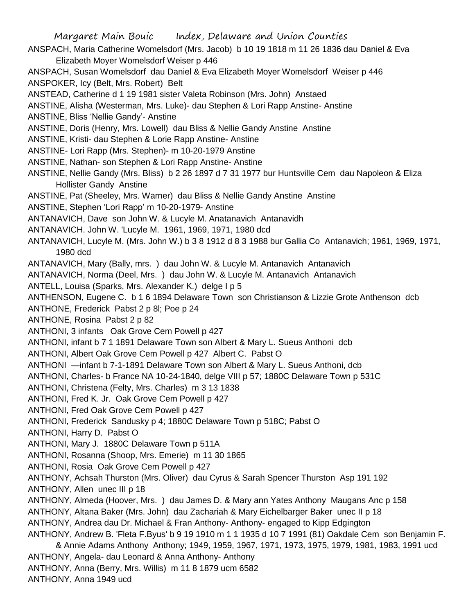ANSPACH, Maria Catherine Womelsdorf (Mrs. Jacob) b 10 19 1818 m 11 26 1836 dau Daniel & Eva Elizabeth Moyer Womelsdorf Weiser p 446

ANSPACH, Susan Womelsdorf dau Daniel & Eva Elizabeth Moyer Womelsdorf Weiser p 446 ANSPOKER, Icy (Belt, Mrs. Robert) Belt

ANSTEAD, Catherine d 1 19 1981 sister Valeta Robinson (Mrs. John) Anstaed

ANSTINE, Alisha (Westerman, Mrs. Luke)- dau Stephen & Lori Rapp Anstine- Anstine

ANSTINE, Bliss 'Nellie Gandy'- Anstine

ANSTINE, Doris (Henry, Mrs. Lowell) dau Bliss & Nellie Gandy Anstine Anstine

ANSTINE, Kristi- dau Stephen & Lorie Rapp Anstine- Anstine

- ANSTINE- Lori Rapp (Mrs. Stephen)- m 10-20-1979 Anstine
- ANSTINE, Nathan- son Stephen & Lori Rapp Anstine- Anstine
- ANSTINE, Nellie Gandy (Mrs. Bliss) b 2 26 1897 d 7 31 1977 bur Huntsville Cem dau Napoleon & Eliza Hollister Gandy Anstine
- ANSTINE, Pat (Sheeley, Mrs. Warner) dau Bliss & Nellie Gandy Anstine Anstine
- ANSTINE, Stephen 'Lori Rapp' m 10-20-1979- Anstine
- ANTANAVICH, Dave son John W. & Lucyle M. Anatanavich Antanavidh
- ANTANAVICH. John W. 'Lucyle M. 1961, 1969, 1971, 1980 dcd
- ANTANAVICH, Lucyle M. (Mrs. John W.) b 3 8 1912 d 8 3 1988 bur Gallia Co Antanavich; 1961, 1969, 1971, 1980 dcd
- ANTANAVICH, Mary (Bally, mrs. ) dau John W. & Lucyle M. Antanavich Antanavich
- ANTANAVICH, Norma (Deel, Mrs. ) dau John W. & Lucyle M. Antanavich Antanavich
- ANTELL, Louisa (Sparks, Mrs. Alexander K.) delge I p 5
- ANTHENSON, Eugene C. b 1 6 1894 Delaware Town son Christianson & Lizzie Grote Anthenson dcb
- ANTHONE, Frederick Pabst 2 p 8l; Poe p 24

ANTHONE, Rosina Pabst 2 p 82

- ANTHONI, 3 infants Oak Grove Cem Powell p 427
- ANTHONI, infant b 7 1 1891 Delaware Town son Albert & Mary L. Sueus Anthoni dcb
- ANTHONI, Albert Oak Grove Cem Powell p 427 Albert C. Pabst O
- ANTHONI —infant b 7-1-1891 Delaware Town son Albert & Mary L. Sueus Anthoni, dcb
- ANTHONI, Charles- b France NA 10-24-1840, delge VIII p 57; 1880C Delaware Town p 531C
- ANTHONI, Christena (Felty, Mrs. Charles) m 3 13 1838
- ANTHONI, Fred K. Jr. Oak Grove Cem Powell p 427
- ANTHONI, Fred Oak Grove Cem Powell p 427
- ANTHONI, Frederick Sandusky p 4; 1880C Delaware Town p 518C; Pabst O
- ANTHONI, Harry D. Pabst O
- ANTHONI, Mary J. 1880C Delaware Town p 511A
- ANTHONI, Rosanna (Shoop, Mrs. Emerie) m 11 30 1865
- ANTHONI, Rosia Oak Grove Cem Powell p 427
- ANTHONY, Achsah Thurston (Mrs. Oliver) dau Cyrus & Sarah Spencer Thurston Asp 191 192
- ANTHONY, Allen unec III p 18
- ANTHONY, Almeda (Hoover, Mrs. ) dau James D. & Mary ann Yates Anthony Maugans Anc p 158 ANTHONY, Altana Baker (Mrs. John) dau Zachariah & Mary Eichelbarger Baker unec II p 18 ANTHONY, Andrea dau Dr. Michael & Fran Anthony- Anthony- engaged to Kipp Edgington
- ANTHONY, Andrew B. 'Fleta F.Byus' b 9 19 1910 m 1 1 1935 d 10 7 1991 (81) Oakdale Cem son Benjamin F. & Annie Adams Anthony Anthony; 1949, 1959, 1967, 1971, 1973, 1975, 1979, 1981, 1983, 1991 ucd ANTHONY, Angela- dau Leonard & Anna Anthony- Anthony ANTHONY, Anna (Berry, Mrs. Willis) m 11 8 1879 ucm 6582 ANTHONY, Anna 1949 ucd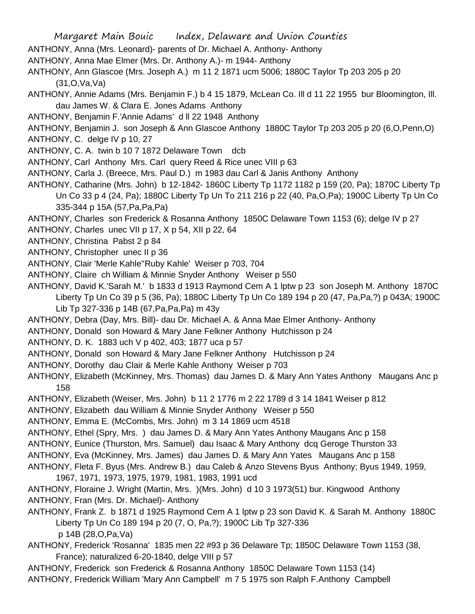- ANTHONY, Anna (Mrs. Leonard)- parents of Dr. Michael A. Anthony- Anthony
- ANTHONY, Anna Mae Elmer (Mrs. Dr. Anthony A.)- m 1944- Anthony
- ANTHONY, Ann Glascoe (Mrs. Joseph A.) m 11 2 1871 ucm 5006; 1880C Taylor Tp 203 205 p 20 (31,O,Va,Va)
- ANTHONY, Annie Adams (Mrs. Benjamin F.) b 4 15 1879, McLean Co. Ill d 11 22 1955 bur Bloomington, Ill. dau James W. & Clara E. Jones Adams Anthony
- ANTHONY, Benjamin F.'Annie Adams' d ll 22 1948 Anthony
- ANTHONY, Benjamin J. son Joseph & Ann Glascoe Anthony 1880C Taylor Tp 203 205 p 20 (6,O,Penn,O)
- ANTHONY, C. delge IV p 10, 27
- ANTHONY, C. A. twin b 10 7 1872 Delaware Town dcb
- ANTHONY, Carl Anthony Mrs. Carl query Reed & Rice unec VIII p 63
- ANTHONY, Carla J. (Breece, Mrs. Paul D.) m 1983 dau Carl & Janis Anthony Anthony
- ANTHONY, Catharine (Mrs. John) b 12-1842- 1860C Liberty Tp 1172 1182 p 159 (20, Pa); 1870C Liberty Tp Un Co 33 p 4 (24, Pa); 1880C Liberty Tp Un To 211 216 p 22 (40, Pa,O,Pa); 1900C Liberty Tp Un Co 335-344 p 15A (57,Pa,Pa,Pa)
- ANTHONY, Charles son Frederick & Rosanna Anthony 1850C Delaware Town 1153 (6); delge IV p 27
- ANTHONY, Charles unec VII p 17, X p 54, XII p 22, 64
- ANTHONY, Christina Pabst 2 p 84
- ANTHONY, Christopher unec II p 36
- ANTHONY, Clair 'Merle Kahle''Ruby Kahle' Weiser p 703, 704
- ANTHONY, Claire ch William & Minnie Snyder Anthony Weiser p 550
- ANTHONY, David K.'Sarah M.' b 1833 d 1913 Raymond Cem A 1 lptw p 23 son Joseph M. Anthony 1870C Liberty Tp Un Co 39 p 5 (36, Pa); 1880C Liberty Tp Un Co 189 194 p 20 (47, Pa,Pa,?) p 043A; 1900C Lib Tp 327-336 p 14B (67,Pa,Pa,Pa) m 43y
- ANTHONY, Debra (Day, Mrs. Bill)- dau Dr. Michael A. & Anna Mae Elmer Anthony- Anthony
- ANTHONY, Donald son Howard & Mary Jane Felkner Anthony Hutchisson p 24
- ANTHONY, D. K. 1883 uch V p 402, 403; 1877 uca p 57
- ANTHONY, Donald son Howard & Mary Jane Felkner Anthony Hutchisson p 24
- ANTHONY, Dorothy dau Clair & Merle Kahle Anthony Weiser p 703
- ANTHONY, Elizabeth (McKinney, Mrs. Thomas) dau James D. & Mary Ann Yates Anthony Maugans Anc p 158
- ANTHONY, Elizabeth (Weiser, Mrs. John) b 11 2 1776 m 2 22 1789 d 3 14 1841 Weiser p 812
- ANTHONY, Elizabeth dau William & Minnie Snyder Anthony Weiser p 550
- ANTHONY, Emma E. (McCombs, Mrs. John) m 3 14 1869 ucm 4518
- ANTHONY, Ethel (Spry, Mrs. ) dau James D. & Mary Ann Yates Anthony Maugans Anc p 158
- ANTHONY, Eunice (Thurston, Mrs. Samuel) dau Isaac & Mary Anthony dcq Geroge Thurston 33
- ANTHONY, Eva (McKinney, Mrs. James) dau James D. & Mary Ann Yates Maugans Anc p 158
- ANTHONY, Fleta F. Byus (Mrs. Andrew B.) dau Caleb & Anzo Stevens Byus Anthony; Byus 1949, 1959, 1967, 1971, 1973, 1975, 1979, 1981, 1983, 1991 ucd
- ANTHONY, Floraine J. Wright (Martin, Mrs. )(Mrs. John) d 10 3 1973(51) bur. Kingwood Anthony
- ANTHONY, Fran (Mrs. Dr. Michael)- Anthony
- ANTHONY, Frank Z. b 1871 d 1925 Raymond Cem A 1 lptw p 23 son David K. & Sarah M. Anthony 1880C Liberty Tp Un Co 189 194 p 20 (7, O, Pa,?); 1900C Lib Tp 327-336 p 14B (28,O,Pa,Va)
- ANTHONY, Frederick 'Rosanna' 1835 men 22 #93 p 36 Delaware Tp; 1850C Delaware Town 1153 (38, France); naturalized 6-20-1840, delge VIII p 57
- ANTHONY, Frederick son Frederick & Rosanna Anthony 1850C Delaware Town 1153 (14)
- ANTHONY, Frederick William 'Mary Ann Campbell' m 7 5 1975 son Ralph F.Anthony Campbell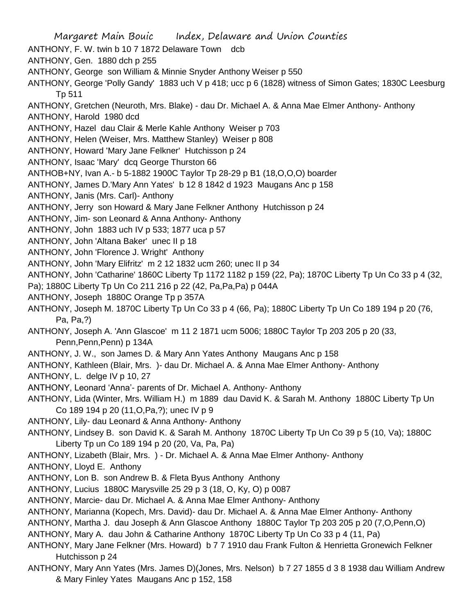- Margaret Main Bouic Index, Delaware and Union Counties ANTHONY, F. W. twin b 10 7 1872 Delaware Town dcb ANTHONY, Gen. 1880 dch p 255 ANTHONY, George son William & Minnie Snyder Anthony Weiser p 550 ANTHONY, George 'Polly Gandy' 1883 uch V p 418; ucc p 6 (1828) witness of Simon Gates; 1830C Leesburg Tp 511 ANTHONY, Gretchen (Neuroth, Mrs. Blake) - dau Dr. Michael A. & Anna Mae Elmer Anthony- Anthony ANTHONY, Harold 1980 dcd ANTHONY, Hazel dau Clair & Merle Kahle Anthony Weiser p 703 ANTHONY, Helen (Weiser, Mrs. Matthew Stanley) Weiser p 808 ANTHONY, Howard 'Mary Jane Felkner' Hutchisson p 24 ANTHONY, Isaac 'Mary' dcq George Thurston 66 ANTHOB+NY, Ivan A.- b 5-1882 1900C Taylor Tp 28-29 p B1 (18,O,O,O) boarder ANTHONY, James D.'Mary Ann Yates' b 12 8 1842 d 1923 Maugans Anc p 158 ANTHONY, Janis (Mrs. Carl)- Anthony ANTHONY, Jerry son Howard & Mary Jane Felkner Anthony Hutchisson p 24 ANTHONY, Jim- son Leonard & Anna Anthony- Anthony ANTHONY, John 1883 uch IV p 533; 1877 uca p 57 ANTHONY, John 'Altana Baker' unec II p 18 ANTHONY, John 'Florence J. Wright' Anthony ANTHONY, John 'Mary Elifritz' m 2 12 1832 ucm 260; unec II p 34 ANTHONY, John 'Catharine' 1860C Liberty Tp 1172 1182 p 159 (22, Pa); 1870C Liberty Tp Un Co 33 p 4 (32, Pa); 1880C Liberty Tp Un Co 211 216 p 22 (42, Pa,Pa,Pa) p 044A ANTHONY, Joseph 1880C Orange Tp p 357A ANTHONY, Joseph M. 1870C Liberty Tp Un Co 33 p 4 (66, Pa); 1880C Liberty Tp Un Co 189 194 p 20 (76, Pa, Pa,?) ANTHONY, Joseph A. 'Ann Glascoe' m 11 2 1871 ucm 5006; 1880C Taylor Tp 203 205 p 20 (33, Penn,Penn,Penn) p 134A ANTHONY, J. W., son James D. & Mary Ann Yates Anthony Maugans Anc p 158 ANTHONY, Kathleen (Blair, Mrs. )- dau Dr. Michael A. & Anna Mae Elmer Anthony- Anthony ANTHONY, L. delge IV p 10, 27 ANTHONY, Leonard 'Anna'- parents of Dr. Michael A. Anthony- Anthony ANTHONY, Lida (Winter, Mrs. William H.) m 1889 dau David K. & Sarah M. Anthony 1880C Liberty Tp Un Co 189 194 p 20 (11,O,Pa,?); unec IV p 9 ANTHONY, Lily- dau Leonard & Anna Anthony- Anthony ANTHONY, Lindsey B. son David K. & Sarah M. Anthony 1870C Liberty Tp Un Co 39 p 5 (10, Va); 1880C Liberty Tp un Co 189 194 p 20 (20, Va, Pa, Pa) ANTHONY, Lizabeth (Blair, Mrs. ) - Dr. Michael A. & Anna Mae Elmer Anthony- Anthony ANTHONY, Lloyd E. Anthony ANTHONY, Lon B. son Andrew B. & Fleta Byus Anthony Anthony ANTHONY, Lucius 1880C Marysville 25 29 p 3 (18, O, Ky, O) p 0087 ANTHONY, Marcie- dau Dr. Michael A. & Anna Mae Elmer Anthony- Anthony ANTHONY, Marianna (Kopech, Mrs. David)- dau Dr. Michael A. & Anna Mae Elmer Anthony- Anthony ANTHONY, Martha J. dau Joseph & Ann Glascoe Anthony 1880C Taylor Tp 203 205 p 20 (7,O,Penn,O) ANTHONY, Mary A. dau John & Catharine Anthony 1870C Liberty Tp Un Co 33 p 4 (11, Pa) ANTHONY, Mary Jane Felkner (Mrs. Howard) b 7 7 1910 dau Frank Fulton & Henrietta Gronewich Felkner Hutchisson p 24
- ANTHONY, Mary Ann Yates (Mrs. James D)(Jones, Mrs. Nelson) b 7 27 1855 d 3 8 1938 dau William Andrew & Mary Finley Yates Maugans Anc p 152, 158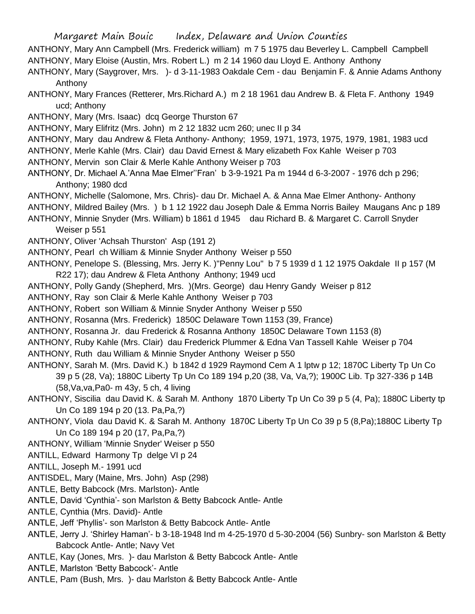- ANTHONY, Mary Ann Campbell (Mrs. Frederick william) m 7 5 1975 dau Beverley L. Campbell Campbell
- ANTHONY, Mary Eloise (Austin, Mrs. Robert L.) m 2 14 1960 dau Lloyd E. Anthony Anthony
- ANTHONY, Mary (Saygrover, Mrs. )- d 3-11-1983 Oakdale Cem dau Benjamin F. & Annie Adams Anthony Anthony
- ANTHONY, Mary Frances (Retterer, Mrs.Richard A.) m 2 18 1961 dau Andrew B. & Fleta F. Anthony 1949 ucd; Anthony
- ANTHONY, Mary (Mrs. Isaac) dcq George Thurston 67
- ANTHONY, Mary Elifritz (Mrs. John) m 2 12 1832 ucm 260; unec II p 34
- ANTHONY, Mary dau Andrew & Fleta Anthony- Anthony; 1959, 1971, 1973, 1975, 1979, 1981, 1983 ucd
- ANTHONY, Merle Kahle (Mrs. Clair) dau David Ernest & Mary elizabeth Fox Kahle Weiser p 703
- ANTHONY, Mervin son Clair & Merle Kahle Anthony Weiser p 703
- ANTHONY, Dr. Michael A.'Anna Mae Elmer''Fran' b 3-9-1921 Pa m 1944 d 6-3-2007 1976 dch p 296; Anthony; 1980 dcd
- ANTHONY, Michelle (Salomone, Mrs. Chris)- dau Dr. Michael A. & Anna Mae Elmer Anthony- Anthony
- ANTHONY, Mildred Bailey (Mrs. ) b 1 12 1922 dau Joseph Dale & Emma Norris Bailey Maugans Anc p 189
- ANTHONY, Minnie Snyder (Mrs. William) b 1861 d 1945 dau Richard B. & Margaret C. Carroll Snyder Weiser p 551
- ANTHONY, Oliver 'Achsah Thurston' Asp (191 2)
- ANTHONY, Pearl ch William & Minnie Snyder Anthony Weiser p 550
- ANTHONY, Penelope S. (Blessing, Mrs. Jerry K. )"Penny Lou" b 7 5 1939 d 1 12 1975 Oakdale II p 157 (M R22 17); dau Andrew & Fleta Anthony Anthony; 1949 ucd
- ANTHONY, Polly Gandy (Shepherd, Mrs. )(Mrs. George) dau Henry Gandy Weiser p 812
- ANTHONY, Ray son Clair & Merle Kahle Anthony Weiser p 703
- ANTHONY, Robert son William & Minnie Snyder Anthony Weiser p 550
- ANTHONY, Rosanna (Mrs. Frederick) 1850C Delaware Town 1153 (39, France)
- ANTHONY, Rosanna Jr. dau Frederick & Rosanna Anthony 1850C Delaware Town 1153 (8)
- ANTHONY, Ruby Kahle (Mrs. Clair) dau Frederick Plummer & Edna Van Tassell Kahle Weiser p 704
- ANTHONY, Ruth dau William & Minnie Snyder Anthony Weiser p 550
- ANTHONY, Sarah M. (Mrs. David K.) b 1842 d 1929 Raymond Cem A 1 lptw p 12; 1870C Liberty Tp Un Co 39 p 5 (28, Va); 1880C Liberty Tp Un Co 189 194 p,20 (38, Va, Va,?); 1900C Lib. Tp 327-336 p 14B (58,Va,va,Pa0- m 43y, 5 ch, 4 living
- ANTHONY, Siscilia dau David K. & Sarah M. Anthony 1870 Liberty Tp Un Co 39 p 5 (4, Pa); 1880C Liberty tp Un Co 189 194 p 20 (13. Pa,Pa,?)
- ANTHONY, Viola dau David K. & Sarah M. Anthony 1870C Liberty Tp Un Co 39 p 5 (8,Pa);1880C Liberty Tp Un Co 189 194 p 20 (17, Pa,Pa,?)
- ANTHONY, William 'Minnie Snyder' Weiser p 550
- ANTILL, Edward Harmony Tp delge VI p 24
- ANTILL, Joseph M.- 1991 ucd
- ANTISDEL, Mary (Maine, Mrs. John) Asp (298)
- ANTLE, Betty Babcock (Mrs. Marlston)- Antle
- ANTLE, David 'Cynthia'- son Marlston & Betty Babcock Antle- Antle
- ANTLE, Cynthia (Mrs. David)- Antle
- ANTLE, Jeff 'Phyllis'- son Marlston & Betty Babcock Antle- Antle
- ANTLE, Jerry J. 'Shirley Haman'- b 3-18-1948 Ind m 4-25-1970 d 5-30-2004 (56) Sunbry- son Marlston & Betty Babcock Antle- Antle; Navy Vet
- ANTLE, Kay (Jones, Mrs. )- dau Marlston & Betty Babcock Antle- Antle
- ANTLE, Marlston 'Betty Babcock'- Antle
- ANTLE, Pam (Bush, Mrs. )- dau Marlston & Betty Babcock Antle- Antle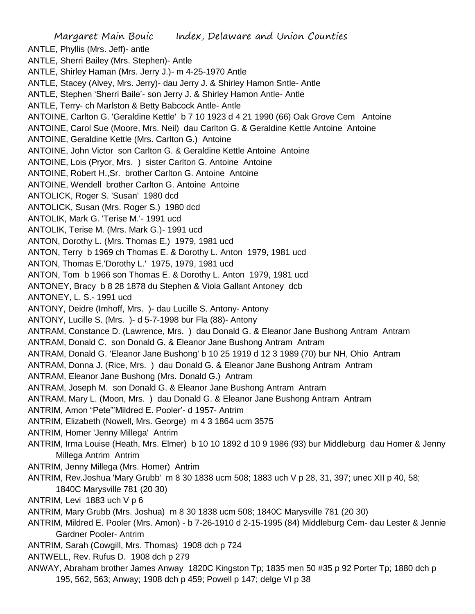Margaret Main Bouic Index, Delaware and Union Counties ANTLE, Phyllis (Mrs. Jeff)- antle ANTLE, Sherri Bailey (Mrs. Stephen)- Antle ANTLE, Shirley Haman (Mrs. Jerry J.)- m 4-25-1970 Antle ANTLE, Stacey (Alvey, Mrs. Jerry)- dau Jerry J. & Shirley Hamon Sntle- Antle ANTLE, Stephen 'Sherri Baile'- son Jerry J. & Shirley Hamon Antle- Antle ANTLE, Terry- ch Marlston & Betty Babcock Antle- Antle ANTOINE, Carlton G. 'Geraldine Kettle' b 7 10 1923 d 4 21 1990 (66) Oak Grove Cem Antoine ANTOINE, Carol Sue (Moore, Mrs. Neil) dau Carlton G. & Geraldine Kettle Antoine Antoine ANTOINE, Geraldine Kettle (Mrs. Carlton G.) Antoine ANTOINE, John Victor son Carlton G. & Geraldine Kettle Antoine Antoine ANTOINE, Lois (Pryor, Mrs. ) sister Carlton G. Antoine Antoine ANTOINE, Robert H.,Sr. brother Carlton G. Antoine Antoine ANTOINE, Wendell brother Carlton G. Antoine Antoine ANTOLICK, Roger S. 'Susan' 1980 dcd ANTOLICK, Susan (Mrs. Roger S.) 1980 dcd ANTOLIK, Mark G. 'Terise M.'- 1991 ucd ANTOLIK, Terise M. (Mrs. Mark G.)- 1991 ucd ANTON, Dorothy L. (Mrs. Thomas E.) 1979, 1981 ucd ANTON, Terry b 1969 ch Thomas E. & Dorothy L. Anton 1979, 1981 ucd ANTON, Thomas E.'Dorothy L.' 1975, 1979, 1981 ucd ANTON, Tom b 1966 son Thomas E. & Dorothy L. Anton 1979, 1981 ucd ANTONEY, Bracy b 8 28 1878 du Stephen & Viola Gallant Antoney dcb ANTONEY, L. S.- 1991 ucd ANTONY, Deidre (Imhoff, Mrs. )- dau Lucille S. Antony- Antony ANTONY, Lucille S. (Mrs. )- d 5-7-1998 bur Fla (88)- Antony ANTRAM, Constance D. (Lawrence, Mrs. ) dau Donald G. & Eleanor Jane Bushong Antram Antram ANTRAM, Donald C. son Donald G. & Eleanor Jane Bushong Antram Antram ANTRAM, Donald G. 'Eleanor Jane Bushong' b 10 25 1919 d 12 3 1989 (70) bur NH, Ohio Antram ANTRAM, Donna J. (Rice, Mrs. ) dau Donald G. & Eleanor Jane Bushong Antram Antram ANTRAM, Eleanor Jane Bushong (Mrs. Donald G.) Antram ANTRAM, Joseph M. son Donald G. & Eleanor Jane Bushong Antram Antram ANTRAM, Mary L. (Moon, Mrs. ) dau Donald G. & Eleanor Jane Bushong Antram Antram ANTRIM, Amon "Pete"'Mildred E. Pooler'- d 1957- Antrim ANTRIM, Elizabeth (Nowell, Mrs. George) m 4 3 1864 ucm 3575 ANTRIM, Homer 'Jenny Millega' Antrim ANTRIM, Irma Louise (Heath, Mrs. Elmer) b 10 10 1892 d 10 9 1986 (93) bur Middleburg dau Homer & Jenny Millega Antrim Antrim ANTRIM, Jenny Millega (Mrs. Homer) Antrim ANTRIM, Rev.Joshua 'Mary Grubb' m 8 30 1838 ucm 508; 1883 uch V p 28, 31, 397; unec XII p 40, 58; 1840C Marysville 781 (20 30) ANTRIM, Levi 1883 uch V p 6 ANTRIM, Mary Grubb (Mrs. Joshua) m 8 30 1838 ucm 508; 1840C Marysville 781 (20 30) ANTRIM, Mildred E. Pooler (Mrs. Amon) - b 7-26-1910 d 2-15-1995 (84) Middleburg Cem- dau Lester & Jennie Gardner Pooler- Antrim ANTRIM, Sarah (Cowgill, Mrs. Thomas) 1908 dch p 724 ANTWELL, Rev. Rufus D. 1908 dch p 279 ANWAY, Abraham brother James Anway 1820C Kingston Tp; 1835 men 50 #35 p 92 Porter Tp; 1880 dch p 195, 562, 563; Anway; 1908 dch p 459; Powell p 147; delge VI p 38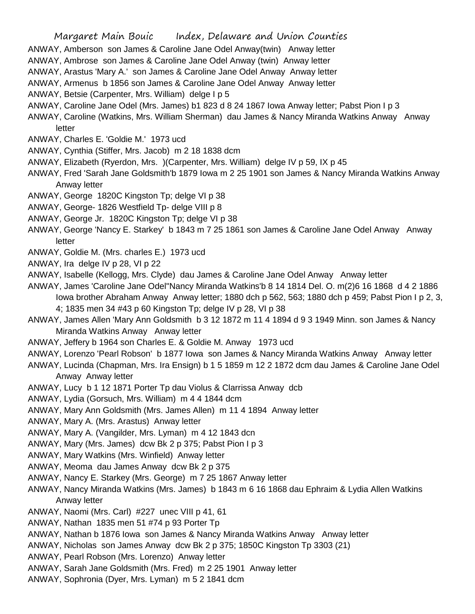ANWAY, Amberson son James & Caroline Jane Odel Anway(twin) Anway letter

ANWAY, Ambrose son James & Caroline Jane Odel Anway (twin) Anway letter

ANWAY, Arastus 'Mary A.' son James & Caroline Jane Odel Anway Anway letter

ANWAY, Armenus b 1856 son James & Caroline Jane Odel Anway Anway letter

ANWAY, Betsie (Carpenter, Mrs. William) delge I p 5

ANWAY, Caroline Jane Odel (Mrs. James) b1 823 d 8 24 1867 Iowa Anway letter; Pabst Pion I p 3

ANWAY, Caroline (Watkins, Mrs. William Sherman) dau James & Nancy Miranda Watkins Anway Anway letter

- ANWAY, Charles E. 'Goldie M.' 1973 ucd
- ANWAY, Cynthia (Stiffer, Mrs. Jacob) m 2 18 1838 dcm
- ANWAY, Elizabeth (Ryerdon, Mrs. )(Carpenter, Mrs. William) delge IV p 59, IX p 45
- ANWAY, Fred 'Sarah Jane Goldsmith'b 1879 Iowa m 2 25 1901 son James & Nancy Miranda Watkins Anway Anway letter
- ANWAY, George 1820C Kingston Tp; delge VI p 38
- ANWAY, George- 1826 Westfield Tp- delge VIII p 8
- ANWAY, George Jr. 1820C Kingston Tp; delge VI p 38
- ANWAY, George 'Nancy E. Starkey' b 1843 m 7 25 1861 son James & Caroline Jane Odel Anway Anway letter
- ANWAY, Goldie M. (Mrs. charles E.) 1973 ucd
- ANWAY, Ira delge IV p 28, VI p 22

ANWAY, Isabelle (Kellogg, Mrs. Clyde) dau James & Caroline Jane Odel Anway Anway letter

- ANWAY, James 'Caroline Jane Odel''Nancy Miranda Watkins'b 8 14 1814 Del. O. m(2)6 16 1868 d 4 2 1886 Iowa brother Abraham Anway Anway letter; 1880 dch p 562, 563; 1880 dch p 459; Pabst Pion I p 2, 3, 4; 1835 men 34 #43 p 60 Kingston Tp; delge IV p 28, VI p 38
- ANWAY, James Allen 'Mary Ann Goldsmith b 3 12 1872 m 11 4 1894 d 9 3 1949 Minn. son James & Nancy Miranda Watkins Anway Anway letter
- ANWAY, Jeffery b 1964 son Charles E. & Goldie M. Anway 1973 ucd
- ANWAY, Lorenzo 'Pearl Robson' b 1877 Iowa son James & Nancy Miranda Watkins Anway Anway letter
- ANWAY, Lucinda (Chapman, Mrs. Ira Ensign) b 1 5 1859 m 12 2 1872 dcm dau James & Caroline Jane Odel Anway Anway letter
- ANWAY, Lucy b 1 12 1871 Porter Tp dau Violus & Clarrissa Anway dcb
- ANWAY, Lydia (Gorsuch, Mrs. William) m 4 4 1844 dcm
- ANWAY, Mary Ann Goldsmith (Mrs. James Allen) m 11 4 1894 Anway letter
- ANWAY, Mary A. (Mrs. Arastus) Anway letter
- ANWAY, Mary A. (Vangilder, Mrs. Lyman) m 4 12 1843 dcn
- ANWAY, Mary (Mrs. James) dcw Bk 2 p 375; Pabst Pion I p 3
- ANWAY, Mary Watkins (Mrs. Winfield) Anway letter
- ANWAY, Meoma dau James Anway dcw Bk 2 p 375
- ANWAY, Nancy E. Starkey (Mrs. George) m 7 25 1867 Anway letter
- ANWAY, Nancy Miranda Watkins (Mrs. James) b 1843 m 6 16 1868 dau Ephraim & Lydia Allen Watkins Anway letter
- ANWAY, Naomi (Mrs. Carl) #227 unec VIII p 41, 61
- ANWAY, Nathan 1835 men 51 #74 p 93 Porter Tp
- ANWAY, Nathan b 1876 Iowa son James & Nancy Miranda Watkins Anway Anway letter
- ANWAY, Nicholas son James Anway dcw Bk 2 p 375; 1850C Kingston Tp 3303 (21)
- ANWAY, Pearl Robson (Mrs. Lorenzo) Anway letter
- ANWAY, Sarah Jane Goldsmith (Mrs. Fred) m 2 25 1901 Anway letter
- ANWAY, Sophronia (Dyer, Mrs. Lyman) m 5 2 1841 dcm